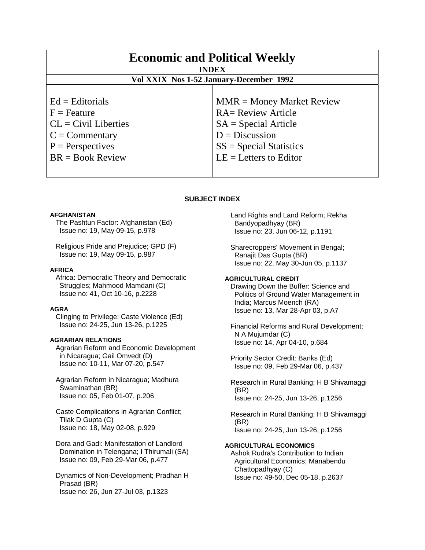| <b>Economic and Political Weekly</b><br><b>INDEX</b><br>Vol XXIX Nos 1-52 January-December 1992 |                             |
|-------------------------------------------------------------------------------------------------|-----------------------------|
| $Ed =$ Editorials                                                                               | $MMR = Money Market Review$ |
| $F =$ Feature                                                                                   | <b>RA= Review Article</b>   |
| $CL = Civil\:$ Liberties                                                                        | $SA = Special Article$      |
| $C = \text{Commentary}$                                                                         | $D = Discussion$            |
| $P =$ Perspectives                                                                              | $SS = Special Statistics$   |
| $BR = Book Review$                                                                              | $LE = Letters to Editor$    |

## **SUBJECT INDEX**

#### **AFGHANISTAN**

 The Pashtun Factor: Afghanistan (Ed) Issue no: 19, May 09-15, p.978

 Religious Pride and Prejudice; GPD (F) Issue no: 19, May 09-15, p.987

#### **AFRICA**

 Africa: Democratic Theory and Democratic Struggles; Mahmood Mamdani (C) Issue no: 41, Oct 10-16, p.2228

#### **AGRA**

 Clinging to Privilege: Caste Violence (Ed) Issue no: 24-25, Jun 13-26, p.1225

## **AGRARIAN RELATIONS**

 Agrarian Reform and Economic Development in Nicaragua; Gail Omvedt (D) Issue no: 10-11, Mar 07-20, p.547

 Agrarian Reform in Nicaragua; Madhura Swaminathan (BR) Issue no: 05, Feb 01-07, p.206

 Caste Complications in Agrarian Conflict; Tilak D Gupta (C) Issue no: 18, May 02-08, p.929

 Dora and Gadi: Manifestation of Landlord Domination in Telengana; I Thirumali (SA) Issue no: 09, Feb 29-Mar 06, p.477

 Dynamics of Non-Development; Pradhan H Prasad (BR) Issue no: 26, Jun 27-Jul 03, p.1323

 Land Rights and Land Reform; Rekha Bandyopadhyay (BR) Issue no: 23, Jun 06-12, p.1191

 Sharecroppers' Movement in Bengal; Ranajit Das Gupta (BR) Issue no: 22, May 30-Jun 05, p.1137

**AGRICULTURAL CREDIT**  Drawing Down the Buffer: Science and Politics of Ground Water Management in India; Marcus Moench (RA) Issue no: 13, Mar 28-Apr 03, p.A7

 Financial Reforms and Rural Development; N A Mujumdar (C) Issue no: 14, Apr 04-10, p.684

 Priority Sector Credit: Banks (Ed) Issue no: 09, Feb 29-Mar 06, p.437

 Research in Rural Banking; H B Shivamaggi (BR) Issue no: 24-25, Jun 13-26, p.1256

 Research in Rural Banking; H B Shivamaggi (BR) Issue no: 24-25, Jun 13-26, p.1256

#### **AGRICULTURAL ECONOMICS**

 Ashok Rudra's Contribution to Indian Agricultural Economics; Manabendu Chattopadhyay (C) Issue no: 49-50, Dec 05-18, p.2637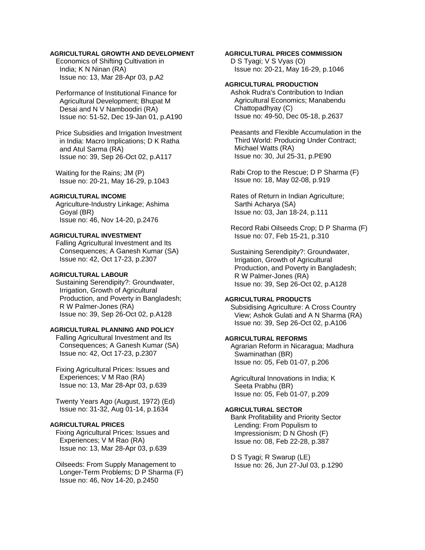## **AGRICULTURAL GROWTH AND DEVELOPMENT**

 Economics of Shifting Cultivation in India; K N Ninan (RA) Issue no: 13, Mar 28-Apr 03, p.A2

 Performance of Institutional Finance for Agricultural Development; Bhupat M Desai and N V Namboodiri (RA) Issue no: 51-52, Dec 19-Jan 01, p.A190

 Price Subsidies and Irrigation Investment in India: Macro Implications; D K Ratha and Atul Sarma (RA) Issue no: 39, Sep 26-Oct 02, p.A117

 Waiting for the Rains; JM (P) Issue no: 20-21, May 16-29, p.1043

## **AGRICULTURAL INCOME**

 Agriculture-Industry Linkage; Ashima Goyal (BR) Issue no: 46, Nov 14-20, p.2476

#### **AGRICULTURAL INVESTMENT**

 Falling Agricultural Investment and Its Consequences; A Ganesh Kumar (SA) Issue no: 42, Oct 17-23, p.2307

## **AGRICULTURAL LABOUR**

 Sustaining Serendipity?: Groundwater, Irrigation, Growth of Agricultural Production, and Poverty in Bangladesh; R W Palmer-Jones (RA) Issue no: 39, Sep 26-Oct 02, p.A128

## **AGRICULTURAL PLANNING AND POLICY**

 Falling Agricultural Investment and Its Consequences; A Ganesh Kumar (SA) Issue no: 42, Oct 17-23, p.2307

 Fixing Agricultural Prices: Issues and Experiences; V M Rao (RA) Issue no: 13, Mar 28-Apr 03, p.639

 Twenty Years Ago (August, 1972) (Ed) Issue no: 31-32, Aug 01-14, p.1634

## **AGRICULTURAL PRICES**

 Fixing Agricultural Prices: Issues and Experiences; V M Rao (RA) Issue no: 13, Mar 28-Apr 03, p.639

 Oilseeds: From Supply Management to Longer-Term Problems; D P Sharma (F) Issue no: 46, Nov 14-20, p.2450

## **AGRICULTURAL PRICES COMMISSION**

 D S Tyagi; V S Vyas (O) Issue no: 20-21, May 16-29, p.1046

## **AGRICULTURAL PRODUCTION**

 Ashok Rudra's Contribution to Indian Agricultural Economics; Manabendu Chattopadhyay (C) Issue no: 49-50, Dec 05-18, p.2637

 Peasants and Flexible Accumulation in the Third World: Producing Under Contract; Michael Watts (RA) Issue no: 30, Jul 25-31, p.PE90

 Rabi Crop to the Rescue; D P Sharma (F) Issue no: 18, May 02-08, p.919

 Rates of Return in Indian Agriculture; Sarthi Acharya (SA) Issue no: 03, Jan 18-24, p.111

 Record Rabi Oilseeds Crop; D P Sharma (F) Issue no: 07, Feb 15-21, p.310

 Sustaining Serendipity?: Groundwater, Irrigation, Growth of Agricultural Production, and Poverty in Bangladesh; R W Palmer-Jones (RA) Issue no: 39, Sep 26-Oct 02, p.A128

## **AGRICULTURAL PRODUCTS**

 Subsidising Agriculture: A Cross Country View; Ashok Gulati and A N Sharma (RA) Issue no: 39, Sep 26-Oct 02, p.A106

## **AGRICULTURAL REFORMS**

 Agrarian Reform in Nicaragua; Madhura Swaminathan (BR) Issue no: 05, Feb 01-07, p.206

 Agricultural Innovations in India; K Seeta Prabhu (BR) Issue no: 05, Feb 01-07, p.209

## **AGRICULTURAL SECTOR**

 Bank Profitability and Priority Sector Lending: From Populism to Impressionism; D N Ghosh (F) Issue no: 08, Feb 22-28, p.387

 D S Tyagi; R Swarup (LE) Issue no: 26, Jun 27-Jul 03, p.1290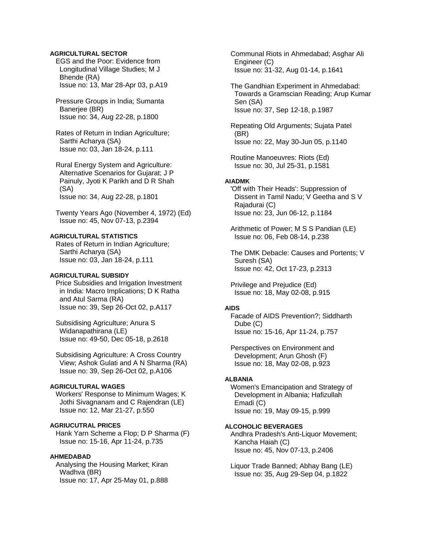## **AGRICULTURAL SECTOR**

 EGS and the Poor: Evidence from Longitudinal Village Studies; M J Bhende (RA) Issue no: 13, Mar 28-Apr 03, p.A19

 Pressure Groups in India; Sumanta Banerjee (BR) Issue no: 34, Aug 22-28, p.1800

 Rates of Return in Indian Agriculture; Sarthi Acharya (SA) Issue no: 03, Jan 18-24, p.111

 Rural Energy System and Agriculture: Alternative Scenarios for Gujarat; J P Painuly, Jyoti K Parikh and D R Shah (SA) Issue no: 34, Aug 22-28, p.1801

 Twenty Years Ago (November 4, 1972) (Ed) Issue no: 45, Nov 07-13, p.2394

## **AGRICULTURAL STATISTICS**

 Rates of Return in Indian Agriculture; Sarthi Acharya (SA) Issue no: 03, Jan 18-24, p.111

## **AGRICULTURAL SUBSIDY**

 Price Subsidies and Irrigation Investment in India: Macro Implications; D K Ratha and Atul Sarma (RA) Issue no: 39, Sep 26-Oct 02, p.A117

 Subsidising Agriculture; Anura S Widanapathirana (LE) Issue no: 49-50, Dec 05-18, p.2618

 Subsidising Agriculture: A Cross Country View; Ashok Gulati and A N Sharma (RA) Issue no: 39, Sep 26-Oct 02, p.A106

## **AGRICULTURAL WAGES**

 Workers' Response to Minimum Wages; K Jothi Sivagnanam and C Rajendran (LE) Issue no: 12, Mar 21-27, p.550

## **AGRIUCUTRAL PRICES**

 Hank Yarn Scheme a Flop; D P Sharma (F) Issue no: 15-16, Apr 11-24, p.735

#### **AHMEDABAD**

 Analysing the Housing Market; Kiran Wadhva (BR) Issue no: 17, Apr 25-May 01, p.888  Communal Riots in Ahmedabad; Asghar Ali Engineer (C) Issue no: 31-32, Aug 01-14, p.1641

 The Gandhian Experiment in Ahmedabad: Towards a Gramscian Reading; Arup Kumar Sen (SA) Issue no: 37, Sep 12-18, p.1987

 Repeating Old Arguments; Sujata Patel (BR) Issue no: 22, May 30-Jun 05, p.1140

 Routine Manoeuvres: Riots (Ed) Issue no: 30, Jul 25-31, p.1581

#### **AIADMK**

 'Off with Their Heads': Suppression of Dissent in Tamil Nadu; V Geetha and S V Rajadurai (C) Issue no: 23, Jun 06-12, p.1184

 Arithmetic of Power; M S S Pandian (LE) Issue no: 06, Feb 08-14, p.238

 The DMK Debacle: Causes and Portents; V Suresh (SA) Issue no: 42, Oct 17-23, p.2313

 Privilege and Prejudice (Ed) Issue no: 18, May 02-08, p.915

#### **AIDS**

 Facade of AIDS Prevention?; Siddharth Dube (C) Issue no: 15-16, Apr 11-24, p.757

 Perspectives on Environment and Development; Arun Ghosh (F) Issue no: 18, May 02-08, p.923

#### **ALBANIA**

 Women's Emancipation and Strategy of Development in Albania; Hafizullah Emadi (C) Issue no: 19, May 09-15, p.999

#### **ALCOHOLIC BEVERAGES**

 Andhra Pradesh's Anti-Liquor Movement; Kancha Haiah (C) Issue no: 45, Nov 07-13, p.2406

 Liquor Trade Banned; Abhay Bang (LE) Issue no: 35, Aug 29-Sep 04, p.1822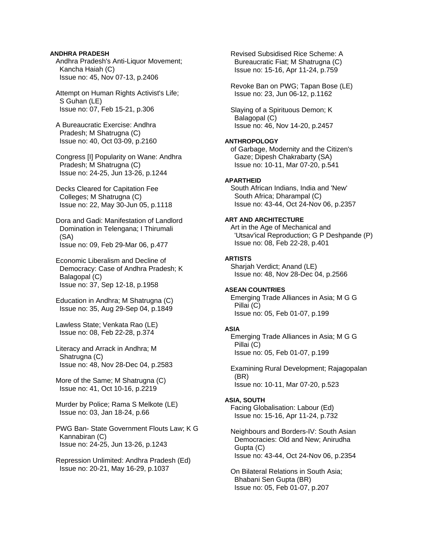## **ANDHRA PRADESH**

 Andhra Pradesh's Anti-Liquor Movement; Kancha Haiah (C) Issue no: 45, Nov 07-13, p.2406

 Attempt on Human Rights Activist's Life; S Guhan (LE) Issue no: 07, Feb 15-21, p.306

 A Bureaucratic Exercise: Andhra Pradesh; M Shatrugna (C) Issue no: 40, Oct 03-09, p.2160

 Congress [I] Popularity on Wane: Andhra Pradesh; M Shatrugna (C) Issue no: 24-25, Jun 13-26, p.1244

 Decks Cleared for Capitation Fee Colleges; M Shatrugna (C) Issue no: 22, May 30-Jun 05, p.1118

 Dora and Gadi: Manifestation of Landlord Domination in Telengana; I Thirumali (SA) Issue no: 09, Feb 29-Mar 06, p.477

 Economic Liberalism and Decline of Democracy: Case of Andhra Pradesh; K Balagopal (C) Issue no: 37, Sep 12-18, p.1958

 Education in Andhra; M Shatrugna (C) Issue no: 35, Aug 29-Sep 04, p.1849

 Lawless State; Venkata Rao (LE) Issue no: 08, Feb 22-28, p.374

 Literacy and Arrack in Andhra; M Shatrugna (C) Issue no: 48, Nov 28-Dec 04, p.2583

 More of the Same; M Shatrugna (C) Issue no: 41, Oct 10-16, p.2219

 Murder by Police; Rama S Melkote (LE) Issue no: 03, Jan 18-24, p.66

 PWG Ban- State Government Flouts Law; K G Kannabiran (C) Issue no: 24-25, Jun 13-26, p.1243

 Repression Unlimited: Andhra Pradesh (Ed) Issue no: 20-21, May 16-29, p.1037

 Revised Subsidised Rice Scheme: A Bureaucratic Fiat; M Shatrugna (C) Issue no: 15-16, Apr 11-24, p.759

 Revoke Ban on PWG; Tapan Bose (LE) Issue no: 23, Jun 06-12, p.1162

 Slaying of a Spirituous Demon; K Balagopal (C) Issue no: 46, Nov 14-20, p.2457

## **ANTHROPOLOGY**

 of Garbage, Modernity and the Citizen's Gaze; Dipesh Chakrabarty (SA) Issue no: 10-11, Mar 07-20, p.541

## **APARTHEID**

 South African Indians, India and 'New' South Africa; Dharampal (C) Issue no: 43-44, Oct 24-Nov 06, p.2357

#### **ART AND ARCHITECTURE**

 Art in the Age of Mechanical and 'Utsav'ical Reproduction; G P Deshpande (P) Issue no: 08, Feb 22-28, p.401

#### **ARTISTS**

 Sharjah Verdict; Anand (LE) Issue no: 48, Nov 28-Dec 04, p.2566

## **ASEAN COUNTRIES**

 Emerging Trade Alliances in Asia; M G G Pillai (C) Issue no: 05, Feb 01-07, p.199

## **ASIA**

 Emerging Trade Alliances in Asia; M G G Pillai (C) Issue no: 05, Feb 01-07, p.199

 Examining Rural Development; Rajagopalan (BR) Issue no: 10-11, Mar 07-20, p.523

#### **ASIA, SOUTH**

 Facing Globalisation: Labour (Ed) Issue no: 15-16, Apr 11-24, p.732

 Neighbours and Borders-IV: South Asian Democracies: Old and New; Anirudha Gupta (C) Issue no: 43-44, Oct 24-Nov 06, p.2354

 On Bilateral Relations in South Asia; Bhabani Sen Gupta (BR) Issue no: 05, Feb 01-07, p.207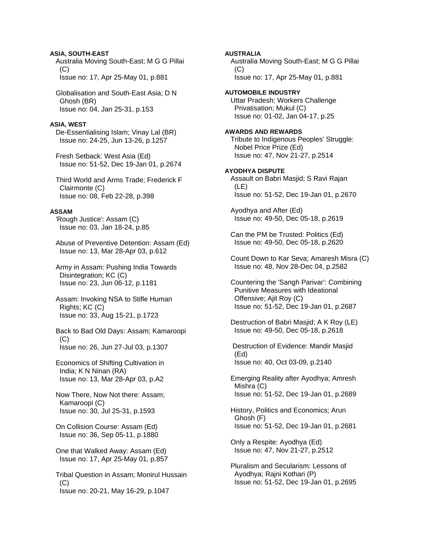## **ASIA, SOUTH-EAST**

 Australia Moving South-East; M G G Pillai  $(C)$ Issue no: 17, Apr 25-May 01, p.881

 Globalisation and South-East Asia; D N Ghosh (BR) Issue no: 04, Jan 25-31, p.153

#### **ASIA, WEST**

 De-Essentialising Islam; Vinay Lal (BR) Issue no: 24-25, Jun 13-26, p.1257

 Fresh Setback: West Asia (Ed) Issue no: 51-52, Dec 19-Jan 01, p.2674

 Third World and Arms Trade; Frederick F Clairmonte (C) Issue no: 08, Feb 22-28, p.398

## **ASSAM**

 'Rough Justice': Assam (C) Issue no: 03, Jan 18-24, p.85

 Abuse of Preventive Detention: Assam (Ed) Issue no: 13, Mar 28-Apr 03, p.612

 Army in Assam: Pushing India Towards Disintegration; KC (C) Issue no: 23, Jun 06-12, p.1181

 Assam: Invoking NSA to Stifle Human Rights; KC (C) Issue no: 33, Aug 15-21, p.1723

 Back to Bad Old Days: Assam; Kamaroopi (C) Issue no: 26, Jun 27-Jul 03, p.1307

 Economics of Shifting Cultivation in India; K N Ninan (RA) Issue no: 13, Mar 28-Apr 03, p.A2

 Now There, Now Not there: Assam; Kamaroopi (C) Issue no: 30, Jul 25-31, p.1593

 On Collision Course: Assam (Ed) Issue no: 36, Sep 05-11, p.1880

 One that Walked Away: Assam (Ed) Issue no: 17, Apr 25-May 01, p.857

 Tribal Question in Assam; Monirul Hussain  $(C)$ Issue no: 20-21, May 16-29, p.1047

**AUSTRALIA**  Australia Moving South-East; M G G Pillai  $(C)$  Issue no: 17, Apr 25-May 01, p.881 **AUTOMOBILE INDUSTRY**  Uttar Pradesh: Workers Challenge Privatisation; Mukul (C) Issue no: 01-02, Jan 04-17, p.25 **AWARDS AND REWARDS**  Tribute to Indigenous Peoples' Struggle: Nobel Price Prize (Ed) Issue no: 47, Nov 21-27, p.2514 **AYODHYA DISPUTE**  Assault on Babri Masjid; S Ravi Rajan (LE) Issue no: 51-52, Dec 19-Jan 01, p.2670 Ayodhya and After (Ed) Issue no: 49-50, Dec 05-18, p.2619 Can the PM be Trusted: Politics (Ed) Issue no: 49-50, Dec 05-18, p.2620 Count Down to Kar Seva; Amaresh Misra (C) Issue no: 48, Nov 28-Dec 04, p.2582 Countering the 'Sangh Parivar': Combining Punitive Measures with Ideational Offensive; Ajit Roy (C) Issue no: 51-52, Dec 19-Jan 01, p.2687 Destruction of Babri Masjid; A K Roy (LE) Issue no: 49-50, Dec 05-18, p.2618 Destruction of Evidence: Mandir Masjid (Ed) Issue no: 40, Oct 03-09, p.2140 Emerging Reality after Ayodhya; Amresh Mishra (C) Issue no: 51-52, Dec 19-Jan 01, p.2689 History, Politics and Economics; Arun Ghosh (F) Issue no: 51-52, Dec 19-Jan 01, p.2681 Only a Respite: Ayodhya (Ed) Issue no: 47, Nov 21-27, p.2512 Pluralism and Secularism: Lessons of Ayodhya; Rajni Kothari (P) Issue no: 51-52, Dec 19-Jan 01, p.2695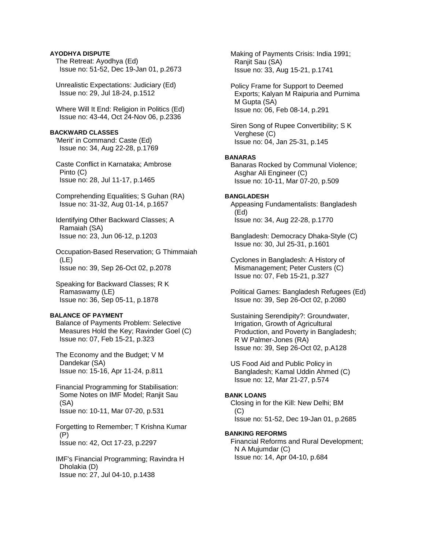## **AYODHYA DISPUTE**

 The Retreat: Ayodhya (Ed) Issue no: 51-52, Dec 19-Jan 01, p.2673

 Unrealistic Expectations: Judiciary (Ed) Issue no: 29, Jul 18-24, p.1512

 Where Will It End: Religion in Politics (Ed) Issue no: 43-44, Oct 24-Nov 06, p.2336

## **BACKWARD CLASSES**

 'Merit' in Command: Caste (Ed) Issue no: 34, Aug 22-28, p.1769

 Caste Conflict in Karnataka; Ambrose Pinto (C) Issue no: 28, Jul 11-17, p.1465

 Comprehending Equalities; S Guhan (RA) Issue no: 31-32, Aug 01-14, p.1657

 Identifying Other Backward Classes; A Ramaiah (SA) Issue no: 23, Jun 06-12, p.1203

 Occupation-Based Reservation; G Thimmaiah (LE) Issue no: 39, Sep 26-Oct 02, p.2078

 Speaking for Backward Classes; R K Ramaswamy (LE) Issue no: 36, Sep 05-11, p.1878

### **BALANCE OF PAYMENT**

 Balance of Payments Problem: Selective Measures Hold the Key; Ravinder Goel (C) Issue no: 07, Feb 15-21, p.323

 The Economy and the Budget; V M Dandekar (SA) Issue no: 15-16, Apr 11-24, p.811

 Financial Programming for Stabilisation: Some Notes on IMF Model; Ranjit Sau (SA) Issue no: 10-11, Mar 07-20, p.531

 Forgetting to Remember; T Krishna Kumar (P) Issue no: 42, Oct 17-23, p.2297

 IMF's Financial Programming; Ravindra H Dholakia (D) Issue no: 27, Jul 04-10, p.1438

 Making of Payments Crisis: India 1991; Ranjit Sau (SA) Issue no: 33, Aug 15-21, p.1741

 Policy Frame for Support to Deemed Exports; Kalyan M Raipuria and Purnima M Gupta (SA) Issue no: 06, Feb 08-14, p.291

 Siren Song of Rupee Convertibility; S K Verghese (C) Issue no: 04, Jan 25-31, p.145

#### **BANARAS**

 Banaras Rocked by Communal Violence; Asghar Ali Engineer (C) Issue no: 10-11, Mar 07-20, p.509

#### **BANGLADESH**

 Appeasing Fundamentalists: Bangladesh (Ed) Issue no: 34, Aug 22-28, p.1770

 Bangladesh: Democracy Dhaka-Style (C) Issue no: 30, Jul 25-31, p.1601

 Cyclones in Bangladesh: A History of Mismanagement; Peter Custers (C) Issue no: 07, Feb 15-21, p.327

 Political Games: Bangladesh Refugees (Ed) Issue no: 39, Sep 26-Oct 02, p.2080

 Sustaining Serendipity?: Groundwater, Irrigation, Growth of Agricultural Production, and Poverty in Bangladesh; R W Palmer-Jones (RA) Issue no: 39, Sep 26-Oct 02, p.A128

 US Food Aid and Public Policy in Bangladesh; Kamal Uddin Ahmed (C) Issue no: 12, Mar 21-27, p.574

#### **BANK LOANS**

 Closing in for the Kill: New Delhi; BM (C) Issue no: 51-52, Dec 19-Jan 01, p.2685

#### **BANKING REFORMS**

 Financial Reforms and Rural Development; N A Mujumdar (C) Issue no: 14, Apr 04-10, p.684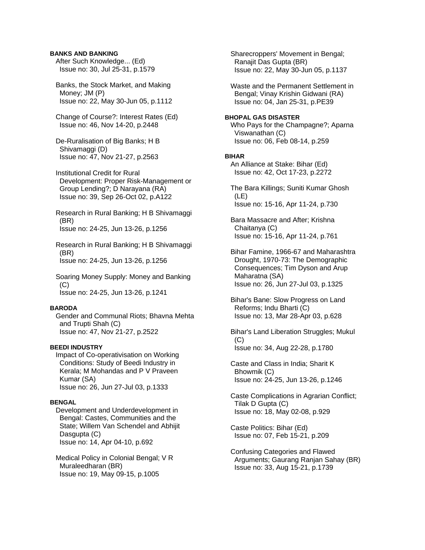## **BANKS AND BANKING**

 After Such Knowledge... (Ed) Issue no: 30, Jul 25-31, p.1579

 Banks, the Stock Market, and Making Money; JM (P) Issue no: 22, May 30-Jun 05, p.1112

 Change of Course?: Interest Rates (Ed) Issue no: 46, Nov 14-20, p.2448

 De-Ruralisation of Big Banks; H B Shivamaggi (D) Issue no: 47, Nov 21-27, p.2563

 Institutional Credit for Rural Development: Proper Risk-Management or Group Lending?; D Narayana (RA) Issue no: 39, Sep 26-Oct 02, p.A122

 Research in Rural Banking; H B Shivamaggi (BR) Issue no: 24-25, Jun 13-26, p.1256

 Research in Rural Banking; H B Shivamaggi (BR) Issue no: 24-25, Jun 13-26, p.1256

 Soaring Money Supply: Money and Banking  $(C)$ Issue no: 24-25, Jun 13-26, p.1241

#### **BARODA**

 Gender and Communal Riots; Bhavna Mehta and Trupti Shah (C) Issue no: 47, Nov 21-27, p.2522

## **BEEDI INDUSTRY**

 Impact of Co-operativisation on Working Conditions: Study of Beedi Industry in Kerala; M Mohandas and P V Praveen Kumar (SA) Issue no: 26, Jun 27-Jul 03, p.1333

## **BENGAL**

 Development and Underdevelopment in Bengal: Castes, Communities and the State; Willem Van Schendel and Abhijit Dasgupta (C) Issue no: 14, Apr 04-10, p.692

 Medical Policy in Colonial Bengal; V R Muraleedharan (BR) Issue no: 19, May 09-15, p.1005

 Sharecroppers' Movement in Bengal; Ranajit Das Gupta (BR) Issue no: 22, May 30-Jun 05, p.1137

 Waste and the Permanent Settlement in Bengal; Vinay Krishin Gidwani (RA) Issue no: 04, Jan 25-31, p.PE39

# **BHOPAL GAS DISASTER**

 Who Pays for the Champagne?; Aparna Viswanathan (C) Issue no: 06, Feb 08-14, p.259

## **BIHAR**

 An Alliance at Stake: Bihar (Ed) Issue no: 42, Oct 17-23, p.2272

 The Bara Killings; Suniti Kumar Ghosh (LE) Issue no: 15-16, Apr 11-24, p.730

 Bara Massacre and After; Krishna Chaitanya (C) Issue no: 15-16, Apr 11-24, p.761

 Bihar Famine, 1966-67 and Maharashtra Drought, 1970-73: The Demographic Consequences; Tim Dyson and Arup Maharatna (SA) Issue no: 26, Jun 27-Jul 03, p.1325

 Bihar's Bane: Slow Progress on Land Reforms; Indu Bharti (C) Issue no: 13, Mar 28-Apr 03, p.628

 Bihar's Land Liberation Struggles; Mukul (C) Issue no: 34, Aug 22-28, p.1780

 Caste and Class in India; Sharit K Bhowmik (C) Issue no: 24-25, Jun 13-26, p.1246

 Caste Complications in Agrarian Conflict; Tilak D Gupta (C) Issue no: 18, May 02-08, p.929

 Caste Politics: Bihar (Ed) Issue no: 07, Feb 15-21, p.209

 Confusing Categories and Flawed Arguments; Gaurang Ranjan Sahay (BR) Issue no: 33, Aug 15-21, p.1739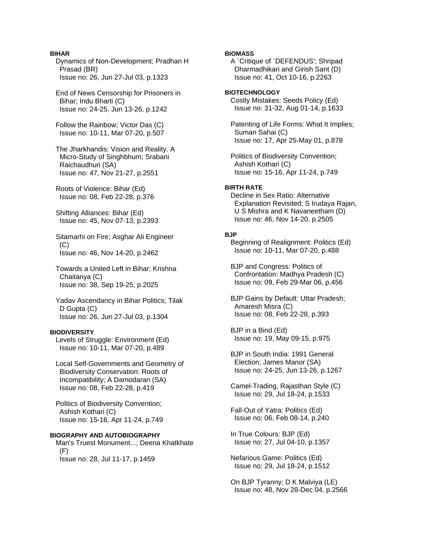## **BIHAR**

 Dynamics of Non-Development; Pradhan H Prasad (BR) Issue no: 26, Jun 27-Jul 03, p.1323

 End of News Censorship for Prisoners in Bihar; Indu Bharti (C) Issue no: 24-25, Jun 13-26, p.1242

 Follow the Rainbow; Victor Das (C) Issue no: 10-11, Mar 07-20, p.507

 The Jharkhandis: Vision and Reality. A Micro-Study of Singhbhum; Srabani Raichaudhuri (SA) Issue no: 47, Nov 21-27, p.2551

 Roots of Violence: Bihar (Ed) Issue no: 08, Feb 22-28, p.376

 Shifting Alliances: Bihar (Ed) Issue no: 45, Nov 07-13, p.2393

 Sitamarhi on Fire; Asghar Ali Engineer (C) Issue no: 46, Nov 14-20, p.2462

 Towards a United Left in Bihar; Krishna Chaitanya (C) Issue no: 38, Sep 19-25, p.2025

 Yadav Ascendancy in Bihar Politics; Tilak D Gupta (C) Issue no: 26, Jun 27-Jul 03, p.1304

## **BIODIVERSITY**

 Levels of Struggle: Environment (Ed) Issue no: 10-11, Mar 07-20, p.489

 Local Self-Governments and Geometry of Biodiversity Conservation: Roots of Incompatibility; A Damodaran (SA) Issue no: 08, Feb 22-28, p.419

 Politics of Biodiversity Convention; Ashish Kothari (C) Issue no: 15-16, Apr 11-24, p.749

#### **BIOGRAPHY AND AUTOBIOGRAPHY**

 Man's Truest Monument...; Deena Khatkhate  $(F)$ Issue no: 28, Jul 11-17, p.1459

## **BIOMASS**

 A `Critique of `DEFENDUS'; Shripad Dharmadhikari and Girish Sant (D) Issue no: 41, Oct 10-16, p.2263

#### **BIOTECHNOLOGY**

 Costly Mistakes: Seeds Policy (Ed) Issue no: 31-32, Aug 01-14, p.1633

 Patenting of Life Forms: What It Implies; Suman Sahai (C) Issue no: 17, Apr 25-May 01, p.878

 Politics of Biodiversity Convention; Ashish Kothari (C) Issue no: 15-16, Apr 11-24, p.749

## **BIRTH RATE**

 Decline in Sex Ratio: Alternative Explanation Revisited; S Irudaya Rajan, U S Mishra and K Navaneetham (D) Issue no: 46, Nov 14-20, p.2505

#### **BJP**

 Beginning of Realignment: Politics (Ed) Issue no: 10-11, Mar 07-20, p.488

 BJP and Congress: Politics of Confrontation: Madhya Pradesh (C) Issue no: 09, Feb 29-Mar 06, p.456

 BJP Gains by Default: Uttar Pradesh; Amaresh Misra (C) Issue no: 08, Feb 22-28, p.393

 BJP in a Bind (Ed) Issue no: 19, May 09-15, p.975

 BJP in South India: 1991 General Election; James Manor (SA) Issue no: 24-25, Jun 13-26, p.1267

 Camel-Trading, Rajasthan Style (C) Issue no: 29, Jul 18-24, p.1533

 Fall-Out of Yatra: Politics (Ed) Issue no: 06, Feb 08-14, p.240

 In True Colours: BJP (Ed) Issue no: 27, Jul 04-10, p.1357

 Nefarious Game: Politics (Ed) Issue no: 29, Jul 18-24, p.1512

 On BJP Tyranny; D K Malviya (LE) Issue no: 48, Nov 28-Dec 04, p.2566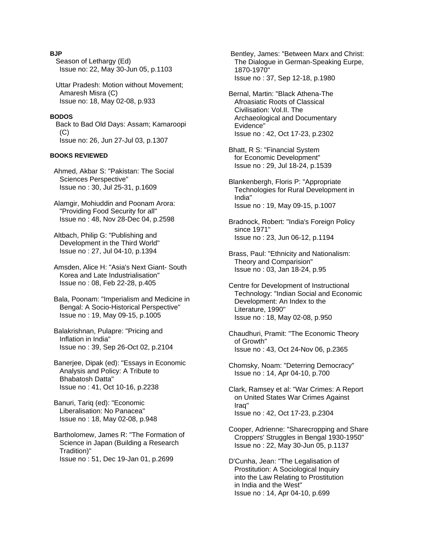## **BJP**

 Season of Lethargy (Ed) Issue no: 22, May 30-Jun 05, p.1103

 Uttar Pradesh: Motion without Movement; Amaresh Misra (C) Issue no: 18, May 02-08, p.933

#### **BODOS**

 Back to Bad Old Days: Assam; Kamaroopi (C) Issue no: 26, Jun 27-Jul 03, p.1307

#### **BOOKS REVIEWED**

 Ahmed, Akbar S: "Pakistan: The Social Sciences Perspective" Issue no : 30, Jul 25-31, p.1609

 Alamgir, Mohiuddin and Poonam Arora: "Providing Food Security for all" Issue no : 48, Nov 28-Dec 04, p.2598

 Altbach, Philip G: "Publishing and Development in the Third World" Issue no : 27, Jul 04-10, p.1394

 Amsden, Alice H: "Asia's Next Giant- South Korea and Late Industrialisation" Issue no : 08, Feb 22-28, p.405

 Bala, Poonam: "Imperialism and Medicine in Bengal: A Socio-Historical Perspective" Issue no : 19, May 09-15, p.1005

 Balakrishnan, Pulapre: "Pricing and Inflation in India" Issue no : 39, Sep 26-Oct 02, p.2104

 Banerjee, Dipak (ed): "Essays in Economic Analysis and Policy: A Tribute to Bhabatosh Datta" Issue no : 41, Oct 10-16, p.2238

 Banuri, Tariq (ed): "Economic Liberalisation: No Panacea" Issue no : 18, May 02-08, p.948

 Bartholomew, James R: "The Formation of Science in Japan (Building a Research Tradition)" Issue no : 51, Dec 19-Jan 01, p.2699

 Bentley, James: "Between Marx and Christ: The Dialogue in German-Speaking Eurpe, 1870-1970" Issue no : 37, Sep 12-18, p.1980

- Bernal, Martin: "Black Athena-The Afroasiatic Roots of Classical Civilisation: Vol.II. The Archaeological and Documentary Evidence" Issue no : 42, Oct 17-23, p.2302
- Bhatt, R S: "Financial System for Economic Development" Issue no : 29, Jul 18-24, p.1539
- Blankenbergh, Floris P: "Appropriate Technologies for Rural Development in India" Issue no : 19, May 09-15, p.1007

 Bradnock, Robert: "India's Foreign Policy since 1971" Issue no : 23, Jun 06-12, p.1194

 Brass, Paul: "Ethnicity and Nationalism: Theory and Comparision" Issue no : 03, Jan 18-24, p.95

 Centre for Development of Instructional Technology: "Indian Social and Economic Development: An Index to the Literature, 1990" Issue no : 18, May 02-08, p.950

 Chaudhuri, Pramit: "The Economic Theory of Growth" Issue no : 43, Oct 24-Nov 06, p.2365

 Chomsky, Noam: "Deterring Democracy" Issue no : 14, Apr 04-10, p.700

 Clark, Ramsey et al: "War Crimes: A Report on United States War Crimes Against Iraq" Issue no : 42, Oct 17-23, p.2304

 Cooper, Adrienne: "Sharecropping and Share Croppers' Struggles in Bengal 1930-1950" Issue no : 22, May 30-Jun 05, p.1137

 D'Cunha, Jean: "The Legalisation of Prostitution: A Sociological Inquiry into the Law Relating to Prostitution in India and the West" Issue no : 14, Apr 04-10, p.699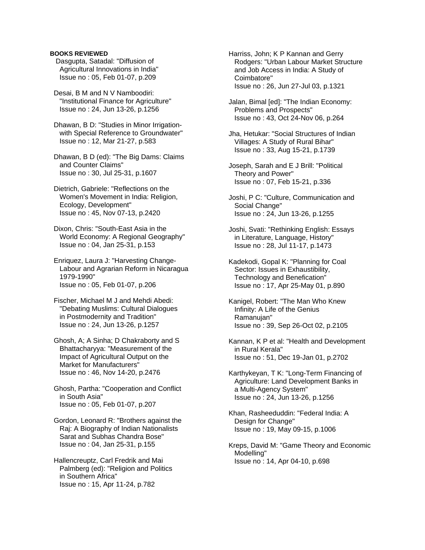## **BOOKS REVIEWED**

 Dasgupta, Satadal: "Diffusion of Agricultural Innovations in India" Issue no : 05, Feb 01-07, p.209

 Desai, B M and N V Namboodiri: "Institutional Finance for Agriculture" Issue no : 24, Jun 13-26, p.1256

 Dhawan, B D: "Studies in Minor Irrigation with Special Reference to Groundwater" Issue no : 12, Mar 21-27, p.583

 Dhawan, B D (ed): "The Big Dams: Claims and Counter Claims" Issue no : 30, Jul 25-31, p.1607

 Dietrich, Gabriele: "Reflections on the Women's Movement in India: Religion, Ecology, Development" Issue no : 45, Nov 07-13, p.2420

 Dixon, Chris: "South-East Asia in the World Economy: A Regional Geography" Issue no : 04, Jan 25-31, p.153

 Enriquez, Laura J: "Harvesting Change- Labour and Agrarian Reform in Nicaragua 1979-1990" Issue no : 05, Feb 01-07, p.206

 Fischer, Michael M J and Mehdi Abedi: "Debating Muslims: Cultural Dialogues in Postmodernity and Tradition" Issue no : 24, Jun 13-26, p.1257

 Ghosh, A; A Sinha; D Chakraborty and S Bhattacharyya: "Measurement of the Impact of Agricultural Output on the Market for Manufacturers" Issue no : 46, Nov 14-20, p.2476

 Ghosh, Partha: "Cooperation and Conflict in South Asia" Issue no : 05, Feb 01-07, p.207

 Gordon, Leonard R: "Brothers against the Raj: A Biography of Indian Nationalists Sarat and Subhas Chandra Bose" Issue no : 04, Jan 25-31, p.155

 Hallencreuptz, Carl Fredrik and Mai Palmberg (ed): "Religion and Politics in Southern Africa" Issue no : 15, Apr 11-24, p.782

 Harriss, John; K P Kannan and Gerry Rodgers: "Urban Labour Market Structure and Job Access in India: A Study of Coimbatore" Issue no : 26, Jun 27-Jul 03, p.1321

 Jalan, Bimal [ed]: "The Indian Economy: Problems and Prospects" Issue no : 43, Oct 24-Nov 06, p.264

 Jha, Hetukar: "Social Structures of Indian Villages: A Study of Rural Bihar" Issue no : 33, Aug 15-21, p.1739

 Joseph, Sarah and E J Brill: "Political Theory and Power" Issue no : 07, Feb 15-21, p.336

 Joshi, P C: "Culture, Communication and Social Change" Issue no : 24, Jun 13-26, p.1255

 Joshi, Svati: "Rethinking English: Essays in Literature, Language, History" Issue no : 28, Jul 11-17, p.1473

 Kadekodi, Gopal K: "Planning for Coal Sector: Issues in Exhaustibility, Technology and Benefication" Issue no : 17, Apr 25-May 01, p.890

 Kanigel, Robert: "The Man Who Knew Infinity: A Life of the Genius Ramanujan" Issue no : 39, Sep 26-Oct 02, p.2105

 Kannan, K P et al: "Health and Development in Rural Kerala" Issue no : 51, Dec 19-Jan 01, p.2702

 Karthykeyan, T K: "Long-Term Financing of Agriculture: Land Development Banks in a Multi-Agency System" Issue no : 24, Jun 13-26, p.1256

 Khan, Rasheeduddin: "Federal India: A Design for Change" Issue no : 19, May 09-15, p.1006

 Kreps, David M: "Game Theory and Economic Modelling" Issue no : 14, Apr 04-10, p.698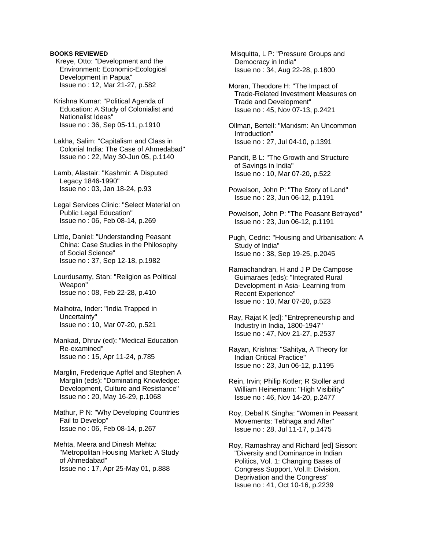## **BOOKS REVIEWED**

 Kreye, Otto: "Development and the Environment: Economic-Ecological Development in Papua" Issue no : 12, Mar 21-27, p.582

 Krishna Kumar: "Political Agenda of Education: A Study of Colonialist and Nationalist Ideas" Issue no : 36, Sep 05-11, p.1910

 Lakha, Salim: "Capitalism and Class in Colonial India: The Case of Ahmedabad" Issue no : 22, May 30-Jun 05, p.1140

 Lamb, Alastair: "Kashmir: A Disputed Legacy 1846-1990" Issue no : 03, Jan 18-24, p.93

 Legal Services Clinic: "Select Material on Public Legal Education" Issue no : 06, Feb 08-14, p.269

 Little, Daniel: "Understanding Peasant China: Case Studies in the Philosophy of Social Science" Issue no : 37, Sep 12-18, p.1982

 Lourdusamy, Stan: "Religion as Political Weapon" Issue no : 08, Feb 22-28, p.410

 Malhotra, Inder: "India Trapped in Uncertainty" Issue no : 10, Mar 07-20, p.521

 Mankad, Dhruv (ed): "Medical Education Re-examined" Issue no : 15, Apr 11-24, p.785

 Marglin, Frederique Apffel and Stephen A Marglin (eds): "Dominating Knowledge: Development, Culture and Resistance" Issue no : 20, May 16-29, p.1068

 Mathur, P N: "Why Developing Countries Fail to Develop" Issue no : 06, Feb 08-14, p.267

 Mehta, Meera and Dinesh Mehta: "Metropolitan Housing Market: A Study of Ahmedabad" Issue no : 17, Apr 25-May 01, p.888

 Misquitta, L P: "Pressure Groups and Democracy in India" Issue no : 34, Aug 22-28, p.1800

 Moran, Theodore H: "The Impact of Trade-Related Investment Measures on Trade and Development" Issue no : 45, Nov 07-13, p.2421

 Ollman, Bertell: "Marxism: An Uncommon Introduction" Issue no : 27, Jul 04-10, p.1391

 Pandit, B L: "The Growth and Structure of Savings in India" Issue no : 10, Mar 07-20, p.522

 Powelson, John P: "The Story of Land" Issue no : 23, Jun 06-12, p.1191

 Powelson, John P: "The Peasant Betrayed" Issue no : 23, Jun 06-12, p.1191

 Pugh, Cedric: "Housing and Urbanisation: A Study of India" Issue no : 38, Sep 19-25, p.2045

 Ramachandran, H and J P De Campose Guimaraes (eds): "Integrated Rural Development in Asia- Learning from Recent Experience" Issue no : 10, Mar 07-20, p.523

 Ray, Rajat K [ed]: "Entrepreneurship and Industry in India, 1800-1947" Issue no : 47, Nov 21-27, p.2537

 Rayan, Krishna: "Sahitya, A Theory for Indian Critical Practice" Issue no : 23, Jun 06-12, p.1195

 Rein, Irvin; Philip Kotler; R Stoller and William Heinemann: "High Visibility" Issue no : 46, Nov 14-20, p.2477

 Roy, Debal K Singha: "Women in Peasant Movements: Tebhaga and After" Issue no : 28, Jul 11-17, p.1475

 Roy, Ramashray and Richard [ed] Sisson: "Diversity and Dominance in Indian Politics, Vol. 1: Changing Bases of Congress Support, Vol.II: Division, Deprivation and the Congress" Issue no : 41, Oct 10-16, p.2239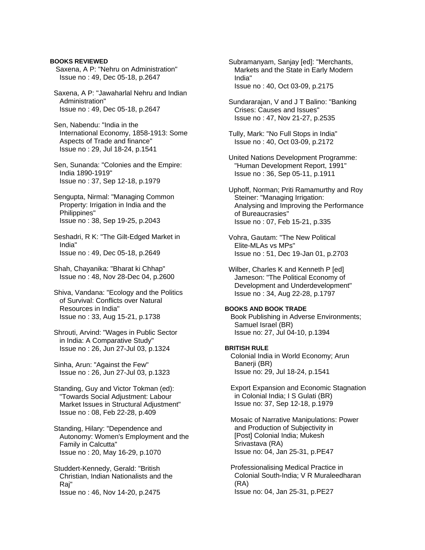**BOOKS REVIEWED** Saxena, A P: "Nehru on Administration" Issue no : 49, Dec 05-18, p.2647

 Saxena, A P: "Jawaharlal Nehru and Indian Administration" Issue no : 49, Dec 05-18, p.2647

 Sen, Nabendu: "India in the International Economy, 1858-1913: Some Aspects of Trade and finance" Issue no : 29, Jul 18-24, p.1541

 Sen, Sunanda: "Colonies and the Empire: India 1890-1919" Issue no : 37, Sep 12-18, p.1979

 Sengupta, Nirmal: "Managing Common Property: Irrigation in India and the Philippines" Issue no : 38, Sep 19-25, p.2043

 Seshadri, R K: "The Gilt-Edged Market in India" Issue no : 49, Dec 05-18, p.2649

 Shah, Chayanika: "Bharat ki Chhap" Issue no : 48, Nov 28-Dec 04, p.2600

 Shiva, Vandana: "Ecology and the Politics of Survival: Conflicts over Natural Resources in India" Issue no : 33, Aug 15-21, p.1738

 Shrouti, Arvind: "Wages in Public Sector in India: A Comparative Study" Issue no : 26, Jun 27-Jul 03, p.1324

 Sinha, Arun: "Against the Few" Issue no : 26, Jun 27-Jul 03, p.1323

 Standing, Guy and Victor Tokman (ed): "Towards Social Adjustment: Labour Market Issues in Structural Adjustment" Issue no : 08, Feb 22-28, p.409

 Standing, Hilary: "Dependence and Autonomy: Women's Employment and the Family in Calcutta" Issue no : 20, May 16-29, p.1070

 Studdert-Kennedy, Gerald: "British Christian, Indian Nationalists and the Raj" Issue no : 46, Nov 14-20, p.2475

 Subramanyam, Sanjay [ed]: "Merchants, Markets and the State in Early Modern India" Issue no : 40, Oct 03-09, p.2175

 Sundararajan, V and J T Balino: "Banking Crises: Causes and Issues" Issue no : 47, Nov 21-27, p.2535

 Tully, Mark: "No Full Stops in India" Issue no : 40, Oct 03-09, p.2172

 United Nations Development Programme: "Human Development Report, 1991" Issue no : 36, Sep 05-11, p.1911

 Uphoff, Norman; Priti Ramamurthy and Roy Steiner: "Managing Irrigation: Analysing and Improving the Performance of Bureaucrasies" Issue no : 07, Feb 15-21, p.335

 Vohra, Gautam: "The New Political Elite-MLAs vs MPs" Issue no : 51, Dec 19-Jan 01, p.2703

 Wilber, Charles K and Kenneth P [ed] Jameson: "The Political Economy of Development and Underdevelopment" Issue no : 34, Aug 22-28, p.1797

#### **BOOKS AND BOOK TRADE**

 Book Publishing in Adverse Environments; Samuel Israel (BR) Issue no: 27, Jul 04-10, p.1394

#### **BRITISH RULE**

 Colonial India in World Economy; Arun Banerji (BR) Issue no: 29, Jul 18-24, p.1541

 Export Expansion and Economic Stagnation in Colonial India; I S Gulati (BR) Issue no: 37, Sep 12-18, p.1979

 Mosaic of Narrative Manipulations: Power and Production of Subjectivity in [Post] Colonial India; Mukesh Srivastava (RA) Issue no: 04, Jan 25-31, p.PE47

 Professionalising Medical Practice in Colonial South-India; V R Muraleedharan (RA) Issue no: 04, Jan 25-31, p.PE27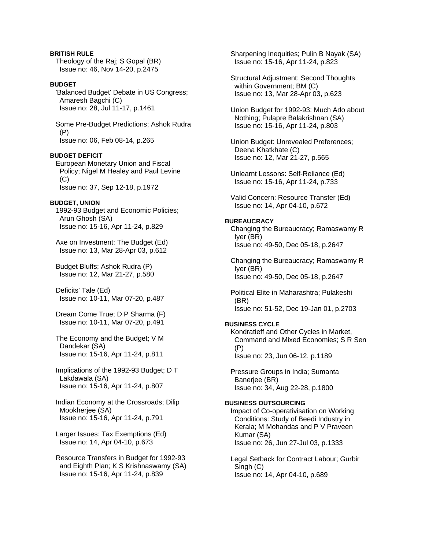**BRITISH RULE**  Theology of the Raj; S Gopal (BR) Issue no: 46, Nov 14-20, p.2475

## **BUDGET**

 'Balanced Budget' Debate in US Congress; Amaresh Bagchi (C) Issue no: 28, Jul 11-17, p.1461

 Some Pre-Budget Predictions; Ashok Rudra (P) Issue no: 06, Feb 08-14, p.265

#### **BUDGET DEFICIT**

 European Monetary Union and Fiscal Policy; Nigel M Healey and Paul Levine (C) Issue no: 37, Sep 12-18, p.1972

#### **BUDGET, UNION**

 1992-93 Budget and Economic Policies; Arun Ghosh (SA) Issue no: 15-16, Apr 11-24, p.829

 Axe on Investment: The Budget (Ed) Issue no: 13, Mar 28-Apr 03, p.612

 Budget Bluffs; Ashok Rudra (P) Issue no: 12, Mar 21-27, p.580

 Deficits' Tale (Ed) Issue no: 10-11, Mar 07-20, p.487

 Dream Come True; D P Sharma (F) Issue no: 10-11, Mar 07-20, p.491

 The Economy and the Budget; V M Dandekar (SA) Issue no: 15-16, Apr 11-24, p.811

 Implications of the 1992-93 Budget; D T Lakdawala (SA) Issue no: 15-16, Apr 11-24, p.807

 Indian Economy at the Crossroads; Dilip Mookherjee (SA) Issue no: 15-16, Apr 11-24, p.791

 Larger Issues: Tax Exemptions (Ed) Issue no: 14, Apr 04-10, p.673

 Resource Transfers in Budget for 1992-93 and Eighth Plan; K S Krishnaswamy (SA) Issue no: 15-16, Apr 11-24, p.839

 Sharpening Inequities; Pulin B Nayak (SA) Issue no: 15-16, Apr 11-24, p.823

 Structural Adjustment: Second Thoughts within Government; BM (C) Issue no: 13, Mar 28-Apr 03, p.623

 Union Budget for 1992-93: Much Ado about Nothing; Pulapre Balakrishnan (SA) Issue no: 15-16, Apr 11-24, p.803

 Union Budget: Unrevealed Preferences; Deena Khatkhate (C) Issue no: 12, Mar 21-27, p.565

 Unlearnt Lessons: Self-Reliance (Ed) Issue no: 15-16, Apr 11-24, p.733

 Valid Concern: Resource Transfer (Ed) Issue no: 14, Apr 04-10, p.672

## **BUREAUCRACY**

 Changing the Bureaucracy; Ramaswamy R Iyer (BR) Issue no: 49-50, Dec 05-18, p.2647

 Changing the Bureaucracy; Ramaswamy R Iyer (BR) Issue no: 49-50, Dec 05-18, p.2647

 Political Elite in Maharashtra; Pulakeshi (BR) Issue no: 51-52, Dec 19-Jan 01, p.2703

### **BUSINESS CYCLE**

 Kondratieff and Other Cycles in Market, Command and Mixed Economies; S R Sen (P) Issue no: 23, Jun 06-12, p.1189

 Pressure Groups in India; Sumanta Baneriee (BR) Issue no: 34, Aug 22-28, p.1800

#### **BUSINESS OUTSOURCING**

 Impact of Co-operativisation on Working Conditions: Study of Beedi Industry in Kerala; M Mohandas and P V Praveen Kumar (SA) Issue no: 26, Jun 27-Jul 03, p.1333

 Legal Setback for Contract Labour; Gurbir Singh (C) Issue no: 14, Apr 04-10, p.689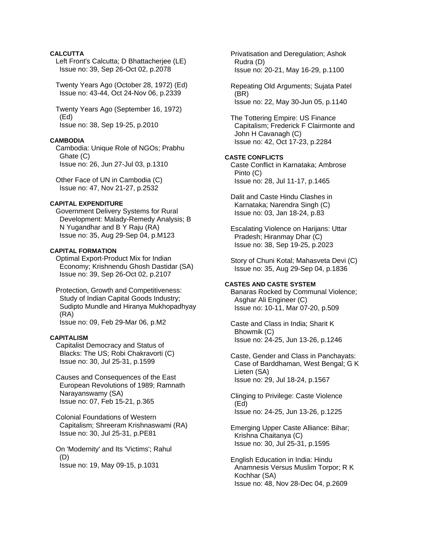## **CALCUTTA**

 Left Front's Calcutta; D Bhattacherjee (LE) Issue no: 39, Sep 26-Oct 02, p.2078

 Twenty Years Ago (October 28, 1972) (Ed) Issue no: 43-44, Oct 24-Nov 06, p.2339

 Twenty Years Ago (September 16, 1972) (Ed) Issue no: 38, Sep 19-25, p.2010

#### **CAMBODIA**

 Cambodia: Unique Role of NGOs; Prabhu Ghate (C) Issue no: 26, Jun 27-Jul 03, p.1310

 Other Face of UN in Cambodia (C) Issue no: 47, Nov 21-27, p.2532

## **CAPITAL EXPENDITURE**

 Government Delivery Systems for Rural Development: Malady-Remedy Analysis; B N Yugandhar and B Y Raju (RA) Issue no: 35, Aug 29-Sep 04, p.M123

#### **CAPITAL FORMATION**

 Optimal Export-Product Mix for Indian Economy; Krishnendu Ghosh Dastidar (SA) Issue no: 39, Sep 26-Oct 02, p.2107

 Protection, Growth and Competitiveness: Study of Indian Capital Goods Industry; Sudipto Mundle and Hiranya Mukhopadhyay (RA) Issue no: 09, Feb 29-Mar 06, p.M2

#### **CAPITALISM**

 Capitalist Democracy and Status of Blacks: The US; Robi Chakravorti (C) Issue no: 30, Jul 25-31, p.1599

 Causes and Consequences of the East European Revolutions of 1989; Ramnath Narayanswamy (SA) Issue no: 07, Feb 15-21, p.365

 Colonial Foundations of Western Capitalism; Shreeram Krishnaswami (RA) Issue no: 30, Jul 25-31, p.PE81

 On 'Modernity' and Its 'Victims'; Rahul (D) Issue no: 19, May 09-15, p.1031

 Privatisation and Deregulation; Ashok Rudra (D) Issue no: 20-21, May 16-29, p.1100

 Repeating Old Arguments; Sujata Patel (BR) Issue no: 22, May 30-Jun 05, p.1140

 The Tottering Empire: US Finance Capitalism; Frederick F Clairmonte and John H Cavanagh (C) Issue no: 42, Oct 17-23, p.2284

### **CASTE CONFLICTS**

 Caste Conflict in Karnataka; Ambrose Pinto (C) Issue no: 28, Jul 11-17, p.1465

 Dalit and Caste Hindu Clashes in Karnataka; Narendra Singh (C) Issue no: 03, Jan 18-24, p.83

 Escalating Violence on Harijans: Uttar Pradesh; Hiranmay Dhar (C) Issue no: 38, Sep 19-25, p.2023

 Story of Chuni Kotal; Mahasveta Devi (C) Issue no: 35, Aug 29-Sep 04, p.1836

#### **CASTES AND CASTE SYSTEM**

 Banaras Rocked by Communal Violence; Asghar Ali Engineer (C) Issue no: 10-11, Mar 07-20, p.509

 Caste and Class in India; Sharit K Bhowmik (C) Issue no: 24-25, Jun 13-26, p.1246

 Caste, Gender and Class in Panchayats: Case of Barddhaman, West Bengal; G K Lieten (SA) Issue no: 29, Jul 18-24, p.1567

 Clinging to Privilege: Caste Violence (Ed) Issue no: 24-25, Jun 13-26, p.1225

 Emerging Upper Caste Alliance: Bihar; Krishna Chaitanya (C) Issue no: 30, Jul 25-31, p.1595

 English Education in India: Hindu Anamnesis Versus Muslim Torpor; R K Kochhar (SA) Issue no: 48, Nov 28-Dec 04, p.2609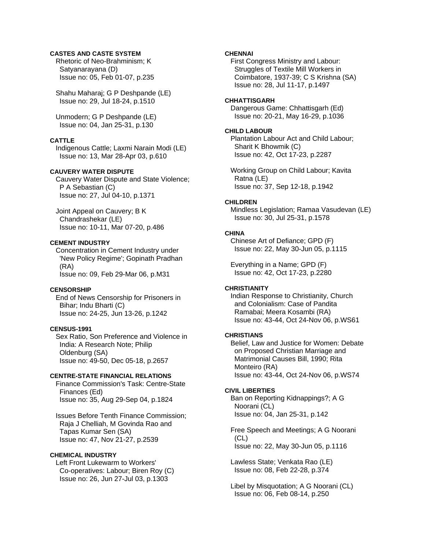## **CASTES AND CASTE SYSTEM**

 Rhetoric of Neo-Brahminism; K Satyanarayana (D) Issue no: 05, Feb 01-07, p.235

 Shahu Maharaj; G P Deshpande (LE) Issue no: 29, Jul 18-24, p.1510

 Unmodern; G P Deshpande (LE) Issue no: 04, Jan 25-31, p.130

## **CATTLE**

 Indigenous Cattle; Laxmi Narain Modi (LE) Issue no: 13, Mar 28-Apr 03, p.610

## **CAUVERY WATER DISPUTE**

 Cauvery Water Dispute and State Violence; P A Sebastian (C) Issue no: 27, Jul 04-10, p.1371

 Joint Appeal on Cauvery; B K Chandrashekar (LE) Issue no: 10-11, Mar 07-20, p.486

### **CEMENT INDUSTRY**

 Concentration in Cement Industry under 'New Policy Regime'; Gopinath Pradhan (RA) Issue no: 09, Feb 29-Mar 06, p.M31

### **CENSORSHIP**

 End of News Censorship for Prisoners in Bihar; Indu Bharti (C) Issue no: 24-25, Jun 13-26, p.1242

## **CENSUS-1991**

 Sex Ratio, Son Preference and Violence in India: A Research Note; Philip Oldenburg (SA) Issue no: 49-50, Dec 05-18, p.2657

## **CENTRE-STATE FINANCIAL RELATIONS**

 Finance Commission's Task: Centre-State Finances (Ed) Issue no: 35, Aug 29-Sep 04, p.1824

 Issues Before Tenth Finance Commission; Raja J Chelliah, M Govinda Rao and Tapas Kumar Sen (SA) Issue no: 47, Nov 21-27, p.2539

## **CHEMICAL INDUSTRY**

 Left Front Lukewarm to Workers' Co-operatives: Labour; Biren Roy (C) Issue no: 26, Jun 27-Jul 03, p.1303

## **CHENNAI**

 First Congress Ministry and Labour: Struggles of Textile Mill Workers in Coimbatore, 1937-39; C S Krishna (SA) Issue no: 28, Jul 11-17, p.1497

#### **CHHATTISGARH**

 Dangerous Game: Chhattisgarh (Ed) Issue no: 20-21, May 16-29, p.1036

## **CHILD LABOUR**

 Plantation Labour Act and Child Labour; Sharit K Bhowmik (C) Issue no: 42, Oct 17-23, p.2287

 Working Group on Child Labour; Kavita Ratna (LE) Issue no: 37, Sep 12-18, p.1942

#### **CHILDREN**

 Mindless Legislation; Ramaa Vasudevan (LE) Issue no: 30, Jul 25-31, p.1578

## **CHINA**

 Chinese Art of Defiance; GPD (F) Issue no: 22, May 30-Jun 05, p.1115

 Everything in a Name; GPD (F) Issue no: 42, Oct 17-23, p.2280

## **CHRISTIANITY**

 Indian Response to Christianity, Church and Colonialism: Case of Pandita Ramabai; Meera Kosambi (RA) Issue no: 43-44, Oct 24-Nov 06, p.WS61

#### **CHRISTIANS**

 Belief, Law and Justice for Women: Debate on Proposed Christian Marriage and Matrimonial Causes Bill, 1990; Rita Monteiro (RA) Issue no: 43-44, Oct 24-Nov 06, p.WS74

#### **CIVIL LIBERTIES**

 Ban on Reporting Kidnappings?; A G Noorani (CL) Issue no: 04, Jan 25-31, p.142

 Free Speech and Meetings; A G Noorani  $(CL)$ Issue no: 22, May 30-Jun 05, p.1116

 Lawless State; Venkata Rao (LE) Issue no: 08, Feb 22-28, p.374

 Libel by Misquotation; A G Noorani (CL) Issue no: 06, Feb 08-14, p.250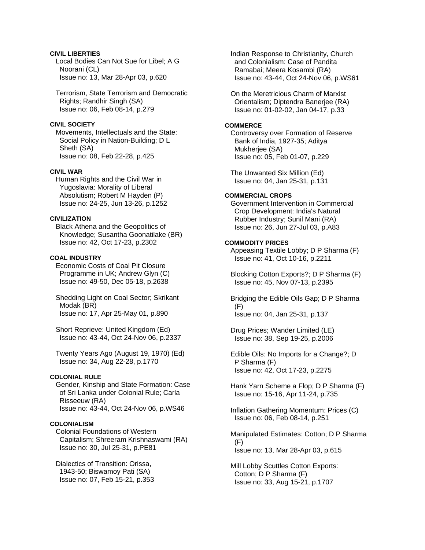## **CIVIL LIBERTIES**

 Local Bodies Can Not Sue for Libel; A G Noorani (CL) Issue no: 13, Mar 28-Apr 03, p.620

 Terrorism, State Terrorism and Democratic Rights; Randhir Singh (SA) Issue no: 06, Feb 08-14, p.279

## **CIVIL SOCIETY**

 Movements, Intellectuals and the State: Social Policy in Nation-Building; D L Sheth (SA) Issue no: 08, Feb 22-28, p.425

## **CIVIL WAR**

 Human Rights and the Civil War in Yugoslavia: Morality of Liberal Absolutism; Robert M Hayden (P) Issue no: 24-25, Jun 13-26, p.1252

## **CIVILIZATION**

 Black Athena and the Geopolitics of Knowledge; Susantha Goonatilake (BR) Issue no: 42, Oct 17-23, p.2302

#### **COAL INDUSTRY**

 Economic Costs of Coal Pit Closure Programme in UK; Andrew Glyn (C) Issue no: 49-50, Dec 05-18, p.2638

 Shedding Light on Coal Sector; Skrikant Modak (BR) Issue no: 17, Apr 25-May 01, p.890

 Short Reprieve: United Kingdom (Ed) Issue no: 43-44, Oct 24-Nov 06, p.2337

 Twenty Years Ago (August 19, 1970) (Ed) Issue no: 34, Aug 22-28, p.1770

#### **COLONIAL RULE**

 Gender, Kinship and State Formation: Case of Sri Lanka under Colonial Rule; Carla Risseeuw (RA) Issue no: 43-44, Oct 24-Nov 06, p.WS46

## **COLONIALISM**

 Colonial Foundations of Western Capitalism; Shreeram Krishnaswami (RA) Issue no: 30, Jul 25-31, p.PE81

 Dialectics of Transition: Orissa, 1943-50; Biswamoy Pati (SA) Issue no: 07, Feb 15-21, p.353  Indian Response to Christianity, Church and Colonialism: Case of Pandita Ramabai; Meera Kosambi (RA) Issue no: 43-44, Oct 24-Nov 06, p.WS61

 On the Meretricious Charm of Marxist Orientalism; Diptendra Banerjee (RA) Issue no: 01-02-02, Jan 04-17, p.33

## **COMMERCE**

 Controversy over Formation of Reserve Bank of India, 1927-35; Aditya Mukherjee (SA) Issue no: 05, Feb 01-07, p.229

 The Unwanted Six Million (Ed) Issue no: 04, Jan 25-31, p.131

## **COMMERCIAL CROPS**

 Government Intervention in Commercial Crop Development: India's Natural Rubber Industry; Sunil Mani (RA) Issue no: 26, Jun 27-Jul 03, p.A83

## **COMMODITY PRICES**

 Appeasing Textile Lobby; D P Sharma (F) Issue no: 41, Oct 10-16, p.2211

 Blocking Cotton Exports?; D P Sharma (F) Issue no: 45, Nov 07-13, p.2395

 Bridging the Edible Oils Gap; D P Sharma (F) Issue no: 04, Jan 25-31, p.137

 Drug Prices; Wander Limited (LE) Issue no: 38, Sep 19-25, p.2006

 Edible Oils: No Imports for a Change?; D P Sharma (F) Issue no: 42, Oct 17-23, p.2275

 Hank Yarn Scheme a Flop; D P Sharma (F) Issue no: 15-16, Apr 11-24, p.735

 Inflation Gathering Momentum: Prices (C) Issue no: 06, Feb 08-14, p.251

 Manipulated Estimates: Cotton; D P Sharma  $(F)$ Issue no: 13, Mar 28-Apr 03, p.615

 Mill Lobby Scuttles Cotton Exports: Cotton; D P Sharma (F) Issue no: 33, Aug 15-21, p.1707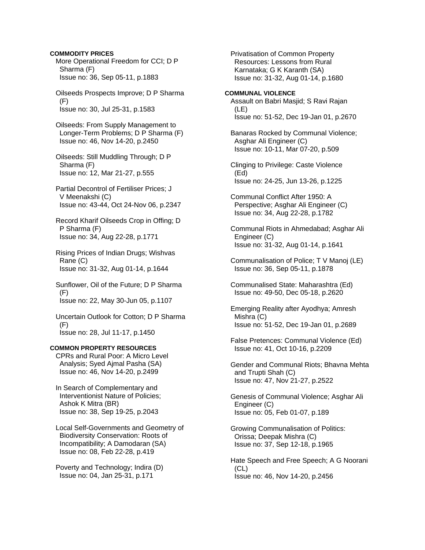## **COMMODITY PRICES**

 More Operational Freedom for CCI; D P Sharma (F) Issue no: 36, Sep 05-11, p.1883

 Oilseeds Prospects Improve; D P Sharma (F) Issue no: 30, Jul 25-31, p.1583

 Oilseeds: From Supply Management to Longer-Term Problems; D P Sharma (F) Issue no: 46, Nov 14-20, p.2450

 Oilseeds: Still Muddling Through; D P Sharma (F) Issue no: 12, Mar 21-27, p.555

 Partial Decontrol of Fertiliser Prices; J V Meenakshi (C) Issue no: 43-44, Oct 24-Nov 06, p.2347

 Record Kharif Oilseeds Crop in Offing; D P Sharma (F) Issue no: 34, Aug 22-28, p.1771

 Rising Prices of Indian Drugs; Wishvas Rane (C) Issue no: 31-32, Aug 01-14, p.1644

 Sunflower, Oil of the Future; D P Sharma (F) Issue no: 22, May 30-Jun 05, p.1107

 Uncertain Outlook for Cotton; D P Sharma (F) Issue no: 28, Jul 11-17, p.1450

#### **COMMON PROPERTY RESOURCES**

 CPRs and Rural Poor: A Micro Level Analysis; Syed Ajmal Pasha (SA) Issue no: 46, Nov 14-20, p.2499

 In Search of Complementary and Interventionist Nature of Policies; Ashok K Mitra (BR) Issue no: 38, Sep 19-25, p.2043

 Local Self-Governments and Geometry of Biodiversity Conservation: Roots of Incompatibility; A Damodaran (SA) Issue no: 08, Feb 22-28, p.419

 Poverty and Technology; Indira (D) Issue no: 04, Jan 25-31, p.171

 Privatisation of Common Property Resources: Lessons from Rural Karnataka; G K Karanth (SA) Issue no: 31-32, Aug 01-14, p.1680

#### **COMMUNAL VIOLENCE**  Assault on Babri Masjid; S Ravi Rajan (LE) Issue no: 51-52, Dec 19-Jan 01, p.2670

 Banaras Rocked by Communal Violence; Asghar Ali Engineer (C) Issue no: 10-11, Mar 07-20, p.509

 Clinging to Privilege: Caste Violence (Ed) Issue no: 24-25, Jun 13-26, p.1225

 Communal Conflict After 1950: A Perspective; Asghar Ali Engineer (C) Issue no: 34, Aug 22-28, p.1782

 Communal Riots in Ahmedabad; Asghar Ali Engineer (C) Issue no: 31-32, Aug 01-14, p.1641

 Communalisation of Police; T V Manoj (LE) Issue no: 36, Sep 05-11, p.1878

 Communalised State: Maharashtra (Ed) Issue no: 49-50, Dec 05-18, p.2620

 Emerging Reality after Ayodhya; Amresh Mishra (C) Issue no: 51-52, Dec 19-Jan 01, p.2689

 False Pretences: Communal Violence (Ed) Issue no: 41, Oct 10-16, p.2209

 Gender and Communal Riots; Bhavna Mehta and Trupti Shah (C) Issue no: 47, Nov 21-27, p.2522

 Genesis of Communal Violence; Asghar Ali Engineer (C) Issue no: 05, Feb 01-07, p.189

 Growing Communalisation of Politics: Orissa; Deepak Mishra (C) Issue no: 37, Sep 12-18, p.1965

 Hate Speech and Free Speech; A G Noorani (CL) Issue no: 46, Nov 14-20, p.2456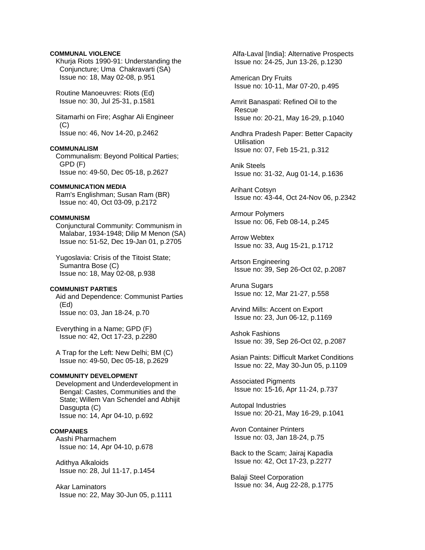## **COMMUNAL VIOLENCE**

 Khurja Riots 1990-91: Understanding the Conjuncture; Uma Chakravarti (SA) Issue no: 18, May 02-08, p.951

 Routine Manoeuvres: Riots (Ed) Issue no: 30, Jul 25-31, p.1581

 Sitamarhi on Fire; Asghar Ali Engineer  $(C)$ Issue no: 46, Nov 14-20, p.2462

## **COMMUNALISM**

 Communalism: Beyond Political Parties; GPD (F) Issue no: 49-50, Dec 05-18, p.2627

#### **COMMUNICATION MEDIA**

 Ram's Englishman; Susan Ram (BR) Issue no: 40, Oct 03-09, p.2172

#### **COMMUNISM**

 Conjunctural Community: Communism in Malabar, 1934-1948; Dilip M Menon (SA) Issue no: 51-52, Dec 19-Jan 01, p.2705

 Yugoslavia: Crisis of the Titoist State; Sumantra Bose (C) Issue no: 18, May 02-08, p.938

#### **COMMUNIST PARTIES**

 Aid and Dependence: Communist Parties (Ed) Issue no: 03, Jan 18-24, p.70

 Everything in a Name; GPD (F) Issue no: 42, Oct 17-23, p.2280

 A Trap for the Left: New Delhi; BM (C) Issue no: 49-50, Dec 05-18, p.2629

## **COMMUNITY DEVELOPMENT**

 Development and Underdevelopment in Bengal: Castes, Communities and the State; Willem Van Schendel and Abhijit Dasgupta (C) Issue no: 14, Apr 04-10, p.692

#### **COMPANIES**

 Aashi Pharmachem Issue no: 14, Apr 04-10, p.678

 Adithya Alkaloids Issue no: 28, Jul 11-17, p.1454

 Akar Laminators Issue no: 22, May 30-Jun 05, p.1111  Alfa-Laval [India]: Alternative Prospects Issue no: 24-25, Jun 13-26, p.1230

 American Dry Fruits Issue no: 10-11, Mar 07-20, p.495

 Amrit Banaspati: Refined Oil to the Rescue Issue no: 20-21, May 16-29, p.1040

 Andhra Pradesh Paper: Better Capacity **Utilisation** Issue no: 07, Feb 15-21, p.312

 Anik Steels Issue no: 31-32, Aug 01-14, p.1636

 Arihant Cotsyn Issue no: 43-44, Oct 24-Nov 06, p.2342

 Armour Polymers Issue no: 06, Feb 08-14, p.245

 Arrow Webtex Issue no: 33, Aug 15-21, p.1712

 Artson Engineering Issue no: 39, Sep 26-Oct 02, p.2087

 Aruna Sugars Issue no: 12, Mar 21-27, p.558

 Arvind Mills: Accent on Export Issue no: 23, Jun 06-12, p.1169

 Ashok Fashions Issue no: 39, Sep 26-Oct 02, p.2087

 Asian Paints: Difficult Market Conditions Issue no: 22, May 30-Jun 05, p.1109

 Associated Pigments Issue no: 15-16, Apr 11-24, p.737

 Autopal Industries Issue no: 20-21, May 16-29, p.1041

 Avon Container Printers Issue no: 03, Jan 18-24, p.75

 Back to the Scam; Jairaj Kapadia Issue no: 42, Oct 17-23, p.2277

 Balaji Steel Corporation Issue no: 34, Aug 22-28, p.1775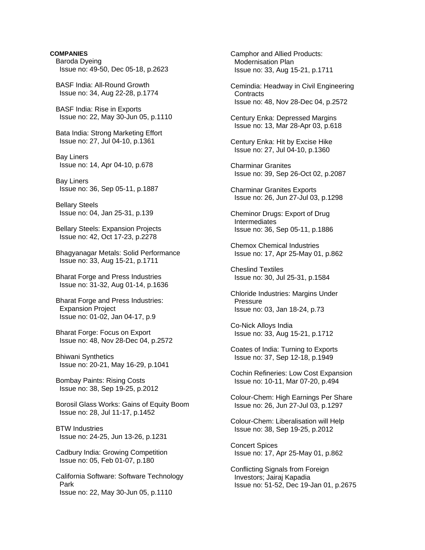# **COMPANIES** Baroda Dyeing Issue no: 49-50, Dec 05-18, p.2623 BASF India: All-Round Growth Issue no: 34, Aug 22-28, p.1774 BASF India: Rise in Exports Issue no: 22, May 30-Jun 05, p.1110 Bata India: Strong Marketing Effort Issue no: 27, Jul 04-10, p.1361 Bay Liners Issue no: 14, Apr 04-10, p.678 Bay Liners Issue no: 36, Sep 05-11, p.1887 Bellary Steels Issue no: 04, Jan 25-31, p.139 Bellary Steels: Expansion Projects Issue no: 42, Oct 17-23, p.2278 Bhagyanagar Metals: Solid Performance Issue no: 33, Aug 15-21, p.1711 Bharat Forge and Press Industries Issue no: 31-32, Aug 01-14, p.1636 Bharat Forge and Press Industries: Expansion Project Issue no: 01-02, Jan 04-17, p.9 Bharat Forge: Focus on Export Issue no: 48, Nov 28-Dec 04, p.2572 Bhiwani Synthetics Issue no: 20-21, May 16-29, p.1041 Bombay Paints: Rising Costs Issue no: 38, Sep 19-25, p.2012 Borosil Glass Works: Gains of Equity Boom Issue no: 28, Jul 11-17, p.1452 BTW Industries Issue no: 24-25, Jun 13-26, p.1231 Cadbury India: Growing Competition Issue no: 05, Feb 01-07, p.180 California Software: Software Technology Park Issue no: 22, May 30-Jun 05, p.1110

 Camphor and Allied Products: Modernisation Plan Issue no: 33, Aug 15-21, p.1711

 Cemindia: Headway in Civil Engineering **Contracts** Issue no: 48, Nov 28-Dec 04, p.2572

 Century Enka: Depressed Margins Issue no: 13, Mar 28-Apr 03, p.618

 Century Enka: Hit by Excise Hike Issue no: 27, Jul 04-10, p.1360

 Charminar Granites Issue no: 39, Sep 26-Oct 02, p.2087

 Charminar Granites Exports Issue no: 26, Jun 27-Jul 03, p.1298

 Cheminor Drugs: Export of Drug Intermediates Issue no: 36, Sep 05-11, p.1886

 Chemox Chemical Industries Issue no: 17, Apr 25-May 01, p.862

 Cheslind Textiles Issue no: 30, Jul 25-31, p.1584

 Chloride Industries: Margins Under Pressure Issue no: 03, Jan 18-24, p.73

 Co-Nick Alloys India Issue no: 33, Aug 15-21, p.1712

 Coates of India: Turning to Exports Issue no: 37, Sep 12-18, p.1949

 Cochin Refineries: Low Cost Expansion Issue no: 10-11, Mar 07-20, p.494

 Colour-Chem: High Earnings Per Share Issue no: 26, Jun 27-Jul 03, p.1297

 Colour-Chem: Liberalisation will Help Issue no: 38, Sep 19-25, p.2012

 Concert Spices Issue no: 17, Apr 25-May 01, p.862

 Conflicting Signals from Foreign Investors; Jairaj Kapadia Issue no: 51-52, Dec 19-Jan 01, p.2675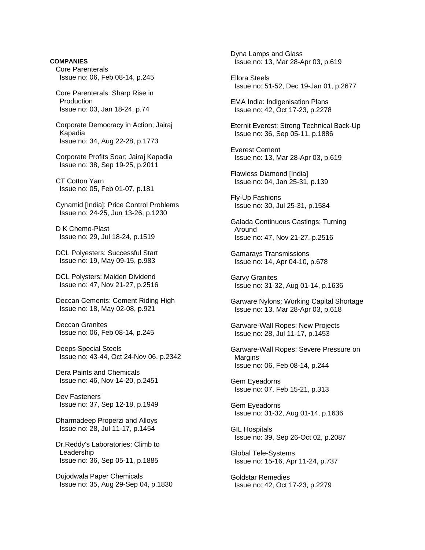**COMPANIES** Core Parenterals Issue no: 06, Feb 08-14, p.245

 Core Parenterals: Sharp Rise in **Production** Issue no: 03, Jan 18-24, p.74

 Corporate Democracy in Action; Jairaj Kapadia Issue no: 34, Aug 22-28, p.1773

 Corporate Profits Soar; Jairaj Kapadia Issue no: 38, Sep 19-25, p.2011

 CT Cotton Yarn Issue no: 05, Feb 01-07, p.181

 Cynamid [India]: Price Control Problems Issue no: 24-25, Jun 13-26, p.1230

 D K Chemo-Plast Issue no: 29, Jul 18-24, p.1519

 DCL Polyesters: Successful Start Issue no: 19, May 09-15, p.983

 DCL Polysters: Maiden Dividend Issue no: 47, Nov 21-27, p.2516

 Deccan Cements: Cement Riding High Issue no: 18, May 02-08, p.921

 Deccan Granites Issue no: 06, Feb 08-14, p.245

 Deeps Special Steels Issue no: 43-44, Oct 24-Nov 06, p.2342

 Dera Paints and Chemicals Issue no: 46, Nov 14-20, p.2451

 Dev Fasteners Issue no: 37, Sep 12-18, p.1949

 Dharmadeep Properzi and Alloys Issue no: 28, Jul 11-17, p.1454

 Dr.Reddy's Laboratories: Climb to Leadership Issue no: 36, Sep 05-11, p.1885

 Dujodwala Paper Chemicals Issue no: 35, Aug 29-Sep 04, p.1830  Dyna Lamps and Glass Issue no: 13, Mar 28-Apr 03, p.619

 Ellora Steels Issue no: 51-52, Dec 19-Jan 01, p.2677

 EMA India: Indigenisation Plans Issue no: 42, Oct 17-23, p.2278

 Eternit Everest: Strong Technical Back-Up Issue no: 36, Sep 05-11, p.1886

 Everest Cement Issue no: 13, Mar 28-Apr 03, p.619

 Flawless Diamond [India] Issue no: 04, Jan 25-31, p.139

 Fly-Up Fashions Issue no: 30, Jul 25-31, p.1584

 Galada Continuous Castings: Turning Around Issue no: 47, Nov 21-27, p.2516

 Gamarays Transmissions Issue no: 14, Apr 04-10, p.678

 Garvy Granites Issue no: 31-32, Aug 01-14, p.1636

 Garware Nylons: Working Capital Shortage Issue no: 13, Mar 28-Apr 03, p.618

 Garware-Wall Ropes: New Projects Issue no: 28, Jul 11-17, p.1453

 Garware-Wall Ropes: Severe Pressure on **Margins** Issue no: 06, Feb 08-14, p.244

 Gem Eyeadorns Issue no: 07, Feb 15-21, p.313

 Gem Eyeadorns Issue no: 31-32, Aug 01-14, p.1636

 GIL Hospitals Issue no: 39, Sep 26-Oct 02, p.2087

 Global Tele-Systems Issue no: 15-16, Apr 11-24, p.737

 Goldstar Remedies Issue no: 42, Oct 17-23, p.2279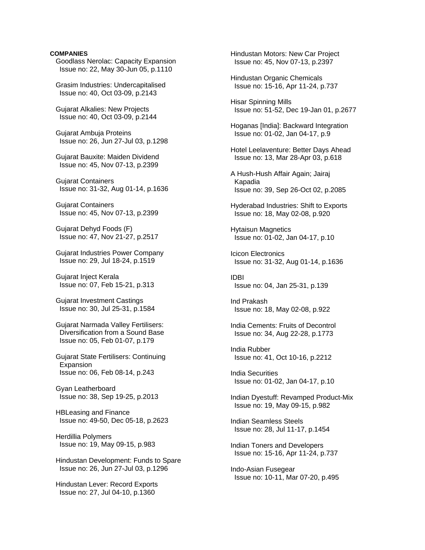#### **COMPANIES**

 Goodlass Nerolac: Capacity Expansion Issue no: 22, May 30-Jun 05, p.1110 Grasim Industries: Undercapitalised Issue no: 40, Oct 03-09, p.2143 Gujarat Alkalies: New Projects Issue no: 40, Oct 03-09, p.2144 Gujarat Ambuja Proteins Issue no: 26, Jun 27-Jul 03, p.1298 Gujarat Bauxite: Maiden Dividend Issue no: 45, Nov 07-13, p.2399 Gujarat Containers Issue no: 31-32, Aug 01-14, p.1636 Gujarat Containers Issue no: 45, Nov 07-13, p.2399 Gujarat Dehyd Foods (F) Issue no: 47, Nov 21-27, p.2517 Gujarat Industries Power Company Issue no: 29, Jul 18-24, p.1519 Gujarat Inject Kerala Issue no: 07, Feb 15-21, p.313 Gujarat Investment Castings Issue no: 30, Jul 25-31, p.1584 Gujarat Narmada Valley Fertilisers: Diversification from a Sound Base Issue no: 05, Feb 01-07, p.179 Gujarat State Fertilisers: Continuing Expansion Issue no: 06, Feb 08-14, p.243 Gyan Leatherboard Issue no: 38, Sep 19-25, p.2013 HBLeasing and Finance Issue no: 49-50, Dec 05-18, p.2623 Herdillia Polymers Issue no: 19, May 09-15, p.983 Hindustan Development: Funds to Spare Issue no: 26, Jun 27-Jul 03, p.1296

 Hindustan Lever: Record Exports Issue no: 27, Jul 04-10, p.1360

 Hindustan Motors: New Car Project Issue no: 45, Nov 07-13, p.2397

 Hindustan Organic Chemicals Issue no: 15-16, Apr 11-24, p.737

 Hisar Spinning Mills Issue no: 51-52, Dec 19-Jan 01, p.2677

 Hoganas [India]: Backward Integration Issue no: 01-02, Jan 04-17, p.9

 Hotel Leelaventure: Better Days Ahead Issue no: 13, Mar 28-Apr 03, p.618

 A Hush-Hush Affair Again; Jairaj Kapadia Issue no: 39, Sep 26-Oct 02, p.2085

 Hyderabad Industries: Shift to Exports Issue no: 18, May 02-08, p.920

 Hytaisun Magnetics Issue no: 01-02, Jan 04-17, p.10

 Icicon Electronics Issue no: 31-32, Aug 01-14, p.1636

 IDBI Issue no: 04, Jan 25-31, p.139

 Ind Prakash Issue no: 18, May 02-08, p.922

 India Cements: Fruits of Decontrol Issue no: 34, Aug 22-28, p.1773

 India Rubber Issue no: 41, Oct 10-16, p.2212

 India Securities Issue no: 01-02, Jan 04-17, p.10

 Indian Dyestuff: Revamped Product-Mix Issue no: 19, May 09-15, p.982

 Indian Seamless Steels Issue no: 28, Jul 11-17, p.1454

 Indian Toners and Developers Issue no: 15-16, Apr 11-24, p.737

 Indo-Asian Fusegear Issue no: 10-11, Mar 07-20, p.495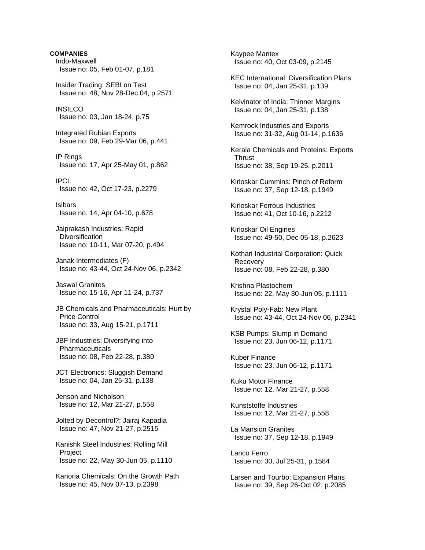**COMPANIES** Indo-Maxwell Issue no: 05, Feb 01-07, p.181 Insider Trading: SEBI on Test Issue no: 48, Nov 28-Dec 04, p.2571 **INSILCO**  Issue no: 03, Jan 18-24, p.75 Integrated Rubian Exports Issue no: 09, Feb 29-Mar 06, p.441 IP Rings Issue no: 17, Apr 25-May 01, p.862 IPCL Issue no: 42, Oct 17-23, p.2279 Isibars Issue no: 14, Apr 04-10, p.678 Jaiprakash Industries: Rapid **Diversification**  Issue no: 10-11, Mar 07-20, p.494 Janak Intermediates (F) Issue no: 43-44, Oct 24-Nov 06, p.2342 Jaswal Granites Issue no: 15-16, Apr 11-24, p.737 JB Chemicals and Pharmaceuticals: Hurt by Price Control Issue no: 33, Aug 15-21, p.1711 JBF Industries: Diversifying into Pharmaceuticals Issue no: 08, Feb 22-28, p.380 JCT Electronics: Sluggish Demand Issue no: 04, Jan 25-31, p.138 Jenson and Nicholson Issue no: 12, Mar 21-27, p.558 Jolted by Decontrol?; Jairaj Kapadia Issue no: 47, Nov 21-27, p.2515 Kanishk Steel Industries: Rolling Mill **Project**  Issue no: 22, May 30-Jun 05, p.1110 Kanoria Chemicals: On the Growth Path Issue no: 45, Nov 07-13, p.2398

 Kaypee Mantex Issue no: 40, Oct 03-09, p.2145 KEC International: Diversification Plans Issue no: 04, Jan 25-31, p.139 Kelvinator of India: Thinner Margins Issue no: 04, Jan 25-31, p.138 Kemrock Industries and Exports Issue no: 31-32, Aug 01-14, p.1636 Kerala Chemicals and Proteins: Exports Thrust Issue no: 38, Sep 19-25, p.2011 Kirloskar Cummins: Pinch of Reform Issue no: 37, Sep 12-18, p.1949 Kirloskar Ferrous Industries Issue no: 41, Oct 10-16, p.2212 Kirloskar Oil Engines Issue no: 49-50, Dec 05-18, p.2623 Kothari Industrial Corporation: Quick Recovery Issue no: 08, Feb 22-28, p.380 Krishna Plastochem Issue no: 22, May 30-Jun 05, p.1111 Krystal Poly-Fab: New Plant Issue no: 43-44, Oct 24-Nov 06, p.2341 KSB Pumps: Slump in Demand Issue no: 23, Jun 06-12, p.1171 Kuber Finance Issue no: 23, Jun 06-12, p.1171 Kuku Motor Finance Issue no: 12, Mar 21-27, p.558 Kunststoffe Industries Issue no: 12, Mar 21-27, p.558 La Mansion Granites Issue no: 37, Sep 12-18, p.1949 Lanco Ferro Issue no: 30, Jul 25-31, p.1584 Larsen and Tourbo: Expansion Plans Issue no: 39, Sep 26-Oct 02, p.2085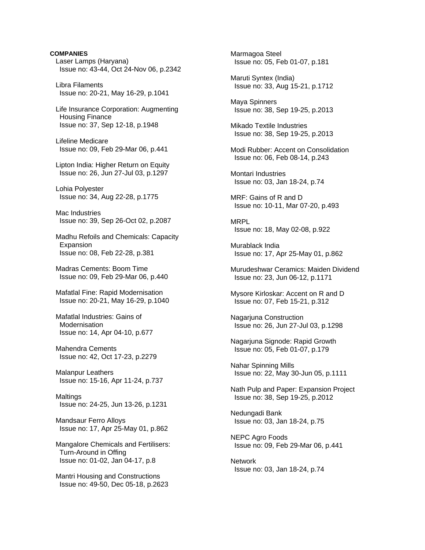# **COMPANIES** Laser Lamps (Haryana) Issue no: 43-44, Oct 24-Nov 06, p.2342 Libra Filaments Issue no: 20-21, May 16-29, p.1041 Life Insurance Corporation: Augmenting Housing Finance Issue no: 37, Sep 12-18, p.1948 Lifeline Medicare Issue no: 09, Feb 29-Mar 06, p.441 Lipton India: Higher Return on Equity Issue no: 26, Jun 27-Jul 03, p.1297 Lohia Polyester Issue no: 34, Aug 22-28, p.1775 Mac Industries Issue no: 39, Sep 26-Oct 02, p.2087 Madhu Refoils and Chemicals: Capacity Expansion Issue no: 08, Feb 22-28, p.381 Madras Cements: Boom Time Issue no: 09, Feb 29-Mar 06, p.440 Mafatlal Fine: Rapid Modernisation Issue no: 20-21, May 16-29, p.1040 Mafatlal Industries: Gains of **Modernisation**  Issue no: 14, Apr 04-10, p.677 Mahendra Cements Issue no: 42, Oct 17-23, p.2279 Malanpur Leathers Issue no: 15-16, Apr 11-24, p.737 Maltings Issue no: 24-25, Jun 13-26, p.1231 Mandsaur Ferro Alloys Issue no: 17, Apr 25-May 01, p.862 Mangalore Chemicals and Fertilisers: Turn-Around in Offing Issue no: 01-02, Jan 04-17, p.8 Mantri Housing and Constructions Issue no: 49-50, Dec 05-18, p.2623

 Marmagoa Steel Issue no: 05, Feb 01-07, p.181 Maruti Syntex (India) Issue no: 33, Aug 15-21, p.1712 Maya Spinners Issue no: 38, Sep 19-25, p.2013 Mikado Textile Industries Issue no: 38, Sep 19-25, p.2013 Modi Rubber: Accent on Consolidation Issue no: 06, Feb 08-14, p.243 Montari Industries Issue no: 03, Jan 18-24, p.74 MRF: Gains of R and D Issue no: 10-11, Mar 07-20, p.493 MRPL Issue no: 18, May 02-08, p.922 Murablack India Issue no: 17, Apr 25-May 01, p.862 Murudeshwar Ceramics: Maiden Dividend Issue no: 23, Jun 06-12, p.1171 Mysore Kirloskar: Accent on R and D Issue no: 07, Feb 15-21, p.312 Nagarjuna Construction Issue no: 26, Jun 27-Jul 03, p.1298 Nagarjuna Signode: Rapid Growth Issue no: 05, Feb 01-07, p.179 Nahar Spinning Mills Issue no: 22, May 30-Jun 05, p.1111 Nath Pulp and Paper: Expansion Project Issue no: 38, Sep 19-25, p.2012 Nedungadi Bank Issue no: 03, Jan 18-24, p.75 NEPC Agro Foods Issue no: 09, Feb 29-Mar 06, p.441 Network Issue no: 03, Jan 18-24, p.74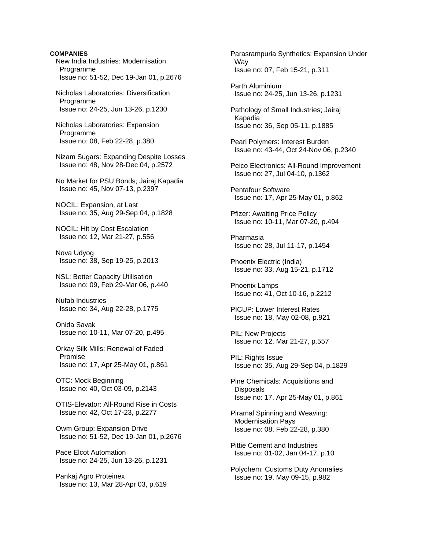#### **COMPANIES**

 New India Industries: Modernisation Programme Issue no: 51-52, Dec 19-Jan 01, p.2676

 Nicholas Laboratories: Diversification Programme Issue no: 24-25, Jun 13-26, p.1230

 Nicholas Laboratories: Expansion Programme Issue no: 08, Feb 22-28, p.380

 Nizam Sugars: Expanding Despite Losses Issue no: 48, Nov 28-Dec 04, p.2572

 No Market for PSU Bonds; Jairaj Kapadia Issue no: 45, Nov 07-13, p.2397

 NOCIL: Expansion, at Last Issue no: 35, Aug 29-Sep 04, p.1828

 NOCIL: Hit by Cost Escalation Issue no: 12, Mar 21-27, p.556

 Nova Udyog Issue no: 38, Sep 19-25, p.2013

 NSL: Better Capacity Utilisation Issue no: 09, Feb 29-Mar 06, p.440

 Nufab Industries Issue no: 34, Aug 22-28, p.1775

 Onida Savak Issue no: 10-11, Mar 07-20, p.495

 Orkay Silk Mills: Renewal of Faded Promise Issue no: 17, Apr 25-May 01, p.861

 OTC: Mock Beginning Issue no: 40, Oct 03-09, p.2143

 OTIS-Elevator: All-Round Rise in Costs Issue no: 42, Oct 17-23, p.2277

 Owm Group: Expansion Drive Issue no: 51-52, Dec 19-Jan 01, p.2676

 Pace Elcot Automation Issue no: 24-25, Jun 13-26, p.1231

 Pankaj Agro Proteinex Issue no: 13, Mar 28-Apr 03, p.619  Parasrampuria Synthetics: Expansion Under Way Issue no: 07, Feb 15-21, p.311

 Parth Aluminium Issue no: 24-25, Jun 13-26, p.1231

 Pathology of Small Industries; Jairaj Kapadia Issue no: 36, Sep 05-11, p.1885

 Pearl Polymers: Interest Burden Issue no: 43-44, Oct 24-Nov 06, p.2340

 Peico Electronics: All-Round Improvement Issue no: 27, Jul 04-10, p.1362

 Pentafour Software Issue no: 17, Apr 25-May 01, p.862

 Pfizer: Awaiting Price Policy Issue no: 10-11, Mar 07-20, p.494

 Pharmasia Issue no: 28, Jul 11-17, p.1454

 Phoenix Electric (India) Issue no: 33, Aug 15-21, p.1712

 Phoenix Lamps Issue no: 41, Oct 10-16, p.2212

 PICUP: Lower Interest Rates Issue no: 18, May 02-08, p.921

 PIL: New Projects Issue no: 12, Mar 21-27, p.557

PIL: Rights Issue Issue no: 35, Aug 29-Sep 04, p.1829

 Pine Chemicals: Acquisitions and Disposals Issue no: 17, Apr 25-May 01, p.861

 Piramal Spinning and Weaving: Modernisation Pays Issue no: 08, Feb 22-28, p.380

 Pittie Cement and Industries Issue no: 01-02, Jan 04-17, p.10

 Polychem: Customs Duty Anomalies Issue no: 19, May 09-15, p.982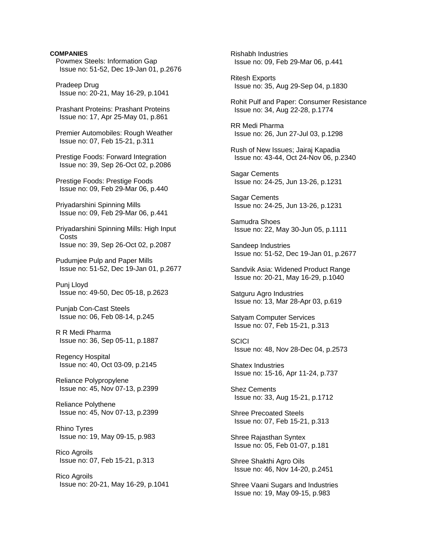## **COMPANIES**

 Powmex Steels: Information Gap Issue no: 51-52, Dec 19-Jan 01, p.2676

 Pradeep Drug Issue no: 20-21, May 16-29, p.1041

 Prashant Proteins: Prashant Proteins Issue no: 17, Apr 25-May 01, p.861

 Premier Automobiles: Rough Weather Issue no: 07, Feb 15-21, p.311

 Prestige Foods: Forward Integration Issue no: 39, Sep 26-Oct 02, p.2086

 Prestige Foods: Prestige Foods Issue no: 09, Feb 29-Mar 06, p.440

 Priyadarshini Spinning Mills Issue no: 09, Feb 29-Mar 06, p.441

 Priyadarshini Spinning Mills: High Input **Costs** Issue no: 39, Sep 26-Oct 02, p.2087

 Pudumjee Pulp and Paper Mills Issue no: 51-52, Dec 19-Jan 01, p.2677

 Punj Lloyd Issue no: 49-50, Dec 05-18, p.2623

 Punjab Con-Cast Steels Issue no: 06, Feb 08-14, p.245

 R R Medi Pharma Issue no: 36, Sep 05-11, p.1887

 Regency Hospital Issue no: 40, Oct 03-09, p.2145

 Reliance Polypropylene Issue no: 45, Nov 07-13, p.2399

 Reliance Polythene Issue no: 45, Nov 07-13, p.2399

 Rhino Tyres Issue no: 19, May 09-15, p.983

 Rico Agroils Issue no: 07, Feb 15-21, p.313

 Rico Agroils Issue no: 20-21, May 16-29, p.1041  Rishabh Industries Issue no: 09, Feb 29-Mar 06, p.441

 Ritesh Exports Issue no: 35, Aug 29-Sep 04, p.1830

 Rohit Pulf and Paper: Consumer Resistance Issue no: 34, Aug 22-28, p.1774

 RR Medi Pharma Issue no: 26, Jun 27-Jul 03, p.1298

 Rush of New Issues; Jairaj Kapadia Issue no: 43-44, Oct 24-Nov 06, p.2340

 Sagar Cements Issue no: 24-25, Jun 13-26, p.1231

 Sagar Cements Issue no: 24-25, Jun 13-26, p.1231

 Samudra Shoes Issue no: 22, May 30-Jun 05, p.1111

 Sandeep Industries Issue no: 51-52, Dec 19-Jan 01, p.2677

 Sandvik Asia: Widened Product Range Issue no: 20-21, May 16-29, p.1040

 Satguru Agro Industries Issue no: 13, Mar 28-Apr 03, p.619

 Satyam Computer Services Issue no: 07, Feb 15-21, p.313

**SCICI** Issue no: 48, Nov 28-Dec 04, p.2573

 Shatex Industries Issue no: 15-16, Apr 11-24, p.737

 Shez Cements Issue no: 33, Aug 15-21, p.1712

 Shree Precoated Steels Issue no: 07, Feb 15-21, p.313

 Shree Rajasthan Syntex Issue no: 05, Feb 01-07, p.181

 Shree Shakthi Agro Oils Issue no: 46, Nov 14-20, p.2451

 Shree Vaani Sugars and Industries Issue no: 19, May 09-15, p.983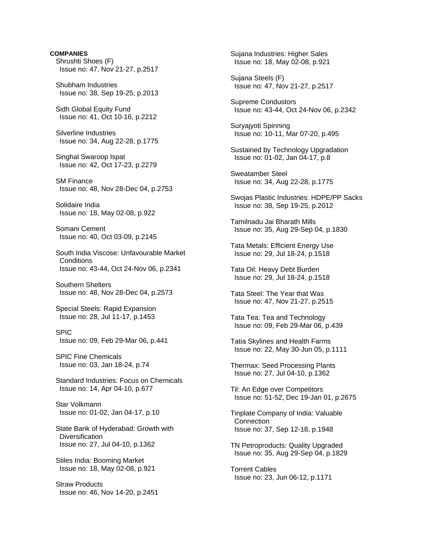**COMPANIES** Shrushti Shoes (F) Issue no: 47, Nov 21-27, p.2517 Shubham Industries Issue no: 38, Sep 19-25, p.2013 Sidh Global Equity Fund Issue no: 41, Oct 10-16, p.2212 Silverline Industries Issue no: 34, Aug 22-28, p.1775 Singhal Swaroop Ispat Issue no: 42, Oct 17-23, p.2279 SM Finance Issue no: 48, Nov 28-Dec 04, p.2753 Solidaire India Issue no: 18, May 02-08, p.922 Somani Cement Issue no: 40, Oct 03-09, p.2145 South India Viscose: Unfavourable Market **Conditions**  Issue no: 43-44, Oct 24-Nov 06, p.2341 Southern Shelters Issue no: 48, Nov 28-Dec 04, p.2573 Special Steels: Rapid Expansion Issue no: 28, Jul 11-17, p.1453 SPIC Issue no: 09, Feb 29-Mar 06, p.441 SPIC Fine Chemicals Issue no: 03, Jan 18-24, p.74 Standard Industries: Focus on Chemicals Issue no: 14, Apr 04-10, p.677 Star Volkmann Issue no: 01-02, Jan 04-17, p.10 State Bank of Hyderabad: Growth with **Diversification**  Issue no: 27, Jul 04-10, p.1362 Stiles India: Booming Market Issue no: 18, May 02-08, p.921 Straw Products Issue no: 46, Nov 14-20, p.2451

 Sujana Industries: Higher Sales Issue no: 18, May 02-08, p.921

 Sujana Steels (F) Issue no: 47, Nov 21-27, p.2517

 Supreme Condustors Issue no: 43-44, Oct 24-Nov 06, p.2342

 Suryajyoti Spinning Issue no: 10-11, Mar 07-20, p.495

 Sustained by Technology Upgradation Issue no: 01-02, Jan 04-17, p.8

 Sweatamber Steel Issue no: 34, Aug 22-28, p.1775

 Swojas Plastic Industries: HDPE/PP Sacks Issue no: 38, Sep 19-25, p.2012

 Tamilnadu Jai Bharath Mills Issue no: 35, Aug 29-Sep 04, p.1830

 Tata Metals: Efficient Energy Use Issue no: 29, Jul 18-24, p.1518

 Tata Oil: Heavy Debt Burden Issue no: 29, Jul 18-24, p.1518

 Tata Steel: The Year that Was Issue no: 47, Nov 21-27, p.2515

 Tata Tea: Tea and Technology Issue no: 09, Feb 29-Mar 06, p.439

 Tatia Skylines and Health Farms Issue no: 22, May 30-Jun 05, p.1111

 Thermax: Seed Processing Plants Issue no: 27, Jul 04-10, p.1362

 Til: An Edge over Competitors Issue no: 51-52, Dec 19-Jan 01, p.2675

 Tinplate Company of India: Valuable **Connection** Issue no: 37, Sep 12-18, p.1948

 TN Petroproducts: Quality Upgraded Issue no: 35, Aug 29-Sep 04, p.1829

 Torrent Cables Issue no: 23, Jun 06-12, p.1171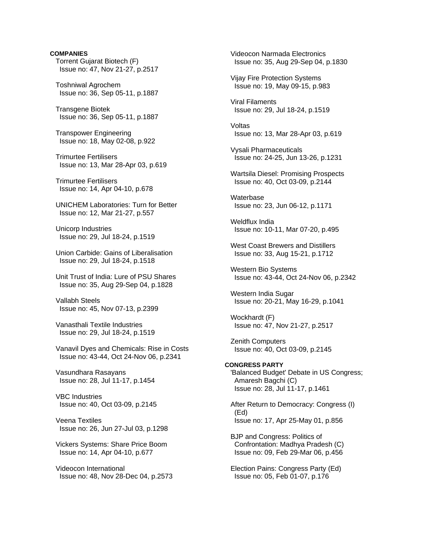# **COMPANIES** Torrent Gujarat Biotech (F) Issue no: 47, Nov 21-27, p.2517 Toshniwal Agrochem Issue no: 36, Sep 05-11, p.1887 Transgene Biotek Issue no: 36, Sep 05-11, p.1887 Transpower Engineering Issue no: 18, May 02-08, p.922 Trimurtee Fertilisers Issue no: 13, Mar 28-Apr 03, p.619 Trimurtee Fertilisers Issue no: 14, Apr 04-10, p.678 UNICHEM Laboratories: Turn for Better Issue no: 12, Mar 21-27, p.557 Unicorp Industries Issue no: 29, Jul 18-24, p.1519 Union Carbide: Gains of Liberalisation Issue no: 29, Jul 18-24, p.1518 Unit Trust of India: Lure of PSU Shares Issue no: 35, Aug 29-Sep 04, p.1828

 Vallabh Steels Issue no: 45, Nov 07-13, p.2399

 Vanasthali Textile Industries Issue no: 29, Jul 18-24, p.1519

 Vanavil Dyes and Chemicals: Rise in Costs Issue no: 43-44, Oct 24-Nov 06, p.2341

 Vasundhara Rasayans Issue no: 28, Jul 11-17, p.1454

 VBC Industries Issue no: 40, Oct 03-09, p.2145

 Veena Textiles Issue no: 26, Jun 27-Jul 03, p.1298

 Vickers Systems: Share Price Boom Issue no: 14, Apr 04-10, p.677

 Videocon International Issue no: 48, Nov 28-Dec 04, p.2573

 Videocon Narmada Electronics Issue no: 35, Aug 29-Sep 04, p.1830 Vijay Fire Protection Systems Issue no: 19, May 09-15, p.983 Viral Filaments Issue no: 29, Jul 18-24, p.1519 Voltas Issue no: 13, Mar 28-Apr 03, p.619 Vysali Pharmaceuticals Issue no: 24-25, Jun 13-26, p.1231 Wartsila Diesel: Promising Prospects Issue no: 40, Oct 03-09, p.2144 **Waterbase**  Issue no: 23, Jun 06-12, p.1171 Weldflux India Issue no: 10-11, Mar 07-20, p.495 West Coast Brewers and Distillers Issue no: 33, Aug 15-21, p.1712 Western Bio Systems Issue no: 43-44, Oct 24-Nov 06, p.2342 Western India Sugar Issue no: 20-21, May 16-29, p.1041 Wockhardt (F) Issue no: 47, Nov 21-27, p.2517 Zenith Computers Issue no: 40, Oct 03-09, p.2145 **CONGRESS PARTY**  'Balanced Budget' Debate in US Congress; Amaresh Bagchi (C) Issue no: 28, Jul 11-17, p.1461 After Return to Democracy: Congress (I) (Ed) Issue no: 17, Apr 25-May 01, p.856 BJP and Congress: Politics of Confrontation: Madhya Pradesh (C) Issue no: 09, Feb 29-Mar 06, p.456 Election Pains: Congress Party (Ed) Issue no: 05, Feb 01-07, p.176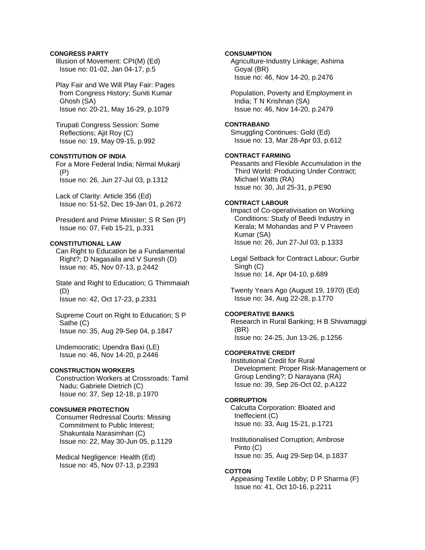## **CONGRESS PARTY**

 Illusion of Movement: CPI(M) (Ed) Issue no: 01-02, Jan 04-17, p.5

 Play Fair and We Will Play Fair: Pages from Congress History; Suniti Kumar Ghosh (SA) Issue no: 20-21, May 16-29, p.1079

 Tirupati Congress Session: Some Reflections; Ajit Roy (C) Issue no: 19, May 09-15, p.992

## **CONSTITUTION OF INDIA**

 For a More Federal India; Nirmal Mukarji (P) Issue no: 26, Jun 27-Jul 03, p.1312

 Lack of Clarity: Article 356 (Ed) Issue no: 51-52, Dec 19-Jan 01, p.2672

 President and Prime Minister; S R Sen (P) Issue no: 07, Feb 15-21, p.331

## **CONSTITUTIONAL LAW**

 Can Right to Education be a Fundamental Right?; D Nagasaila and V Suresh (D) Issue no: 45, Nov 07-13, p.2442

 State and Right to Education; G Thimmaiah (D) Issue no: 42, Oct 17-23, p.2331

 Supreme Court on Right to Education; S P Sathe (C) Issue no: 35, Aug 29-Sep 04, p.1847

 Undemocratic; Upendra Baxi (LE) Issue no: 46, Nov 14-20, p.2446

## **CONSTRUCTION WORKERS**

 Construction Workers at Crossroads: Tamil Nadu; Gabriele Dietrich (C) Issue no: 37, Sep 12-18, p.1970

## **CONSUMER PROTECTION**

 Consumer Redressal Courts: Missing Commitment to Public Interest; Shakuntala Narasimhan (C) Issue no: 22, May 30-Jun 05, p.1129

 Medical Negligence: Health (Ed) Issue no: 45, Nov 07-13, p.2393

## **CONSUMPTION**

 Agriculture-Industry Linkage; Ashima Goyal (BR) Issue no: 46, Nov 14-20, p.2476

 Population, Poverty and Employment in India; T N Krishnan (SA) Issue no: 46, Nov 14-20, p.2479

#### **CONTRABAND**

 Smuggling Continues: Gold (Ed) Issue no: 13, Mar 28-Apr 03, p.612

#### **CONTRACT FARMING**

 Peasants and Flexible Accumulation in the Third World: Producing Under Contract; Michael Watts (RA) Issue no: 30, Jul 25-31, p.PE90

## **CONTRACT LABOUR**

 Impact of Co-operativisation on Working Conditions: Study of Beedi Industry in Kerala; M Mohandas and P V Praveen Kumar (SA) Issue no: 26, Jun 27-Jul 03, p.1333

 Legal Setback for Contract Labour; Gurbir Singh (C) Issue no: 14, Apr 04-10, p.689

 Twenty Years Ago (August 19, 1970) (Ed) Issue no: 34, Aug 22-28, p.1770

## **COOPERATIVE BANKS**

 Research in Rural Banking; H B Shivamaggi (BR) Issue no: 24-25, Jun 13-26, p.1256

## **COOPERATIVE CREDIT**

 Institutional Credit for Rural Development: Proper Risk-Management or Group Lending?; D Narayana (RA) Issue no: 39, Sep 26-Oct 02, p.A122

#### **CORRUPTION**

 Calcutta Corporation: Bloated and Ineffecient (C) Issue no: 33, Aug 15-21, p.1721

 Institutionalised Corruption; Ambrose Pinto (C) Issue no: 35, Aug 29-Sep 04, p.1837

#### **COTTON**

 Appeasing Textile Lobby; D P Sharma (F) Issue no: 41, Oct 10-16, p.2211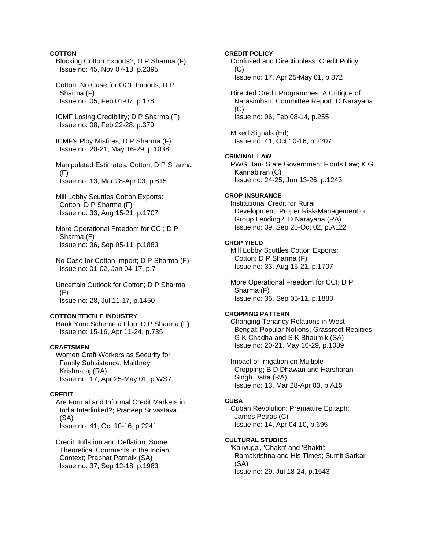## **COTTON**

 Blocking Cotton Exports?; D P Sharma (F) Issue no: 45, Nov 07-13, p.2395

 Cotton: No Case for OGL Imports; D P Sharma (F) Issue no: 05, Feb 01-07, p.178

 ICMF Losing Credibility; D P Sharma (F) Issue no: 08, Feb 22-28, p.379

 ICMF's Ploy Misfires; D P Sharma (F) Issue no: 20-21, May 16-29, p.1038

 Manipulated Estimates: Cotton; D P Sharma  $(F)$ Issue no: 13, Mar 28-Apr 03, p.615

- Mill Lobby Scuttles Cotton Exports: Cotton; D P Sharma (F) Issue no: 33, Aug 15-21, p.1707
- More Operational Freedom for CCI; D P Sharma (F) Issue no: 36, Sep 05-11, p.1883
- No Case for Cotton Import; D P Sharma (F) Issue no: 01-02, Jan 04-17, p.7

 Uncertain Outlook for Cotton; D P Sharma (F) Issue no: 28, Jul 11-17, p.1450

## **COTTON TEXTILE INDUSTRY**

 Hank Yarn Scheme a Flop; D P Sharma (F) Issue no: 15-16, Apr 11-24, p.735

## **CRAFTSMEN**

 Women Craft Workers as Security for Family Subsistence; Maithreyi Krishnaraj (RA) Issue no: 17, Apr 25-May 01, p.WS7

#### **CREDIT**

 Are Formal and Informal Credit Markets in India Interlinked?; Pradeep Srivastava (SA) Issue no: 41, Oct 10-16, p.2241

 Credit, Inflation and Deflation: Some Theoretical Comments in the Indian Context; Prabhat Patnaik (SA) Issue no: 37, Sep 12-18, p.1983

**CREDIT POLICY** 

 Confused and Directionless: Credit Policy  $(C)$ 

Issue no: 17, Apr 25-May 01, p.872

 Directed Credit Programmes: A Critique of Narasimham Committee Report; D Narayana  $(C)$ Issue no: 06, Feb 08-14, p.255

 Mixed Signals (Ed) Issue no: 41, Oct 10-16, p.2207

## **CRIMINAL LAW**

 PWG Ban- State Government Flouts Law; K G Kannabiran (C) Issue no: 24-25, Jun 13-26, p.1243

## **CROP INSURANCE**

 Institutional Credit for Rural Development: Proper Risk-Management or Group Lending?; D Narayana (RA) Issue no: 39, Sep 26-Oct 02, p.A122

### **CROP YIELD**

 Mill Lobby Scuttles Cotton Exports: Cotton; D P Sharma (F) Issue no: 33, Aug 15-21, p.1707

 More Operational Freedom for CCI; D P Sharma (F) Issue no: 36, Sep 05-11, p.1883

## **CROPPING PATTERN**

 Changing Tenancy Relations in West Bengal: Popular Notions, Grassroot Realities; G K Chadha and S K Bhaumik (SA) Issue no: 20-21, May 16-29, p.1089

 Impact of Irrigation on Multiple Cropping; B D Dhawan and Harsharan Singh Datta (RA) Issue no: 13, Mar 28-Apr 03, p.A15

## **CUBA**

 Cuban Revolution: Premature Epitaph; James Petras (C) Issue no: 14, Apr 04-10, p.695

## **CULTURAL STUDIES**

 'Kaliyuga', 'Chakri' and 'Bhakti': Ramakrishna and His Times; Sumit Sarkar (SA) Issue no: 29, Jul 18-24, p.1543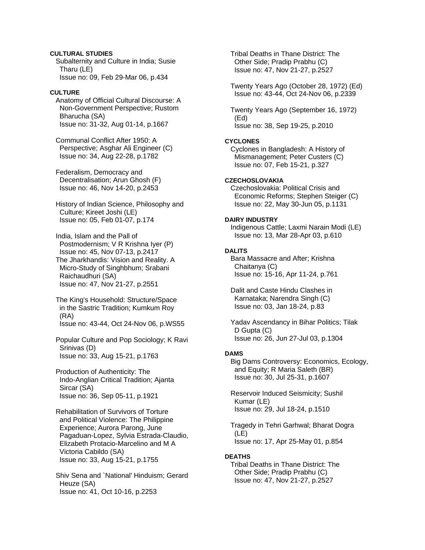## **CULTURAL STUDIES**

 Subalternity and Culture in India; Susie Tharu (LE) Issue no: 09, Feb 29-Mar 06, p.434

## **CULTURE**

 Anatomy of Official Cultural Discourse: A Non-Government Perspective; Rustom Bharucha (SA) Issue no: 31-32, Aug 01-14, p.1667

 Communal Conflict After 1950: A Perspective; Asghar Ali Engineer (C) Issue no: 34, Aug 22-28, p.1782

 Federalism, Democracy and Decentralisation; Arun Ghosh (F) Issue no: 46, Nov 14-20, p.2453

 History of Indian Science, Philosophy and Culture; Kireet Joshi (LE) Issue no: 05, Feb 01-07, p.174

 India, Islam and the Pall of Postmodernism; V R Krishna Iyer (P) Issue no: 45, Nov 07-13, p.2417 The Jharkhandis: Vision and Reality. A Micro-Study of Singhbhum; Srabani Raichaudhuri (SA) Issue no: 47, Nov 21-27, p.2551

 The King's Household: Structure/Space in the Sastric Tradition; Kumkum Roy (RA) Issue no: 43-44, Oct 24-Nov 06, p.WS55

 Popular Culture and Pop Sociology; K Ravi Srinivas (D) Issue no: 33, Aug 15-21, p.1763

 Production of Authenticity: The Indo-Anglian Critical Tradition; Ajanta Sircar (SA) Issue no: 36, Sep 05-11, p.1921

 Rehabilitation of Survivors of Torture and Political Violence: The Philippine Experience; Aurora Parong, June Pagaduan-Lopez, Sylvia Estrada-Claudio, Elizabeth Protacio-Marcelino and M A Victoria Cabildo (SA) Issue no: 33, Aug 15-21, p.1755

 Shiv Sena and `National' Hinduism; Gerard Heuze (SA) Issue no: 41, Oct 10-16, p.2253

 Tribal Deaths in Thane District: The Other Side; Pradip Prabhu (C) Issue no: 47, Nov 21-27, p.2527

 Twenty Years Ago (October 28, 1972) (Ed) Issue no: 43-44, Oct 24-Nov 06, p.2339

 Twenty Years Ago (September 16, 1972) (Ed) Issue no: 38, Sep 19-25, p.2010

## **CYCLONES**

 Cyclones in Bangladesh: A History of Mismanagement; Peter Custers (C) Issue no: 07, Feb 15-21, p.327

## **CZECHOSLOVAKIA**

 Czechoslovakia: Political Crisis and Economic Reforms; Stephen Steiger (C) Issue no: 22, May 30-Jun 05, p.1131

## **DAIRY INDUSTRY**

 Indigenous Cattle; Laxmi Narain Modi (LE) Issue no: 13, Mar 28-Apr 03, p.610

## **DALITS**

 Bara Massacre and After; Krishna Chaitanya (C) Issue no: 15-16, Apr 11-24, p.761

 Dalit and Caste Hindu Clashes in Karnataka; Narendra Singh (C) Issue no: 03, Jan 18-24, p.83

 Yadav Ascendancy in Bihar Politics; Tilak D Gupta (C) Issue no: 26, Jun 27-Jul 03, p.1304

#### **DAMS**

 Big Dams Controversy: Economics, Ecology, and Equity; R Maria Saleth (BR) Issue no: 30, Jul 25-31, p.1607

 Reservoir Induced Seismicity; Sushil Kumar (LE) Issue no: 29, Jul 18-24, p.1510

 Tragedy in Tehri Garhwal; Bharat Dogra (LE) Issue no: 17, Apr 25-May 01, p.854

## **DEATHS**

 Tribal Deaths in Thane District: The Other Side; Pradip Prabhu (C) Issue no: 47, Nov 21-27, p.2527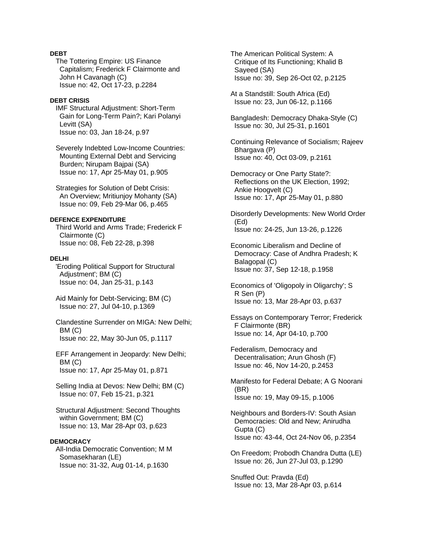## **DEBT**

 The Tottering Empire: US Finance Capitalism; Frederick F Clairmonte and John H Cavanagh (C) Issue no: 42, Oct 17-23, p.2284

#### **DEBT CRISIS**

 IMF Structural Adjustment: Short-Term Gain for Long-Term Pain?; Kari Polanyi Levitt (SA) Issue no: 03, Jan 18-24, p.97

 Severely Indebted Low-Income Countries: Mounting External Debt and Servicing Burden; Nirupam Bajpai (SA) Issue no: 17, Apr 25-May 01, p.905

 Strategies for Solution of Debt Crisis: An Overview; Mritiunjoy Mohanty (SA) Issue no: 09, Feb 29-Mar 06, p.465

#### **DEFENCE EXPENDITURE**

 Third World and Arms Trade; Frederick F Clairmonte (C) Issue no: 08, Feb 22-28, p.398

#### **DELHI**

 'Eroding Political Support for Structural Adjustment'; BM (C) Issue no: 04, Jan 25-31, p.143

 Aid Mainly for Debt-Servicing; BM (C) Issue no: 27, Jul 04-10, p.1369

 Clandestine Surrender on MIGA: New Delhi; BM (C) Issue no: 22, May 30-Jun 05, p.1117

 EFF Arrangement in Jeopardy: New Delhi; BM (C) Issue no: 17, Apr 25-May 01, p.871

 Selling India at Devos: New Delhi; BM (C) Issue no: 07, Feb 15-21, p.321

 Structural Adjustment: Second Thoughts within Government; BM (C) Issue no: 13, Mar 28-Apr 03, p.623

#### **DEMOCRACY**

 All-India Democratic Convention; M M Somasekharan (LE) Issue no: 31-32, Aug 01-14, p.1630

 The American Political System: A Critique of Its Functioning; Khalid B Sayeed (SA) Issue no: 39, Sep 26-Oct 02, p.2125

 At a Standstill: South Africa (Ed) Issue no: 23, Jun 06-12, p.1166

 Bangladesh: Democracy Dhaka-Style (C) Issue no: 30, Jul 25-31, p.1601

 Continuing Relevance of Socialism; Rajeev Bhargava (P) Issue no: 40, Oct 03-09, p.2161

 Democracy or One Party State?: Reflections on the UK Election, 1992; Ankie Hoogvelt (C) Issue no: 17, Apr 25-May 01, p.880

 Disorderly Developments: New World Order (Ed) Issue no: 24-25, Jun 13-26, p.1226

 Economic Liberalism and Decline of Democracy: Case of Andhra Pradesh; K Balagopal (C) Issue no: 37, Sep 12-18, p.1958

 Economics of 'Oligopoly in Oligarchy'; S R Sen (P) Issue no: 13, Mar 28-Apr 03, p.637

 Essays on Contemporary Terror; Frederick F Clairmonte (BR) Issue no: 14, Apr 04-10, p.700

 Federalism, Democracy and Decentralisation; Arun Ghosh (F) Issue no: 46, Nov 14-20, p.2453

 Manifesto for Federal Debate; A G Noorani (BR) Issue no: 19, May 09-15, p.1006

 Neighbours and Borders-IV: South Asian Democracies: Old and New; Anirudha Gupta (C) Issue no: 43-44, Oct 24-Nov 06, p.2354

 On Freedom; Probodh Chandra Dutta (LE) Issue no: 26, Jun 27-Jul 03, p.1290

 Snuffed Out: Pravda (Ed) Issue no: 13, Mar 28-Apr 03, p.614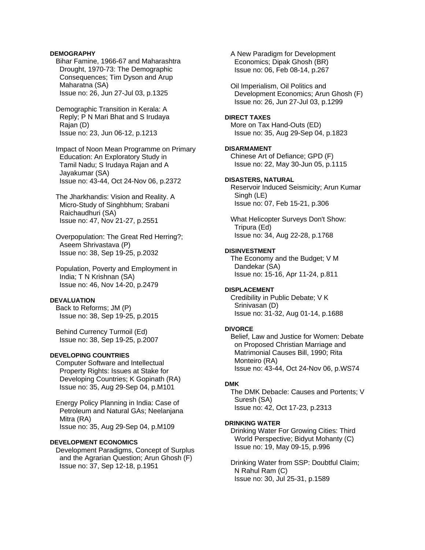## **DEMOGRAPHY**

 Bihar Famine, 1966-67 and Maharashtra Drought, 1970-73: The Demographic Consequences; Tim Dyson and Arup Maharatna (SA) Issue no: 26, Jun 27-Jul 03, p.1325

 Demographic Transition in Kerala: A Reply; P N Mari Bhat and S Irudaya Rajan (D) Issue no: 23, Jun 06-12, p.1213

 Impact of Noon Mean Programme on Primary Education: An Exploratory Study in Tamil Nadu; S Irudaya Rajan and A Jayakumar (SA) Issue no: 43-44, Oct 24-Nov 06, p.2372

 The Jharkhandis: Vision and Reality. A Micro-Study of Singhbhum; Srabani Raichaudhuri (SA) Issue no: 47, Nov 21-27, p.2551

 Overpopulation: The Great Red Herring?; Aseem Shrivastava (P) Issue no: 38, Sep 19-25, p.2032

 Population, Poverty and Employment in India; T N Krishnan (SA) Issue no: 46, Nov 14-20, p.2479

#### **DEVALUATION**

 Back to Reforms; JM (P) Issue no: 38, Sep 19-25, p.2015

 Behind Currency Turmoil (Ed) Issue no: 38, Sep 19-25, p.2007

## **DEVELOPING COUNTRIES**

 Computer Software and Intellectual Property Rights: Issues at Stake for Developing Countries; K Gopinath (RA) Issue no: 35, Aug 29-Sep 04, p.M101

 Energy Policy Planning in India: Case of Petroleum and Natural GAs; Neelanjana Mitra (RA) Issue no: 35, Aug 29-Sep 04, p.M109

## **DEVELOPMENT ECONOMICS**

 Development Paradigms, Concept of Surplus and the Agrarian Question; Arun Ghosh (F) Issue no: 37, Sep 12-18, p.1951

 A New Paradigm for Development Economics; Dipak Ghosh (BR) Issue no: 06, Feb 08-14, p.267

 Oil Imperialism, Oil Politics and Development Economics; Arun Ghosh (F) Issue no: 26, Jun 27-Jul 03, p.1299

#### **DIRECT TAXES**

 More on Tax Hand-Outs (ED) Issue no: 35, Aug 29-Sep 04, p.1823

## **DISARMAMENT**

 Chinese Art of Defiance; GPD (F) Issue no: 22, May 30-Jun 05, p.1115

## **DISASTERS, NATURAL**

 Reservoir Induced Seismicity; Arun Kumar Singh (LE) Issue no: 07, Feb 15-21, p.306

 What Helicopter Surveys Don't Show: Tripura (Ed) Issue no: 34, Aug 22-28, p.1768

#### **DISINVESTMENT**

 The Economy and the Budget; V M Dandekar (SA) Issue no: 15-16, Apr 11-24, p.811

### **DISPLACEMENT**

 Credibility in Public Debate; V K Srinivasan (D) Issue no: 31-32, Aug 01-14, p.1688

#### **DIVORCE**

 Belief, Law and Justice for Women: Debate on Proposed Christian Marriage and Matrimonial Causes Bill, 1990; Rita Monteiro (RA) Issue no: 43-44, Oct 24-Nov 06, p.WS74

#### **DMK**

 The DMK Debacle: Causes and Portents; V Suresh (SA) Issue no: 42, Oct 17-23, p.2313

#### **DRINKING WATER**

 Drinking Water For Growing Cities: Third World Perspective; Bidyut Mohanty (C) Issue no: 19, May 09-15, p.996

 Drinking Water from SSP: Doubtful Claim; N Rahul Ram (C) Issue no: 30, Jul 25-31, p.1589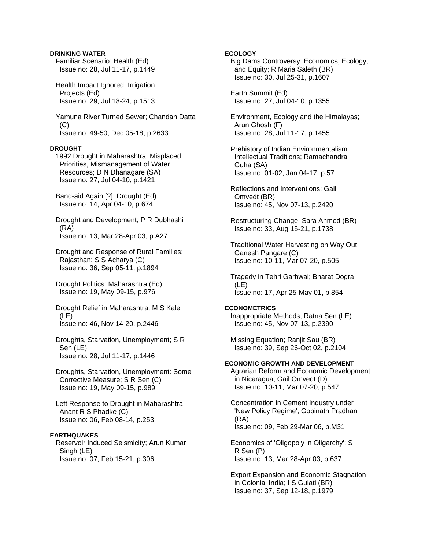## **DRINKING WATER**

 Familiar Scenario: Health (Ed) Issue no: 28, Jul 11-17, p.1449

 Health Impact Ignored: Irrigation Projects (Ed) Issue no: 29, Jul 18-24, p.1513

 Yamuna River Turned Sewer; Chandan Datta  $(C)$ Issue no: 49-50, Dec 05-18, p.2633

# **DROUGHT**

 1992 Drought in Maharashtra: Misplaced Priorities, Mismanagement of Water Resources; D N Dhanagare (SA) Issue no: 27, Jul 04-10, p.1421

 Band-aid Again [?]: Drought (Ed) Issue no: 14, Apr 04-10, p.674

 Drought and Development; P R Dubhashi (RA) Issue no: 13, Mar 28-Apr 03, p.A27

 Drought and Response of Rural Families: Rajasthan; S S Acharya (C) Issue no: 36, Sep 05-11, p.1894

 Drought Politics: Maharashtra (Ed) Issue no: 19, May 09-15, p.976

 Drought Relief in Maharashtra; M S Kale (LE) Issue no: 46, Nov 14-20, p.2446

 Droughts, Starvation, Unemployment; S R Sen (LE) Issue no: 28, Jul 11-17, p.1446

 Droughts, Starvation, Unemployment: Some Corrective Measure; S R Sen (C) Issue no: 19, May 09-15, p.989

 Left Response to Drought in Maharashtra; Anant R S Phadke (C) Issue no: 06, Feb 08-14, p.253

# **EARTHQUAKES**

 Reservoir Induced Seismicity; Arun Kumar Singh (LE) Issue no: 07, Feb 15-21, p.306

## **ECOLOGY**

 Big Dams Controversy: Economics, Ecology, and Equity; R Maria Saleth (BR) Issue no: 30, Jul 25-31, p.1607

 Earth Summit (Ed) Issue no: 27, Jul 04-10, p.1355

 Environment, Ecology and the Himalayas; Arun Ghosh (F) Issue no: 28, Jul 11-17, p.1455

 Prehistory of Indian Environmentalism: Intellectual Traditions; Ramachandra Guha (SA) Issue no: 01-02, Jan 04-17, p.57

 Reflections and Interventions; Gail Omvedt (BR) Issue no: 45, Nov 07-13, p.2420

 Restructuring Change; Sara Ahmed (BR) Issue no: 33, Aug 15-21, p.1738

 Traditional Water Harvesting on Way Out; Ganesh Pangare (C) Issue no: 10-11, Mar 07-20, p.505

 Tragedy in Tehri Garhwal; Bharat Dogra (LE) Issue no: 17, Apr 25-May 01, p.854

## **ECONOMETRICS**

 Inappropriate Methods; Ratna Sen (LE) Issue no: 45, Nov 07-13, p.2390

 Missing Equation; Ranjit Sau (BR) Issue no: 39, Sep 26-Oct 02, p.2104

## **ECONOMIC GROWTH AND DEVELOPMENT**

 Agrarian Reform and Economic Development in Nicaragua; Gail Omvedt (D) Issue no: 10-11, Mar 07-20, p.547

 Concentration in Cement Industry under 'New Policy Regime'; Gopinath Pradhan (RA) Issue no: 09, Feb 29-Mar 06, p.M31

 Economics of 'Oligopoly in Oligarchy'; S R Sen (P) Issue no: 13, Mar 28-Apr 03, p.637

 Export Expansion and Economic Stagnation in Colonial India; I S Gulati (BR) Issue no: 37, Sep 12-18, p.1979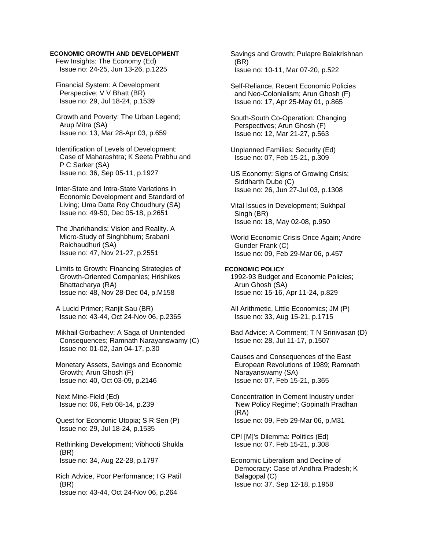## **ECONOMIC GROWTH AND DEVELOPMENT**

 Few Insights: The Economy (Ed) Issue no: 24-25, Jun 13-26, p.1225

 Financial System: A Development Perspective; V V Bhatt (BR) Issue no: 29, Jul 18-24, p.1539

 Growth and Poverty: The Urban Legend; Arup Mitra (SA) Issue no: 13, Mar 28-Apr 03, p.659

 Identification of Levels of Development: Case of Maharashtra; K Seeta Prabhu and P C Sarker (SA) Issue no: 36, Sep 05-11, p.1927

 Inter-State and Intra-State Variations in Economic Development and Standard of Living; Uma Datta Roy Choudhury (SA) Issue no: 49-50, Dec 05-18, p.2651

 The Jharkhandis: Vision and Reality. A Micro-Study of Singhbhum; Srabani Raichaudhuri (SA) Issue no: 47, Nov 21-27, p.2551

 Limits to Growth: Financing Strategies of Growth-Oriented Companies; Hrishikes Bhattacharya (RA) Issue no: 48, Nov 28-Dec 04, p.M158

 A Lucid Primer; Ranjit Sau (BR) Issue no: 43-44, Oct 24-Nov 06, p.2365

 Mikhail Gorbachev: A Saga of Unintended Consequences; Ramnath Narayanswamy (C) Issue no: 01-02, Jan 04-17, p.30

 Monetary Assets, Savings and Economic Growth; Arun Ghosh (F) Issue no: 40, Oct 03-09, p.2146

 Next Mine-Field (Ed) Issue no: 06, Feb 08-14, p.239

 Quest for Economic Utopia; S R Sen (P) Issue no: 29, Jul 18-24, p.1535

 Rethinking Development; Vibhooti Shukla (BR) Issue no: 34, Aug 22-28, p.1797

 Rich Advice, Poor Performance; I G Patil (BR) Issue no: 43-44, Oct 24-Nov 06, p.264

 Savings and Growth; Pulapre Balakrishnan (BR) Issue no: 10-11, Mar 07-20, p.522

 Self-Reliance, Recent Economic Policies and Neo-Colonialism; Arun Ghosh (F) Issue no: 17, Apr 25-May 01, p.865

 South-South Co-Operation: Changing Perspectives; Arun Ghosh (F) Issue no: 12, Mar 21-27, p.563

 Unplanned Families: Security (Ed) Issue no: 07, Feb 15-21, p.309

 US Economy: Signs of Growing Crisis; Siddharth Dube (C) Issue no: 26, Jun 27-Jul 03, p.1308

 Vital Issues in Development; Sukhpal Singh (BR) Issue no: 18, May 02-08, p.950

 World Economic Crisis Once Again; Andre Gunder Frank (C) Issue no: 09, Feb 29-Mar 06, p.457

#### **ECONOMIC POLICY**

 1992-93 Budget and Economic Policies; Arun Ghosh (SA) Issue no: 15-16, Apr 11-24, p.829

 All Arithmetic, Little Economics; JM (P) Issue no: 33, Aug 15-21, p.1715

 Bad Advice: A Comment; T N Srinivasan (D) Issue no: 28, Jul 11-17, p.1507

 Causes and Consequences of the East European Revolutions of 1989; Ramnath Narayanswamy (SA) Issue no: 07, Feb 15-21, p.365

 Concentration in Cement Industry under 'New Policy Regime'; Gopinath Pradhan (RA) Issue no: 09, Feb 29-Mar 06, p.M31

 CPI [M]'s Dilemma: Politics (Ed) Issue no: 07, Feb 15-21, p.308

 Economic Liberalism and Decline of Democracy: Case of Andhra Pradesh; K Balagopal (C) Issue no: 37, Sep 12-18, p.1958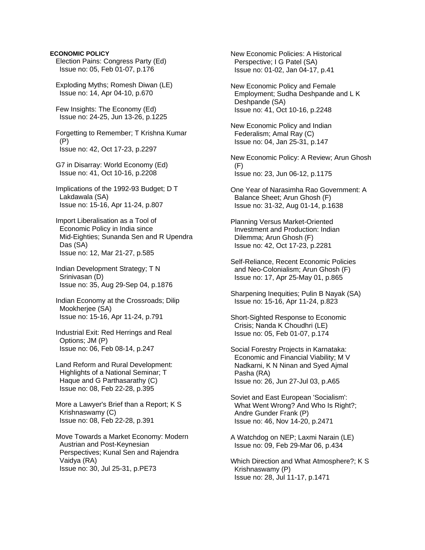## **ECONOMIC POLICY**

 Election Pains: Congress Party (Ed) Issue no: 05, Feb 01-07, p.176

 Exploding Myths; Romesh Diwan (LE) Issue no: 14, Apr 04-10, p.670

 Few Insights: The Economy (Ed) Issue no: 24-25, Jun 13-26, p.1225

 Forgetting to Remember; T Krishna Kumar (P) Issue no: 42, Oct 17-23, p.2297

 G7 in Disarray: World Economy (Ed) Issue no: 41, Oct 10-16, p.2208

 Implications of the 1992-93 Budget; D T Lakdawala (SA) Issue no: 15-16, Apr 11-24, p.807

 Import Liberalisation as a Tool of Economic Policy in India since Mid-Eighties; Sunanda Sen and R Upendra Das (SA) Issue no: 12, Mar 21-27, p.585

 Indian Development Strategy; T N Srinivasan (D) Issue no: 35, Aug 29-Sep 04, p.1876

 Indian Economy at the Crossroads; Dilip Mookherjee (SA) Issue no: 15-16, Apr 11-24, p.791

 Industrial Exit: Red Herrings and Real Options; JM (P) Issue no: 06, Feb 08-14, p.247

 Land Reform and Rural Development: Highlights of a National Seminar; T Haque and G Parthasarathy (C) Issue no: 08, Feb 22-28, p.395

 More a Lawyer's Brief than a Report; K S Krishnaswamy (C) Issue no: 08, Feb 22-28, p.391

 Move Towards a Market Economy: Modern Austrian and Post-Keynesian Perspectives; Kunal Sen and Rajendra Vaidya (RA) Issue no: 30, Jul 25-31, p.PE73

 New Economic Policies: A Historical Perspective; I G Patel (SA) Issue no: 01-02, Jan 04-17, p.41

 New Economic Policy and Female Employment; Sudha Deshpande and L K Deshpande (SA) Issue no: 41, Oct 10-16, p.2248

 New Economic Policy and Indian Federalism; Amal Ray (C) Issue no: 04, Jan 25-31, p.147

 New Economic Policy: A Review; Arun Ghosh (F) Issue no: 23, Jun 06-12, p.1175

 One Year of Narasimha Rao Government: A Balance Sheet; Arun Ghosh (F) Issue no: 31-32, Aug 01-14, p.1638

 Planning Versus Market-Oriented Investment and Production: Indian Dilemma; Arun Ghosh (F) Issue no: 42, Oct 17-23, p.2281

 Self-Reliance, Recent Economic Policies and Neo-Colonialism; Arun Ghosh (F) Issue no: 17, Apr 25-May 01, p.865

 Sharpening Inequities; Pulin B Nayak (SA) Issue no: 15-16, Apr 11-24, p.823

 Short-Sighted Response to Economic Crisis; Nanda K Choudhri (LE) Issue no: 05, Feb 01-07, p.174

 Social Forestry Projects in Karnataka: Economic and Financial Viability; M V Nadkarni, K N Ninan and Syed Ajmal Pasha (RA) Issue no: 26, Jun 27-Jul 03, p.A65

 Soviet and East European 'Socialism': What Went Wrong? And Who Is Right?; Andre Gunder Frank (P) Issue no: 46, Nov 14-20, p.2471

 A Watchdog on NEP; Laxmi Narain (LE) Issue no: 09, Feb 29-Mar 06, p.434

 Which Direction and What Atmosphere?; K S Krishnaswamy (P) Issue no: 28, Jul 11-17, p.1471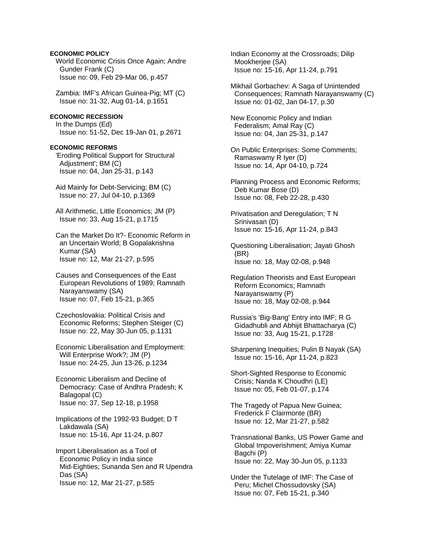## **ECONOMIC POLICY**

 World Economic Crisis Once Again; Andre Gunder Frank (C) Issue no: 09, Feb 29-Mar 06, p.457

 Zambia: IMF's African Guinea-Pig; MT (C) Issue no: 31-32, Aug 01-14, p.1651

## **ECONOMIC RECESSION**

 In the Dumps (Ed) Issue no: 51-52, Dec 19-Jan 01, p.2671

#### **ECONOMIC REFORMS**

 'Eroding Political Support for Structural Adjustment'; BM (C) Issue no: 04, Jan 25-31, p.143

 Aid Mainly for Debt-Servicing; BM (C) Issue no: 27, Jul 04-10, p.1369

 All Arithmetic, Little Economics; JM (P) Issue no: 33, Aug 15-21, p.1715

 Can the Market Do It?- Economic Reform in an Uncertain World; B Gopalakrishna Kumar (SA) Issue no: 12, Mar 21-27, p.595

 Causes and Consequences of the East European Revolutions of 1989; Ramnath Narayanswamy (SA) Issue no: 07, Feb 15-21, p.365

 Czechoslovakia: Political Crisis and Economic Reforms; Stephen Steiger (C) Issue no: 22, May 30-Jun 05, p.1131

 Economic Liberalisation and Employment: Will Enterprise Work?; JM (P) Issue no: 24-25, Jun 13-26, p.1234

 Economic Liberalism and Decline of Democracy: Case of Andhra Pradesh; K Balagopal (C) Issue no: 37, Sep 12-18, p.1958

 Implications of the 1992-93 Budget; D T Lakdawala (SA) Issue no: 15-16, Apr 11-24, p.807

 Import Liberalisation as a Tool of Economic Policy in India since Mid-Eighties; Sunanda Sen and R Upendra Das (SA) Issue no: 12, Mar 21-27, p.585

 Indian Economy at the Crossroads; Dilip Mookherjee (SA) Issue no: 15-16, Apr 11-24, p.791

 Mikhail Gorbachev: A Saga of Unintended Consequences; Ramnath Narayanswamy (C) Issue no: 01-02, Jan 04-17, p.30

 New Economic Policy and Indian Federalism; Amal Ray (C) Issue no: 04, Jan 25-31, p.147

 On Public Enterprises: Some Comments; Ramaswamy R Iyer (D) Issue no: 14, Apr 04-10, p.724

 Planning Process and Economic Reforms; Deb Kumar Bose (D) Issue no: 08, Feb 22-28, p.430

 Privatisation and Deregulation; T N Srinivasan (D) Issue no: 15-16, Apr 11-24, p.843

 Questioning Liberalisation; Jayati Ghosh (BR) Issue no: 18, May 02-08, p.948

 Regulation Theorists and East European Reform Economics; Ramnath Narayanswamy (P) Issue no: 18, May 02-08, p.944

 Russia's 'Big-Bang' Entry into IMF; R G Gidadhubli and Abhijit Bhattacharya (C) Issue no: 33, Aug 15-21, p.1728

 Sharpening Inequities; Pulin B Nayak (SA) Issue no: 15-16, Apr 11-24, p.823

 Short-Sighted Response to Economic Crisis; Nanda K Choudhri (LE) Issue no: 05, Feb 01-07, p.174

 The Tragedy of Papua New Guinea; Frederick F Clairmonte (BR) Issue no: 12, Mar 21-27, p.582

 Transnational Banks, US Power Game and Global Impoverishment; Amiya Kumar Bagchi (P) Issue no: 22, May 30-Jun 05, p.1133

 Under the Tutelage of IMF: The Case of Peru; Michel Chossudovsky (SA) Issue no: 07, Feb 15-21, p.340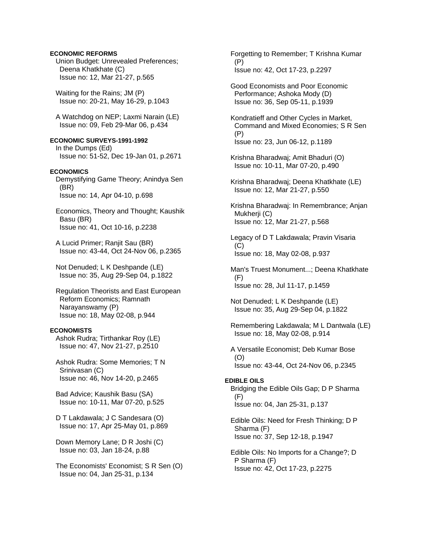## **ECONOMIC REFORMS**

 Union Budget: Unrevealed Preferences; Deena Khatkhate (C) Issue no: 12, Mar 21-27, p.565

 Waiting for the Rains; JM (P) Issue no: 20-21, May 16-29, p.1043

 A Watchdog on NEP; Laxmi Narain (LE) Issue no: 09, Feb 29-Mar 06, p.434

#### **ECONOMIC SURVEYS-1991-1992**  In the Dumps (Ed)

Issue no: 51-52, Dec 19-Jan 01, p.2671

# **ECONOMICS**

 Demystifying Game Theory; Anindya Sen (BR) Issue no: 14, Apr 04-10, p.698

 Economics, Theory and Thought; Kaushik Basu (BR) Issue no: 41, Oct 10-16, p.2238

 A Lucid Primer; Ranjit Sau (BR) Issue no: 43-44, Oct 24-Nov 06, p.2365

 Not Denuded; L K Deshpande (LE) Issue no: 35, Aug 29-Sep 04, p.1822

 Regulation Theorists and East European Reform Economics; Ramnath Narayanswamy (P) Issue no: 18, May 02-08, p.944

## **ECONOMISTS**

 Ashok Rudra; Tirthankar Roy (LE) Issue no: 47, Nov 21-27, p.2510

 Ashok Rudra: Some Memories; T N Srinivasan (C) Issue no: 46, Nov 14-20, p.2465

 Bad Advice; Kaushik Basu (SA) Issue no: 10-11, Mar 07-20, p.525

 D T Lakdawala; J C Sandesara (O) Issue no: 17, Apr 25-May 01, p.869

 Down Memory Lane; D R Joshi (C) Issue no: 03, Jan 18-24, p.88

 The Economists' Economist; S R Sen (O) Issue no: 04, Jan 25-31, p.134

 Forgetting to Remember; T Krishna Kumar (P) Issue no: 42, Oct 17-23, p.2297

 Good Economists and Poor Economic Performance; Ashoka Mody (D) Issue no: 36, Sep 05-11, p.1939

 Kondratieff and Other Cycles in Market, Command and Mixed Economies; S R Sen (P) Issue no: 23, Jun 06-12, p.1189

 Krishna Bharadwaj; Amit Bhaduri (O) Issue no: 10-11, Mar 07-20, p.490

 Krishna Bharadwaj; Deena Khatkhate (LE) Issue no: 12, Mar 21-27, p.550

 Krishna Bharadwaj: In Remembrance; Anjan Mukherji (C) Issue no: 12, Mar 21-27, p.568

 Legacy of D T Lakdawala; Pravin Visaria  $(C)$ Issue no: 18, May 02-08, p.937

 Man's Truest Monument...; Deena Khatkhate (F) Issue no: 28, Jul 11-17, p.1459

 Not Denuded; L K Deshpande (LE) Issue no: 35, Aug 29-Sep 04, p.1822

 Remembering Lakdawala; M L Dantwala (LE) Issue no: 18, May 02-08, p.914

 A Versatile Economist; Deb Kumar Bose (O) Issue no: 43-44, Oct 24-Nov 06, p.2345

## **EDIBLE OILS**

 Bridging the Edible Oils Gap; D P Sharma (F) Issue no: 04, Jan 25-31, p.137

 Edible Oils: Need for Fresh Thinking; D P Sharma (F) Issue no: 37, Sep 12-18, p.1947

 Edible Oils: No Imports for a Change?; D P Sharma (F) Issue no: 42, Oct 17-23, p.2275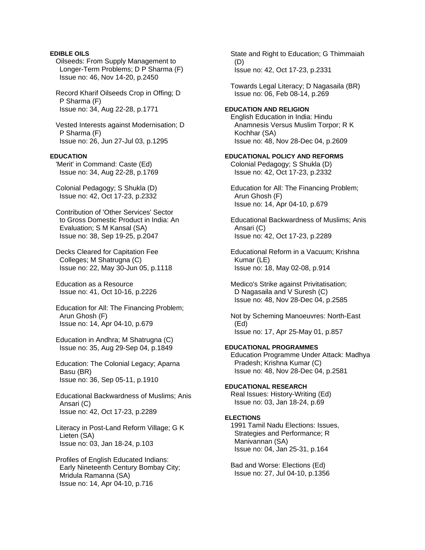# **EDIBLE OILS**

 Oilseeds: From Supply Management to Longer-Term Problems; D P Sharma (F) Issue no: 46, Nov 14-20, p.2450

 Record Kharif Oilseeds Crop in Offing; D P Sharma (F) Issue no: 34, Aug 22-28, p.1771

 Vested Interests against Modernisation; D P Sharma (F) Issue no: 26, Jun 27-Jul 03, p.1295

# **EDUCATION**

 'Merit' in Command: Caste (Ed) Issue no: 34, Aug 22-28, p.1769

 Colonial Pedagogy; S Shukla (D) Issue no: 42, Oct 17-23, p.2332

 Contribution of 'Other Services' Sector to Gross Domestic Product in India: An Evaluation; S M Kansal (SA) Issue no: 38, Sep 19-25, p.2047

 Decks Cleared for Capitation Fee Colleges; M Shatrugna (C) Issue no: 22, May 30-Jun 05, p.1118

 Education as a Resource Issue no: 41, Oct 10-16, p.2226

 Education for All: The Financing Problem; Arun Ghosh (F) Issue no: 14, Apr 04-10, p.679

 Education in Andhra; M Shatrugna (C) Issue no: 35, Aug 29-Sep 04, p.1849

 Education: The Colonial Legacy; Aparna Basu (BR) Issue no: 36, Sep 05-11, p.1910

 Educational Backwardness of Muslims; Anis Ansari (C) Issue no: 42, Oct 17-23, p.2289

 Literacy in Post-Land Reform Village; G K Lieten (SA) Issue no: 03, Jan 18-24, p.103

 Profiles of English Educated Indians: Early Nineteenth Century Bombay City; Mridula Ramanna (SA) Issue no: 14, Apr 04-10, p.716

 State and Right to Education; G Thimmaiah (D) Issue no: 42, Oct 17-23, p.2331

 Towards Legal Literacy; D Nagasaila (BR) Issue no: 06, Feb 08-14, p.269

## **EDUCATION AND RELIGION**

 English Education in India: Hindu Anamnesis Versus Muslim Torpor; R K Kochhar (SA) Issue no: 48, Nov 28-Dec 04, p.2609

### **EDUCATIONAL POLICY AND REFORMS**

 Colonial Pedagogy; S Shukla (D) Issue no: 42, Oct 17-23, p.2332

 Education for All: The Financing Problem; Arun Ghosh (F) Issue no: 14, Apr 04-10, p.679

 Educational Backwardness of Muslims; Anis Ansari (C) Issue no: 42, Oct 17-23, p.2289

 Educational Reform in a Vacuum; Krishna Kumar (LE) Issue no: 18, May 02-08, p.914

 Medico's Strike against Privitatisation; D Nagasaila and V Suresh (C) Issue no: 48, Nov 28-Dec 04, p.2585

 Not by Scheming Manoeuvres: North-East (Ed) Issue no: 17, Apr 25-May 01, p.857

## **EDUCATIONAL PROGRAMMES**

 Education Programme Under Attack: Madhya Pradesh; Krishna Kumar (C) Issue no: 48, Nov 28-Dec 04, p.2581

## **EDUCATIONAL RESEARCH**

 Real Issues: History-Writing (Ed) Issue no: 03, Jan 18-24, p.69

# **ELECTIONS**

 1991 Tamil Nadu Elections: Issues, Strategies and Performance; R Manivannan (SA) Issue no: 04, Jan 25-31, p.164

 Bad and Worse: Elections (Ed) Issue no: 27, Jul 04-10, p.1356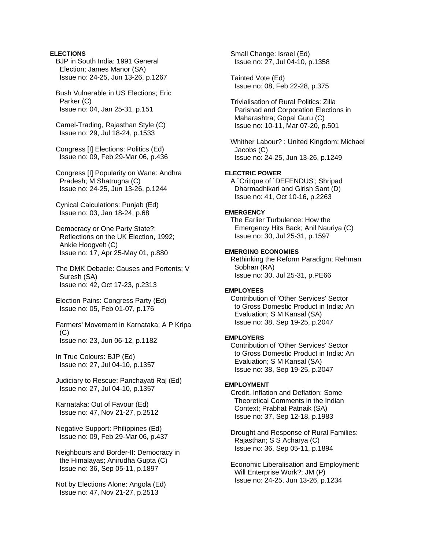# **ELECTIONS**

 BJP in South India: 1991 General Election; James Manor (SA) Issue no: 24-25, Jun 13-26, p.1267

 Bush Vulnerable in US Elections; Eric Parker (C) Issue no: 04, Jan 25-31, p.151

 Camel-Trading, Rajasthan Style (C) Issue no: 29, Jul 18-24, p.1533

 Congress [I] Elections: Politics (Ed) Issue no: 09, Feb 29-Mar 06, p.436

 Congress [I] Popularity on Wane: Andhra Pradesh; M Shatrugna (C) Issue no: 24-25, Jun 13-26, p.1244

 Cynical Calculations: Punjab (Ed) Issue no: 03, Jan 18-24, p.68

 Democracy or One Party State?: Reflections on the UK Election, 1992; Ankie Hoogvelt (C) Issue no: 17, Apr 25-May 01, p.880

 The DMK Debacle: Causes and Portents; V Suresh (SA) Issue no: 42, Oct 17-23, p.2313

 Election Pains: Congress Party (Ed) Issue no: 05, Feb 01-07, p.176

 Farmers' Movement in Karnataka; A P Kripa  $(C)$ Issue no: 23, Jun 06-12, p.1182

 In True Colours: BJP (Ed) Issue no: 27, Jul 04-10, p.1357

 Judiciary to Rescue: Panchayati Raj (Ed) Issue no: 27, Jul 04-10, p.1357

 Karnataka: Out of Favour (Ed) Issue no: 47, Nov 21-27, p.2512

 Negative Support: Philippines (Ed) Issue no: 09, Feb 29-Mar 06, p.437

 Neighbours and Border-II: Democracy in the Himalayas; Anirudha Gupta (C) Issue no: 36, Sep 05-11, p.1897

 Not by Elections Alone: Angola (Ed) Issue no: 47, Nov 21-27, p.2513

 Small Change: Israel (Ed) Issue no: 27, Jul 04-10, p.1358

 Tainted Vote (Ed) Issue no: 08, Feb 22-28, p.375

 Trivialisation of Rural Politics: Zilla Parishad and Corporation Elections in Maharashtra; Gopal Guru (C) Issue no: 10-11, Mar 07-20, p.501

 Whither Labour? : United Kingdom; Michael Jacobs (C) Issue no: 24-25, Jun 13-26, p.1249

# **ELECTRIC POWER**

 A `Critique of `DEFENDUS'; Shripad Dharmadhikari and Girish Sant (D) Issue no: 41, Oct 10-16, p.2263

## **EMERGENCY**

 The Earlier Turbulence: How the Emergency Hits Back; Anil Nauriya (C) Issue no: 30, Jul 25-31, p.1597

## **EMERGING ECONOMIES**

 Rethinking the Reform Paradigm; Rehman Sobhan (RA) Issue no: 30, Jul 25-31, p.PE66

# **EMPLOYEES**

 Contribution of 'Other Services' Sector to Gross Domestic Product in India: An Evaluation; S M Kansal (SA) Issue no: 38, Sep 19-25, p.2047

#### **EMPLOYERS**

 Contribution of 'Other Services' Sector to Gross Domestic Product in India: An Evaluation; S M Kansal (SA) Issue no: 38, Sep 19-25, p.2047

#### **EMPLOYMENT**

 Credit, Inflation and Deflation: Some Theoretical Comments in the Indian Context; Prabhat Patnaik (SA) Issue no: 37, Sep 12-18, p.1983

 Drought and Response of Rural Families: Rajasthan; S S Acharya (C) Issue no: 36, Sep 05-11, p.1894

 Economic Liberalisation and Employment: Will Enterprise Work?; JM (P) Issue no: 24-25, Jun 13-26, p.1234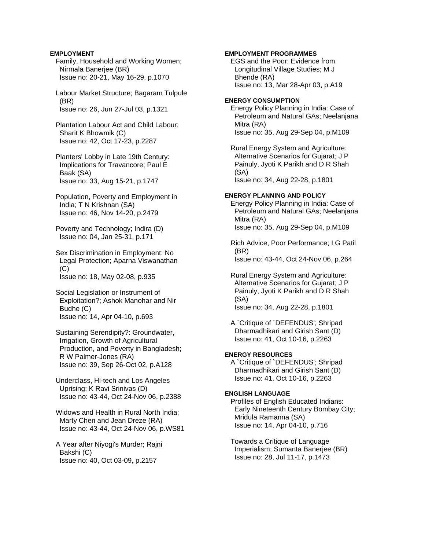## **EMPLOYMENT**

 Family, Household and Working Women; Nirmala Banerjee (BR) Issue no: 20-21, May 16-29, p.1070

 Labour Market Structure; Bagaram Tulpule (BR) Issue no: 26, Jun 27-Jul 03, p.1321

 Plantation Labour Act and Child Labour; Sharit K Bhowmik (C) Issue no: 42, Oct 17-23, p.2287

- Planters' Lobby in Late 19th Century: Implications for Travancore; Paul E Baak (SA) Issue no: 33, Aug 15-21, p.1747
- Population, Poverty and Employment in India; T N Krishnan (SA) Issue no: 46, Nov 14-20, p.2479
- Poverty and Technology; Indira (D) Issue no: 04, Jan 25-31, p.171
- Sex Discrimination in Employment: No Legal Protection; Aparna Viswanathan  $(C)$ Issue no: 18, May 02-08, p.935
- Social Legislation or Instrument of Exploitation?; Ashok Manohar and Nir Budhe (C) Issue no: 14, Apr 04-10, p.693
- Sustaining Serendipity?: Groundwater, Irrigation, Growth of Agricultural Production, and Poverty in Bangladesh; R W Palmer-Jones (RA) Issue no: 39, Sep 26-Oct 02, p.A128
- Underclass, Hi-tech and Los Angeles Uprising; K Ravi Srinivas (D) Issue no: 43-44, Oct 24-Nov 06, p.2388
- Widows and Health in Rural North India; Marty Chen and Jean Dreze (RA) Issue no: 43-44, Oct 24-Nov 06, p.WS81
- A Year after Niyogi's Murder; Rajni Bakshi (C) Issue no: 40, Oct 03-09, p.2157

# **EMPLOYMENT PROGRAMMES**

 EGS and the Poor: Evidence from Longitudinal Village Studies; M J Bhende (RA) Issue no: 13, Mar 28-Apr 03, p.A19

#### **ENERGY CONSUMPTION**

 Energy Policy Planning in India: Case of Petroleum and Natural GAs; Neelanjana Mitra (RA) Issue no: 35, Aug 29-Sep 04, p.M109

 Rural Energy System and Agriculture: Alternative Scenarios for Gujarat; J P Painuly, Jyoti K Parikh and D R Shah (SA) Issue no: 34, Aug 22-28, p.1801

## **ENERGY PLANNING AND POLICY**

 Energy Policy Planning in India: Case of Petroleum and Natural GAs; Neelanjana Mitra (RA) Issue no: 35, Aug 29-Sep 04, p.M109

 Rich Advice, Poor Performance; I G Patil (BR) Issue no: 43-44, Oct 24-Nov 06, p.264

- Rural Energy System and Agriculture: Alternative Scenarios for Gujarat; J P Painuly, Jyoti K Parikh and D R Shah (SA) Issue no: 34, Aug 22-28, p.1801
- A `Critique of `DEFENDUS'; Shripad Dharmadhikari and Girish Sant (D) Issue no: 41, Oct 10-16, p.2263

## **ENERGY RESOURCES**

 A `Critique of `DEFENDUS'; Shripad Dharmadhikari and Girish Sant (D) Issue no: 41, Oct 10-16, p.2263

# **ENGLISH LANGUAGE**

 Profiles of English Educated Indians: Early Nineteenth Century Bombay City; Mridula Ramanna (SA) Issue no: 14, Apr 04-10, p.716

 Towards a Critique of Language Imperialism; Sumanta Banerjee (BR) Issue no: 28, Jul 11-17, p.1473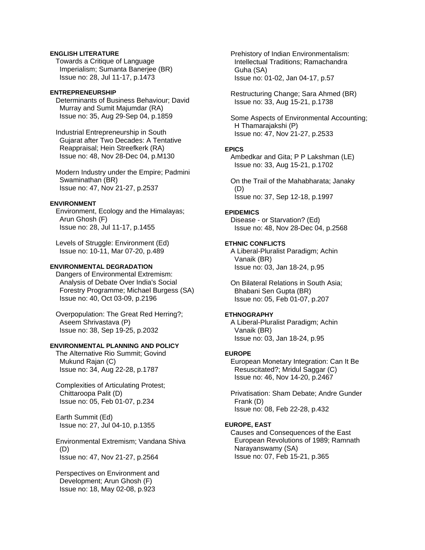# **ENGLISH LITERATURE**

 Towards a Critique of Language Imperialism; Sumanta Banerjee (BR) Issue no: 28, Jul 11-17, p.1473

## **ENTREPRENEURSHIP**

 Determinants of Business Behaviour; David Murray and Sumit Majumdar (RA) Issue no: 35, Aug 29-Sep 04, p.1859

 Industrial Entrepreneurship in South Gujarat after Two Decades: A Tentative Reappraisal; Hein Streefkerk (RA) Issue no: 48, Nov 28-Dec 04, p.M130

 Modern Industry under the Empire; Padmini Swaminathan (BR) Issue no: 47, Nov 21-27, p.2537

### **ENVIRONMENT**

 Environment, Ecology and the Himalayas; Arun Ghosh (F) Issue no: 28, Jul 11-17, p.1455

 Levels of Struggle: Environment (Ed) Issue no: 10-11, Mar 07-20, p.489

## **ENVIRONMENTAL DEGRADATION**

 Dangers of Environmental Extremism: Analysis of Debate Over India's Social Forestry Programme; Michael Burgess (SA) Issue no: 40, Oct 03-09, p.2196

 Overpopulation: The Great Red Herring?; Aseem Shrivastava (P) Issue no: 38, Sep 19-25, p.2032

# **ENVIRONMENTAL PLANNING AND POLICY**

 The Alternative Rio Summit; Govind Mukund Rajan (C) Issue no: 34, Aug 22-28, p.1787

 Complexities of Articulating Protest; Chittaroopa Palit (D) Issue no: 05, Feb 01-07, p.234

 Earth Summit (Ed) Issue no: 27, Jul 04-10, p.1355

 Environmental Extremism; Vandana Shiva (D) Issue no: 47, Nov 21-27, p.2564

 Perspectives on Environment and Development; Arun Ghosh (F) Issue no: 18, May 02-08, p.923

 Prehistory of Indian Environmentalism: Intellectual Traditions; Ramachandra Guha (SA) Issue no: 01-02, Jan 04-17, p.57

 Restructuring Change; Sara Ahmed (BR) Issue no: 33, Aug 15-21, p.1738

 Some Aspects of Environmental Accounting; H Thamarajakshi (P) Issue no: 47, Nov 21-27, p.2533

## **EPICS**

 Ambedkar and Gita; P P Lakshman (LE) Issue no: 33, Aug 15-21, p.1702

 On the Trail of the Mahabharata; Janaky (D) Issue no: 37, Sep 12-18, p.1997

# **EPIDEMICS**

 Disease - or Starvation? (Ed) Issue no: 48, Nov 28-Dec 04, p.2568

# **ETHNIC CONFLICTS**

 A Liberal-Pluralist Paradigm; Achin Vanaik (BR) Issue no: 03, Jan 18-24, p.95

 On Bilateral Relations in South Asia; Bhabani Sen Gupta (BR) Issue no: 05, Feb 01-07, p.207

# **ETHNOGRAPHY**

 A Liberal-Pluralist Paradigm; Achin Vanaik (BR) Issue no: 03, Jan 18-24, p.95

#### **EUROPE**

 European Monetary Integration: Can It Be Resuscitated?; Mridul Saggar (C) Issue no: 46, Nov 14-20, p.2467

 Privatisation: Sham Debate; Andre Gunder Frank (D) Issue no: 08, Feb 22-28, p.432

# **EUROPE, EAST**

 Causes and Consequences of the East European Revolutions of 1989; Ramnath Narayanswamy (SA) Issue no: 07, Feb 15-21, p.365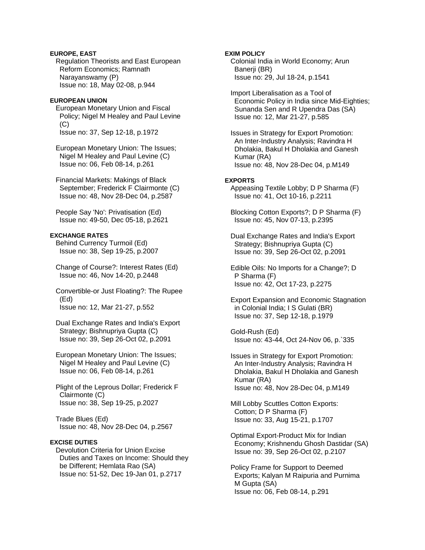# **EUROPE, EAST**

 Regulation Theorists and East European Reform Economics; Ramnath Narayanswamy (P) Issue no: 18, May 02-08, p.944

#### **EUROPEAN UNION**

 European Monetary Union and Fiscal Policy; Nigel M Healey and Paul Levine  $(C)$ Issue no: 37, Sep 12-18, p.1972

 European Monetary Union: The Issues; Nigel M Healey and Paul Levine (C) Issue no: 06, Feb 08-14, p.261

 Financial Markets: Makings of Black September; Frederick F Clairmonte (C) Issue no: 48, Nov 28-Dec 04, p.2587

 People Say 'No': Privatisation (Ed) Issue no: 49-50, Dec 05-18, p.2621

## **EXCHANGE RATES**

 Behind Currency Turmoil (Ed) Issue no: 38, Sep 19-25, p.2007

 Change of Course?: Interest Rates (Ed) Issue no: 46, Nov 14-20, p.2448

 Convertible-or Just Floating?: The Rupee (Ed) Issue no: 12, Mar 21-27, p.552

 Dual Exchange Rates and India's Export Strategy; Bishnupriya Gupta (C) Issue no: 39, Sep 26-Oct 02, p.2091

 European Monetary Union: The Issues; Nigel M Healey and Paul Levine (C) Issue no: 06, Feb 08-14, p.261

 Plight of the Leprous Dollar; Frederick F Clairmonte (C) Issue no: 38, Sep 19-25, p.2027

 Trade Blues (Ed) Issue no: 48, Nov 28-Dec 04, p.2567

## **EXCISE DUTIES**

 Devolution Criteria for Union Excise Duties and Taxes on Income: Should they be Different; Hemlata Rao (SA) Issue no: 51-52, Dec 19-Jan 01, p.2717

## **EXIM POLICY**

 Colonial India in World Economy; Arun Banerii (BR) Issue no: 29, Jul 18-24, p.1541

 Import Liberalisation as a Tool of Economic Policy in India since Mid-Eighties; Sunanda Sen and R Upendra Das (SA) Issue no: 12, Mar 21-27, p.585

 Issues in Strategy for Export Promotion: An Inter-Industry Analysis; Ravindra H Dholakia, Bakul H Dholakia and Ganesh Kumar (RA) Issue no: 48, Nov 28-Dec 04, p.M149

#### **EXPORTS**

 Appeasing Textile Lobby; D P Sharma (F) Issue no: 41, Oct 10-16, p.2211

 Blocking Cotton Exports?; D P Sharma (F) Issue no: 45, Nov 07-13, p.2395

 Dual Exchange Rates and India's Export Strategy; Bishnupriya Gupta (C) Issue no: 39, Sep 26-Oct 02, p.2091

 Edible Oils: No Imports for a Change?; D P Sharma (F) Issue no: 42, Oct 17-23, p.2275

 Export Expansion and Economic Stagnation in Colonial India; I S Gulati (BR) Issue no: 37, Sep 12-18, p.1979

 Gold-Rush (Ed) Issue no: 43-44, Oct 24-Nov 06, p.`335

 Issues in Strategy for Export Promotion: An Inter-Industry Analysis; Ravindra H Dholakia, Bakul H Dholakia and Ganesh Kumar (RA) Issue no: 48, Nov 28-Dec 04, p.M149

 Mill Lobby Scuttles Cotton Exports: Cotton; D P Sharma (F) Issue no: 33, Aug 15-21, p.1707

 Optimal Export-Product Mix for Indian Economy; Krishnendu Ghosh Dastidar (SA) Issue no: 39, Sep 26-Oct 02, p.2107

 Policy Frame for Support to Deemed Exports; Kalyan M Raipuria and Purnima M Gupta (SA) Issue no: 06, Feb 08-14, p.291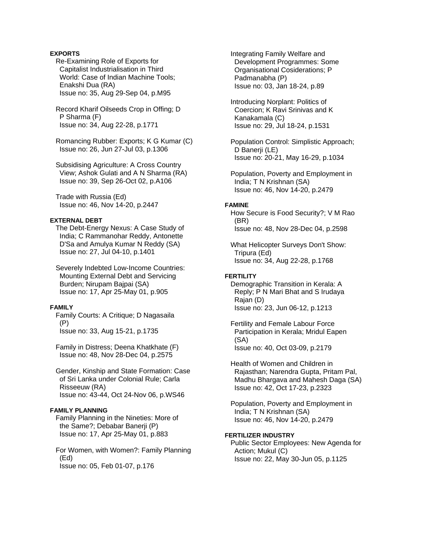# **EXPORTS**

 Re-Examining Role of Exports for Capitalist Industrialisation in Third World: Case of Indian Machine Tools; Enakshi Dua (RA) Issue no: 35, Aug 29-Sep 04, p.M95

 Record Kharif Oilseeds Crop in Offing; D P Sharma (F) Issue no: 34, Aug 22-28, p.1771

 Romancing Rubber: Exports; K G Kumar (C) Issue no: 26, Jun 27-Jul 03, p.1306

 Subsidising Agriculture: A Cross Country View; Ashok Gulati and A N Sharma (RA) Issue no: 39, Sep 26-Oct 02, p.A106

 Trade with Russia (Ed) Issue no: 46, Nov 14-20, p.2447

## **EXTERNAL DEBT**

 The Debt-Energy Nexus: A Case Study of India; C Rammanohar Reddy, Antonette D'Sa and Amulya Kumar N Reddy (SA) Issue no: 27, Jul 04-10, p.1401

 Severely Indebted Low-Income Countries: Mounting External Debt and Servicing Burden; Nirupam Bajpai (SA) Issue no: 17, Apr 25-May 01, p.905

## **FAMILY**

 Family Courts: A Critique; D Nagasaila (P) Issue no: 33, Aug 15-21, p.1735

 Family in Distress; Deena Khatkhate (F) Issue no: 48, Nov 28-Dec 04, p.2575

 Gender, Kinship and State Formation: Case of Sri Lanka under Colonial Rule; Carla Risseeuw (RA) Issue no: 43-44, Oct 24-Nov 06, p.WS46

# **FAMILY PLANNING**

 Family Planning in the Nineties: More of the Same?; Debabar Banerji (P) Issue no: 17, Apr 25-May 01, p.883

 For Women, with Women?: Family Planning (Ed) Issue no: 05, Feb 01-07, p.176

 Integrating Family Welfare and Development Programmes: Some Organisational Cosiderations; P Padmanabha (P) Issue no: 03, Jan 18-24, p.89

 Introducing Norplant: Politics of Coercion; K Ravi Srinivas and K Kanakamala (C) Issue no: 29, Jul 18-24, p.1531

 Population Control: Simplistic Approach; D Banerji (LE) Issue no: 20-21, May 16-29, p.1034

 Population, Poverty and Employment in India; T N Krishnan (SA) Issue no: 46, Nov 14-20, p.2479

# **FAMINE**

 How Secure is Food Security?; V M Rao (BR) Issue no: 48, Nov 28-Dec 04, p.2598

 What Helicopter Surveys Don't Show: Tripura (Ed) Issue no: 34, Aug 22-28, p.1768

# **FERTILITY**

 Demographic Transition in Kerala: A Reply; P N Mari Bhat and S Irudaya Rajan (D) Issue no: 23, Jun 06-12, p.1213

 Fertility and Female Labour Force Participation in Kerala; Mridul Eapen (SA) Issue no: 40, Oct 03-09, p.2179

 Health of Women and Children in Rajasthan; Narendra Gupta, Pritam Pal, Madhu Bhargava and Mahesh Daga (SA) Issue no: 42, Oct 17-23, p.2323

 Population, Poverty and Employment in India; T N Krishnan (SA) Issue no: 46, Nov 14-20, p.2479

## **FERTILIZER INDUSTRY**

 Public Sector Employees: New Agenda for Action; Mukul (C) Issue no: 22, May 30-Jun 05, p.1125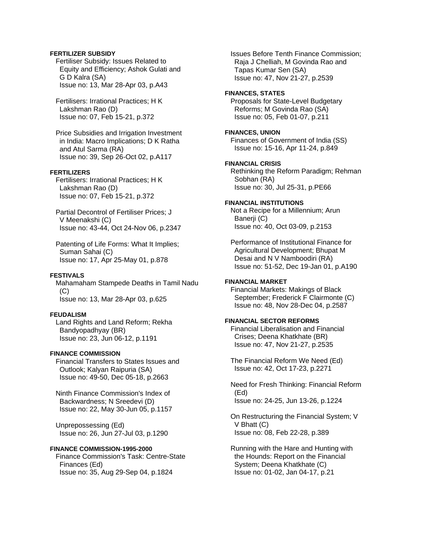## **FERTILIZER SUBSIDY**

 Fertiliser Subsidy: Issues Related to Equity and Efficiency; Ashok Gulati and G D Kalra (SA) Issue no: 13, Mar 28-Apr 03, p.A43

 Fertilisers: Irrational Practices; H K Lakshman Rao (D) Issue no: 07, Feb 15-21, p.372

 Price Subsidies and Irrigation Investment in India: Macro Implications; D K Ratha and Atul Sarma (RA) Issue no: 39, Sep 26-Oct 02, p.A117

## **FERTILIZERS**

 Fertilisers: Irrational Practices; H K Lakshman Rao (D) Issue no: 07, Feb 15-21, p.372

 Partial Decontrol of Fertiliser Prices; J V Meenakshi (C) Issue no: 43-44, Oct 24-Nov 06, p.2347

 Patenting of Life Forms: What It Implies; Suman Sahai (C) Issue no: 17, Apr 25-May 01, p.878

# **FESTIVALS**

 Mahamaham Stampede Deaths in Tamil Nadu  $(C)$ Issue no: 13, Mar 28-Apr 03, p.625

# **FEUDALISM**

 Land Rights and Land Reform; Rekha Bandyopadhyay (BR) Issue no: 23, Jun 06-12, p.1191

#### **FINANCE COMMISSION**

 Financial Transfers to States Issues and Outlook; Kalyan Raipuria (SA) Issue no: 49-50, Dec 05-18, p.2663

 Ninth Finance Commission's Index of Backwardness; N Sreedevi (D) Issue no: 22, May 30-Jun 05, p.1157

 Unprepossessing (Ed) Issue no: 26, Jun 27-Jul 03, p.1290

## **FINANCE COMMISSION-1995-2000**

 Finance Commission's Task: Centre-State Finances (Ed) Issue no: 35, Aug 29-Sep 04, p.1824

 Issues Before Tenth Finance Commission; Raja J Chelliah, M Govinda Rao and Tapas Kumar Sen (SA) Issue no: 47, Nov 21-27, p.2539

#### **FINANCES, STATES**

 Proposals for State-Level Budgetary Reforms; M Govinda Rao (SA) Issue no: 05, Feb 01-07, p.211

### **FINANCES, UNION**

 Finances of Government of India (SS) Issue no: 15-16, Apr 11-24, p.849

## **FINANCIAL CRISIS**

 Rethinking the Reform Paradigm; Rehman Sobhan (RA) Issue no: 30, Jul 25-31, p.PE66

# **FINANCIAL INSTITUTIONS**

 Not a Recipe for a Millennium; Arun Banerji (C) Issue no: 40, Oct 03-09, p.2153

 Performance of Institutional Finance for Agricultural Development; Bhupat M Desai and N V Namboodiri (RA) Issue no: 51-52, Dec 19-Jan 01, p.A190

# **FINANCIAL MARKET**

 Financial Markets: Makings of Black September; Frederick F Clairmonte (C) Issue no: 48, Nov 28-Dec 04, p.2587

# **FINANCIAL SECTOR REFORMS**

 Financial Liberalisation and Financial Crises; Deena Khatkhate (BR) Issue no: 47, Nov 21-27, p.2535

 The Financial Reform We Need (Ed) Issue no: 42, Oct 17-23, p.2271

 Need for Fresh Thinking: Financial Reform (Ed) Issue no: 24-25, Jun 13-26, p.1224

 On Restructuring the Financial System; V V Bhatt (C) Issue no: 08, Feb 22-28, p.389

 Running with the Hare and Hunting with the Hounds: Report on the Financial System; Deena Khatkhate (C) Issue no: 01-02, Jan 04-17, p.21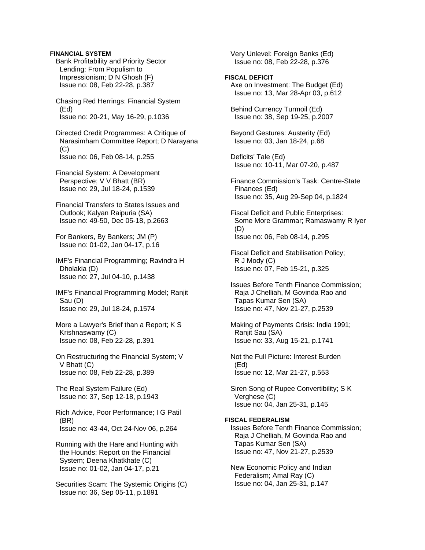## **FINANCIAL SYSTEM**

 Bank Profitability and Priority Sector Lending: From Populism to Impressionism; D N Ghosh (F) Issue no: 08, Feb 22-28, p.387

 Chasing Red Herrings: Financial System (Ed) Issue no: 20-21, May 16-29, p.1036

 Directed Credit Programmes: A Critique of Narasimham Committee Report; D Narayana  $(C)$ Issue no: 06, Feb 08-14, p.255

 Financial System: A Development Perspective; V V Bhatt (BR) Issue no: 29, Jul 18-24, p.1539

 Financial Transfers to States Issues and Outlook; Kalyan Raipuria (SA) Issue no: 49-50, Dec 05-18, p.2663

 For Bankers, By Bankers; JM (P) Issue no: 01-02, Jan 04-17, p.16

 IMF's Financial Programming; Ravindra H Dholakia (D) Issue no: 27, Jul 04-10, p.1438

 IMF's Financial Programming Model; Ranjit Sau (D) Issue no: 29, Jul 18-24, p.1574

 More a Lawyer's Brief than a Report; K S Krishnaswamy (C) Issue no: 08, Feb 22-28, p.391

 On Restructuring the Financial System; V V Bhatt (C) Issue no: 08, Feb 22-28, p.389

 The Real System Failure (Ed) Issue no: 37, Sep 12-18, p.1943

 Rich Advice, Poor Performance; I G Patil (BR) Issue no: 43-44, Oct 24-Nov 06, p.264

 Running with the Hare and Hunting with the Hounds: Report on the Financial System; Deena Khatkhate (C) Issue no: 01-02, Jan 04-17, p.21

 Securities Scam: The Systemic Origins (C) Issue no: 36, Sep 05-11, p.1891

 Very Unlevel: Foreign Banks (Ed) Issue no: 08, Feb 22-28, p.376

# **FISCAL DEFICIT**

 Axe on Investment: The Budget (Ed) Issue no: 13, Mar 28-Apr 03, p.612

 Behind Currency Turmoil (Ed) Issue no: 38, Sep 19-25, p.2007

 Beyond Gestures: Austerity (Ed) Issue no: 03, Jan 18-24, p.68

 Deficits' Tale (Ed) Issue no: 10-11, Mar 07-20, p.487

 Finance Commission's Task: Centre-State Finances (Ed) Issue no: 35, Aug 29-Sep 04, p.1824

 Fiscal Deficit and Public Enterprises: Some More Grammar; Ramaswamy R Iyer (D) Issue no: 06, Feb 08-14, p.295

 Fiscal Deficit and Stabilisation Policy; R J Mody (C) Issue no: 07, Feb 15-21, p.325

 Issues Before Tenth Finance Commission; Raja J Chelliah, M Govinda Rao and Tapas Kumar Sen (SA) Issue no: 47, Nov 21-27, p.2539

 Making of Payments Crisis: India 1991; Ranjit Sau (SA) Issue no: 33, Aug 15-21, p.1741

 Not the Full Picture: Interest Burden (Ed) Issue no: 12, Mar 21-27, p.553

 Siren Song of Rupee Convertibility; S K Verghese (C) Issue no: 04, Jan 25-31, p.145

## **FISCAL FEDERALISM**

 Issues Before Tenth Finance Commission; Raja J Chelliah, M Govinda Rao and Tapas Kumar Sen (SA) Issue no: 47, Nov 21-27, p.2539

 New Economic Policy and Indian Federalism; Amal Ray (C) Issue no: 04, Jan 25-31, p.147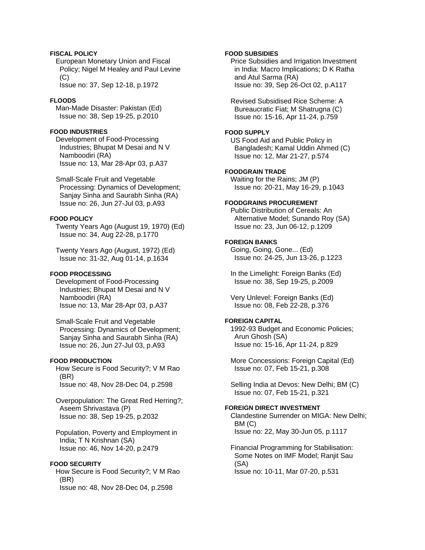# **FISCAL POLICY**

 European Monetary Union and Fiscal Policy; Nigel M Healey and Paul Levine (C) Issue no: 37, Sep 12-18, p.1972

# **FLOODS**

 Man-Made Disaster: Pakistan (Ed) Issue no: 38, Sep 19-25, p.2010

## **FOOD INDUSTRIES**

 Development of Food-Processing Industries; Bhupat M Desai and N V Namboodiri (RA) Issue no: 13, Mar 28-Apr 03, p.A37

 Small-Scale Fruit and Vegetable Processing: Dynamics of Development; Sanjay Sinha and Saurabh Sinha (RA) Issue no: 26, Jun 27-Jul 03, p.A93

# **FOOD POLICY**

 Twenty Years Ago (August 19, 1970) (Ed) Issue no: 34, Aug 22-28, p.1770

 Twenty Years Ago (August, 1972) (Ed) Issue no: 31-32, Aug 01-14, p.1634

# **FOOD PROCESSING**

 Development of Food-Processing Industries; Bhupat M Desai and N V Namboodiri (RA) Issue no: 13, Mar 28-Apr 03, p.A37

 Small-Scale Fruit and Vegetable Processing: Dynamics of Development; Sanjay Sinha and Saurabh Sinha (RA) Issue no: 26, Jun 27-Jul 03, p.A93

# **FOOD PRODUCTION**

 How Secure is Food Security?; V M Rao (BR) Issue no: 48, Nov 28-Dec 04, p.2598

 Overpopulation: The Great Red Herring?; Aseem Shrivastava (P) Issue no: 38, Sep 19-25, p.2032

 Population, Poverty and Employment in India; T N Krishnan (SA) Issue no: 46, Nov 14-20, p.2479

## **FOOD SECURITY**

 How Secure is Food Security?; V M Rao (BR) Issue no: 48, Nov 28-Dec 04, p.2598

## **FOOD SUBSIDIES**

 Price Subsidies and Irrigation Investment in India: Macro Implications; D K Ratha and Atul Sarma (RA) Issue no: 39, Sep 26-Oct 02, p.A117

 Revised Subsidised Rice Scheme: A Bureaucratic Fiat; M Shatrugna (C) Issue no: 15-16, Apr 11-24, p.759

### **FOOD SUPPLY**

 US Food Aid and Public Policy in Bangladesh; Kamal Uddin Ahmed (C) Issue no: 12, Mar 21-27, p.574

# **FOODGRAIN TRADE**

 Waiting for the Rains; JM (P) Issue no: 20-21, May 16-29, p.1043

# **FOODGRAINS PROCUREMENT**

 Public Distribution of Cereals: An Alternative Model; Sunando Roy (SA) Issue no: 23, Jun 06-12, p.1209

# **FOREIGN BANKS**

 Going, Going, Gone... (Ed) Issue no: 24-25, Jun 13-26, p.1223

 In the Limelight: Foreign Banks (Ed) Issue no: 38, Sep 19-25, p.2009

 Very Unlevel: Foreign Banks (Ed) Issue no: 08, Feb 22-28, p.376

## **FOREIGN CAPITAL**

 1992-93 Budget and Economic Policies; Arun Ghosh (SA) Issue no: 15-16, Apr 11-24, p.829

 More Concessions: Foreign Capital (Ed) Issue no: 07, Feb 15-21, p.308

 Selling India at Devos: New Delhi; BM (C) Issue no: 07, Feb 15-21, p.321

# **FOREIGN DIRECT INVESTMENT**

 Clandestine Surrender on MIGA: New Delhi; BM (C) Issue no: 22, May 30-Jun 05, p.1117

 Financial Programming for Stabilisation: Some Notes on IMF Model; Ranjit Sau (SA) Issue no: 10-11, Mar 07-20, p.531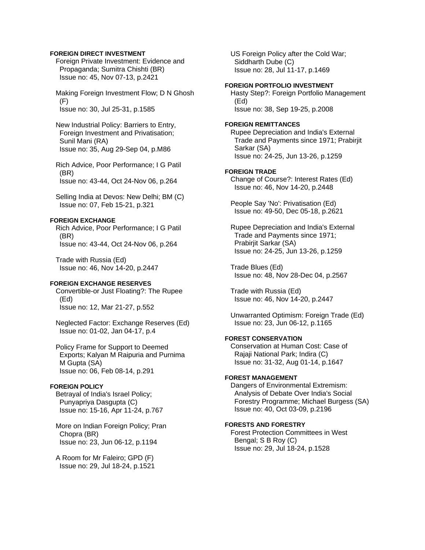## **FOREIGN DIRECT INVESTMENT**

 Foreign Private Investment: Evidence and Propaganda; Sumitra Chishti (BR) Issue no: 45, Nov 07-13, p.2421

 Making Foreign Investment Flow; D N Ghosh (F) Issue no: 30, Jul 25-31, p.1585

 New Industrial Policy: Barriers to Entry, Foreign Investment and Privatisation; Sunil Mani (RA) Issue no: 35, Aug 29-Sep 04, p.M86

 Rich Advice, Poor Performance; I G Patil (BR) Issue no: 43-44, Oct 24-Nov 06, p.264

 Selling India at Devos: New Delhi; BM (C) Issue no: 07, Feb 15-21, p.321

## **FOREIGN EXCHANGE**

 Rich Advice, Poor Performance; I G Patil (BR) Issue no: 43-44, Oct 24-Nov 06, p.264

 Trade with Russia (Ed) Issue no: 46, Nov 14-20, p.2447

# **FOREIGN EXCHANGE RESERVES**

 Convertible-or Just Floating?: The Rupee (Ed) Issue no: 12, Mar 21-27, p.552

 Neglected Factor: Exchange Reserves (Ed) Issue no: 01-02, Jan 04-17, p.4

 Policy Frame for Support to Deemed Exports; Kalyan M Raipuria and Purnima M Gupta (SA) Issue no: 06, Feb 08-14, p.291

# **FOREIGN POLICY**

 Betrayal of India's Israel Policy; Punyapriya Dasgupta (C) Issue no: 15-16, Apr 11-24, p.767

 More on Indian Foreign Policy; Pran Chopra (BR) Issue no: 23, Jun 06-12, p.1194

 A Room for Mr Faleiro; GPD (F) Issue no: 29, Jul 18-24, p.1521  US Foreign Policy after the Cold War; Siddharth Dube (C) Issue no: 28, Jul 11-17, p.1469

## **FOREIGN PORTFOLIO INVESTMENT**

 Hasty Step?: Foreign Portfolio Management (Ed) Issue no: 38, Sep 19-25, p.2008

#### **FOREIGN REMITTANCES**

 Rupee Depreciation and India's External Trade and Payments since 1971; Prabirjit Sarkar (SA) Issue no: 24-25, Jun 13-26, p.1259

#### **FOREIGN TRADE**

 Change of Course?: Interest Rates (Ed) Issue no: 46, Nov 14-20, p.2448

 People Say 'No': Privatisation (Ed) Issue no: 49-50, Dec 05-18, p.2621

 Rupee Depreciation and India's External Trade and Payments since 1971; Prabirjit Sarkar (SA) Issue no: 24-25, Jun 13-26, p.1259

 Trade Blues (Ed) Issue no: 48, Nov 28-Dec 04, p.2567

 Trade with Russia (Ed) Issue no: 46, Nov 14-20, p.2447

 Unwarranted Optimism: Foreign Trade (Ed) Issue no: 23, Jun 06-12, p.1165

# **FOREST CONSERVATION**

 Conservation at Human Cost: Case of Rajaji National Park; Indira (C) Issue no: 31-32, Aug 01-14, p.1647

## **FOREST MANAGEMENT**

 Dangers of Environmental Extremism: Analysis of Debate Over India's Social Forestry Programme; Michael Burgess (SA) Issue no: 40, Oct 03-09, p.2196

# **FORESTS AND FORESTRY**

 Forest Protection Committees in West Bengal; S B Roy (C) Issue no: 29, Jul 18-24, p.1528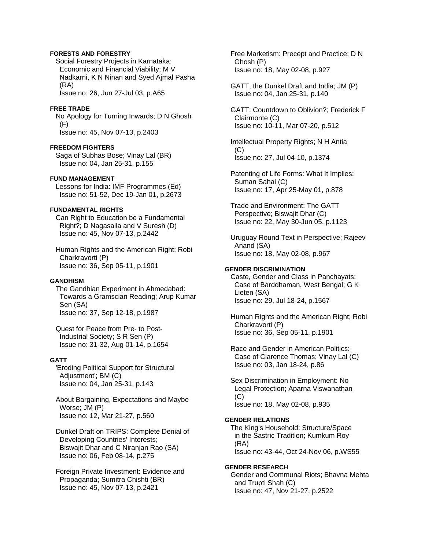# **FORESTS AND FORESTRY**

 Social Forestry Projects in Karnataka: Economic and Financial Viability; M V Nadkarni, K N Ninan and Syed Ajmal Pasha (RA) Issue no: 26, Jun 27-Jul 03, p.A65

## **FREE TRADE**

 No Apology for Turning Inwards; D N Ghosh (F) Issue no: 45, Nov 07-13, p.2403

### **FREEDOM FIGHTERS**

 Saga of Subhas Bose; Vinay Lal (BR) Issue no: 04, Jan 25-31, p.155

## **FUND MANAGEMENT**

 Lessons for India: IMF Programmes (Ed) Issue no: 51-52, Dec 19-Jan 01, p.2673

# **FUNDAMENTAL RIGHTS**

 Can Right to Education be a Fundamental Right?; D Nagasaila and V Suresh (D) Issue no: 45, Nov 07-13, p.2442

 Human Rights and the American Right; Robi Charkravorti (P) Issue no: 36, Sep 05-11, p.1901

## **GANDHISM**

 The Gandhian Experiment in Ahmedabad: Towards a Gramscian Reading; Arup Kumar Sen (SA) Issue no: 37, Sep 12-18, p.1987

 Quest for Peace from Pre- to Post- Industrial Society; S R Sen (P) Issue no: 31-32, Aug 01-14, p.1654

## **GATT**

 'Eroding Political Support for Structural Adjustment'; BM (C) Issue no: 04, Jan 25-31, p.143

 About Bargaining, Expectations and Maybe Worse; JM (P) Issue no: 12, Mar 21-27, p.560

 Dunkel Draft on TRIPS: Complete Denial of Developing Countries' Interests; Biswajit Dhar and C Niranjan Rao (SA) Issue no: 06, Feb 08-14, p.275

 Foreign Private Investment: Evidence and Propaganda; Sumitra Chishti (BR) Issue no: 45, Nov 07-13, p.2421

 Free Marketism: Precept and Practice; D N Ghosh (P) Issue no: 18, May 02-08, p.927

 GATT, the Dunkel Draft and India; JM (P) Issue no: 04, Jan 25-31, p.140

 GATT: Countdown to Oblivion?; Frederick F Clairmonte (C) Issue no: 10-11, Mar 07-20, p.512

 Intellectual Property Rights; N H Antia  $(C)$ Issue no: 27, Jul 04-10, p.1374

 Patenting of Life Forms: What It Implies; Suman Sahai (C) Issue no: 17, Apr 25-May 01, p.878

 Trade and Environment: The GATT Perspective; Biswajit Dhar (C) Issue no: 22, May 30-Jun 05, p.1123

 Uruguay Round Text in Perspective; Rajeev Anand (SA) Issue no: 18, May 02-08, p.967

# **GENDER DISCRIMINATION**

 Caste, Gender and Class in Panchayats: Case of Barddhaman, West Bengal; G K Lieten (SA) Issue no: 29, Jul 18-24, p.1567

 Human Rights and the American Right; Robi Charkravorti (P) Issue no: 36, Sep 05-11, p.1901

 Race and Gender in American Politics: Case of Clarence Thomas; Vinay Lal (C) Issue no: 03, Jan 18-24, p.86

 Sex Discrimination in Employment: No Legal Protection; Aparna Viswanathan (C) Issue no: 18, May 02-08, p.935

# **GENDER RELATIONS**

 The King's Household: Structure/Space in the Sastric Tradition; Kumkum Roy (RA) Issue no: 43-44, Oct 24-Nov 06, p.WS55

## **GENDER RESEARCH**

 Gender and Communal Riots; Bhavna Mehta and Trupti Shah (C) Issue no: 47, Nov 21-27, p.2522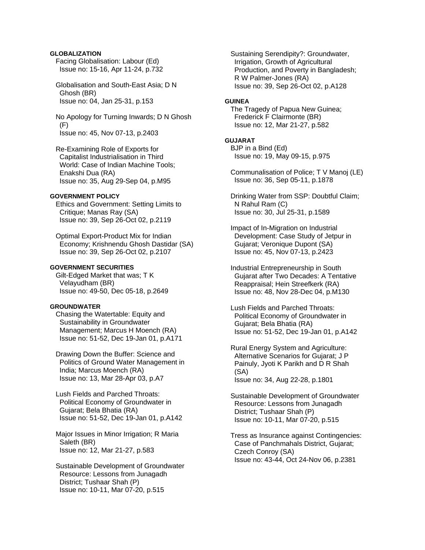# **GLOBALIZATION**

 Facing Globalisation: Labour (Ed) Issue no: 15-16, Apr 11-24, p.732

 Globalisation and South-East Asia; D N Ghosh (BR) Issue no: 04, Jan 25-31, p.153

 No Apology for Turning Inwards; D N Ghosh (F) Issue no: 45, Nov 07-13, p.2403

 Re-Examining Role of Exports for Capitalist Industrialisation in Third World: Case of Indian Machine Tools; Enakshi Dua (RA) Issue no: 35, Aug 29-Sep 04, p.M95

## **GOVERNMENT POLICY**

 Ethics and Government: Setting Limits to Critique; Manas Ray (SA) Issue no: 39, Sep 26-Oct 02, p.2119

 Optimal Export-Product Mix for Indian Economy; Krishnendu Ghosh Dastidar (SA) Issue no: 39, Sep 26-Oct 02, p.2107

# **GOVERNMENT SECURITIES**

 Gilt-Edged Market that was; T K Velayudham (BR) Issue no: 49-50, Dec 05-18, p.2649

### **GROUNDWATER**

 Chasing the Watertable: Equity and Sustainability in Groundwater Management; Marcus H Moench (RA) Issue no: 51-52, Dec 19-Jan 01, p.A171

 Drawing Down the Buffer: Science and Politics of Ground Water Management in India; Marcus Moench (RA) Issue no: 13, Mar 28-Apr 03, p.A7

 Lush Fields and Parched Throats: Political Economy of Groundwater in Gujarat; Bela Bhatia (RA) Issue no: 51-52, Dec 19-Jan 01, p.A142

 Major Issues in Minor Irrigation; R Maria Saleth (BR) Issue no: 12, Mar 21-27, p.583

 Sustainable Development of Groundwater Resource: Lessons from Junagadh District; Tushaar Shah (P) Issue no: 10-11, Mar 07-20, p.515

 Sustaining Serendipity?: Groundwater, Irrigation, Growth of Agricultural Production, and Poverty in Bangladesh; R W Palmer-Jones (RA) Issue no: 39, Sep 26-Oct 02, p.A128

## **GUINEA**

 The Tragedy of Papua New Guinea; Frederick F Clairmonte (BR) Issue no: 12, Mar 21-27, p.582

# **GUJARAT**

 BJP in a Bind (Ed) Issue no: 19, May 09-15, p.975

 Communalisation of Police; T V Manoj (LE) Issue no: 36, Sep 05-11, p.1878

 Drinking Water from SSP: Doubtful Claim; N Rahul Ram (C) Issue no: 30, Jul 25-31, p.1589

 Impact of In-Migration on Industrial Development: Case Study of Jetpur in Gujarat; Veronique Dupont (SA) Issue no: 45, Nov 07-13, p.2423

 Industrial Entrepreneurship in South Gujarat after Two Decades: A Tentative Reappraisal; Hein Streefkerk (RA) Issue no: 48, Nov 28-Dec 04, p.M130

 Lush Fields and Parched Throats: Political Economy of Groundwater in Gujarat; Bela Bhatia (RA) Issue no: 51-52, Dec 19-Jan 01, p.A142

 Rural Energy System and Agriculture: Alternative Scenarios for Gujarat; J P Painuly, Jyoti K Parikh and D R Shah (SA) Issue no: 34, Aug 22-28, p.1801

 Sustainable Development of Groundwater Resource: Lessons from Junagadh District; Tushaar Shah (P) Issue no: 10-11, Mar 07-20, p.515

 Tress as Insurance against Contingencies: Case of Panchmahals District, Gujarat; Czech Conroy (SA) Issue no: 43-44, Oct 24-Nov 06, p.2381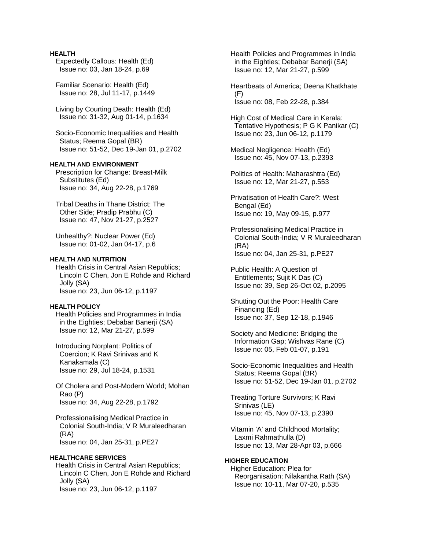# **HEALTH**

 Expectedly Callous: Health (Ed) Issue no: 03, Jan 18-24, p.69

 Familiar Scenario: Health (Ed) Issue no: 28, Jul 11-17, p.1449

 Living by Courting Death: Health (Ed) Issue no: 31-32, Aug 01-14, p.1634

 Socio-Economic Inequalities and Health Status; Reema Gopal (BR) Issue no: 51-52, Dec 19-Jan 01, p.2702

# **HEALTH AND ENVIRONMENT**

 Prescription for Change: Breast-Milk Substitutes (Ed) Issue no: 34, Aug 22-28, p.1769

 Tribal Deaths in Thane District: The Other Side; Pradip Prabhu (C) Issue no: 47, Nov 21-27, p.2527

 Unhealthy?: Nuclear Power (Ed) Issue no: 01-02, Jan 04-17, p.6

## **HEALTH AND NUTRITION**

 Health Crisis in Central Asian Republics; Lincoln C Chen, Jon E Rohde and Richard Jolly (SA) Issue no: 23, Jun 06-12, p.1197

# **HEALTH POLICY**

 Health Policies and Programmes in India in the Eighties; Debabar Banerji (SA) Issue no: 12, Mar 21-27, p.599

 Introducing Norplant: Politics of Coercion; K Ravi Srinivas and K Kanakamala (C) Issue no: 29, Jul 18-24, p.1531

 Of Cholera and Post-Modern World; Mohan Rao (P) Issue no: 34, Aug 22-28, p.1792

 Professionalising Medical Practice in Colonial South-India; V R Muraleedharan (RA) Issue no: 04, Jan 25-31, p.PE27

# **HEALTHCARE SERVICES**

 Health Crisis in Central Asian Republics; Lincoln C Chen, Jon E Rohde and Richard Jolly (SA) Issue no: 23, Jun 06-12, p.1197

 Health Policies and Programmes in India in the Eighties; Debabar Banerji (SA) Issue no: 12, Mar 21-27, p.599

 Heartbeats of America; Deena Khatkhate (F) Issue no: 08, Feb 22-28, p.384

 High Cost of Medical Care in Kerala: Tentative Hypothesis; P G K Panikar (C) Issue no: 23, Jun 06-12, p.1179

 Medical Negligence: Health (Ed) Issue no: 45, Nov 07-13, p.2393

 Politics of Health: Maharashtra (Ed) Issue no: 12, Mar 21-27, p.553

 Privatisation of Health Care?: West Bengal (Ed) Issue no: 19, May 09-15, p.977

 Professionalising Medical Practice in Colonial South-India; V R Muraleedharan (RA) Issue no: 04, Jan 25-31, p.PE27

 Public Health: A Question of Entitlements; Sujit K Das (C) Issue no: 39, Sep 26-Oct 02, p.2095

 Shutting Out the Poor: Health Care Financing (Ed) Issue no: 37, Sep 12-18, p.1946

 Society and Medicine: Bridging the Information Gap; Wishvas Rane (C) Issue no: 05, Feb 01-07, p.191

 Socio-Economic Inequalities and Health Status; Reema Gopal (BR) Issue no: 51-52, Dec 19-Jan 01, p.2702

 Treating Torture Survivors; K Ravi Srinivas (LE) Issue no: 45, Nov 07-13, p.2390

 Vitamin 'A' and Childhood Mortality; Laxmi Rahmathulla (D) Issue no: 13, Mar 28-Apr 03, p.666

# **HIGHER EDUCATION**  Higher Education: Plea for Reorganisation; Nilakantha Rath (SA) Issue no: 10-11, Mar 07-20, p.535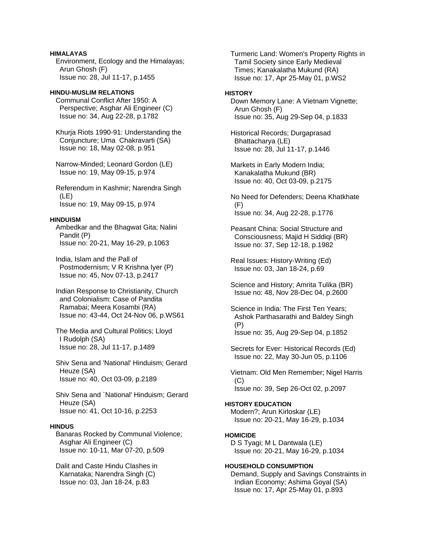# **HIMALAYAS**

 Environment, Ecology and the Himalayas; Arun Ghosh (F) Issue no: 28, Jul 11-17, p.1455

# **HINDU-MUSLIM RELATIONS**

 Communal Conflict After 1950: A Perspective; Asghar Ali Engineer (C) Issue no: 34, Aug 22-28, p.1782

 Khurja Riots 1990-91: Understanding the Conjuncture; Uma Chakravarti (SA) Issue no: 18, May 02-08, p.951

 Narrow-Minded; Leonard Gordon (LE) Issue no: 19, May 09-15, p.974

 Referendum in Kashmir; Narendra Singh (LE) Issue no: 19, May 09-15, p.974

## **HINDUISM**

 Ambedkar and the Bhagwat Gita; Nalini Pandit (P) Issue no: 20-21, May 16-29, p.1063

 India, Islam and the Pall of Postmodernism; V R Krishna Iyer (P) Issue no: 45, Nov 07-13, p.2417

 Indian Response to Christianity, Church and Colonialism: Case of Pandita Ramabai; Meera Kosambi (RA) Issue no: 43-44, Oct 24-Nov 06, p.WS61

 The Media and Cultural Politics; Lloyd I Rudolph (SA) Issue no: 28, Jul 11-17, p.1489

 Shiv Sena and 'National' Hinduism; Gerard Heuze (SA) Issue no: 40, Oct 03-09, p.2189

 Shiv Sena and `National' Hinduism; Gerard Heuze (SA) Issue no: 41, Oct 10-16, p.2253

## **HINDUS**

 Banaras Rocked by Communal Violence; Asghar Ali Engineer (C) Issue no: 10-11, Mar 07-20, p.509

 Dalit and Caste Hindu Clashes in Karnataka; Narendra Singh (C) Issue no: 03, Jan 18-24, p.83

 Turmeric Land: Women's Property Rights in Tamil Society since Early Medieval Times; Kanakalatha Mukund (RA) Issue no: 17, Apr 25-May 01, p.WS2

# **HISTORY**

 Down Memory Lane: A Vietnam Vignette; Arun Ghosh (F) Issue no: 35, Aug 29-Sep 04, p.1833

 Historical Records; Durgaprasad Bhattacharya (LE) Issue no: 28, Jul 11-17, p.1446

 Markets in Early Modern India; Kanakalatha Mukund (BR) Issue no: 40, Oct 03-09, p.2175

 No Need for Defenders; Deena Khatkhate  $(F)$ Issue no: 34, Aug 22-28, p.1776

 Peasant China: Social Structure and Consciousness; Majid H Siddiqi (BR) Issue no: 37, Sep 12-18, p.1982

 Real Issues: History-Writing (Ed) Issue no: 03, Jan 18-24, p.69

 Science and History; Amrita Tulika (BR) Issue no: 48, Nov 28-Dec 04, p.2600

 Science in India: The First Ten Years; Ashok Parthasarathi and Baldey Singh (P) Issue no: 35, Aug 29-Sep 04, p.1852

 Secrets for Ever: Historical Records (Ed) Issue no: 22, May 30-Jun 05, p.1106

 Vietnam: Old Men Remember; Nigel Harris  $(C)$ Issue no: 39, Sep 26-Oct 02, p.2097

**HISTORY EDUCATION**  Modern?; Arun Kirloskar (LE) Issue no: 20-21, May 16-29, p.1034

# **HOMICIDE**

 D S Tyagi; M L Dantwala (LE) Issue no: 20-21, May 16-29, p.1034

# **HOUSEHOLD CONSUMPTION**

 Demand, Supply and Savings Constraints in Indian Economy; Ashima Goyal (SA) Issue no: 17, Apr 25-May 01, p.893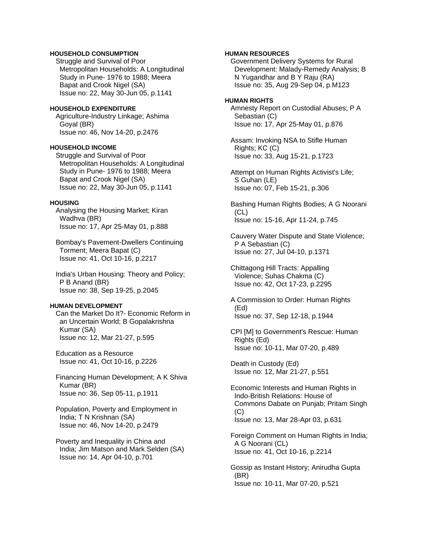# **HOUSEHOLD CONSUMPTION**

 Struggle and Survival of Poor Metropolitan Households: A Longitudinal Study in Pune- 1976 to 1988; Meera Bapat and Crook Nigel (SA) Issue no: 22, May 30-Jun 05, p.1141

# **HOUSEHOLD EXPENDITURE**

 Agriculture-Industry Linkage; Ashima Goyal (BR) Issue no: 46, Nov 14-20, p.2476

## **HOUSEHOLD INCOME**

 Struggle and Survival of Poor Metropolitan Households: A Longitudinal Study in Pune- 1976 to 1988; Meera Bapat and Crook Nigel (SA) Issue no: 22, May 30-Jun 05, p.1141

## **HOUSING**

 Analysing the Housing Market; Kiran Wadhva (BR) Issue no: 17, Apr 25-May 01, p.888

 Bombay's Pavement-Dwellers Continuing Torment; Meera Bapat (C) Issue no: 41, Oct 10-16, p.2217

 India's Urban Housing: Theory and Policy; P B Anand (BR) Issue no: 38, Sep 19-25, p.2045

### **HUMAN DEVELOPMENT**

 Can the Market Do It?- Economic Reform in an Uncertain World; B Gopalakrishna Kumar (SA) Issue no: 12, Mar 21-27, p.595

 Education as a Resource Issue no: 41, Oct 10-16, p.2226

 Financing Human Development; A K Shiva Kumar (BR) Issue no: 36, Sep 05-11, p.1911

 Population, Poverty and Employment in India; T N Krishnan (SA) Issue no: 46, Nov 14-20, p.2479

 Poverty and Inequality in China and India; Jim Matson and Mark Selden (SA) Issue no: 14, Apr 04-10, p.701

## **HUMAN RESOURCES**

 Government Delivery Systems for Rural Development: Malady-Remedy Analysis; B N Yugandhar and B Y Raju (RA) Issue no: 35, Aug 29-Sep 04, p.M123

#### **HUMAN RIGHTS**

 Amnesty Report on Custodial Abuses; P A Sebastian (C) Issue no: 17, Apr 25-May 01, p.876

 Assam: Invoking NSA to Stifle Human Rights; KC (C) Issue no: 33, Aug 15-21, p.1723

 Attempt on Human Rights Activist's Life; S Guhan (LE) Issue no: 07, Feb 15-21, p.306

 Bashing Human Rights Bodies; A G Noorani (CL) Issue no: 15-16, Apr 11-24, p.745

 Cauvery Water Dispute and State Violence; P A Sebastian (C) Issue no: 27, Jul 04-10, p.1371

 Chittagong Hill Tracts: Appalling Violence; Suhas Chakma (C) Issue no: 42, Oct 17-23, p.2295

 A Commission to Order: Human Rights (Ed) Issue no: 37, Sep 12-18, p.1944

 CPI [M] to Government's Rescue: Human Rights (Ed) Issue no: 10-11, Mar 07-20, p.489

 Death in Custody (Ed) Issue no: 12, Mar 21-27, p.551

 Economic Interests and Human Rights in Indo-British Relations: House of Commons Dabate on Punjab; Pritam Singh  $(C)$ Issue no: 13, Mar 28-Apr 03, p.631

 Foreign Comment on Human Rights in India; A G Noorani (CL) Issue no: 41, Oct 10-16, p.2214

 Gossip as Instant History; Anirudha Gupta (BR) Issue no: 10-11, Mar 07-20, p.521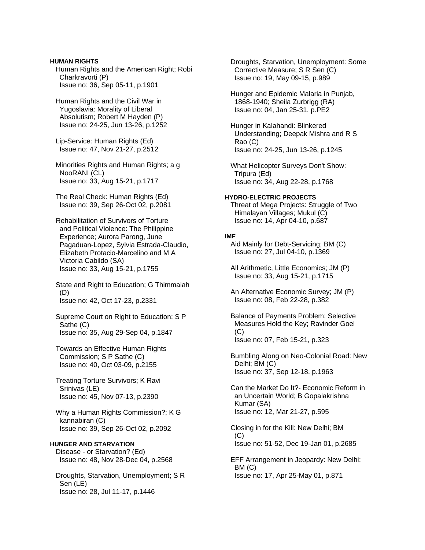**HUMAN RIGHTS**  Human Rights and the American Right; Robi Charkravorti (P) Issue no: 36, Sep 05-11, p.1901

 Human Rights and the Civil War in Yugoslavia: Morality of Liberal Absolutism; Robert M Hayden (P) Issue no: 24-25, Jun 13-26, p.1252

 Lip-Service: Human Rights (Ed) Issue no: 47, Nov 21-27, p.2512

 Minorities Rights and Human Rights; a g NooRANI (CL) Issue no: 33, Aug 15-21, p.1717

 The Real Check: Human Rights (Ed) Issue no: 39, Sep 26-Oct 02, p.2081

 Rehabilitation of Survivors of Torture and Political Violence: The Philippine Experience; Aurora Parong, June Pagaduan-Lopez, Sylvia Estrada-Claudio, Elizabeth Protacio-Marcelino and M A Victoria Cabildo (SA) Issue no: 33, Aug 15-21, p.1755

 State and Right to Education; G Thimmaiah (D) Issue no: 42, Oct 17-23, p.2331

 Supreme Court on Right to Education; S P Sathe (C) Issue no: 35, Aug 29-Sep 04, p.1847

 Towards an Effective Human Rights Commission; S P Sathe (C) Issue no: 40, Oct 03-09, p.2155

 Treating Torture Survivors; K Ravi Srinivas (LE) Issue no: 45, Nov 07-13, p.2390

 Why a Human Rights Commission?; K G kannabiran (C) Issue no: 39, Sep 26-Oct 02, p.2092

# **HUNGER AND STARVATION**

 Disease - or Starvation? (Ed) Issue no: 48, Nov 28-Dec 04, p.2568

 Droughts, Starvation, Unemployment; S R Sen (LE) Issue no: 28, Jul 11-17, p.1446

 Droughts, Starvation, Unemployment: Some Corrective Measure; S R Sen (C) Issue no: 19, May 09-15, p.989

 Hunger and Epidemic Malaria in Punjab, 1868-1940; Sheila Zurbrigg (RA) Issue no: 04, Jan 25-31, p.PE2

 Hunger in Kalahandi: Blinkered Understanding; Deepak Mishra and R S Rao (C) Issue no: 24-25, Jun 13-26, p.1245

 What Helicopter Surveys Don't Show: Tripura (Ed) Issue no: 34, Aug 22-28, p.1768

## **HYDRO-ELECTRIC PROJECTS**

 Threat of Mega Projects: Struggle of Two Himalayan Villages; Mukul (C) Issue no: 14, Apr 04-10, p.687

#### **IMF**

 Aid Mainly for Debt-Servicing; BM (C) Issue no: 27, Jul 04-10, p.1369

 All Arithmetic, Little Economics; JM (P) Issue no: 33, Aug 15-21, p.1715

 An Alternative Economic Survey; JM (P) Issue no: 08, Feb 22-28, p.382

 Balance of Payments Problem: Selective Measures Hold the Key; Ravinder Goel (C) Issue no: 07, Feb 15-21, p.323

 Bumbling Along on Neo-Colonial Road: New Delhi; BM (C) Issue no: 37, Sep 12-18, p.1963

 Can the Market Do It?- Economic Reform in an Uncertain World; B Gopalakrishna Kumar (SA) Issue no: 12, Mar 21-27, p.595

 Closing in for the Kill: New Delhi; BM (C) Issue no: 51-52, Dec 19-Jan 01, p.2685

 EFF Arrangement in Jeopardy: New Delhi; BM (C) Issue no: 17, Apr 25-May 01, p.871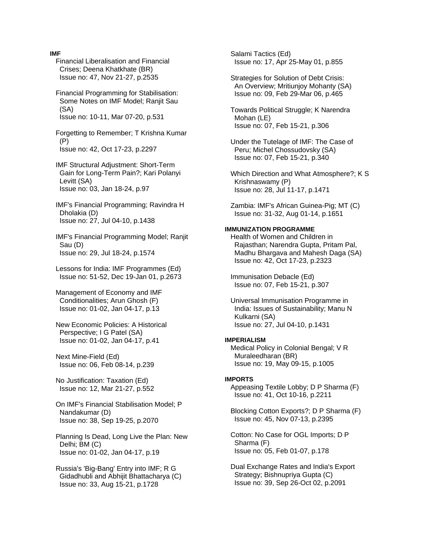#### **IMF**

- Financial Liberalisation and Financial Crises; Deena Khatkhate (BR) Issue no: 47, Nov 21-27, p.2535
- Financial Programming for Stabilisation: Some Notes on IMF Model; Ranjit Sau (SA) Issue no: 10-11, Mar 07-20, p.531

 Forgetting to Remember; T Krishna Kumar (P) Issue no: 42, Oct 17-23, p.2297

- IMF Structural Adjustment: Short-Term Gain for Long-Term Pain?; Kari Polanyi Levitt (SA) Issue no: 03, Jan 18-24, p.97
- IMF's Financial Programming; Ravindra H Dholakia (D) Issue no: 27, Jul 04-10, p.1438

 IMF's Financial Programming Model; Ranjit Sau (D) Issue no: 29, Jul 18-24, p.1574

 Lessons for India: IMF Programmes (Ed) Issue no: 51-52, Dec 19-Jan 01, p.2673

 Management of Economy and IMF Conditionalities; Arun Ghosh (F) Issue no: 01-02, Jan 04-17, p.13

- New Economic Policies: A Historical Perspective; I G Patel (SA) Issue no: 01-02, Jan 04-17, p.41
- Next Mine-Field (Ed) Issue no: 06, Feb 08-14, p.239

 No Justification: Taxation (Ed) Issue no: 12, Mar 21-27, p.552

- On IMF's Financial Stabilisation Model; P Nandakumar (D) Issue no: 38, Sep 19-25, p.2070
- Planning Is Dead, Long Live the Plan: New Delhi; BM (C) Issue no: 01-02, Jan 04-17, p.19
- Russia's 'Big-Bang' Entry into IMF; R G Gidadhubli and Abhijit Bhattacharya (C) Issue no: 33, Aug 15-21, p.1728

 Salami Tactics (Ed) Issue no: 17, Apr 25-May 01, p.855

- Strategies for Solution of Debt Crisis: An Overview; Mritiunjoy Mohanty (SA) Issue no: 09, Feb 29-Mar 06, p.465
- Towards Political Struggle; K Narendra Mohan (LE) Issue no: 07, Feb 15-21, p.306
- Under the Tutelage of IMF: The Case of Peru; Michel Chossudovsky (SA) Issue no: 07, Feb 15-21, p.340
- Which Direction and What Atmosphere?; K S Krishnaswamy (P) Issue no: 28, Jul 11-17, p.1471
- Zambia: IMF's African Guinea-Pig; MT (C) Issue no: 31-32, Aug 01-14, p.1651

# **IMMUNIZATION PROGRAMME**

 Health of Women and Children in Rajasthan; Narendra Gupta, Pritam Pal, Madhu Bhargava and Mahesh Daga (SA) Issue no: 42, Oct 17-23, p.2323

 Immunisation Debacle (Ed) Issue no: 07, Feb 15-21, p.307

 Universal Immunisation Programme in India: Issues of Sustainability; Manu N Kulkarni (SA) Issue no: 27, Jul 04-10, p.1431

#### **IMPERIALISM**

 Medical Policy in Colonial Bengal; V R Muraleedharan (BR) Issue no: 19, May 09-15, p.1005

#### **IMPORTS**

 Appeasing Textile Lobby; D P Sharma (F) Issue no: 41, Oct 10-16, p.2211

 Blocking Cotton Exports?; D P Sharma (F) Issue no: 45, Nov 07-13, p.2395

 Cotton: No Case for OGL Imports; D P Sharma (F) Issue no: 05, Feb 01-07, p.178

 Dual Exchange Rates and India's Export Strategy; Bishnupriya Gupta (C) Issue no: 39, Sep 26-Oct 02, p.2091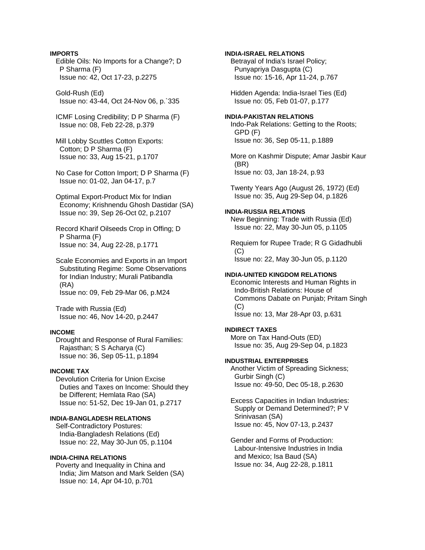# **IMPORTS**

 Edible Oils: No Imports for a Change?; D P Sharma (F) Issue no: 42, Oct 17-23, p.2275

 Gold-Rush (Ed) Issue no: 43-44, Oct 24-Nov 06, p.`335

 ICMF Losing Credibility; D P Sharma (F) Issue no: 08, Feb 22-28, p.379

 Mill Lobby Scuttles Cotton Exports: Cotton; D P Sharma (F) Issue no: 33, Aug 15-21, p.1707

 No Case for Cotton Import; D P Sharma (F) Issue no: 01-02, Jan 04-17, p.7

 Optimal Export-Product Mix for Indian Economy; Krishnendu Ghosh Dastidar (SA) Issue no: 39, Sep 26-Oct 02, p.2107

 Record Kharif Oilseeds Crop in Offing; D P Sharma (F) Issue no: 34, Aug 22-28, p.1771

 Scale Economies and Exports in an Import Substituting Regime: Some Observations for Indian Industry; Murali Patibandla (RA) Issue no: 09, Feb 29-Mar 06, p.M24

 Trade with Russia (Ed) Issue no: 46, Nov 14-20, p.2447

# **INCOME**

 Drought and Response of Rural Families: Rajasthan; S S Acharya (C) Issue no: 36, Sep 05-11, p.1894

# **INCOME TAX**

 Devolution Criteria for Union Excise Duties and Taxes on Income: Should they be Different; Hemlata Rao (SA) Issue no: 51-52, Dec 19-Jan 01, p.2717

## **INDIA-BANGLADESH RELATIONS**

 Self-Contradictory Postures: India-Bangladesh Relations (Ed) Issue no: 22, May 30-Jun 05, p.1104

## **INDIA-CHINA RELATIONS**

 Poverty and Inequality in China and India; Jim Matson and Mark Selden (SA) Issue no: 14, Apr 04-10, p.701

**INDIA-ISRAEL RELATIONS** 

 Betrayal of India's Israel Policy; Punyapriya Dasgupta (C) Issue no: 15-16, Apr 11-24, p.767

 Hidden Agenda: India-Israel Ties (Ed) Issue no: 05, Feb 01-07, p.177

# **INDIA-PAKISTAN RELATIONS**

 Indo-Pak Relations: Getting to the Roots; GPD (F) Issue no: 36, Sep 05-11, p.1889

 More on Kashmir Dispute; Amar Jasbir Kaur (BR) Issue no: 03, Jan 18-24, p.93

 Twenty Years Ago (August 26, 1972) (Ed) Issue no: 35, Aug 29-Sep 04, p.1826

# **INDIA-RUSSIA RELATIONS**

 New Beginning: Trade with Russia (Ed) Issue no: 22, May 30-Jun 05, p.1105

 Requiem for Rupee Trade; R G Gidadhubli  $(C)$ Issue no: 22, May 30-Jun 05, p.1120

## **INDIA-UNITED KINGDOM RELATIONS**

 Economic Interests and Human Rights in Indo-British Relations: House of Commons Dabate on Punjab; Pritam Singh (C) Issue no: 13, Mar 28-Apr 03, p.631

# **INDIRECT TAXES**

 More on Tax Hand-Outs (ED) Issue no: 35, Aug 29-Sep 04, p.1823

## **INDUSTRIAL ENTERPRISES**

 Another Victim of Spreading Sickness; Gurbir Singh (C) Issue no: 49-50, Dec 05-18, p.2630

 Excess Capacities in Indian Industries: Supply or Demand Determined?; P V Srinivasan (SA) Issue no: 45, Nov 07-13, p.2437

 Gender and Forms of Production: Labour-Intensive Industries in India and Mexico; Isa Baud (SA) Issue no: 34, Aug 22-28, p.1811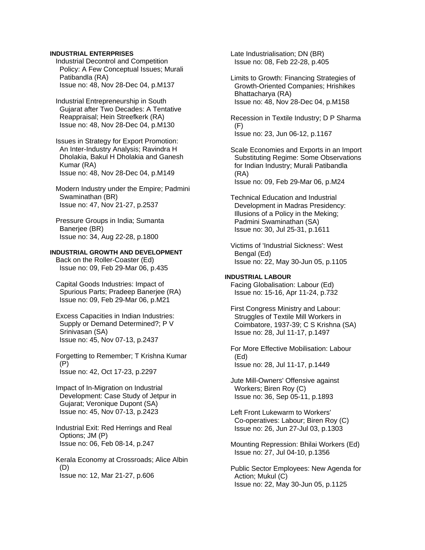## **INDUSTRIAL ENTERPRISES**

 Industrial Decontrol and Competition Policy: A Few Conceptual Issues; Murali Patibandla (RA) Issue no: 48, Nov 28-Dec 04, p.M137

 Industrial Entrepreneurship in South Gujarat after Two Decades: A Tentative Reappraisal; Hein Streefkerk (RA) Issue no: 48, Nov 28-Dec 04, p.M130

 Issues in Strategy for Export Promotion: An Inter-Industry Analysis; Ravindra H Dholakia, Bakul H Dholakia and Ganesh Kumar (RA) Issue no: 48, Nov 28-Dec 04, p.M149

 Modern Industry under the Empire; Padmini Swaminathan (BR) Issue no: 47, Nov 21-27, p.2537

 Pressure Groups in India; Sumanta Banerjee (BR) Issue no: 34, Aug 22-28, p.1800

# **INDUSTRIAL GROWTH AND DEVELOPMENT**

 Back on the Roller-Coaster (Ed) Issue no: 09, Feb 29-Mar 06, p.435

 Capital Goods Industries: Impact of Spurious Parts; Pradeep Banerjee (RA) Issue no: 09, Feb 29-Mar 06, p.M21

 Excess Capacities in Indian Industries: Supply or Demand Determined?; P V Srinivasan (SA) Issue no: 45, Nov 07-13, p.2437

 Forgetting to Remember; T Krishna Kumar (P) Issue no: 42, Oct 17-23, p.2297

 Impact of In-Migration on Industrial Development: Case Study of Jetpur in Gujarat; Veronique Dupont (SA) Issue no: 45, Nov 07-13, p.2423

 Industrial Exit: Red Herrings and Real Options; JM (P) Issue no: 06, Feb 08-14, p.247

 Kerala Economy at Crossroads; Alice Albin (D) Issue no: 12, Mar 21-27, p.606

 Late Industrialisation; DN (BR) Issue no: 08, Feb 22-28, p.405

 Limits to Growth: Financing Strategies of Growth-Oriented Companies; Hrishikes Bhattacharya (RA) Issue no: 48, Nov 28-Dec 04, p.M158

 Recession in Textile Industry; D P Sharma  $(F)$ Issue no: 23, Jun 06-12, p.1167

 Scale Economies and Exports in an Import Substituting Regime: Some Observations for Indian Industry; Murali Patibandla (RA) Issue no: 09, Feb 29-Mar 06, p.M24

 Technical Education and Industrial Development in Madras Presidency: Illusions of a Policy in the Meking; Padmini Swaminathan (SA) Issue no: 30, Jul 25-31, p.1611

 Victims of 'Industrial Sickness': West Bengal (Ed) Issue no: 22, May 30-Jun 05, p.1105

**INDUSTRIAL LABOUR**  Facing Globalisation: Labour (Ed) Issue no: 15-16, Apr 11-24, p.732

 First Congress Ministry and Labour: Struggles of Textile Mill Workers in Coimbatore, 1937-39; C S Krishna (SA) Issue no: 28, Jul 11-17, p.1497

 For More Effective Mobilisation: Labour (Ed) Issue no: 28, Jul 11-17, p.1449

 Jute Mill-Owners' Offensive against Workers; Biren Roy (C) Issue no: 36, Sep 05-11, p.1893

 Left Front Lukewarm to Workers' Co-operatives: Labour; Biren Roy (C) Issue no: 26, Jun 27-Jul 03, p.1303

 Mounting Repression: Bhilai Workers (Ed) Issue no: 27, Jul 04-10, p.1356

 Public Sector Employees: New Agenda for Action; Mukul (C) Issue no: 22, May 30-Jun 05, p.1125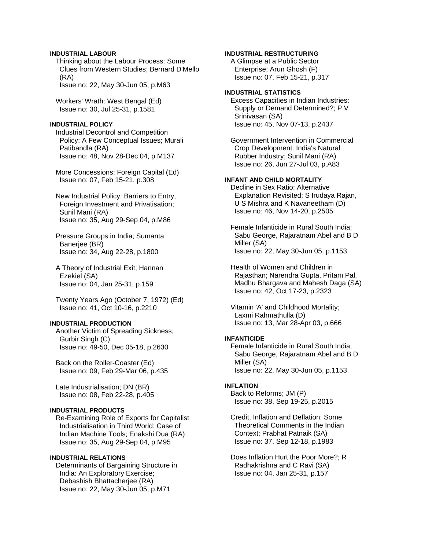## **INDUSTRIAL LABOUR**

 Thinking about the Labour Process: Some Clues from Western Studies; Bernard D'Mello (RA)

Issue no: 22, May 30-Jun 05, p.M63

 Workers' Wrath: West Bengal (Ed) Issue no: 30, Jul 25-31, p.1581

## **INDUSTRIAL POLICY**

 Industrial Decontrol and Competition Policy: A Few Conceptual Issues; Murali Patibandla (RA) Issue no: 48, Nov 28-Dec 04, p.M137

 More Concessions: Foreign Capital (Ed) Issue no: 07, Feb 15-21, p.308

 New Industrial Policy: Barriers to Entry, Foreign Investment and Privatisation; Sunil Mani (RA) Issue no: 35, Aug 29-Sep 04, p.M86

 Pressure Groups in India; Sumanta Banerjee (BR) Issue no: 34, Aug 22-28, p.1800

 A Theory of Industrial Exit; Hannan Ezekiel (SA) Issue no: 04, Jan 25-31, p.159

 Twenty Years Ago (October 7, 1972) (Ed) Issue no: 41, Oct 10-16, p.2210

# **INDUSTRIAL PRODUCTION**

 Another Victim of Spreading Sickness; Gurbir Singh (C) Issue no: 49-50, Dec 05-18, p.2630

 Back on the Roller-Coaster (Ed) Issue no: 09, Feb 29-Mar 06, p.435

 Late Industrialisation; DN (BR) Issue no: 08, Feb 22-28, p.405

# **INDUSTRIAL PRODUCTS**

 Re-Examining Role of Exports for Capitalist Industrialisation in Third World: Case of Indian Machine Tools; Enakshi Dua (RA) Issue no: 35, Aug 29-Sep 04, p.M95

# **INDUSTRIAL RELATIONS**

 Determinants of Bargaining Structure in India: An Exploratory Exercise; Debashish Bhattacherjee (RA) Issue no: 22, May 30-Jun 05, p.M71

# **INDUSTRIAL RESTRUCTURING**

 A Glimpse at a Public Sector Enterprise; Arun Ghosh (F) Issue no: 07, Feb 15-21, p.317

## **INDUSTRIAL STATISTICS**

 Excess Capacities in Indian Industries: Supply or Demand Determined?; P V Srinivasan (SA) Issue no: 45, Nov 07-13, p.2437

 Government Intervention in Commercial Crop Development: India's Natural Rubber Industry; Sunil Mani (RA) Issue no: 26, Jun 27-Jul 03, p.A83

# **INFANT AND CHILD MORTALITY**

 Decline in Sex Ratio: Alternative Explanation Revisited; S Irudaya Rajan, U S Mishra and K Navaneetham (D) Issue no: 46, Nov 14-20, p.2505

 Female Infanticide in Rural South India; Sabu George, Rajaratnam Abel and B D Miller (SA) Issue no: 22, May 30-Jun 05, p.1153

 Health of Women and Children in Rajasthan; Narendra Gupta, Pritam Pal, Madhu Bhargava and Mahesh Daga (SA) Issue no: 42, Oct 17-23, p.2323

 Vitamin 'A' and Childhood Mortality; Laxmi Rahmathulla (D) Issue no: 13, Mar 28-Apr 03, p.666

#### **INFANTICIDE**

 Female Infanticide in Rural South India; Sabu George, Rajaratnam Abel and B D Miller (SA) Issue no: 22, May 30-Jun 05, p.1153

# **INFLATION**

 Back to Reforms; JM (P) Issue no: 38, Sep 19-25, p.2015

 Credit, Inflation and Deflation: Some Theoretical Comments in the Indian Context; Prabhat Patnaik (SA) Issue no: 37, Sep 12-18, p.1983

 Does Inflation Hurt the Poor More?; R Radhakrishna and C Ravi (SA) Issue no: 04, Jan 25-31, p.157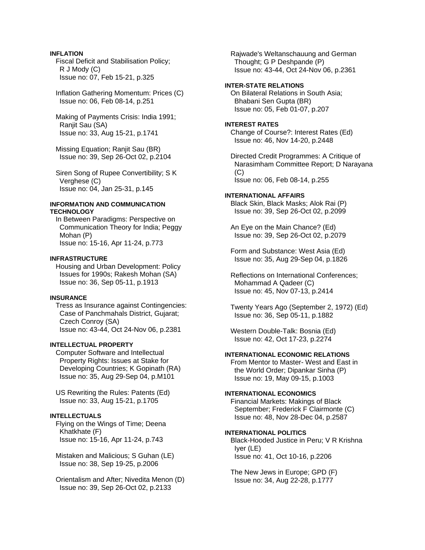# **INFLATION**

 Fiscal Deficit and Stabilisation Policy; R J Mody (C) Issue no: 07, Feb 15-21, p.325

 Inflation Gathering Momentum: Prices (C) Issue no: 06, Feb 08-14, p.251

 Making of Payments Crisis: India 1991; Ranjit Sau (SA) Issue no: 33, Aug 15-21, p.1741

 Missing Equation; Ranjit Sau (BR) Issue no: 39, Sep 26-Oct 02, p.2104

 Siren Song of Rupee Convertibility; S K Verghese (C) Issue no: 04, Jan 25-31, p.145

## **INFORMATION AND COMMUNICATION TECHNOLOGY**

 In Between Paradigms: Perspective on Communication Theory for India; Peggy Mohan (P) Issue no: 15-16, Apr 11-24, p.773

#### **INFRASTRUCTURE**

 Housing and Urban Development: Policy Issues for 1990s; Rakesh Mohan (SA) Issue no: 36, Sep 05-11, p.1913

# **INSURANCE**

 Tress as Insurance against Contingencies: Case of Panchmahals District, Gujarat; Czech Conroy (SA) Issue no: 43-44, Oct 24-Nov 06, p.2381

## **INTELLECTUAL PROPERTY**

 Computer Software and Intellectual Property Rights: Issues at Stake for Developing Countries; K Gopinath (RA) Issue no: 35, Aug 29-Sep 04, p.M101

 US Rewriting the Rules: Patents (Ed) Issue no: 33, Aug 15-21, p.1705

# **INTELLECTUALS**

 Flying on the Wings of Time; Deena Khatkhate (F) Issue no: 15-16, Apr 11-24, p.743

 Mistaken and Malicious; S Guhan (LE) Issue no: 38, Sep 19-25, p.2006

 Orientalism and After; Nivedita Menon (D) Issue no: 39, Sep 26-Oct 02, p.2133

 Rajwade's Weltanschauung and German Thought; G P Deshpande (P) Issue no: 43-44, Oct 24-Nov 06, p.2361

## **INTER-STATE RELATIONS**

 On Bilateral Relations in South Asia; Bhabani Sen Gupta (BR) Issue no: 05, Feb 01-07, p.207

#### **INTEREST RATES**

 Change of Course?: Interest Rates (Ed) Issue no: 46, Nov 14-20, p.2448

 Directed Credit Programmes: A Critique of Narasimham Committee Report; D Narayana  $(C)$ Issue no: 06, Feb 08-14, p.255

## **INTERNATIONAL AFFAIRS**

 Black Skin, Black Masks; Alok Rai (P) Issue no: 39, Sep 26-Oct 02, p.2099

 An Eye on the Main Chance? (Ed) Issue no: 39, Sep 26-Oct 02, p.2079

 Form and Substance: West Asia (Ed) Issue no: 35, Aug 29-Sep 04, p.1826

 Reflections on International Conferences; Mohammad A Qadeer (C) Issue no: 45, Nov 07-13, p.2414

 Twenty Years Ago (September 2, 1972) (Ed) Issue no: 36, Sep 05-11, p.1882

 Western Double-Talk: Bosnia (Ed) Issue no: 42, Oct 17-23, p.2274

## **INTERNATIONAL ECONOMIC RELATIONS**

 From Mentor to Master- West and East in the World Order; Dipankar Sinha (P) Issue no: 19, May 09-15, p.1003

# **INTERNATIONAL ECONOMICS**

 Financial Markets: Makings of Black September; Frederick F Clairmonte (C) Issue no: 48, Nov 28-Dec 04, p.2587

## **INTERNATIONAL POLITICS**

 Black-Hooded Justice in Peru; V R Krishna Iyer (LE) Issue no: 41, Oct 10-16, p.2206

 The New Jews in Europe; GPD (F) Issue no: 34, Aug 22-28, p.1777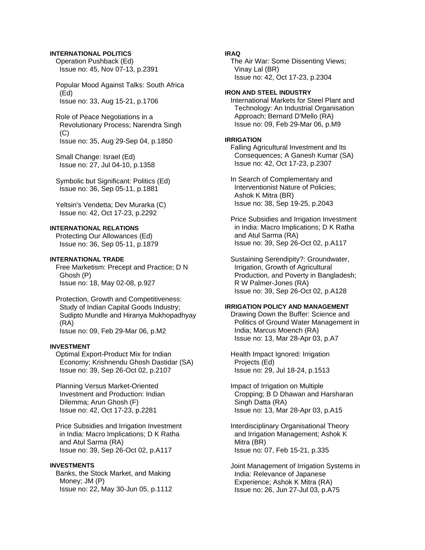# **INTERNATIONAL POLITICS**

 Operation Pushback (Ed) Issue no: 45, Nov 07-13, p.2391

 Popular Mood Against Talks: South Africa (Ed) Issue no: 33, Aug 15-21, p.1706

 Role of Peace Negotiations in a Revolutionary Process; Narendra Singh (C) Issue no: 35, Aug 29-Sep 04, p.1850

 Small Change: Israel (Ed) Issue no: 27, Jul 04-10, p.1358

 Symbolic but Significant: Politics (Ed) Issue no: 36, Sep 05-11, p.1881

 Yeltsin's Vendetta; Dev Murarka (C) Issue no: 42, Oct 17-23, p.2292

# **INTERNATIONAL RELATIONS**

 Protecting Our Allowances (Ed) Issue no: 36, Sep 05-11, p.1879

# **INTERNATIONAL TRADE**

 Free Marketism: Precept and Practice; D N Ghosh (P) Issue no: 18, May 02-08, p.927

 Protection, Growth and Competitiveness: Study of Indian Capital Goods Industry; Sudipto Mundle and Hiranya Mukhopadhyay (RA) Issue no: 09, Feb 29-Mar 06, p.M2

#### **INVESTMENT**

 Optimal Export-Product Mix for Indian Economy; Krishnendu Ghosh Dastidar (SA) Issue no: 39, Sep 26-Oct 02, p.2107

 Planning Versus Market-Oriented Investment and Production: Indian Dilemma; Arun Ghosh (F) Issue no: 42, Oct 17-23, p.2281

 Price Subsidies and Irrigation Investment in India: Macro Implications; D K Ratha and Atul Sarma (RA) Issue no: 39, Sep 26-Oct 02, p.A117

# **INVESTMENTS**

 Banks, the Stock Market, and Making Money; JM (P) Issue no: 22, May 30-Jun 05, p.1112

# **IRAQ**

 The Air War: Some Dissenting Views; Vinay Lal (BR) Issue no: 42, Oct 17-23, p.2304

## **IRON AND STEEL INDUSTRY**

 International Markets for Steel Plant and Technology: An Industrial Organisation Approach; Bernard D'Mello (RA) Issue no: 09, Feb 29-Mar 06, p.M9

## **IRRIGATION**

 Falling Agricultural Investment and Its Consequences; A Ganesh Kumar (SA) Issue no: 42, Oct 17-23, p.2307

 In Search of Complementary and Interventionist Nature of Policies; Ashok K Mitra (BR) Issue no: 38, Sep 19-25, p.2043

 Price Subsidies and Irrigation Investment in India: Macro Implications; D K Ratha and Atul Sarma (RA) Issue no: 39, Sep 26-Oct 02, p.A117

 Sustaining Serendipity?: Groundwater, Irrigation, Growth of Agricultural Production, and Poverty in Bangladesh; R W Palmer-Jones (RA) Issue no: 39, Sep 26-Oct 02, p.A128

# **IRRIGATION POLICY AND MANAGEMENT**

 Drawing Down the Buffer: Science and Politics of Ground Water Management in India; Marcus Moench (RA) Issue no: 13, Mar 28-Apr 03, p.A7

 Health Impact Ignored: Irrigation Projects (Ed) Issue no: 29, Jul 18-24, p.1513

 Impact of Irrigation on Multiple Cropping; B D Dhawan and Harsharan Singh Datta (RA) Issue no: 13, Mar 28-Apr 03, p.A15

 Interdisciplinary Organisational Theory and Irrigation Management; Ashok K Mitra (BR) Issue no: 07, Feb 15-21, p.335

 Joint Management of Irrigation Systems in India: Relevance of Japanese Experience; Ashok K Mitra (RA) Issue no: 26, Jun 27-Jul 03, p.A75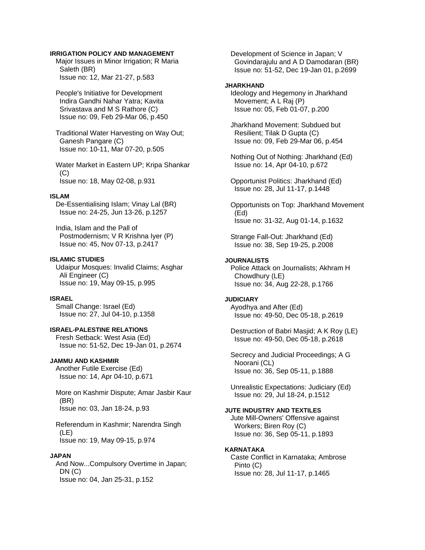## **IRRIGATION POLICY AND MANAGEMENT**

 Major Issues in Minor Irrigation; R Maria Saleth (BR) Issue no: 12, Mar 21-27, p.583

 People's Initiative for Development Indira Gandhi Nahar Yatra; Kavita Srivastava and M S Rathore (C) Issue no: 09, Feb 29-Mar 06, p.450

 Traditional Water Harvesting on Way Out; Ganesh Pangare (C) Issue no: 10-11, Mar 07-20, p.505

 Water Market in Eastern UP; Kripa Shankar  $(C)$ Issue no: 18, May 02-08, p.931

#### **ISLAM**

 De-Essentialising Islam; Vinay Lal (BR) Issue no: 24-25, Jun 13-26, p.1257

 India, Islam and the Pall of Postmodernism; V R Krishna Iyer (P) Issue no: 45, Nov 07-13, p.2417

# **ISLAMIC STUDIES**

 Udaipur Mosques: Invalid Claims; Asghar Ali Engineer (C) Issue no: 19, May 09-15, p.995

### **ISRAEL**

 Small Change: Israel (Ed) Issue no: 27, Jul 04-10, p.1358

# **ISRAEL-PALESTINE RELATIONS**

 Fresh Setback: West Asia (Ed) Issue no: 51-52, Dec 19-Jan 01, p.2674

## **JAMMU AND KASHMIR**

 Another Futile Exercise (Ed) Issue no: 14, Apr 04-10, p.671

 More on Kashmir Dispute; Amar Jasbir Kaur (BR) Issue no: 03, Jan 18-24, p.93

 Referendum in Kashmir; Narendra Singh (LE) Issue no: 19, May 09-15, p.974

# **JAPAN**

 And Now...Compulsory Overtime in Japan; DN (C) Issue no: 04, Jan 25-31, p.152

 Development of Science in Japan; V Govindarajulu and A D Damodaran (BR) Issue no: 51-52, Dec 19-Jan 01, p.2699

### **JHARKHAND**

 Ideology and Hegemony in Jharkhand Movement; A L Raj (P) Issue no: 05, Feb 01-07, p.200

 Jharkhand Movement: Subdued but Resilient; Tilak D Gupta (C) Issue no: 09, Feb 29-Mar 06, p.454

 Nothing Out of Nothing: Jharkhand (Ed) Issue no: 14, Apr 04-10, p.672

 Opportunist Politics: Jharkhand (Ed) Issue no: 28, Jul 11-17, p.1448

 Opportunists on Top: Jharkhand Movement (Ed) Issue no: 31-32, Aug 01-14, p.1632

 Strange Fall-Out: Jharkhand (Ed) Issue no: 38, Sep 19-25, p.2008

# **JOURNALISTS**

 Police Attack on Journalists; Akhram H Chowdhury (LE) Issue no: 34, Aug 22-28, p.1766

# **JUDICIARY**

 Ayodhya and After (Ed) Issue no: 49-50, Dec 05-18, p.2619

 Destruction of Babri Masjid; A K Roy (LE) Issue no: 49-50, Dec 05-18, p.2618

 Secrecy and Judicial Proceedings; A G Noorani (CL) Issue no: 36, Sep 05-11, p.1888

 Unrealistic Expectations: Judiciary (Ed) Issue no: 29, Jul 18-24, p.1512

## **JUTE INDUSTRY AND TEXTILES**

 Jute Mill-Owners' Offensive against Workers; Biren Roy (C) Issue no: 36, Sep 05-11, p.1893

#### **KARNATAKA**

 Caste Conflict in Karnataka; Ambrose Pinto (C) Issue no: 28, Jul 11-17, p.1465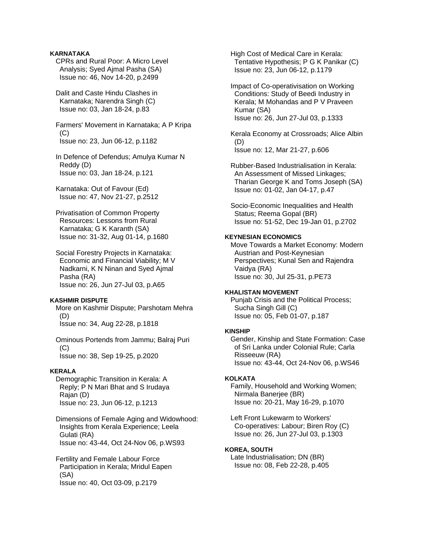# **KARNATAKA**

 CPRs and Rural Poor: A Micro Level Analysis; Syed Ajmal Pasha (SA) Issue no: 46, Nov 14-20, p.2499

 Dalit and Caste Hindu Clashes in Karnataka; Narendra Singh (C) Issue no: 03, Jan 18-24, p.83

 Farmers' Movement in Karnataka; A P Kripa (C) Issue no: 23, Jun 06-12, p.1182

 In Defence of Defendus; Amulya Kumar N Reddy (D) Issue no: 03, Jan 18-24, p.121

 Karnataka: Out of Favour (Ed) Issue no: 47, Nov 21-27, p.2512

 Privatisation of Common Property Resources: Lessons from Rural Karnataka; G K Karanth (SA) Issue no: 31-32, Aug 01-14, p.1680

 Social Forestry Projects in Karnataka: Economic and Financial Viability; M V Nadkarni, K N Ninan and Syed Ajmal Pasha (RA) Issue no: 26, Jun 27-Jul 03, p.A65

## **KASHMIR DISPUTE**

 More on Kashmir Dispute; Parshotam Mehra (D) Issue no: 34, Aug 22-28, p.1818

 Ominous Portends from Jammu; Balraj Puri (C) Issue no: 38, Sep 19-25, p.2020

# **KERALA**

 Demographic Transition in Kerala: A Reply; P N Mari Bhat and S Irudaya Rajan (D) Issue no: 23, Jun 06-12, p.1213

 Dimensions of Female Aging and Widowhood: Insights from Kerala Experience; Leela Gulati (RA) Issue no: 43-44, Oct 24-Nov 06, p.WS93

 Fertility and Female Labour Force Participation in Kerala; Mridul Eapen (SA) Issue no: 40, Oct 03-09, p.2179

 High Cost of Medical Care in Kerala: Tentative Hypothesis; P G K Panikar (C) Issue no: 23, Jun 06-12, p.1179

 Impact of Co-operativisation on Working Conditions: Study of Beedi Industry in Kerala; M Mohandas and P V Praveen Kumar (SA) Issue no: 26, Jun 27-Jul 03, p.1333

 Kerala Economy at Crossroads; Alice Albin (D) Issue no: 12, Mar 21-27, p.606

 Rubber-Based Industrialisation in Kerala: An Assessment of Missed Linkages; Tharian George K and Toms Joseph (SA) Issue no: 01-02, Jan 04-17, p.47

 Socio-Economic Inequalities and Health Status; Reema Gopal (BR) Issue no: 51-52, Dec 19-Jan 01, p.2702

## **KEYNESIAN ECONOMICS**

 Move Towards a Market Economy: Modern Austrian and Post-Keynesian Perspectives; Kunal Sen and Rajendra Vaidya (RA) Issue no: 30, Jul 25-31, p.PE73

## **KHALISTAN MOVEMENT**

 Punjab Crisis and the Political Process; Sucha Singh Gill (C) Issue no: 05, Feb 01-07, p.187

#### **KINSHIP**

 Gender, Kinship and State Formation: Case of Sri Lanka under Colonial Rule; Carla Risseeuw (RA) Issue no: 43-44, Oct 24-Nov 06, p.WS46

#### **KOLKATA**

 Family, Household and Working Women; Nirmala Banerjee (BR) Issue no: 20-21, May 16-29, p.1070

 Left Front Lukewarm to Workers' Co-operatives: Labour; Biren Roy (C) Issue no: 26, Jun 27-Jul 03, p.1303

#### **KOREA, SOUTH**

 Late Industrialisation; DN (BR) Issue no: 08, Feb 22-28, p.405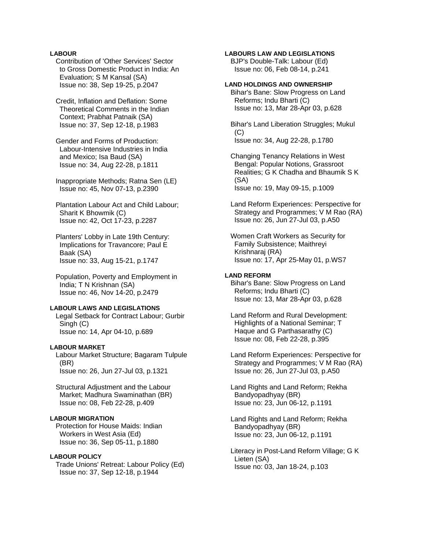# **LABOUR**

 Contribution of 'Other Services' Sector to Gross Domestic Product in India: An Evaluation; S M Kansal (SA) Issue no: 38, Sep 19-25, p.2047

 Credit, Inflation and Deflation: Some Theoretical Comments in the Indian Context; Prabhat Patnaik (SA) Issue no: 37, Sep 12-18, p.1983

 Gender and Forms of Production: Labour-Intensive Industries in India and Mexico; Isa Baud (SA) Issue no: 34, Aug 22-28, p.1811

 Inappropriate Methods; Ratna Sen (LE) Issue no: 45, Nov 07-13, p.2390

 Plantation Labour Act and Child Labour; Sharit K Bhowmik (C) Issue no: 42, Oct 17-23, p.2287

 Planters' Lobby in Late 19th Century: Implications for Travancore; Paul E Baak (SA) Issue no: 33, Aug 15-21, p.1747

 Population, Poverty and Employment in India; T N Krishnan (SA) Issue no: 46, Nov 14-20, p.2479

#### **LABOUR LAWS AND LEGISLATIONS**

 Legal Setback for Contract Labour; Gurbir Singh (C) Issue no: 14, Apr 04-10, p.689

# **LABOUR MARKET**

 Labour Market Structure; Bagaram Tulpule (BR) Issue no: 26, Jun 27-Jul 03, p.1321

 Structural Adjustment and the Labour Market; Madhura Swaminathan (BR) Issue no: 08, Feb 22-28, p.409

# **LABOUR MIGRATION**

 Protection for House Maids: Indian Workers in West Asia (Ed) Issue no: 36, Sep 05-11, p.1880

#### **LABOUR POLICY**

 Trade Unions' Retreat: Labour Policy (Ed) Issue no: 37, Sep 12-18, p.1944

# **LABOURS LAW AND LEGISLATIONS**

 BJP's Double-Talk: Labour (Ed) Issue no: 06, Feb 08-14, p.241

## **LAND HOLDINGS AND OWNERSHIP**

 Bihar's Bane: Slow Progress on Land Reforms; Indu Bharti (C) Issue no: 13, Mar 28-Apr 03, p.628

 Bihar's Land Liberation Struggles; Mukul  $(C)$ Issue no: 34, Aug 22-28, p.1780

 Changing Tenancy Relations in West Bengal: Popular Notions, Grassroot Realities; G K Chadha and Bhaumik S K (SA) Issue no: 19, May 09-15, p.1009

 Land Reform Experiences: Perspective for Strategy and Programmes; V M Rao (RA) Issue no: 26, Jun 27-Jul 03, p.A50

 Women Craft Workers as Security for Family Subsistence; Maithreyi Krishnaraj (RA) Issue no: 17, Apr 25-May 01, p.WS7

## **LAND REFORM**

 Bihar's Bane: Slow Progress on Land Reforms; Indu Bharti (C) Issue no: 13, Mar 28-Apr 03, p.628

 Land Reform and Rural Development: Highlights of a National Seminar; T Haque and G Parthasarathy (C) Issue no: 08, Feb 22-28, p.395

 Land Reform Experiences: Perspective for Strategy and Programmes; V M Rao (RA) Issue no: 26, Jun 27-Jul 03, p.A50

 Land Rights and Land Reform; Rekha Bandyopadhyay (BR) Issue no: 23, Jun 06-12, p.1191

 Land Rights and Land Reform; Rekha Bandyopadhyay (BR) Issue no: 23, Jun 06-12, p.1191

 Literacy in Post-Land Reform Village; G K Lieten (SA) Issue no: 03, Jan 18-24, p.103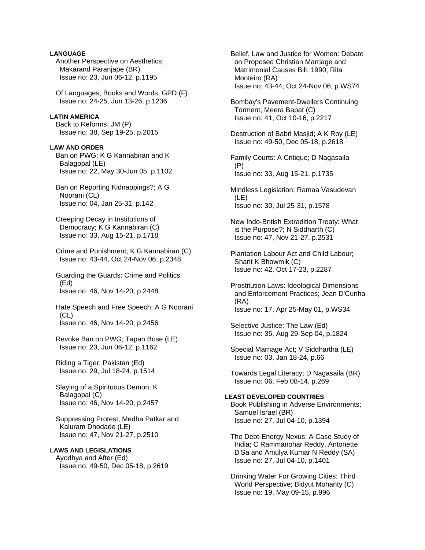Another Perspective on Aesthetics; Makarand Paranjape (BR) Issue no: 23, Jun 06-12, p.1195 Of Languages, Books and Words; GPD (F) Issue no: 24-25, Jun 13-26, p.1236 **LATIN AMERICA**  Back to Reforms; JM (P) Issue no: 38, Sep 19-25, p.2015 **LAW AND ORDER**  Ban on PWG; K G Kannabiran and K Balagopal (LE) Issue no: 22, May 30-Jun 05, p.1102 Ban on Reporting Kidnappings?; A G Noorani (CL) Issue no: 04, Jan 25-31, p.142 Creeping Decay in Institutions of Democracy; K G Kannabiran (C) Issue no: 33, Aug 15-21, p.1718 Crime and Punishment; K G Kannabiran (C) Issue no: 43-44, Oct 24-Nov 06, p.2348 Guarding the Guards: Crime and Politics (Ed) Issue no: 46, Nov 14-20, p.2448 Hate Speech and Free Speech; A G Noorani (CL) Issue no: 46, Nov 14-20, p.2456 Revoke Ban on PWG; Tapan Bose (LE) Issue no: 23, Jun 06-12, p.1162 Riding a Tiger: Pakistan (Ed) Issue no: 29, Jul 18-24, p.1514 Slaying of a Spirituous Demon; K Balagopal (C) Issue no: 46, Nov 14-20, p.2457 Suppressing Protest; Medha Patkar and Kaluram Dhodade (LE) Issue no: 47, Nov 21-27, p.2510 **LAWS AND LEGISLATIONS**  Ayodhya and After (Ed) Issue no: 49-50, Dec 05-18, p.2619

**LANGUAGE** 

 Belief, Law and Justice for Women: Debate on Proposed Christian Marriage and Matrimonial Causes Bill, 1990; Rita Monteiro (RA) Issue no: 43-44, Oct 24-Nov 06, p.WS74

 Bombay's Pavement-Dwellers Continuing Torment; Meera Bapat (C) Issue no: 41, Oct 10-16, p.2217

 Destruction of Babri Masjid; A K Roy (LE) Issue no: 49-50, Dec 05-18, p.2618

 Family Courts: A Critique; D Nagasaila (P) Issue no: 33, Aug 15-21, p.1735

 Mindless Legislation; Ramaa Vasudevan (LE) Issue no: 30, Jul 25-31, p.1578

 New Indo-British Extradition Treaty: What is the Purpose?; N Siddharth (C) Issue no: 47, Nov 21-27, p.2531

 Plantation Labour Act and Child Labour; Sharit K Bhowmik (C) Issue no: 42, Oct 17-23, p.2287

 Prostitution Laws: Ideological Dimensions and Enforcement Practices; Jean D'Cunha (RA) Issue no: 17, Apr 25-May 01, p.WS34

 Selective Justice: The Law (Ed) Issue no: 35, Aug 29-Sep 04, p.1824

 Special Marriage Act; V Siddhartha (LE) Issue no: 03, Jan 18-24, p.66

 Towards Legal Literacy; D Nagasaila (BR) Issue no: 06, Feb 08-14, p.269

# **LEAST DEVELOPED COUNTRIES**

 Book Publishing in Adverse Environments; Samuel Israel (BR) Issue no: 27, Jul 04-10, p.1394

 The Debt-Energy Nexus: A Case Study of India; C Rammanohar Reddy, Antonette D'Sa and Amulya Kumar N Reddy (SA) Issue no: 27, Jul 04-10, p.1401

 Drinking Water For Growing Cities: Third World Perspective; Bidyut Mohanty (C) Issue no: 19, May 09-15, p.996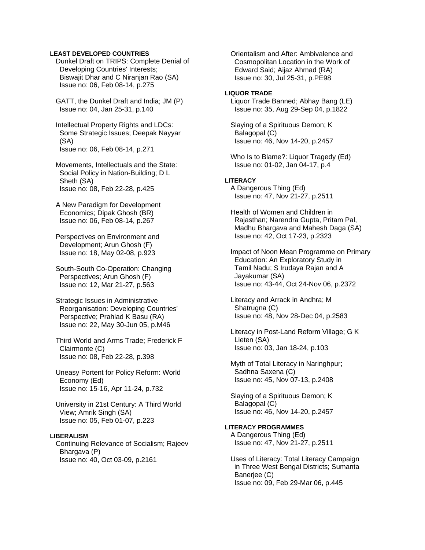## **LEAST DEVELOPED COUNTRIES**

 Dunkel Draft on TRIPS: Complete Denial of Developing Countries' Interests; Biswajit Dhar and C Niranjan Rao (SA) Issue no: 06, Feb 08-14, p.275

 GATT, the Dunkel Draft and India; JM (P) Issue no: 04, Jan 25-31, p.140

 Intellectual Property Rights and LDCs: Some Strategic Issues; Deepak Nayyar (SA) Issue no: 06, Feb 08-14, p.271

- Movements, Intellectuals and the State: Social Policy in Nation-Building; D L Sheth (SA) Issue no: 08, Feb 22-28, p.425
- A New Paradigm for Development Economics; Dipak Ghosh (BR) Issue no: 06, Feb 08-14, p.267

 Perspectives on Environment and Development; Arun Ghosh (F) Issue no: 18, May 02-08, p.923

 South-South Co-Operation: Changing Perspectives; Arun Ghosh (F) Issue no: 12, Mar 21-27, p.563

 Strategic Issues in Administrative Reorganisation: Developing Countries' Perspective; Prahlad K Basu (RA) Issue no: 22, May 30-Jun 05, p.M46

 Third World and Arms Trade; Frederick F Clairmonte (C) Issue no: 08, Feb 22-28, p.398

 Uneasy Portent for Policy Reform: World Economy (Ed) Issue no: 15-16, Apr 11-24, p.732

 University in 21st Century: A Third World View; Amrik Singh (SA) Issue no: 05, Feb 01-07, p.223

## **LIBERALISM**

 Continuing Relevance of Socialism; Rajeev Bhargava (P) Issue no: 40, Oct 03-09, p.2161

 Orientalism and After: Ambivalence and Cosmopolitan Location in the Work of Edward Said; Aijaz Ahmad (RA) Issue no: 30, Jul 25-31, p.PE98

## **LIQUOR TRADE**

 Liquor Trade Banned; Abhay Bang (LE) Issue no: 35, Aug 29-Sep 04, p.1822

 Slaying of a Spirituous Demon; K Balagopal (C) Issue no: 46, Nov 14-20, p.2457

 Who Is to Blame?: Liquor Tragedy (Ed) Issue no: 01-02, Jan 04-17, p.4

# **LITERACY**

 A Dangerous Thing (Ed) Issue no: 47, Nov 21-27, p.2511

 Health of Women and Children in Rajasthan; Narendra Gupta, Pritam Pal, Madhu Bhargava and Mahesh Daga (SA) Issue no: 42, Oct 17-23, p.2323

 Impact of Noon Mean Programme on Primary Education: An Exploratory Study in Tamil Nadu; S Irudaya Rajan and A Jayakumar (SA) Issue no: 43-44, Oct 24-Nov 06, p.2372

 Literacy and Arrack in Andhra; M Shatrugna (C) Issue no: 48, Nov 28-Dec 04, p.2583

 Literacy in Post-Land Reform Village; G K Lieten (SA) Issue no: 03, Jan 18-24, p.103

 Myth of Total Literacy in Naringhpur; Sadhna Saxena (C) Issue no: 45, Nov 07-13, p.2408

 Slaying of a Spirituous Demon; K Balagopal (C) Issue no: 46, Nov 14-20, p.2457

# **LITERACY PROGRAMMES**

 A Dangerous Thing (Ed) Issue no: 47, Nov 21-27, p.2511

 Uses of Literacy: Total Literacy Campaign in Three West Bengal Districts; Sumanta Baneriee (C) Issue no: 09, Feb 29-Mar 06, p.445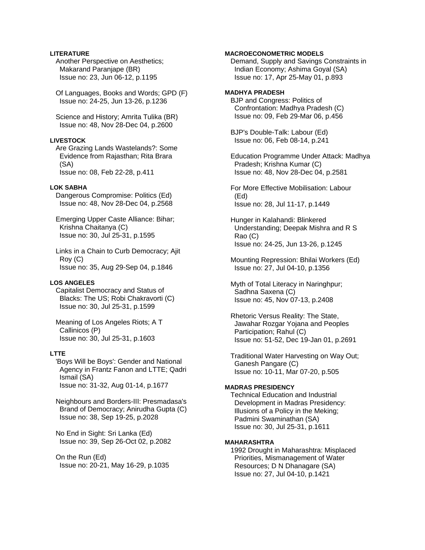# **LITERATURE**

 Another Perspective on Aesthetics; Makarand Paranjape (BR) Issue no: 23, Jun 06-12, p.1195

 Of Languages, Books and Words; GPD (F) Issue no: 24-25, Jun 13-26, p.1236

 Science and History; Amrita Tulika (BR) Issue no: 48, Nov 28-Dec 04, p.2600

# **LIVESTOCK**

 Are Grazing Lands Wastelands?: Some Evidence from Rajasthan; Rita Brara (SA) Issue no: 08, Feb 22-28, p.411

#### **LOK SABHA**

 Dangerous Compromise: Politics (Ed) Issue no: 48, Nov 28-Dec 04, p.2568

 Emerging Upper Caste Alliance: Bihar; Krishna Chaitanya (C) Issue no: 30, Jul 25-31, p.1595

 Links in a Chain to Curb Democracy; Ajit Roy (C) Issue no: 35, Aug 29-Sep 04, p.1846

## **LOS ANGELES**

 Capitalist Democracy and Status of Blacks: The US; Robi Chakravorti (C) Issue no: 30, Jul 25-31, p.1599

 Meaning of Los Angeles Riots; A T Callinicos (P) Issue no: 30, Jul 25-31, p.1603

## **LTTE**

 'Boys Will be Boys': Gender and National Agency in Frantz Fanon and LTTE; Qadri Ismail (SA) Issue no: 31-32, Aug 01-14, p.1677

 Neighbours and Borders-III: Presmadasa's Brand of Democracy; Anirudha Gupta (C) Issue no: 38, Sep 19-25, p.2028

 No End in Sight: Sri Lanka (Ed) Issue no: 39, Sep 26-Oct 02, p.2082

 On the Run (Ed) Issue no: 20-21, May 16-29, p.1035

# **MACROECONOMETRIC MODELS**

 Demand, Supply and Savings Constraints in Indian Economy; Ashima Goyal (SA) Issue no: 17, Apr 25-May 01, p.893

## **MADHYA PRADESH**  BJP and Congress: Politics of Confrontation: Madhya Pradesh (C) Issue no: 09, Feb 29-Mar 06, p.456

 BJP's Double-Talk: Labour (Ed) Issue no: 06, Feb 08-14, p.241

 Education Programme Under Attack: Madhya Pradesh; Krishna Kumar (C) Issue no: 48, Nov 28-Dec 04, p.2581

 For More Effective Mobilisation: Labour (Ed) Issue no: 28, Jul 11-17, p.1449

 Hunger in Kalahandi: Blinkered Understanding; Deepak Mishra and R S Rao (C) Issue no: 24-25, Jun 13-26, p.1245

 Mounting Repression: Bhilai Workers (Ed) Issue no: 27, Jul 04-10, p.1356

 Myth of Total Literacy in Naringhpur; Sadhna Saxena (C) Issue no: 45, Nov 07-13, p.2408

 Rhetoric Versus Reality: The State, Jawahar Rozgar Yojana and Peoples Participation; Rahul (C) Issue no: 51-52, Dec 19-Jan 01, p.2691

 Traditional Water Harvesting on Way Out; Ganesh Pangare (C) Issue no: 10-11, Mar 07-20, p.505

## **MADRAS PRESIDENCY**

 Technical Education and Industrial Development in Madras Presidency: Illusions of a Policy in the Meking; Padmini Swaminathan (SA) Issue no: 30, Jul 25-31, p.1611

## **MAHARASHTRA**

 1992 Drought in Maharashtra: Misplaced Priorities, Mismanagement of Water Resources; D N Dhanagare (SA) Issue no: 27, Jul 04-10, p.1421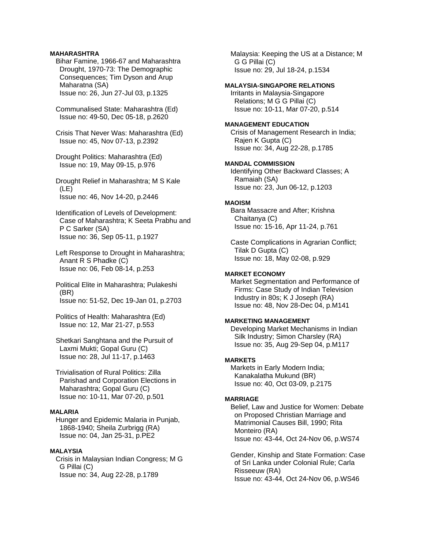## **MAHARASHTRA**

 Bihar Famine, 1966-67 and Maharashtra Drought, 1970-73: The Demographic Consequences; Tim Dyson and Arup Maharatna (SA) Issue no: 26, Jun 27-Jul 03, p.1325

 Communalised State: Maharashtra (Ed) Issue no: 49-50, Dec 05-18, p.2620

 Crisis That Never Was: Maharashtra (Ed) Issue no: 45, Nov 07-13, p.2392

 Drought Politics: Maharashtra (Ed) Issue no: 19, May 09-15, p.976

 Drought Relief in Maharashtra; M S Kale (LE) Issue no: 46, Nov 14-20, p.2446

 Identification of Levels of Development: Case of Maharashtra; K Seeta Prabhu and P C Sarker (SA) Issue no: 36, Sep 05-11, p.1927

 Left Response to Drought in Maharashtra; Anant R S Phadke (C) Issue no: 06, Feb 08-14, p.253

 Political Elite in Maharashtra; Pulakeshi (BR) Issue no: 51-52, Dec 19-Jan 01, p.2703

 Politics of Health: Maharashtra (Ed) Issue no: 12, Mar 21-27, p.553

 Shetkari Sanghtana and the Pursuit of Laxmi Mukti; Gopal Guru (C) Issue no: 28, Jul 11-17, p.1463

 Trivialisation of Rural Politics: Zilla Parishad and Corporation Elections in Maharashtra; Gopal Guru (C) Issue no: 10-11, Mar 07-20, p.501

# **MALARIA**

 Hunger and Epidemic Malaria in Punjab, 1868-1940; Sheila Zurbrigg (RA) Issue no: 04, Jan 25-31, p.PE2

## **MALAYSIA**

 Crisis in Malaysian Indian Congress; M G G Pillai (C) Issue no: 34, Aug 22-28, p.1789

 Malaysia: Keeping the US at a Distance; M G G Pillai (C) Issue no: 29, Jul 18-24, p.1534

## **MALAYSIA-SINGAPORE RELATIONS**

 Irritants in Malaysia-Singapore Relations; M G G Pillai (C) Issue no: 10-11, Mar 07-20, p.514

## **MANAGEMENT EDUCATION**

 Crisis of Management Research in India; Rajen K Gupta (C) Issue no: 34, Aug 22-28, p.1785

# **MANDAL COMMISSION**

 Identifying Other Backward Classes; A Ramaiah (SA) Issue no: 23, Jun 06-12, p.1203

## **MAOISM**

 Bara Massacre and After; Krishna Chaitanya (C) Issue no: 15-16, Apr 11-24, p.761

 Caste Complications in Agrarian Conflict; Tilak D Gupta (C) Issue no: 18, May 02-08, p.929

#### **MARKET ECONOMY**

 Market Segmentation and Performance of Firms: Case Study of Indian Television Industry in 80s; K J Joseph (RA) Issue no: 48, Nov 28-Dec 04, p.M141

# **MARKETING MANAGEMENT**

 Developing Market Mechanisms in Indian Silk Industry; Simon Charsley (RA) Issue no: 35, Aug 29-Sep 04, p.M117

### **MARKETS**

 Markets in Early Modern India; Kanakalatha Mukund (BR) Issue no: 40, Oct 03-09, p.2175

#### **MARRIAGE**

 Belief, Law and Justice for Women: Debate on Proposed Christian Marriage and Matrimonial Causes Bill, 1990; Rita Monteiro (RA) Issue no: 43-44, Oct 24-Nov 06, p.WS74

 Gender, Kinship and State Formation: Case of Sri Lanka under Colonial Rule; Carla Risseeuw (RA) Issue no: 43-44, Oct 24-Nov 06, p.WS46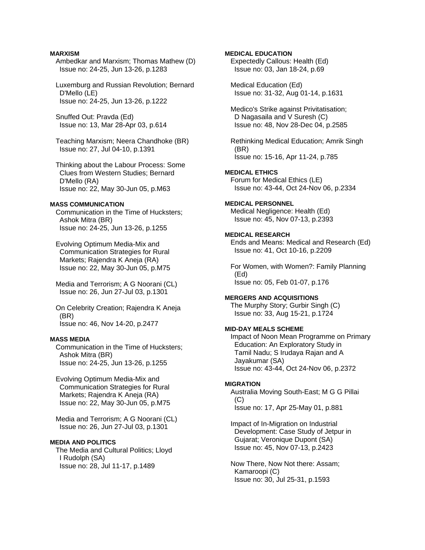## **MARXISM**

- Ambedkar and Marxism; Thomas Mathew (D) Issue no: 24-25, Jun 13-26, p.1283
- Luxemburg and Russian Revolution; Bernard D'Mello (LE) Issue no: 24-25, Jun 13-26, p.1222
- Snuffed Out: Pravda (Ed) Issue no: 13, Mar 28-Apr 03, p.614
- Teaching Marxism; Neera Chandhoke (BR) Issue no: 27, Jul 04-10, p.1391
- Thinking about the Labour Process: Some Clues from Western Studies; Bernard D'Mello (RA) Issue no: 22, May 30-Jun 05, p.M63

## **MASS COMMUNICATION**

 Communication in the Time of Hucksters; Ashok Mitra (BR) Issue no: 24-25, Jun 13-26, p.1255

 Evolving Optimum Media-Mix and Communication Strategies for Rural Markets; Rajendra K Aneja (RA) Issue no: 22, May 30-Jun 05, p.M75

 Media and Terrorism; A G Noorani (CL) Issue no: 26, Jun 27-Jul 03, p.1301

 On Celebrity Creation; Rajendra K Aneja (BR) Issue no: 46, Nov 14-20, p.2477

# **MASS MEDIA**

 Communication in the Time of Hucksters; Ashok Mitra (BR) Issue no: 24-25, Jun 13-26, p.1255

 Evolving Optimum Media-Mix and Communication Strategies for Rural Markets; Rajendra K Aneja (RA) Issue no: 22, May 30-Jun 05, p.M75

 Media and Terrorism; A G Noorani (CL) Issue no: 26, Jun 27-Jul 03, p.1301

# **MEDIA AND POLITICS**

 The Media and Cultural Politics; Lloyd I Rudolph (SA) Issue no: 28, Jul 11-17, p.1489

# **MEDICAL EDUCATION**

 Expectedly Callous: Health (Ed) Issue no: 03, Jan 18-24, p.69

 Medical Education (Ed) Issue no: 31-32, Aug 01-14, p.1631

 Medico's Strike against Privitatisation; D Nagasaila and V Suresh (C) Issue no: 48, Nov 28-Dec 04, p.2585

 Rethinking Medical Education; Amrik Singh (BR) Issue no: 15-16, Apr 11-24, p.785

## **MEDICAL ETHICS**

 Forum for Medical Ethics (LE) Issue no: 43-44, Oct 24-Nov 06, p.2334

### **MEDICAL PERSONNEL**

 Medical Negligence: Health (Ed) Issue no: 45, Nov 07-13, p.2393

### **MEDICAL RESEARCH**

 Ends and Means: Medical and Research (Ed) Issue no: 41, Oct 10-16, p.2209

 For Women, with Women?: Family Planning (Ed) Issue no: 05, Feb 01-07, p.176

#### **MERGERS AND ACQUISITIONS**

 The Murphy Story; Gurbir Singh (C) Issue no: 33, Aug 15-21, p.1724

# **MID-DAY MEALS SCHEME**

 Impact of Noon Mean Programme on Primary Education: An Exploratory Study in Tamil Nadu; S Irudaya Rajan and A Jayakumar (SA) Issue no: 43-44, Oct 24-Nov 06, p.2372

#### **MIGRATION**

 Australia Moving South-East; M G G Pillai  $(C)$ Issue no: 17, Apr 25-May 01, p.881

 Impact of In-Migration on Industrial Development: Case Study of Jetpur in Gujarat; Veronique Dupont (SA) Issue no: 45, Nov 07-13, p.2423

 Now There, Now Not there: Assam; Kamaroopi (C) Issue no: 30, Jul 25-31, p.1593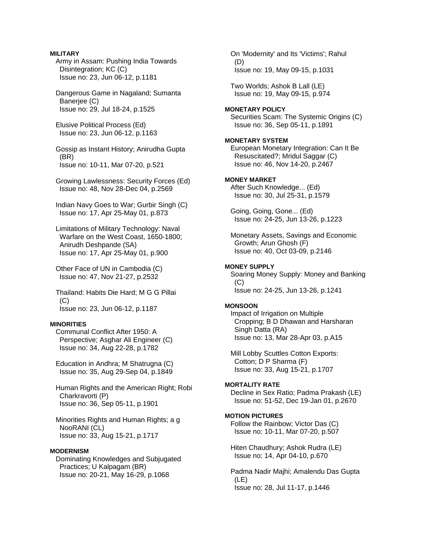## **MILITARY**

 Army in Assam: Pushing India Towards Disintegration; KC (C) Issue no: 23, Jun 06-12, p.1181

 Dangerous Game in Nagaland; Sumanta Baneriee (C) Issue no: 29, Jul 18-24, p.1525

 Elusive Political Process (Ed) Issue no: 23, Jun 06-12, p.1163

 Gossip as Instant History; Anirudha Gupta (BR) Issue no: 10-11, Mar 07-20, p.521

 Growing Lawlessness: Security Forces (Ed) Issue no: 48, Nov 28-Dec 04, p.2569

 Indian Navy Goes to War; Gurbir Singh (C) Issue no: 17, Apr 25-May 01, p.873

 Limitations of Military Technology: Naval Warfare on the West Coast, 1650-1800; Anirudh Deshpande (SA) Issue no: 17, Apr 25-May 01, p.900

 Other Face of UN in Cambodia (C) Issue no: 47, Nov 21-27, p.2532

 Thailand: Habits Die Hard; M G G Pillai  $(C)$ Issue no: 23, Jun 06-12, p.1187

# **MINORITIES**

 Communal Conflict After 1950: A Perspective; Asghar Ali Engineer (C) Issue no: 34, Aug 22-28, p.1782

 Education in Andhra; M Shatrugna (C) Issue no: 35, Aug 29-Sep 04, p.1849

 Human Rights and the American Right; Robi Charkravorti (P) Issue no: 36, Sep 05-11, p.1901

 Minorities Rights and Human Rights; a g NooRANI (CL) Issue no: 33, Aug 15-21, p.1717

#### **MODERNISM**

 Dominating Knowledges and Subjugated Practices; U Kalpagam (BR) Issue no: 20-21, May 16-29, p.1068

 On 'Modernity' and Its 'Victims'; Rahul (D) Issue no: 19, May 09-15, p.1031

 Two Worlds; Ashok B Lall (LE) Issue no: 19, May 09-15, p.974

#### **MONETARY POLICY**

 Securities Scam: The Systemic Origins (C) Issue no: 36, Sep 05-11, p.1891

# **MONETARY SYSTEM**

 European Monetary Integration: Can It Be Resuscitated?; Mridul Saggar (C) Issue no: 46, Nov 14-20, p.2467

### **MONEY MARKET**

 After Such Knowledge... (Ed) Issue no: 30, Jul 25-31, p.1579

 Going, Going, Gone... (Ed) Issue no: 24-25, Jun 13-26, p.1223

 Monetary Assets, Savings and Economic Growth; Arun Ghosh (F) Issue no: 40, Oct 03-09, p.2146

# **MONEY SUPPLY**

 Soaring Money Supply: Money and Banking  $(C)$ Issue no: 24-25, Jun 13-26, p.1241

#### **MONSOON**

 Impact of Irrigation on Multiple Cropping; B D Dhawan and Harsharan Singh Datta (RA) Issue no: 13, Mar 28-Apr 03, p.A15

 Mill Lobby Scuttles Cotton Exports: Cotton; D P Sharma (F) Issue no: 33, Aug 15-21, p.1707

#### **MORTALITY RATE**

 Decline in Sex Ratio; Padma Prakash (LE) Issue no: 51-52, Dec 19-Jan 01, p.2670

## **MOTION PICTURES**

 Follow the Rainbow; Victor Das (C) Issue no: 10-11, Mar 07-20, p.507

 Hiten Chaudhury; Ashok Rudra (LE) Issue no: 14, Apr 04-10, p.670

 Padma Nadir Majhi; Amalendu Das Gupta (LE) Issue no: 28, Jul 11-17, p.1446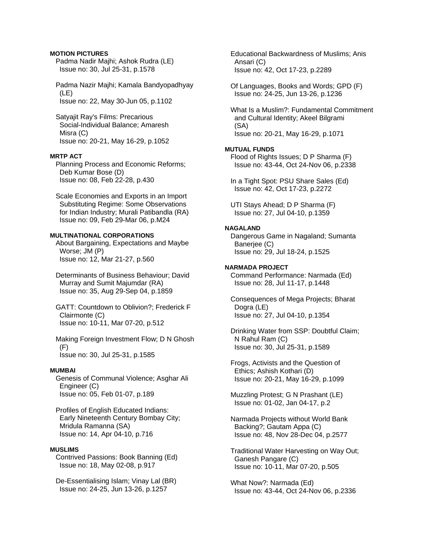## **MOTION PICTURES**

 Padma Nadir Majhi; Ashok Rudra (LE) Issue no: 30, Jul 25-31, p.1578

 Padma Nazir Majhi; Kamala Bandyopadhyay (LE) Issue no: 22, May 30-Jun 05, p.1102

 Satyajit Ray's Films: Precarious Social-Individual Balance; Amaresh Misra (C) Issue no: 20-21, May 16-29, p.1052

# **MRTP ACT**

 Planning Process and Economic Reforms; Deb Kumar Bose (D) Issue no: 08, Feb 22-28, p.430

 Scale Economies and Exports in an Import Substituting Regime: Some Observations for Indian Industry; Murali Patibandla (RA) Issue no: 09, Feb 29-Mar 06, p.M24

# **MULTINATIONAL CORPORATIONS**

 About Bargaining, Expectations and Maybe Worse; JM (P) Issue no: 12, Mar 21-27, p.560

 Determinants of Business Behaviour; David Murray and Sumit Majumdar (RA) Issue no: 35, Aug 29-Sep 04, p.1859

 GATT: Countdown to Oblivion?; Frederick F Clairmonte (C) Issue no: 10-11, Mar 07-20, p.512

 Making Foreign Investment Flow; D N Ghosh (F) Issue no: 30, Jul 25-31, p.1585

# **MUMBAI**

 Genesis of Communal Violence; Asghar Ali Engineer (C) Issue no: 05, Feb 01-07, p.189

 Profiles of English Educated Indians: Early Nineteenth Century Bombay City; Mridula Ramanna (SA) Issue no: 14, Apr 04-10, p.716

#### **MUSLIMS**

 Contrived Passions: Book Banning (Ed) Issue no: 18, May 02-08, p.917

 De-Essentialising Islam; Vinay Lal (BR) Issue no: 24-25, Jun 13-26, p.1257

 Educational Backwardness of Muslims; Anis Ansari (C) Issue no: 42, Oct 17-23, p.2289

 Of Languages, Books and Words; GPD (F) Issue no: 24-25, Jun 13-26, p.1236

 What Is a Muslim?: Fundamental Commitment and Cultural Identity; Akeel Bilgrami (SA) Issue no: 20-21, May 16-29, p.1071

# **MUTUAL FUNDS**

 Flood of Rights Issues; D P Sharma (F) Issue no: 43-44, Oct 24-Nov 06, p.2338

 In a Tight Spot: PSU Share Sales (Ed) Issue no: 42, Oct 17-23, p.2272

 UTI Stays Ahead; D P Sharma (F) Issue no: 27, Jul 04-10, p.1359

# **NAGALAND**

 Dangerous Game in Nagaland; Sumanta Banerjee (C) Issue no: 29, Jul 18-24, p.1525

# **NARMADA PROJECT**

 Command Performance: Narmada (Ed) Issue no: 28, Jul 11-17, p.1448

 Consequences of Mega Projects; Bharat Dogra (LE) Issue no: 27, Jul 04-10, p.1354

 Drinking Water from SSP: Doubtful Claim; N Rahul Ram (C) Issue no: 30, Jul 25-31, p.1589

 Frogs, Activists and the Question of Ethics; Ashish Kothari (D) Issue no: 20-21, May 16-29, p.1099

 Muzzling Protest; G N Prashant (LE) Issue no: 01-02, Jan 04-17, p.2

 Narmada Projects without World Bank Backing?; Gautam Appa (C) Issue no: 48, Nov 28-Dec 04, p.2577

 Traditional Water Harvesting on Way Out; Ganesh Pangare (C) Issue no: 10-11, Mar 07-20, p.505

 What Now?: Narmada (Ed) Issue no: 43-44, Oct 24-Nov 06, p.2336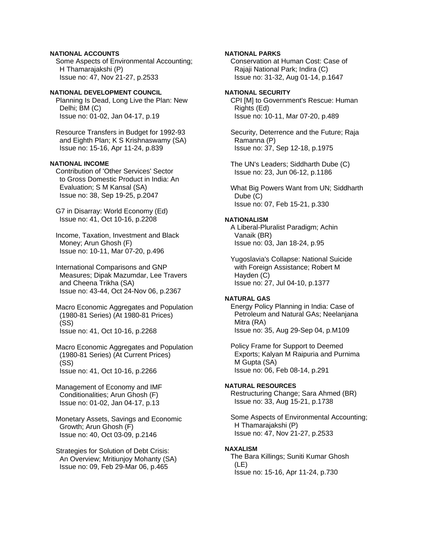# **NATIONAL ACCOUNTS**

 Some Aspects of Environmental Accounting; H Thamarajakshi (P) Issue no: 47, Nov 21-27, p.2533

# **NATIONAL DEVELOPMENT COUNCIL**

 Planning Is Dead, Long Live the Plan: New Delhi; BM (C) Issue no: 01-02, Jan 04-17, p.19

 Resource Transfers in Budget for 1992-93 and Eighth Plan; K S Krishnaswamy (SA) Issue no: 15-16, Apr 11-24, p.839

# **NATIONAL INCOME**

 Contribution of 'Other Services' Sector to Gross Domestic Product in India: An Evaluation; S M Kansal (SA) Issue no: 38, Sep 19-25, p.2047

 G7 in Disarray: World Economy (Ed) Issue no: 41, Oct 10-16, p.2208

 Income, Taxation, Investment and Black Money; Arun Ghosh (F) Issue no: 10-11, Mar 07-20, p.496

 International Comparisons and GNP Measures; Dipak Mazumdar, Lee Travers and Cheena Trikha (SA) Issue no: 43-44, Oct 24-Nov 06, p.2367

 Macro Economic Aggregates and Population (1980-81 Series) (At 1980-81 Prices) (SS) Issue no: 41, Oct 10-16, p.2268

 Macro Economic Aggregates and Population (1980-81 Series) (At Current Prices) (SS) Issue no: 41, Oct 10-16, p.2266

 Management of Economy and IMF Conditionalities; Arun Ghosh (F) Issue no: 01-02, Jan 04-17, p.13

 Monetary Assets, Savings and Economic Growth; Arun Ghosh (F) Issue no: 40, Oct 03-09, p.2146

 Strategies for Solution of Debt Crisis: An Overview; Mritiunjoy Mohanty (SA) Issue no: 09, Feb 29-Mar 06, p.465

## **NATIONAL PARKS**

 Conservation at Human Cost: Case of Rajaji National Park; Indira (C) Issue no: 31-32, Aug 01-14, p.1647

## **NATIONAL SECURITY**

 CPI [M] to Government's Rescue: Human Rights (Ed) Issue no: 10-11, Mar 07-20, p.489

 Security, Deterrence and the Future; Raja Ramanna (P) Issue no: 37, Sep 12-18, p.1975

 The UN's Leaders; Siddharth Dube (C) Issue no: 23, Jun 06-12, p.1186

 What Big Powers Want from UN; Siddharth Dube (C) Issue no: 07, Feb 15-21, p.330

#### **NATIONALISM**

 A Liberal-Pluralist Paradigm; Achin Vanaik (BR) Issue no: 03, Jan 18-24, p.95

 Yugoslavia's Collapse: National Suicide with Foreign Assistance; Robert M Hayden (C) Issue no: 27, Jul 04-10, p.1377

# **NATURAL GAS**

 Energy Policy Planning in India: Case of Petroleum and Natural GAs; Neelanjana Mitra (RA) Issue no: 35, Aug 29-Sep 04, p.M109

 Policy Frame for Support to Deemed Exports; Kalyan M Raipuria and Purnima M Gupta (SA) Issue no: 06, Feb 08-14, p.291

## **NATURAL RESOURCES**

 Restructuring Change; Sara Ahmed (BR) Issue no: 33, Aug 15-21, p.1738

 Some Aspects of Environmental Accounting; H Thamarajakshi (P) Issue no: 47, Nov 21-27, p.2533

#### **NAXALISM**

 The Bara Killings; Suniti Kumar Ghosh (LE) Issue no: 15-16, Apr 11-24, p.730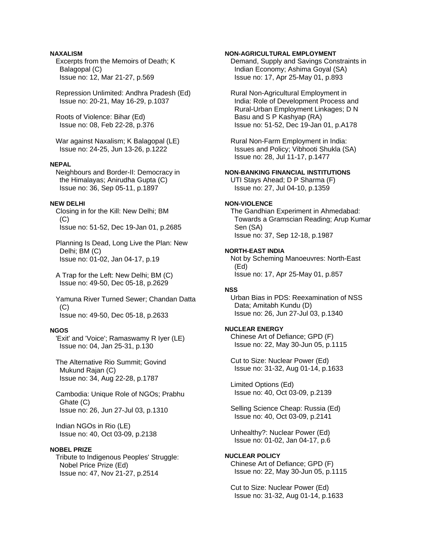# **NAXALISM**

 Excerpts from the Memoirs of Death; K Balagopal (C) Issue no: 12, Mar 21-27, p.569

 Repression Unlimited: Andhra Pradesh (Ed) Issue no: 20-21, May 16-29, p.1037

 Roots of Violence: Bihar (Ed) Issue no: 08, Feb 22-28, p.376

 War against Naxalism; K Balagopal (LE) Issue no: 24-25, Jun 13-26, p.1222

### **NEPAL**

 Neighbours and Border-II: Democracy in the Himalayas; Anirudha Gupta (C) Issue no: 36, Sep 05-11, p.1897

## **NEW DELHI**

 Closing in for the Kill: New Delhi; BM (C) Issue no: 51-52, Dec 19-Jan 01, p.2685

 Planning Is Dead, Long Live the Plan: New Delhi; BM (C) Issue no: 01-02, Jan 04-17, p.19

 A Trap for the Left: New Delhi; BM (C) Issue no: 49-50, Dec 05-18, p.2629

 Yamuna River Turned Sewer; Chandan Datta  $(C)$ Issue no: 49-50, Dec 05-18, p.2633

#### **NGOS**

 'Exit' and 'Voice'; Ramaswamy R Iyer (LE) Issue no: 04, Jan 25-31, p.130

 The Alternative Rio Summit; Govind Mukund Rajan (C) Issue no: 34, Aug 22-28, p.1787

 Cambodia: Unique Role of NGOs; Prabhu Ghate (C) Issue no: 26, Jun 27-Jul 03, p.1310

 Indian NGOs in Rio (LE) Issue no: 40, Oct 03-09, p.2138

## **NOBEL PRIZE**

 Tribute to Indigenous Peoples' Struggle: Nobel Price Prize (Ed) Issue no: 47, Nov 21-27, p.2514

## **NON-AGRICULTURAL EMPLOYMENT**

 Demand, Supply and Savings Constraints in Indian Economy; Ashima Goyal (SA) Issue no: 17, Apr 25-May 01, p.893

 Rural Non-Agricultural Employment in India: Role of Development Process and Rural-Urban Employment Linkages; D N Basu and S P Kashyap (RA) Issue no: 51-52, Dec 19-Jan 01, p.A178

 Rural Non-Farm Employment in India: Issues and Policy; Vibhooti Shukla (SA) Issue no: 28, Jul 11-17, p.1477

**NON-BANKING FINANCIAL INSTITUTIONS** 

 UTI Stays Ahead; D P Sharma (F) Issue no: 27, Jul 04-10, p.1359

#### **NON-VIOLENCE**

 The Gandhian Experiment in Ahmedabad: Towards a Gramscian Reading; Arup Kumar Sen (SA) Issue no: 37, Sep 12-18, p.1987

#### **NORTH-EAST INDIA**

 Not by Scheming Manoeuvres: North-East (Ed) Issue no: 17, Apr 25-May 01, p.857

# **NSS**

 Urban Bias in PDS: Reexamination of NSS Data; Amitabh Kundu (D) Issue no: 26, Jun 27-Jul 03, p.1340

# **NUCLEAR ENERGY**

 Chinese Art of Defiance; GPD (F) Issue no: 22, May 30-Jun 05, p.1115

 Cut to Size: Nuclear Power (Ed) Issue no: 31-32, Aug 01-14, p.1633

 Limited Options (Ed) Issue no: 40, Oct 03-09, p.2139

 Selling Science Cheap: Russia (Ed) Issue no: 40, Oct 03-09, p.2141

 Unhealthy?: Nuclear Power (Ed) Issue no: 01-02, Jan 04-17, p.6

# **NUCLEAR POLICY**

 Chinese Art of Defiance; GPD (F) Issue no: 22, May 30-Jun 05, p.1115

 Cut to Size: Nuclear Power (Ed) Issue no: 31-32, Aug 01-14, p.1633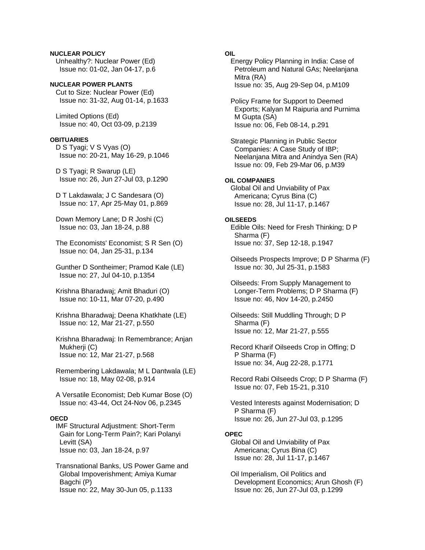**NUCLEAR POLICY**  Unhealthy?: Nuclear Power (Ed) Issue no: 01-02, Jan 04-17, p.6

**NUCLEAR POWER PLANTS**  Cut to Size: Nuclear Power (Ed) Issue no: 31-32, Aug 01-14, p.1633

 Limited Options (Ed) Issue no: 40, Oct 03-09, p.2139

## **OBITUARIES**

 D S Tyagi; V S Vyas (O) Issue no: 20-21, May 16-29, p.1046

 D S Tyagi; R Swarup (LE) Issue no: 26, Jun 27-Jul 03, p.1290

 D T Lakdawala; J C Sandesara (O) Issue no: 17, Apr 25-May 01, p.869

 Down Memory Lane; D R Joshi (C) Issue no: 03, Jan 18-24, p.88

 The Economists' Economist; S R Sen (O) Issue no: 04, Jan 25-31, p.134

 Gunther D Sontheimer; Pramod Kale (LE) Issue no: 27, Jul 04-10, p.1354

 Krishna Bharadwaj; Amit Bhaduri (O) Issue no: 10-11, Mar 07-20, p.490

 Krishna Bharadwaj; Deena Khatkhate (LE) Issue no: 12, Mar 21-27, p.550

 Krishna Bharadwaj: In Remembrance; Anjan Mukherji (C) Issue no: 12, Mar 21-27, p.568

 Remembering Lakdawala; M L Dantwala (LE) Issue no: 18, May 02-08, p.914

 A Versatile Economist; Deb Kumar Bose (O) Issue no: 43-44, Oct 24-Nov 06, p.2345

## **OECD**

 IMF Structural Adjustment: Short-Term Gain for Long-Term Pain?; Kari Polanyi Levitt (SA) Issue no: 03, Jan 18-24, p.97

 Transnational Banks, US Power Game and Global Impoverishment; Amiya Kumar Bagchi (P) Issue no: 22, May 30-Jun 05, p.1133

# **OIL**

 Energy Policy Planning in India: Case of Petroleum and Natural GAs; Neelanjana Mitra (RA) Issue no: 35, Aug 29-Sep 04, p.M109

 Policy Frame for Support to Deemed Exports; Kalyan M Raipuria and Purnima M Gupta (SA) Issue no: 06, Feb 08-14, p.291

 Strategic Planning in Public Sector Companies: A Case Study of IBP; Neelanjana Mitra and Anindya Sen (RA) Issue no: 09, Feb 29-Mar 06, p.M39

# **OIL COMPANIES**

 Global Oil and Unviability of Pax Americana; Cyrus Bina (C) Issue no: 28, Jul 11-17, p.1467

## **OILSEEDS**

 Edible Oils: Need for Fresh Thinking; D P Sharma (F) Issue no: 37, Sep 12-18, p.1947

 Oilseeds Prospects Improve; D P Sharma (F) Issue no: 30, Jul 25-31, p.1583

 Oilseeds: From Supply Management to Longer-Term Problems; D P Sharma (F) Issue no: 46, Nov 14-20, p.2450

 Oilseeds: Still Muddling Through; D P Sharma (F) Issue no: 12, Mar 21-27, p.555

 Record Kharif Oilseeds Crop in Offing; D P Sharma (F) Issue no: 34, Aug 22-28, p.1771

 Record Rabi Oilseeds Crop; D P Sharma (F) Issue no: 07, Feb 15-21, p.310

 Vested Interests against Modernisation; D P Sharma (F) Issue no: 26, Jun 27-Jul 03, p.1295

## **OPEC**

 Global Oil and Unviability of Pax Americana; Cyrus Bina (C) Issue no: 28, Jul 11-17, p.1467

 Oil Imperialism, Oil Politics and Development Economics; Arun Ghosh (F) Issue no: 26, Jun 27-Jul 03, p.1299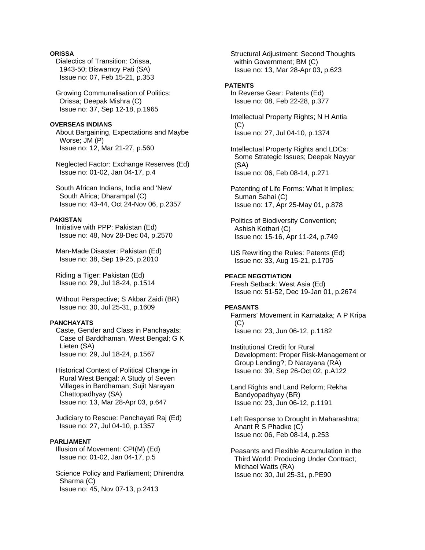## **ORISSA**

 Dialectics of Transition: Orissa, 1943-50; Biswamoy Pati (SA) Issue no: 07, Feb 15-21, p.353

 Growing Communalisation of Politics: Orissa; Deepak Mishra (C) Issue no: 37, Sep 12-18, p.1965

### **OVERSEAS INDIANS**

 About Bargaining, Expectations and Maybe Worse; JM (P) Issue no: 12, Mar 21-27, p.560

 Neglected Factor: Exchange Reserves (Ed) Issue no: 01-02, Jan 04-17, p.4

 South African Indians, India and 'New' South Africa; Dharampal (C) Issue no: 43-44, Oct 24-Nov 06, p.2357

### **PAKISTAN**

 Initiative with PPP: Pakistan (Ed) Issue no: 48, Nov 28-Dec 04, p.2570

 Man-Made Disaster: Pakistan (Ed) Issue no: 38, Sep 19-25, p.2010

 Riding a Tiger: Pakistan (Ed) Issue no: 29, Jul 18-24, p.1514

 Without Perspective; S Akbar Zaidi (BR) Issue no: 30, Jul 25-31, p.1609

## **PANCHAYATS**

 Caste, Gender and Class in Panchayats: Case of Barddhaman, West Bengal; G K Lieten (SA) Issue no: 29, Jul 18-24, p.1567

 Historical Context of Political Change in Rural West Bengal: A Study of Seven Villages in Bardhaman; Sujit Narayan Chattopadhyay (SA) Issue no: 13, Mar 28-Apr 03, p.647

 Judiciary to Rescue: Panchayati Raj (Ed) Issue no: 27, Jul 04-10, p.1357

## **PARLIAMENT**

 Illusion of Movement: CPI(M) (Ed) Issue no: 01-02, Jan 04-17, p.5

 Science Policy and Parliament; Dhirendra Sharma (C) Issue no: 45, Nov 07-13, p.2413

 Structural Adjustment: Second Thoughts within Government; BM (C) Issue no: 13, Mar 28-Apr 03, p.623

## **PATENTS**

 In Reverse Gear: Patents (Ed) Issue no: 08, Feb 22-28, p.377

 Intellectual Property Rights; N H Antia (C) Issue no: 27, Jul 04-10, p.1374

 Intellectual Property Rights and LDCs: Some Strategic Issues; Deepak Nayyar (SA) Issue no: 06, Feb 08-14, p.271

 Patenting of Life Forms: What It Implies; Suman Sahai (C) Issue no: 17, Apr 25-May 01, p.878

 Politics of Biodiversity Convention; Ashish Kothari (C) Issue no: 15-16, Apr 11-24, p.749

 US Rewriting the Rules: Patents (Ed) Issue no: 33, Aug 15-21, p.1705

#### **PEACE NEGOTIATION**  Fresh Setback: West Asia (Ed) Issue no: 51-52, Dec 19-Jan 01, p.2674

## **PEASANTS**

 Farmers' Movement in Karnataka; A P Kripa (C) Issue no: 23, Jun 06-12, p.1182

 Institutional Credit for Rural Development: Proper Risk-Management or Group Lending?; D Narayana (RA) Issue no: 39, Sep 26-Oct 02, p.A122

 Land Rights and Land Reform; Rekha Bandyopadhyay (BR) Issue no: 23, Jun 06-12, p.1191

 Left Response to Drought in Maharashtra; Anant R S Phadke (C) Issue no: 06, Feb 08-14, p.253

 Peasants and Flexible Accumulation in the Third World: Producing Under Contract; Michael Watts (RA) Issue no: 30, Jul 25-31, p.PE90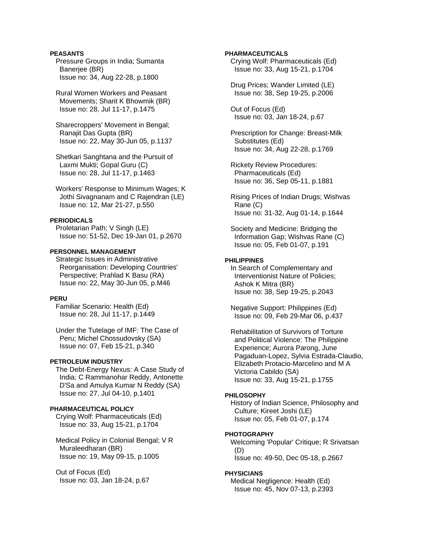## **PEASANTS**

 Pressure Groups in India; Sumanta Banerjee (BR) Issue no: 34, Aug 22-28, p.1800

 Rural Women Workers and Peasant Movements; Sharit K Bhowmik (BR) Issue no: 28, Jul 11-17, p.1475

 Sharecroppers' Movement in Bengal; Ranajit Das Gupta (BR) Issue no: 22, May 30-Jun 05, p.1137

 Shetkari Sanghtana and the Pursuit of Laxmi Mukti; Gopal Guru (C) Issue no: 28, Jul 11-17, p.1463

 Workers' Response to Minimum Wages; K Jothi Sivagnanam and C Rajendran (LE) Issue no: 12, Mar 21-27, p.550

#### **PERIODICALS**

 Proletarian Path; V Singh (LE) Issue no: 51-52, Dec 19-Jan 01, p.2670

## **PERSONNEL MANAGEMENT**

 Strategic Issues in Administrative Reorganisation: Developing Countries' Perspective; Prahlad K Basu (RA) Issue no: 22, May 30-Jun 05, p.M46

## **PERU**

 Familiar Scenario: Health (Ed) Issue no: 28, Jul 11-17, p.1449

 Under the Tutelage of IMF: The Case of Peru; Michel Chossudovsky (SA) Issue no: 07, Feb 15-21, p.340

#### **PETROLEUM INDUSTRY**

 The Debt-Energy Nexus: A Case Study of India; C Rammanohar Reddy, Antonette D'Sa and Amulya Kumar N Reddy (SA) Issue no: 27, Jul 04-10, p.1401

## **PHARMACEUTICAL POLICY**

 Crying Wolf: Pharmaceuticals (Ed) Issue no: 33, Aug 15-21, p.1704

 Medical Policy in Colonial Bengal; V R Muraleedharan (BR) Issue no: 19, May 09-15, p.1005

 Out of Focus (Ed) Issue no: 03, Jan 18-24, p.67

### **PHARMACEUTICALS**

 Crying Wolf: Pharmaceuticals (Ed) Issue no: 33, Aug 15-21, p.1704

 Drug Prices; Wander Limited (LE) Issue no: 38, Sep 19-25, p.2006

 Out of Focus (Ed) Issue no: 03, Jan 18-24, p.67

 Prescription for Change: Breast-Milk Substitutes (Ed) Issue no: 34, Aug 22-28, p.1769

 Rickety Review Procedures: Pharmaceuticals (Ed) Issue no: 36, Sep 05-11, p.1881

 Rising Prices of Indian Drugs; Wishvas Rane (C) Issue no: 31-32, Aug 01-14, p.1644

 Society and Medicine: Bridging the Information Gap; Wishvas Rane (C) Issue no: 05, Feb 01-07, p.191

### **PHILIPPINES**

 In Search of Complementary and Interventionist Nature of Policies; Ashok K Mitra (BR) Issue no: 38, Sep 19-25, p.2043

 Negative Support: Philippines (Ed) Issue no: 09, Feb 29-Mar 06, p.437

 Rehabilitation of Survivors of Torture and Political Violence: The Philippine Experience; Aurora Parong, June Pagaduan-Lopez, Sylvia Estrada-Claudio, Elizabeth Protacio-Marcelino and M A Victoria Cabildo (SA) Issue no: 33, Aug 15-21, p.1755

#### **PHILOSOPHY**

 History of Indian Science, Philosophy and Culture; Kireet Joshi (LE) Issue no: 05, Feb 01-07, p.174

#### **PHOTOGRAPHY**

 Welcoming 'Popular' Critique; R Srivatsan (D) Issue no: 49-50, Dec 05-18, p.2667

#### **PHYSICIANS**

 Medical Negligence: Health (Ed) Issue no: 45, Nov 07-13, p.2393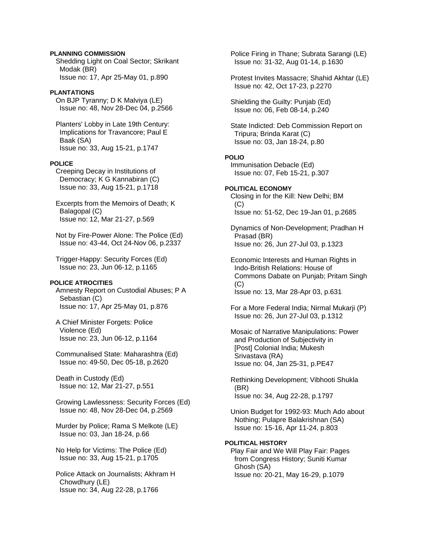#### **PLANNING COMMISSION**

 Shedding Light on Coal Sector; Skrikant Modak (BR) Issue no: 17, Apr 25-May 01, p.890

### **PLANTATIONS**

 On BJP Tyranny; D K Malviya (LE) Issue no: 48, Nov 28-Dec 04, p.2566

 Planters' Lobby in Late 19th Century: Implications for Travancore; Paul E Baak (SA) Issue no: 33, Aug 15-21, p.1747

### **POLICE**

 Creeping Decay in Institutions of Democracy; K G Kannabiran (C) Issue no: 33, Aug 15-21, p.1718

 Excerpts from the Memoirs of Death; K Balagopal (C) Issue no: 12, Mar 21-27, p.569

 Not by Fire-Power Alone: The Police (Ed) Issue no: 43-44, Oct 24-Nov 06, p.2337

 Trigger-Happy: Security Forces (Ed) Issue no: 23, Jun 06-12, p.1165

## **POLICE ATROCITIES**

 Amnesty Report on Custodial Abuses; P A Sebastian (C) Issue no: 17, Apr 25-May 01, p.876

 A Chief Minister Forgets: Police Violence (Ed) Issue no: 23, Jun 06-12, p.1164

 Communalised State: Maharashtra (Ed) Issue no: 49-50, Dec 05-18, p.2620

 Death in Custody (Ed) Issue no: 12, Mar 21-27, p.551

 Growing Lawlessness: Security Forces (Ed) Issue no: 48, Nov 28-Dec 04, p.2569

 Murder by Police; Rama S Melkote (LE) Issue no: 03, Jan 18-24, p.66

 No Help for Victims: The Police (Ed) Issue no: 33, Aug 15-21, p.1705

 Police Attack on Journalists; Akhram H Chowdhury (LE) Issue no: 34, Aug 22-28, p.1766

 Police Firing in Thane; Subrata Sarangi (LE) Issue no: 31-32, Aug 01-14, p.1630 Protest Invites Massacre; Shahid Akhtar (LE) Issue no: 42, Oct 17-23, p.2270 Shielding the Guilty: Punjab (Ed) Issue no: 06, Feb 08-14, p.240 State Indicted: Deb Commission Report on Tripura; Brinda Karat (C) Issue no: 03, Jan 18-24, p.80 **POLIO**  Immunisation Debacle (Ed) Issue no: 07, Feb 15-21, p.307 **POLITICAL ECONOMY**  Closing in for the Kill: New Delhi; BM (C) Issue no: 51-52, Dec 19-Jan 01, p.2685

 Dynamics of Non-Development; Pradhan H Prasad (BR) Issue no: 26, Jun 27-Jul 03, p.1323

 Economic Interests and Human Rights in Indo-British Relations: House of Commons Dabate on Punjab; Pritam Singh  $(C)$ Issue no: 13, Mar 28-Apr 03, p.631

 For a More Federal India; Nirmal Mukarji (P) Issue no: 26, Jun 27-Jul 03, p.1312

 Mosaic of Narrative Manipulations: Power and Production of Subjectivity in [Post] Colonial India; Mukesh Srivastava (RA) Issue no: 04, Jan 25-31, p.PE47

 Rethinking Development; Vibhooti Shukla (BR) Issue no: 34, Aug 22-28, p.1797

 Union Budget for 1992-93: Much Ado about Nothing; Pulapre Balakrishnan (SA) Issue no: 15-16, Apr 11-24, p.803

### **POLITICAL HISTORY**

 Play Fair and We Will Play Fair: Pages from Congress History; Suniti Kumar Ghosh (SA) Issue no: 20-21, May 16-29, p.1079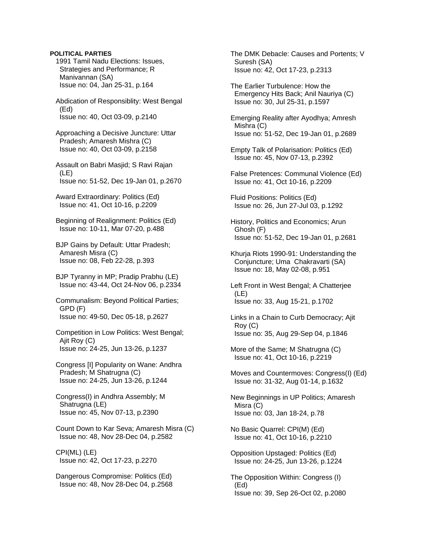#### **POLITICAL PARTIES**

 1991 Tamil Nadu Elections: Issues, Strategies and Performance; R Manivannan (SA) Issue no: 04, Jan 25-31, p.164

 Abdication of Responsiblity: West Bengal (Ed) Issue no: 40, Oct 03-09, p.2140

 Approaching a Decisive Juncture: Uttar Pradesh; Amaresh Mishra (C) Issue no: 40, Oct 03-09, p.2158

 Assault on Babri Masjid; S Ravi Rajan (LE) Issue no: 51-52, Dec 19-Jan 01, p.2670

 Award Extraordinary: Politics (Ed) Issue no: 41, Oct 10-16, p.2209

 Beginning of Realignment: Politics (Ed) Issue no: 10-11, Mar 07-20, p.488

 BJP Gains by Default: Uttar Pradesh; Amaresh Misra (C) Issue no: 08, Feb 22-28, p.393

 BJP Tyranny in MP; Pradip Prabhu (LE) Issue no: 43-44, Oct 24-Nov 06, p.2334

 Communalism: Beyond Political Parties; GPD (F) Issue no: 49-50, Dec 05-18, p.2627

 Competition in Low Politics: West Bengal; Ajit Roy (C) Issue no: 24-25, Jun 13-26, p.1237

 Congress [I] Popularity on Wane: Andhra Pradesh; M Shatrugna (C) Issue no: 24-25, Jun 13-26, p.1244

 Congress(I) in Andhra Assembly; M Shatrugna (LE) Issue no: 45, Nov 07-13, p.2390

 Count Down to Kar Seva; Amaresh Misra (C) Issue no: 48, Nov 28-Dec 04, p.2582

 CPI(ML) (LE) Issue no: 42, Oct 17-23, p.2270

 Dangerous Compromise: Politics (Ed) Issue no: 48, Nov 28-Dec 04, p.2568  The DMK Debacle: Causes and Portents; V Suresh (SA) Issue no: 42, Oct 17-23, p.2313

 The Earlier Turbulence: How the Emergency Hits Back; Anil Nauriya (C) Issue no: 30, Jul 25-31, p.1597

 Emerging Reality after Ayodhya; Amresh Mishra (C) Issue no: 51-52, Dec 19-Jan 01, p.2689

 Empty Talk of Polarisation: Politics (Ed) Issue no: 45, Nov 07-13, p.2392

 False Pretences: Communal Violence (Ed) Issue no: 41, Oct 10-16, p.2209

 Fluid Positions: Politics (Ed) Issue no: 26, Jun 27-Jul 03, p.1292

 History, Politics and Economics; Arun Ghosh (F) Issue no: 51-52, Dec 19-Jan 01, p.2681

 Khurja Riots 1990-91: Understanding the Conjuncture; Uma Chakravarti (SA) Issue no: 18, May 02-08, p.951

 Left Front in West Bengal; A Chatterjee (LE) Issue no: 33, Aug 15-21, p.1702

 Links in a Chain to Curb Democracy; Ajit Roy (C) Issue no: 35, Aug 29-Sep 04, p.1846

 More of the Same; M Shatrugna (C) Issue no: 41, Oct 10-16, p.2219

 Moves and Countermoves: Congress(I) (Ed) Issue no: 31-32, Aug 01-14, p.1632

 New Beginnings in UP Politics; Amaresh Misra (C) Issue no: 03, Jan 18-24, p.78

 No Basic Quarrel: CPI(M) (Ed) Issue no: 41, Oct 10-16, p.2210

 Opposition Upstaged: Politics (Ed) Issue no: 24-25, Jun 13-26, p.1224

 The Opposition Within: Congress (I) (Ed) Issue no: 39, Sep 26-Oct 02, p.2080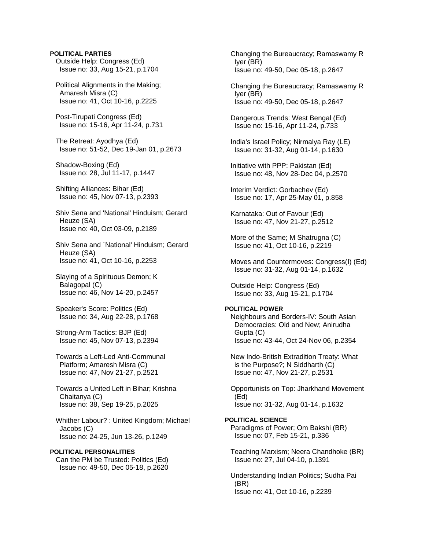#### **POLITICAL PARTIES** Outside Help: Congress (Ed)

Issue no: 33, Aug 15-21, p.1704

 Political Alignments in the Making; Amaresh Misra (C) Issue no: 41, Oct 10-16, p.2225

 Post-Tirupati Congress (Ed) Issue no: 15-16, Apr 11-24, p.731

 The Retreat: Ayodhya (Ed) Issue no: 51-52, Dec 19-Jan 01, p.2673

 Shadow-Boxing (Ed) Issue no: 28, Jul 11-17, p.1447

 Shifting Alliances: Bihar (Ed) Issue no: 45, Nov 07-13, p.2393

 Shiv Sena and 'National' Hinduism; Gerard Heuze (SA) Issue no: 40, Oct 03-09, p.2189

 Shiv Sena and `National' Hinduism; Gerard Heuze (SA) Issue no: 41, Oct 10-16, p.2253

 Slaying of a Spirituous Demon; K Balagopal (C) Issue no: 46, Nov 14-20, p.2457

 Speaker's Score: Politics (Ed) Issue no: 34, Aug 22-28, p.1768

 Strong-Arm Tactics: BJP (Ed) Issue no: 45, Nov 07-13, p.2394

 Towards a Left-Led Anti-Communal Platform; Amaresh Misra (C) Issue no: 47, Nov 21-27, p.2521

 Towards a United Left in Bihar; Krishna Chaitanya (C) Issue no: 38, Sep 19-25, p.2025

 Whither Labour? : United Kingdom; Michael Jacobs (C) Issue no: 24-25, Jun 13-26, p.1249

## **POLITICAL PERSONALITIES**

 Can the PM be Trusted: Politics (Ed) Issue no: 49-50, Dec 05-18, p.2620  Changing the Bureaucracy; Ramaswamy R Iyer (BR) Issue no: 49-50, Dec 05-18, p.2647

 Changing the Bureaucracy; Ramaswamy R Iyer (BR) Issue no: 49-50, Dec 05-18, p.2647

 Dangerous Trends: West Bengal (Ed) Issue no: 15-16, Apr 11-24, p.733

 India's Israel Policy; Nirmalya Ray (LE) Issue no: 31-32, Aug 01-14, p.1630

 Initiative with PPP: Pakistan (Ed) Issue no: 48, Nov 28-Dec 04, p.2570

 Interim Verdict: Gorbachev (Ed) Issue no: 17, Apr 25-May 01, p.858

 Karnataka: Out of Favour (Ed) Issue no: 47, Nov 21-27, p.2512

 More of the Same; M Shatrugna (C) Issue no: 41, Oct 10-16, p.2219

 Moves and Countermoves: Congress(I) (Ed) Issue no: 31-32, Aug 01-14, p.1632

 Outside Help: Congress (Ed) Issue no: 33, Aug 15-21, p.1704

#### **POLITICAL POWER**

 Neighbours and Borders-IV: South Asian Democracies: Old and New; Anirudha Gupta (C) Issue no: 43-44, Oct 24-Nov 06, p.2354

 New Indo-British Extradition Treaty: What is the Purpose?; N Siddharth (C) Issue no: 47, Nov 21-27, p.2531

 Opportunists on Top: Jharkhand Movement (Ed) Issue no: 31-32, Aug 01-14, p.1632

#### **POLITICAL SCIENCE**  Paradigms of Power; Om Bakshi (BR) Issue no: 07, Feb 15-21, p.336

 Teaching Marxism; Neera Chandhoke (BR) Issue no: 27, Jul 04-10, p.1391

 Understanding Indian Politics; Sudha Pai (BR) Issue no: 41, Oct 10-16, p.2239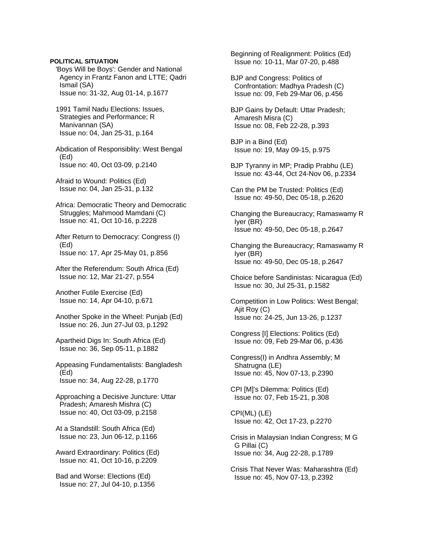'Boys Will be Boys': Gender and National Agency in Frantz Fanon and LTTE; Qadri Ismail (SA) Issue no: 31-32, Aug 01-14, p.1677

 1991 Tamil Nadu Elections: Issues, Strategies and Performance; R Manivannan (SA) Issue no: 04, Jan 25-31, p.164

 Abdication of Responsiblity: West Bengal (Ed) Issue no: 40, Oct 03-09, p.2140

 Afraid to Wound: Politics (Ed) Issue no: 04, Jan 25-31, p.132

 Africa: Democratic Theory and Democratic Struggles; Mahmood Mamdani (C) Issue no: 41, Oct 10-16, p.2228

 After Return to Democracy: Congress (I) (Ed) Issue no: 17, Apr 25-May 01, p.856

 After the Referendum: South Africa (Ed) Issue no: 12, Mar 21-27, p.554

 Another Futile Exercise (Ed) Issue no: 14, Apr 04-10, p.671

 Another Spoke in the Wheel: Punjab (Ed) Issue no: 26, Jun 27-Jul 03, p.1292

 Apartheid Digs In: South Africa (Ed) Issue no: 36, Sep 05-11, p.1882

 Appeasing Fundamentalists: Bangladesh (Ed) Issue no: 34, Aug 22-28, p.1770

 Approaching a Decisive Juncture: Uttar Pradesh; Amaresh Mishra (C) Issue no: 40, Oct 03-09, p.2158

 At a Standstill: South Africa (Ed) Issue no: 23, Jun 06-12, p.1166

 Award Extraordinary: Politics (Ed) Issue no: 41, Oct 10-16, p.2209

 Bad and Worse: Elections (Ed) Issue no: 27, Jul 04-10, p.1356  Beginning of Realignment: Politics (Ed) Issue no: 10-11, Mar 07-20, p.488

 BJP and Congress: Politics of Confrontation: Madhya Pradesh (C) Issue no: 09, Feb 29-Mar 06, p.456

 BJP Gains by Default: Uttar Pradesh; Amaresh Misra (C) Issue no: 08, Feb 22-28, p.393

 BJP in a Bind (Ed) Issue no: 19, May 09-15, p.975

 BJP Tyranny in MP; Pradip Prabhu (LE) Issue no: 43-44, Oct 24-Nov 06, p.2334

 Can the PM be Trusted: Politics (Ed) Issue no: 49-50, Dec 05-18, p.2620

 Changing the Bureaucracy; Ramaswamy R Iyer (BR) Issue no: 49-50, Dec 05-18, p.2647

 Changing the Bureaucracy; Ramaswamy R Iyer (BR) Issue no: 49-50, Dec 05-18, p.2647

 Choice before Sandinistas: Nicaragua (Ed) Issue no: 30, Jul 25-31, p.1582

 Competition in Low Politics: West Bengal; Ajit Roy (C) Issue no: 24-25, Jun 13-26, p.1237

 Congress [I] Elections: Politics (Ed) Issue no: 09, Feb 29-Mar 06, p.436

 Congress(I) in Andhra Assembly; M Shatrugna (LE) Issue no: 45, Nov 07-13, p.2390

 CPI [M]'s Dilemma: Politics (Ed) Issue no: 07, Feb 15-21, p.308

 CPI(ML) (LE) Issue no: 42, Oct 17-23, p.2270

 Crisis in Malaysian Indian Congress; M G G Pillai (C) Issue no: 34, Aug 22-28, p.1789

 Crisis That Never Was: Maharashtra (Ed) Issue no: 45, Nov 07-13, p.2392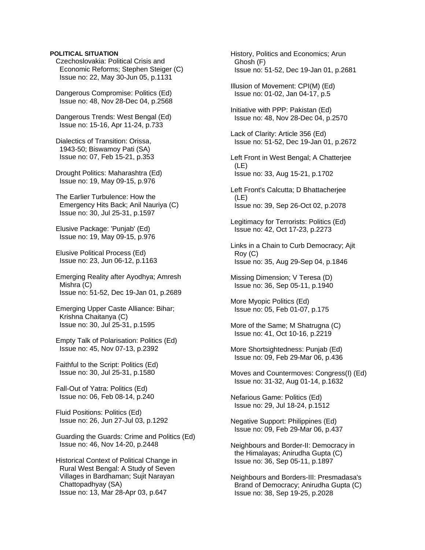Czechoslovakia: Political Crisis and Economic Reforms; Stephen Steiger (C) Issue no: 22, May 30-Jun 05, p.1131

 Dangerous Compromise: Politics (Ed) Issue no: 48, Nov 28-Dec 04, p.2568

 Dangerous Trends: West Bengal (Ed) Issue no: 15-16, Apr 11-24, p.733

 Dialectics of Transition: Orissa, 1943-50; Biswamoy Pati (SA) Issue no: 07, Feb 15-21, p.353

 Drought Politics: Maharashtra (Ed) Issue no: 19, May 09-15, p.976

 The Earlier Turbulence: How the Emergency Hits Back; Anil Nauriya (C) Issue no: 30, Jul 25-31, p.1597

 Elusive Package: 'Punjab' (Ed) Issue no: 19, May 09-15, p.976

 Elusive Political Process (Ed) Issue no: 23, Jun 06-12, p.1163

 Emerging Reality after Ayodhya; Amresh Mishra (C) Issue no: 51-52, Dec 19-Jan 01, p.2689

 Emerging Upper Caste Alliance: Bihar; Krishna Chaitanya (C) Issue no: 30, Jul 25-31, p.1595

 Empty Talk of Polarisation: Politics (Ed) Issue no: 45, Nov 07-13, p.2392

 Faithful to the Script: Politics (Ed) Issue no: 30, Jul 25-31, p.1580

 Fall-Out of Yatra: Politics (Ed) Issue no: 06, Feb 08-14, p.240

 Fluid Positions: Politics (Ed) Issue no: 26, Jun 27-Jul 03, p.1292

 Guarding the Guards: Crime and Politics (Ed) Issue no: 46, Nov 14-20, p.2448

 Historical Context of Political Change in Rural West Bengal: A Study of Seven Villages in Bardhaman; Sujit Narayan Chattopadhyay (SA) Issue no: 13, Mar 28-Apr 03, p.647

 History, Politics and Economics; Arun Ghosh (F) Issue no: 51-52, Dec 19-Jan 01, p.2681

 Illusion of Movement: CPI(M) (Ed) Issue no: 01-02, Jan 04-17, p.5

 Initiative with PPP: Pakistan (Ed) Issue no: 48, Nov 28-Dec 04, p.2570

 Lack of Clarity: Article 356 (Ed) Issue no: 51-52, Dec 19-Jan 01, p.2672

 Left Front in West Bengal; A Chatterjee (LE) Issue no: 33, Aug 15-21, p.1702

 Left Front's Calcutta; D Bhattacherjee (LE) Issue no: 39, Sep 26-Oct 02, p.2078

 Legitimacy for Terrorists: Politics (Ed) Issue no: 42, Oct 17-23, p.2273

 Links in a Chain to Curb Democracy; Ajit Roy (C) Issue no: 35, Aug 29-Sep 04, p.1846

 Missing Dimension; V Teresa (D) Issue no: 36, Sep 05-11, p.1940

 More Myopic Politics (Ed) Issue no: 05, Feb 01-07, p.175

 More of the Same; M Shatrugna (C) Issue no: 41, Oct 10-16, p.2219

 More Shortsightedness: Punjab (Ed) Issue no: 09, Feb 29-Mar 06, p.436

 Moves and Countermoves: Congress(I) (Ed) Issue no: 31-32, Aug 01-14, p.1632

 Nefarious Game: Politics (Ed) Issue no: 29, Jul 18-24, p.1512

 Negative Support: Philippines (Ed) Issue no: 09, Feb 29-Mar 06, p.437

 Neighbours and Border-II: Democracy in the Himalayas; Anirudha Gupta (C) Issue no: 36, Sep 05-11, p.1897

 Neighbours and Borders-III: Presmadasa's Brand of Democracy; Anirudha Gupta (C) Issue no: 38, Sep 19-25, p.2028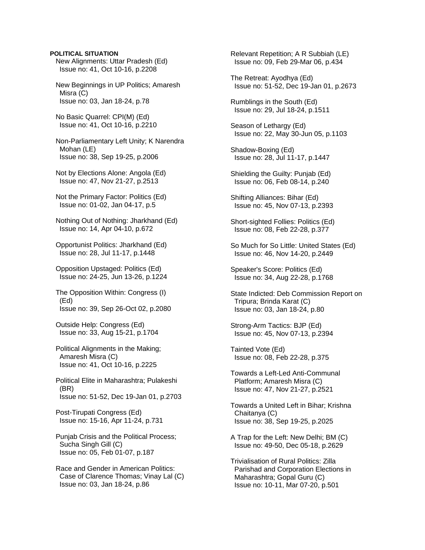New Alignments: Uttar Pradesh (Ed) Issue no: 41, Oct 10-16, p.2208

 New Beginnings in UP Politics; Amaresh Misra (C) Issue no: 03, Jan 18-24, p.78

 No Basic Quarrel: CPI(M) (Ed) Issue no: 41, Oct 10-16, p.2210

 Non-Parliamentary Left Unity; K Narendra Mohan (LE) Issue no: 38, Sep 19-25, p.2006

 Not by Elections Alone: Angola (Ed) Issue no: 47, Nov 21-27, p.2513

 Not the Primary Factor: Politics (Ed) Issue no: 01-02, Jan 04-17, p.5

 Nothing Out of Nothing: Jharkhand (Ed) Issue no: 14, Apr 04-10, p.672

 Opportunist Politics: Jharkhand (Ed) Issue no: 28, Jul 11-17, p.1448

 Opposition Upstaged: Politics (Ed) Issue no: 24-25, Jun 13-26, p.1224

 The Opposition Within: Congress (I) (Ed) Issue no: 39, Sep 26-Oct 02, p.2080

 Outside Help: Congress (Ed) Issue no: 33, Aug 15-21, p.1704

 Political Alignments in the Making; Amaresh Misra (C) Issue no: 41, Oct 10-16, p.2225

 Political Elite in Maharashtra; Pulakeshi (BR) Issue no: 51-52, Dec 19-Jan 01, p.2703

 Post-Tirupati Congress (Ed) Issue no: 15-16, Apr 11-24, p.731

 Punjab Crisis and the Political Process; Sucha Singh Gill (C) Issue no: 05, Feb 01-07, p.187

 Race and Gender in American Politics: Case of Clarence Thomas; Vinay Lal (C) Issue no: 03, Jan 18-24, p.86

 Relevant Repetition; A R Subbiah (LE) Issue no: 09, Feb 29-Mar 06, p.434

 The Retreat: Ayodhya (Ed) Issue no: 51-52, Dec 19-Jan 01, p.2673

 Rumblings in the South (Ed) Issue no: 29, Jul 18-24, p.1511

 Season of Lethargy (Ed) Issue no: 22, May 30-Jun 05, p.1103

 Shadow-Boxing (Ed) Issue no: 28, Jul 11-17, p.1447

 Shielding the Guilty: Punjab (Ed) Issue no: 06, Feb 08-14, p.240

 Shifting Alliances: Bihar (Ed) Issue no: 45, Nov 07-13, p.2393

 Short-sighted Follies: Politics (Ed) Issue no: 08, Feb 22-28, p.377

 So Much for So Little: United States (Ed) Issue no: 46, Nov 14-20, p.2449

 Speaker's Score: Politics (Ed) Issue no: 34, Aug 22-28, p.1768

 State Indicted: Deb Commission Report on Tripura; Brinda Karat (C) Issue no: 03, Jan 18-24, p.80

 Strong-Arm Tactics: BJP (Ed) Issue no: 45, Nov 07-13, p.2394

 Tainted Vote (Ed) Issue no: 08, Feb 22-28, p.375

 Towards a Left-Led Anti-Communal Platform; Amaresh Misra (C) Issue no: 47, Nov 21-27, p.2521

 Towards a United Left in Bihar; Krishna Chaitanya (C) Issue no: 38, Sep 19-25, p.2025

 A Trap for the Left: New Delhi; BM (C) Issue no: 49-50, Dec 05-18, p.2629

 Trivialisation of Rural Politics: Zilla Parishad and Corporation Elections in Maharashtra; Gopal Guru (C) Issue no: 10-11, Mar 07-20, p.501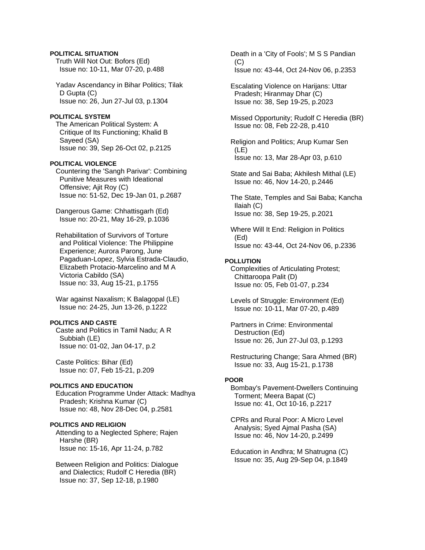Truth Will Not Out: Bofors (Ed) Issue no: 10-11, Mar 07-20, p.488

 Yadav Ascendancy in Bihar Politics; Tilak D Gupta (C) Issue no: 26, Jun 27-Jul 03, p.1304

#### **POLITICAL SYSTEM**

 The American Political System: A Critique of Its Functioning; Khalid B Sayeed (SA) Issue no: 39, Sep 26-Oct 02, p.2125

### **POLITICAL VIOLENCE**

 Countering the 'Sangh Parivar': Combining Punitive Measures with Ideational Offensive; Ajit Roy (C) Issue no: 51-52, Dec 19-Jan 01, p.2687

 Dangerous Game: Chhattisgarh (Ed) Issue no: 20-21, May 16-29, p.1036

 Rehabilitation of Survivors of Torture and Political Violence: The Philippine Experience; Aurora Parong, June Pagaduan-Lopez, Sylvia Estrada-Claudio, Elizabeth Protacio-Marcelino and M A Victoria Cabildo (SA) Issue no: 33, Aug 15-21, p.1755

 War against Naxalism; K Balagopal (LE) Issue no: 24-25, Jun 13-26, p.1222

#### **POLITICS AND CASTE**

 Caste and Politics in Tamil Nadu; A R Subbiah (LE) Issue no: 01-02, Jan 04-17, p.2

 Caste Politics: Bihar (Ed) Issue no: 07, Feb 15-21, p.209

## **POLITICS AND EDUCATION**

 Education Programme Under Attack: Madhya Pradesh; Krishna Kumar (C) Issue no: 48, Nov 28-Dec 04, p.2581

#### **POLITICS AND RELIGION**

 Attending to a Neglected Sphere; Rajen Harshe (BR) Issue no: 15-16, Apr 11-24, p.782

 Between Religion and Politics: Dialogue and Dialectics; Rudolf C Heredia (BR) Issue no: 37, Sep 12-18, p.1980

 Death in a 'City of Fools'; M S S Pandian  $(C)$ Issue no: 43-44, Oct 24-Nov 06, p.2353

 Escalating Violence on Harijans: Uttar Pradesh; Hiranmay Dhar (C) Issue no: 38, Sep 19-25, p.2023

 Missed Opportunity; Rudolf C Heredia (BR) Issue no: 08, Feb 22-28, p.410

 Religion and Politics; Arup Kumar Sen (LE) Issue no: 13, Mar 28-Apr 03, p.610

 State and Sai Baba; Akhilesh Mithal (LE) Issue no: 46, Nov 14-20, p.2446

 The State, Temples and Sai Baba; Kancha Ilaiah (C) Issue no: 38, Sep 19-25, p.2021

 Where Will It End: Religion in Politics (Ed) Issue no: 43-44, Oct 24-Nov 06, p.2336

#### **POLLUTION**

 Complexities of Articulating Protest; Chittaroopa Palit (D) Issue no: 05, Feb 01-07, p.234

 Levels of Struggle: Environment (Ed) Issue no: 10-11, Mar 07-20, p.489

 Partners in Crime: Environmental Destruction (Ed) Issue no: 26, Jun 27-Jul 03, p.1293

 Restructuring Change; Sara Ahmed (BR) Issue no: 33, Aug 15-21, p.1738

#### **POOR**

 Bombay's Pavement-Dwellers Continuing Torment; Meera Bapat (C) Issue no: 41, Oct 10-16, p.2217

 CPRs and Rural Poor: A Micro Level Analysis; Syed Ajmal Pasha (SA) Issue no: 46, Nov 14-20, p.2499

 Education in Andhra; M Shatrugna (C) Issue no: 35, Aug 29-Sep 04, p.1849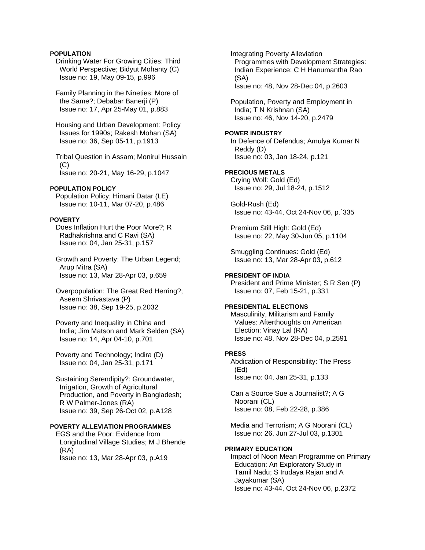## **POPULATION**

 Drinking Water For Growing Cities: Third World Perspective; Bidyut Mohanty (C) Issue no: 19, May 09-15, p.996

 Family Planning in the Nineties: More of the Same?: Debabar Banerii (P) Issue no: 17, Apr 25-May 01, p.883

 Housing and Urban Development: Policy Issues for 1990s; Rakesh Mohan (SA) Issue no: 36, Sep 05-11, p.1913

 Tribal Question in Assam; Monirul Hussain  $(C)$ Issue no: 20-21, May 16-29, p.1047

### **POPULATION POLICY**

 Population Policy; Himani Datar (LE) Issue no: 10-11, Mar 07-20, p.486

### **POVERTY**

 Does Inflation Hurt the Poor More?; R Radhakrishna and C Ravi (SA) Issue no: 04, Jan 25-31, p.157

 Growth and Poverty: The Urban Legend; Arup Mitra (SA) Issue no: 13, Mar 28-Apr 03, p.659

 Overpopulation: The Great Red Herring?; Aseem Shrivastava (P) Issue no: 38, Sep 19-25, p.2032

 Poverty and Inequality in China and India; Jim Matson and Mark Selden (SA) Issue no: 14, Apr 04-10, p.701

 Poverty and Technology; Indira (D) Issue no: 04, Jan 25-31, p.171

 Sustaining Serendipity?: Groundwater, Irrigation, Growth of Agricultural Production, and Poverty in Bangladesh; R W Palmer-Jones (RA) Issue no: 39, Sep 26-Oct 02, p.A128

## **POVERTY ALLEVIATION PROGRAMMES**

 EGS and the Poor: Evidence from Longitudinal Village Studies; M J Bhende (RA) Issue no: 13, Mar 28-Apr 03, p.A19

 Integrating Poverty Alleviation Programmes with Development Strategies: Indian Experience; C H Hanumantha Rao (SA) Issue no: 48, Nov 28-Dec 04, p.2603

 Population, Poverty and Employment in India; T N Krishnan (SA) Issue no: 46, Nov 14-20, p.2479

### **POWER INDUSTRY**

 In Defence of Defendus; Amulya Kumar N Reddy (D) Issue no: 03, Jan 18-24, p.121

## **PRECIOUS METALS**

 Crying Wolf: Gold (Ed) Issue no: 29, Jul 18-24, p.1512

 Gold-Rush (Ed) Issue no: 43-44, Oct 24-Nov 06, p.`335

 Premium Still High: Gold (Ed) Issue no: 22, May 30-Jun 05, p.1104

 Smuggling Continues: Gold (Ed) Issue no: 13, Mar 28-Apr 03, p.612

#### **PRESIDENT OF INDIA**

 President and Prime Minister; S R Sen (P) Issue no: 07, Feb 15-21, p.331

## **PRESIDENTIAL ELECTIONS**

 Masculinity, Militarism and Family Values: Afterthoughts on American Election; Vinay Lal (RA) Issue no: 48, Nov 28-Dec 04, p.2591

#### **PRESS**

 Abdication of Responsibility: The Press (Ed) Issue no: 04, Jan 25-31, p.133

 Can a Source Sue a Journalist?; A G Noorani (CL) Issue no: 08, Feb 22-28, p.386

 Media and Terrorism; A G Noorani (CL) Issue no: 26, Jun 27-Jul 03, p.1301

#### **PRIMARY EDUCATION**

 Impact of Noon Mean Programme on Primary Education: An Exploratory Study in Tamil Nadu; S Irudaya Rajan and A Jayakumar (SA) Issue no: 43-44, Oct 24-Nov 06, p.2372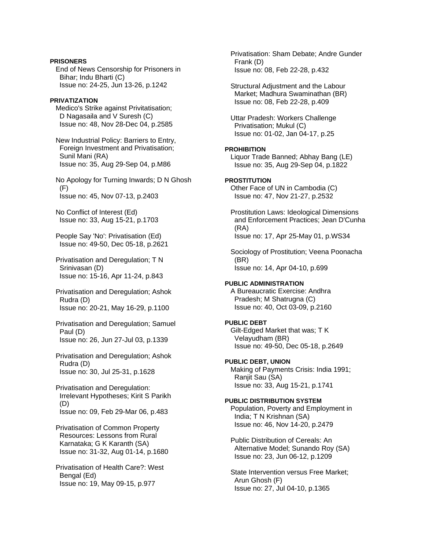### **PRISONERS**

 End of News Censorship for Prisoners in Bihar; Indu Bharti (C) Issue no: 24-25, Jun 13-26, p.1242

## **PRIVATIZATION**

 Medico's Strike against Privitatisation; D Nagasaila and V Suresh (C) Issue no: 48, Nov 28-Dec 04, p.2585

 New Industrial Policy: Barriers to Entry, Foreign Investment and Privatisation; Sunil Mani (RA) Issue no: 35, Aug 29-Sep 04, p.M86

 No Apology for Turning Inwards; D N Ghosh (F) Issue no: 45, Nov 07-13, p.2403

 No Conflict of Interest (Ed) Issue no: 33, Aug 15-21, p.1703

 People Say 'No': Privatisation (Ed) Issue no: 49-50, Dec 05-18, p.2621

- Privatisation and Deregulation; T N Srinivasan (D) Issue no: 15-16, Apr 11-24, p.843
- Privatisation and Deregulation; Ashok Rudra (D) Issue no: 20-21, May 16-29, p.1100
- Privatisation and Deregulation; Samuel Paul (D) Issue no: 26, Jun 27-Jul 03, p.1339
- Privatisation and Deregulation; Ashok Rudra (D) Issue no: 30, Jul 25-31, p.1628

 Privatisation and Deregulation: Irrelevant Hypotheses; Kirit S Parikh (D) Issue no: 09, Feb 29-Mar 06, p.483

 Privatisation of Common Property Resources: Lessons from Rural Karnataka; G K Karanth (SA) Issue no: 31-32, Aug 01-14, p.1680

 Privatisation of Health Care?: West Bengal (Ed) Issue no: 19, May 09-15, p.977

 Privatisation: Sham Debate; Andre Gunder Frank (D) Issue no: 08, Feb 22-28, p.432

 Structural Adjustment and the Labour Market; Madhura Swaminathan (BR) Issue no: 08, Feb 22-28, p.409

 Uttar Pradesh: Workers Challenge Privatisation; Mukul (C) Issue no: 01-02, Jan 04-17, p.25

## **PROHIBITION**

 Liquor Trade Banned; Abhay Bang (LE) Issue no: 35, Aug 29-Sep 04, p.1822

## **PROSTITUTION**

 Other Face of UN in Cambodia (C) Issue no: 47, Nov 21-27, p.2532

 Prostitution Laws: Ideological Dimensions and Enforcement Practices; Jean D'Cunha (RA) Issue no: 17, Apr 25-May 01, p.WS34

 Sociology of Prostitution; Veena Poonacha (BR) Issue no: 14, Apr 04-10, p.699

## **PUBLIC ADMINISTRATION**

 A Bureaucratic Exercise: Andhra Pradesh; M Shatrugna (C) Issue no: 40, Oct 03-09, p.2160

## **PUBLIC DEBT**

 Gilt-Edged Market that was; T K Velayudham (BR) Issue no: 49-50, Dec 05-18, p.2649

## **PUBLIC DEBT, UNION**  Making of Payments Crisis: India 1991;

 Ranjit Sau (SA) Issue no: 33, Aug 15-21, p.1741

# **PUBLIC DISTRIBUTION SYSTEM**  Population, Poverty and Employment in

 India; T N Krishnan (SA) Issue no: 46, Nov 14-20, p.2479

 Public Distribution of Cereals: An Alternative Model; Sunando Roy (SA) Issue no: 23, Jun 06-12, p.1209

 State Intervention versus Free Market; Arun Ghosh (F) Issue no: 27, Jul 04-10, p.1365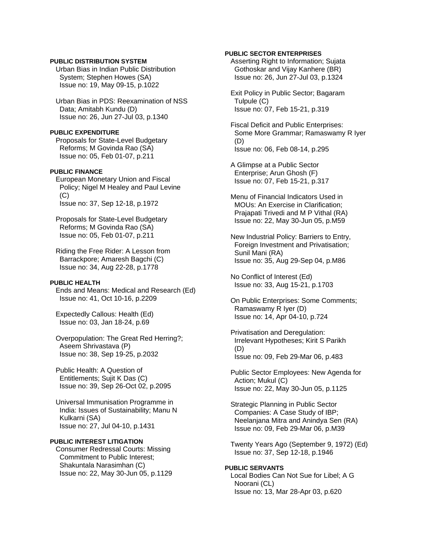### **PUBLIC DISTRIBUTION SYSTEM**

 Urban Bias in Indian Public Distribution System; Stephen Howes (SA) Issue no: 19, May 09-15, p.1022

 Urban Bias in PDS: Reexamination of NSS Data; Amitabh Kundu (D) Issue no: 26, Jun 27-Jul 03, p.1340

#### **PUBLIC EXPENDITURE**

 Proposals for State-Level Budgetary Reforms; M Govinda Rao (SA) Issue no: 05, Feb 01-07, p.211

## **PUBLIC FINANCE**

 European Monetary Union and Fiscal Policy; Nigel M Healey and Paul Levine (C) Issue no: 37, Sep 12-18, p.1972

 Proposals for State-Level Budgetary Reforms; M Govinda Rao (SA) Issue no: 05, Feb 01-07, p.211

 Riding the Free Rider: A Lesson from Barrackpore; Amaresh Bagchi (C) Issue no: 34, Aug 22-28, p.1778

## **PUBLIC HEALTH**

 Ends and Means: Medical and Research (Ed) Issue no: 41, Oct 10-16, p.2209

 Expectedly Callous: Health (Ed) Issue no: 03, Jan 18-24, p.69

 Overpopulation: The Great Red Herring?; Aseem Shrivastava (P) Issue no: 38, Sep 19-25, p.2032

 Public Health: A Question of Entitlements; Sujit K Das (C) Issue no: 39, Sep 26-Oct 02, p.2095

 Universal Immunisation Programme in India: Issues of Sustainability; Manu N Kulkarni (SA) Issue no: 27, Jul 04-10, p.1431

## **PUBLIC INTEREST LITIGATION**

 Consumer Redressal Courts: Missing Commitment to Public Interest; Shakuntala Narasimhan (C) Issue no: 22, May 30-Jun 05, p.1129

### **PUBLIC SECTOR ENTERPRISES**

 Asserting Right to Information; Sujata Gothoskar and Vijay Kanhere (BR) Issue no: 26, Jun 27-Jul 03, p.1324

 Exit Policy in Public Sector; Bagaram Tulpule (C) Issue no: 07, Feb 15-21, p.319

 Fiscal Deficit and Public Enterprises: Some More Grammar; Ramaswamy R Iyer (D) Issue no: 06, Feb 08-14, p.295

 A Glimpse at a Public Sector Enterprise; Arun Ghosh (F) Issue no: 07, Feb 15-21, p.317

 Menu of Financial Indicators Used in MOUs: An Exercise in Clarification; Prajapati Trivedi and M P Vithal (RA) Issue no: 22, May 30-Jun 05, p.M59

 New Industrial Policy: Barriers to Entry, Foreign Investment and Privatisation; Sunil Mani (RA) Issue no: 35, Aug 29-Sep 04, p.M86

 No Conflict of Interest (Ed) Issue no: 33, Aug 15-21, p.1703

 On Public Enterprises: Some Comments; Ramaswamy R Iyer (D) Issue no: 14, Apr 04-10, p.724

 Privatisation and Deregulation: Irrelevant Hypotheses; Kirit S Parikh (D) Issue no: 09, Feb 29-Mar 06, p.483

 Public Sector Employees: New Agenda for Action; Mukul (C) Issue no: 22, May 30-Jun 05, p.1125

 Strategic Planning in Public Sector Companies: A Case Study of IBP; Neelanjana Mitra and Anindya Sen (RA) Issue no: 09, Feb 29-Mar 06, p.M39

 Twenty Years Ago (September 9, 1972) (Ed) Issue no: 37, Sep 12-18, p.1946

#### **PUBLIC SERVANTS**

 Local Bodies Can Not Sue for Libel; A G Noorani (CL) Issue no: 13, Mar 28-Apr 03, p.620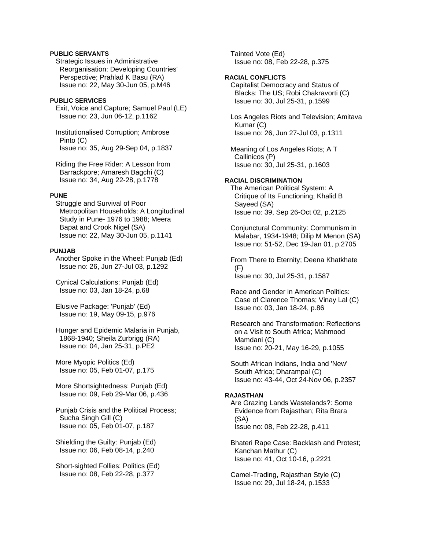## **PUBLIC SERVANTS**

 Strategic Issues in Administrative Reorganisation: Developing Countries' Perspective; Prahlad K Basu (RA) Issue no: 22, May 30-Jun 05, p.M46

#### **PUBLIC SERVICES**

 Exit, Voice and Capture; Samuel Paul (LE) Issue no: 23, Jun 06-12, p.1162

 Institutionalised Corruption; Ambrose Pinto (C) Issue no: 35, Aug 29-Sep 04, p.1837

 Riding the Free Rider: A Lesson from Barrackpore; Amaresh Bagchi (C) Issue no: 34, Aug 22-28, p.1778

#### **PUNE**

 Struggle and Survival of Poor Metropolitan Households: A Longitudinal Study in Pune- 1976 to 1988; Meera Bapat and Crook Nigel (SA) Issue no: 22, May 30-Jun 05, p.1141

#### **PUNJAB**

 Another Spoke in the Wheel: Punjab (Ed) Issue no: 26, Jun 27-Jul 03, p.1292

 Cynical Calculations: Punjab (Ed) Issue no: 03, Jan 18-24, p.68

 Elusive Package: 'Punjab' (Ed) Issue no: 19, May 09-15, p.976

 Hunger and Epidemic Malaria in Punjab, 1868-1940; Sheila Zurbrigg (RA) Issue no: 04, Jan 25-31, p.PE2

 More Myopic Politics (Ed) Issue no: 05, Feb 01-07, p.175

 More Shortsightedness: Punjab (Ed) Issue no: 09, Feb 29-Mar 06, p.436

 Punjab Crisis and the Political Process; Sucha Singh Gill (C) Issue no: 05, Feb 01-07, p.187

 Shielding the Guilty: Punjab (Ed) Issue no: 06, Feb 08-14, p.240

 Short-sighted Follies: Politics (Ed) Issue no: 08, Feb 22-28, p.377

 Tainted Vote (Ed) Issue no: 08, Feb 22-28, p.375

## **RACIAL CONFLICTS**

 Capitalist Democracy and Status of Blacks: The US; Robi Chakravorti (C) Issue no: 30, Jul 25-31, p.1599

 Los Angeles Riots and Television; Amitava Kumar (C) Issue no: 26, Jun 27-Jul 03, p.1311

 Meaning of Los Angeles Riots; A T Callinicos (P) Issue no: 30, Jul 25-31, p.1603

#### **RACIAL DISCRIMINATION**

 The American Political System: A Critique of Its Functioning; Khalid B Sayeed (SA) Issue no: 39, Sep 26-Oct 02, p.2125

 Conjunctural Community: Communism in Malabar, 1934-1948; Dilip M Menon (SA) Issue no: 51-52, Dec 19-Jan 01, p.2705

 From There to Eternity; Deena Khatkhate (F) Issue no: 30, Jul 25-31, p.1587

 Race and Gender in American Politics: Case of Clarence Thomas; Vinay Lal (C) Issue no: 03, Jan 18-24, p.86

 Research and Transformation: Reflections on a Visit to South Africa; Mahmood Mamdani (C) Issue no: 20-21, May 16-29, p.1055

 South African Indians, India and 'New' South Africa; Dharampal (C) Issue no: 43-44, Oct 24-Nov 06, p.2357

#### **RAJASTHAN**

 Are Grazing Lands Wastelands?: Some Evidence from Rajasthan; Rita Brara (SA) Issue no: 08, Feb 22-28, p.411

 Bhateri Rape Case: Backlash and Protest; Kanchan Mathur (C) Issue no: 41, Oct 10-16, p.2221

 Camel-Trading, Rajasthan Style (C) Issue no: 29, Jul 18-24, p.1533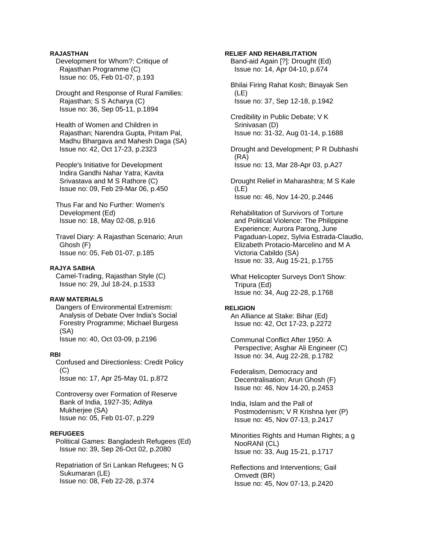## **RAJASTHAN**

 Development for Whom?: Critique of Rajasthan Programme (C) Issue no: 05, Feb 01-07, p.193

 Drought and Response of Rural Families: Rajasthan; S S Acharya (C) Issue no: 36, Sep 05-11, p.1894

 Health of Women and Children in Rajasthan; Narendra Gupta, Pritam Pal, Madhu Bhargava and Mahesh Daga (SA) Issue no: 42, Oct 17-23, p.2323

 People's Initiative for Development Indira Gandhi Nahar Yatra; Kavita Srivastava and M S Rathore (C) Issue no: 09, Feb 29-Mar 06, p.450

 Thus Far and No Further: Women's Development (Ed) Issue no: 18, May 02-08, p.916

 Travel Diary: A Rajasthan Scenario; Arun Ghosh (F) Issue no: 05, Feb 01-07, p.185

## **RAJYA SABHA**

 Camel-Trading, Rajasthan Style (C) Issue no: 29, Jul 18-24, p.1533

#### **RAW MATERIALS**

 Dangers of Environmental Extremism: Analysis of Debate Over India's Social Forestry Programme; Michael Burgess (SA) Issue no: 40, Oct 03-09, p.2196

#### **RBI**

 Confused and Directionless: Credit Policy  $(C)$ Issue no: 17, Apr 25-May 01, p.872

 Controversy over Formation of Reserve Bank of India, 1927-35; Aditya Mukheriee (SA) Issue no: 05, Feb 01-07, p.229

#### **REFUGEES**

 Political Games: Bangladesh Refugees (Ed) Issue no: 39, Sep 26-Oct 02, p.2080

 Repatriation of Sri Lankan Refugees; N G Sukumaran (LE) Issue no: 08, Feb 22-28, p.374

#### **RELIEF AND REHABILITATION**

 Band-aid Again [?]: Drought (Ed) Issue no: 14, Apr 04-10, p.674

 Bhilai Firing Rahat Kosh; Binayak Sen (LE) Issue no: 37, Sep 12-18, p.1942

 Credibility in Public Debate; V K Srinivasan (D) Issue no: 31-32, Aug 01-14, p.1688

 Drought and Development; P R Dubhashi (RA) Issue no: 13, Mar 28-Apr 03, p.A27

 Drought Relief in Maharashtra; M S Kale (LE) Issue no: 46, Nov 14-20, p.2446

 Rehabilitation of Survivors of Torture and Political Violence: The Philippine Experience; Aurora Parong, June Pagaduan-Lopez, Sylvia Estrada-Claudio, Elizabeth Protacio-Marcelino and M A Victoria Cabildo (SA) Issue no: 33, Aug 15-21, p.1755

 What Helicopter Surveys Don't Show: Tripura (Ed) Issue no: 34, Aug 22-28, p.1768

#### **RELIGION**

 An Alliance at Stake: Bihar (Ed) Issue no: 42, Oct 17-23, p.2272

 Communal Conflict After 1950: A Perspective; Asghar Ali Engineer (C) Issue no: 34, Aug 22-28, p.1782

 Federalism, Democracy and Decentralisation; Arun Ghosh (F) Issue no: 46, Nov 14-20, p.2453

 India, Islam and the Pall of Postmodernism; V R Krishna Iyer (P) Issue no: 45, Nov 07-13, p.2417

 Minorities Rights and Human Rights; a g NooRANI (CL) Issue no: 33, Aug 15-21, p.1717

 Reflections and Interventions; Gail Omvedt (BR) Issue no: 45, Nov 07-13, p.2420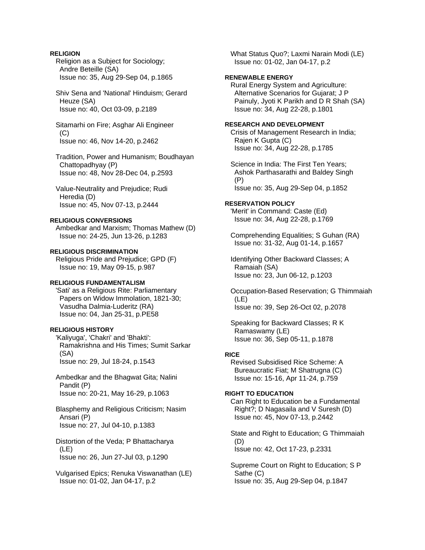## **RELIGION**

 Religion as a Subject for Sociology; Andre Beteille (SA) Issue no: 35, Aug 29-Sep 04, p.1865

 Shiv Sena and 'National' Hinduism; Gerard Heuze (SA) Issue no: 40, Oct 03-09, p.2189

 Sitamarhi on Fire; Asghar Ali Engineer (C) Issue no: 46, Nov 14-20, p.2462

 Tradition, Power and Humanism; Boudhayan Chattopadhyay (P) Issue no: 48, Nov 28-Dec 04, p.2593

 Value-Neutrality and Prejudice; Rudi Heredia (D) Issue no: 45, Nov 07-13, p.2444

### **RELIGIOUS CONVERSIONS**

 Ambedkar and Marxism; Thomas Mathew (D) Issue no: 24-25, Jun 13-26, p.1283

## **RELIGIOUS DISCRIMINATION**

 Religious Pride and Prejudice; GPD (F) Issue no: 19, May 09-15, p.987

## **RELIGIOUS FUNDAMENTALISM**

 'Sati' as a Religious Rite: Parliamentary Papers on Widow Immolation, 1821-30; Vasudha Dalmia-Luderitz (RA) Issue no: 04, Jan 25-31, p.PE58

## **RELIGIOUS HISTORY**

 'Kaliyuga', 'Chakri' and 'Bhakti': Ramakrishna and His Times; Sumit Sarkar (SA) Issue no: 29, Jul 18-24, p.1543

 Ambedkar and the Bhagwat Gita; Nalini Pandit (P) Issue no: 20-21, May 16-29, p.1063

 Blasphemy and Religious Criticism; Nasim Ansari (P) Issue no: 27, Jul 04-10, p.1383

 Distortion of the Veda; P Bhattacharya (LE) Issue no: 26, Jun 27-Jul 03, p.1290

 Vulgarised Epics; Renuka Viswanathan (LE) Issue no: 01-02, Jan 04-17, p.2

 What Status Quo?; Laxmi Narain Modi (LE) Issue no: 01-02, Jan 04-17, p.2

## **RENEWABLE ENERGY**

 Rural Energy System and Agriculture: Alternative Scenarios for Gujarat; J P Painuly, Jyoti K Parikh and D R Shah (SA) Issue no: 34, Aug 22-28, p.1801

#### **RESEARCH AND DEVELOPMENT**

 Crisis of Management Research in India; Rajen K Gupta (C) Issue no: 34, Aug 22-28, p.1785

 Science in India: The First Ten Years; Ashok Parthasarathi and Baldey Singh (P)

Issue no: 35, Aug 29-Sep 04, p.1852

## **RESERVATION POLICY**

 'Merit' in Command: Caste (Ed) Issue no: 34, Aug 22-28, p.1769

 Comprehending Equalities; S Guhan (RA) Issue no: 31-32, Aug 01-14, p.1657

 Identifying Other Backward Classes; A Ramaiah (SA) Issue no: 23, Jun 06-12, p.1203

 Occupation-Based Reservation; G Thimmaiah (LE) Issue no: 39, Sep 26-Oct 02, p.2078

 Speaking for Backward Classes; R K Ramaswamy (LE) Issue no: 36, Sep 05-11, p.1878

## **RICE**

 Revised Subsidised Rice Scheme: A Bureaucratic Fiat; M Shatrugna (C) Issue no: 15-16, Apr 11-24, p.759

## **RIGHT TO EDUCATION**

 Can Right to Education be a Fundamental Right?; D Nagasaila and V Suresh (D) Issue no: 45, Nov 07-13, p.2442

 State and Right to Education; G Thimmaiah (D) Issue no: 42, Oct 17-23, p.2331

 Supreme Court on Right to Education; S P Sathe (C) Issue no: 35, Aug 29-Sep 04, p.1847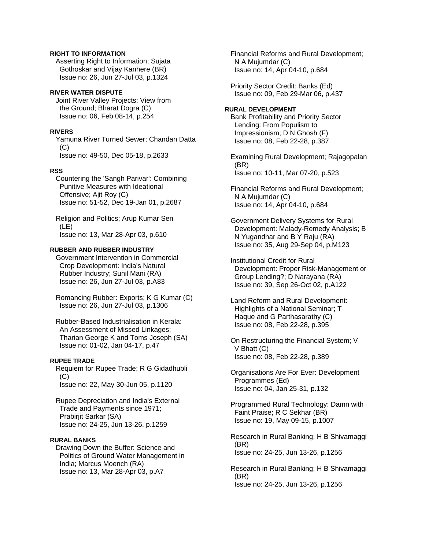## **RIGHT TO INFORMATION**

 Asserting Right to Information; Sujata Gothoskar and Vijay Kanhere (BR) Issue no: 26, Jun 27-Jul 03, p.1324

### **RIVER WATER DISPUTE**

 Joint River Valley Projects: View from the Ground; Bharat Dogra (C) Issue no: 06, Feb 08-14, p.254

#### **RIVERS**

 Yamuna River Turned Sewer; Chandan Datta (C) Issue no: 49-50, Dec 05-18, p.2633

#### **RSS**

 Countering the 'Sangh Parivar': Combining Punitive Measures with Ideational Offensive; Ajit Roy (C) Issue no: 51-52, Dec 19-Jan 01, p.2687

 Religion and Politics; Arup Kumar Sen (LE) Issue no: 13, Mar 28-Apr 03, p.610

### **RUBBER AND RUBBER INDUSTRY**

 Government Intervention in Commercial Crop Development: India's Natural Rubber Industry; Sunil Mani (RA) Issue no: 26, Jun 27-Jul 03, p.A83

 Romancing Rubber: Exports; K G Kumar (C) Issue no: 26, Jun 27-Jul 03, p.1306

 Rubber-Based Industrialisation in Kerala: An Assessment of Missed Linkages; Tharian George K and Toms Joseph (SA) Issue no: 01-02, Jan 04-17, p.47

## **RUPEE TRADE**

 Requiem for Rupee Trade; R G Gidadhubli (C) Issue no: 22, May 30-Jun 05, p.1120

 Rupee Depreciation and India's External Trade and Payments since 1971; Prabirjit Sarkar (SA) Issue no: 24-25, Jun 13-26, p.1259

#### **RURAL BANKS**

 Drawing Down the Buffer: Science and Politics of Ground Water Management in India; Marcus Moench (RA) Issue no: 13, Mar 28-Apr 03, p.A7

 Financial Reforms and Rural Development; N A Mujumdar (C) Issue no: 14, Apr 04-10, p.684

 Priority Sector Credit: Banks (Ed) Issue no: 09, Feb 29-Mar 06, p.437

## **RURAL DEVELOPMENT**

 Bank Profitability and Priority Sector Lending: From Populism to Impressionism; D N Ghosh (F) Issue no: 08, Feb 22-28, p.387

 Examining Rural Development; Rajagopalan (BR) Issue no: 10-11, Mar 07-20, p.523

 Financial Reforms and Rural Development; N A Mujumdar (C) Issue no: 14, Apr 04-10, p.684

 Government Delivery Systems for Rural Development: Malady-Remedy Analysis; B N Yugandhar and B Y Raju (RA) Issue no: 35, Aug 29-Sep 04, p.M123

 Institutional Credit for Rural Development: Proper Risk-Management or Group Lending?; D Narayana (RA) Issue no: 39, Sep 26-Oct 02, p.A122

 Land Reform and Rural Development: Highlights of a National Seminar; T Haque and G Parthasarathy (C) Issue no: 08, Feb 22-28, p.395

 On Restructuring the Financial System; V V Bhatt (C) Issue no: 08, Feb 22-28, p.389

 Organisations Are For Ever: Development Programmes (Ed) Issue no: 04, Jan 25-31, p.132

 Programmed Rural Technology: Damn with Faint Praise; R C Sekhar (BR) Issue no: 19, May 09-15, p.1007

 Research in Rural Banking; H B Shivamaggi (BR) Issue no: 24-25, Jun 13-26, p.1256

 Research in Rural Banking; H B Shivamaggi (BR) Issue no: 24-25, Jun 13-26, p.1256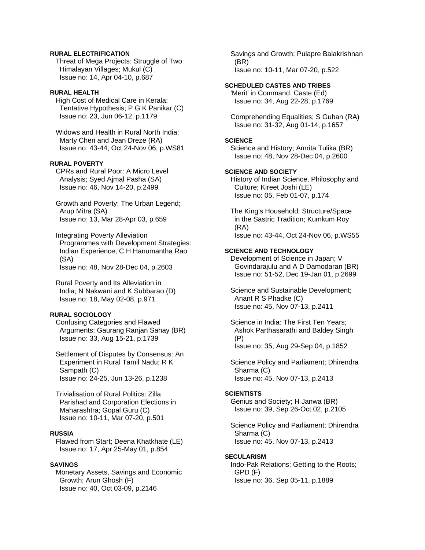## **RURAL ELECTRIFICATION**

 Threat of Mega Projects: Struggle of Two Himalayan Villages; Mukul (C) Issue no: 14, Apr 04-10, p.687

## **RURAL HEALTH**

 High Cost of Medical Care in Kerala: Tentative Hypothesis; P G K Panikar (C) Issue no: 23, Jun 06-12, p.1179

 Widows and Health in Rural North India; Marty Chen and Jean Dreze (RA) Issue no: 43-44, Oct 24-Nov 06, p.WS81

## **RURAL POVERTY**

 CPRs and Rural Poor: A Micro Level Analysis; Syed Ajmal Pasha (SA) Issue no: 46, Nov 14-20, p.2499

 Growth and Poverty: The Urban Legend; Arup Mitra (SA) Issue no: 13, Mar 28-Apr 03, p.659

 Integrating Poverty Alleviation Programmes with Development Strategies: Indian Experience; C H Hanumantha Rao (SA)

Issue no: 48, Nov 28-Dec 04, p.2603

 Rural Poverty and Its Alleviation in India; N Nakwani and K Subbarao (D) Issue no: 18, May 02-08, p.971

### **RURAL SOCIOLOGY**

 Confusing Categories and Flawed Arguments; Gaurang Ranjan Sahay (BR) Issue no: 33, Aug 15-21, p.1739

 Settlement of Disputes by Consensus: An Experiment in Rural Tamil Nadu; R K Sampath (C) Issue no: 24-25, Jun 13-26, p.1238

 Trivialisation of Rural Politics: Zilla Parishad and Corporation Elections in Maharashtra; Gopal Guru (C) Issue no: 10-11, Mar 07-20, p.501

#### **RUSSIA**

 Flawed from Start; Deena Khatkhate (LE) Issue no: 17, Apr 25-May 01, p.854

#### **SAVINGS**

 Monetary Assets, Savings and Economic Growth; Arun Ghosh (F) Issue no: 40, Oct 03-09, p.2146

 Savings and Growth; Pulapre Balakrishnan (BR) Issue no: 10-11, Mar 07-20, p.522

#### **SCHEDULED CASTES AND TRIBES**

 'Merit' in Command: Caste (Ed) Issue no: 34, Aug 22-28, p.1769

 Comprehending Equalities; S Guhan (RA) Issue no: 31-32, Aug 01-14, p.1657

#### **SCIENCE**

 Science and History; Amrita Tulika (BR) Issue no: 48, Nov 28-Dec 04, p.2600

#### **SCIENCE AND SOCIETY**

 History of Indian Science, Philosophy and Culture; Kireet Joshi (LE) Issue no: 05, Feb 01-07, p.174

 The King's Household: Structure/Space in the Sastric Tradition; Kumkum Roy (RA) Issue no: 43-44, Oct 24-Nov 06, p.WS55

#### **SCIENCE AND TECHNOLOGY**

 Development of Science in Japan; V Govindarajulu and A D Damodaran (BR) Issue no: 51-52, Dec 19-Jan 01, p.2699

 Science and Sustainable Development; Anant R S Phadke (C) Issue no: 45, Nov 07-13, p.2411

 Science in India: The First Ten Years; Ashok Parthasarathi and Baldey Singh (P) Issue no: 35, Aug 29-Sep 04, p.1852

 Science Policy and Parliament; Dhirendra Sharma (C) Issue no: 45, Nov 07-13, p.2413

#### **SCIENTISTS**

 Genius and Society; H Janwa (BR) Issue no: 39, Sep 26-Oct 02, p.2105

 Science Policy and Parliament; Dhirendra Sharma (C) Issue no: 45, Nov 07-13, p.2413

#### **SECULARISM**

 Indo-Pak Relations: Getting to the Roots; GPD (F) Issue no: 36, Sep 05-11, p.1889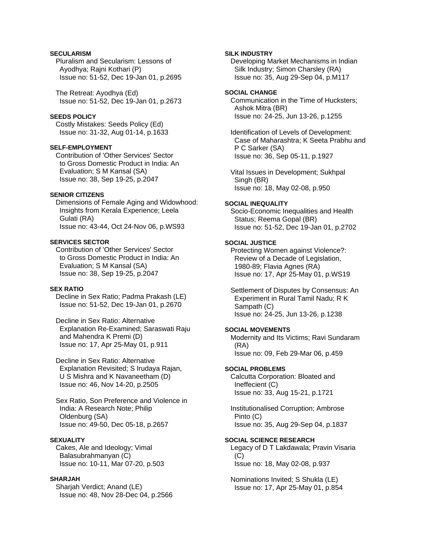## **SECULARISM**

 Pluralism and Secularism: Lessons of Ayodhya; Rajni Kothari (P) Issue no: 51-52, Dec 19-Jan 01, p.2695

 The Retreat: Ayodhya (Ed) Issue no: 51-52, Dec 19-Jan 01, p.2673

#### **SEEDS POLICY**

 Costly Mistakes: Seeds Policy (Ed) Issue no: 31-32, Aug 01-14, p.1633

## **SELF-EMPLOYMENT**

 Contribution of 'Other Services' Sector to Gross Domestic Product in India: An Evaluation; S M Kansal (SA) Issue no: 38, Sep 19-25, p.2047

## **SENIOR CITIZENS**

 Dimensions of Female Aging and Widowhood: Insights from Kerala Experience; Leela Gulati (RA) Issue no: 43-44, Oct 24-Nov 06, p.WS93

#### **SERVICES SECTOR**

 Contribution of 'Other Services' Sector to Gross Domestic Product in India: An Evaluation; S M Kansal (SA) Issue no: 38, Sep 19-25, p.2047

#### **SEX RATIO**

 Decline in Sex Ratio; Padma Prakash (LE) Issue no: 51-52, Dec 19-Jan 01, p.2670

 Decline in Sex Ratio: Alternative Explanation Re-Examined; Saraswati Raju and Mahendra K Premi (D) Issue no: 17, Apr 25-May 01, p.911

 Decline in Sex Ratio: Alternative Explanation Revisited; S Irudaya Rajan, U S Mishra and K Navaneetham (D) Issue no: 46, Nov 14-20, p.2505

 Sex Ratio, Son Preference and Violence in India: A Research Note; Philip Oldenburg (SA) Issue no: 49-50, Dec 05-18, p.2657

### **SEXUALITY**

 Cakes, Ale and Ideology; Vimal Balasubrahmanyan (C) Issue no: 10-11, Mar 07-20, p.503

## **SHARJAH**

 Sharjah Verdict; Anand (LE) Issue no: 48, Nov 28-Dec 04, p.2566

#### **SILK INDUSTRY**

 Developing Market Mechanisms in Indian Silk Industry; Simon Charsley (RA) Issue no: 35, Aug 29-Sep 04, p.M117

## **SOCIAL CHANGE**

 Communication in the Time of Hucksters; Ashok Mitra (BR) Issue no: 24-25, Jun 13-26, p.1255

 Identification of Levels of Development: Case of Maharashtra; K Seeta Prabhu and P C Sarker (SA) Issue no: 36, Sep 05-11, p.1927

 Vital Issues in Development; Sukhpal Singh (BR) Issue no: 18, May 02-08, p.950

#### **SOCIAL INEQUALITY**

 Socio-Economic Inequalities and Health Status; Reema Gopal (BR) Issue no: 51-52, Dec 19-Jan 01, p.2702

## **SOCIAL JUSTICE**

 Protecting Women against Violence?: Review of a Decade of Legislation, 1980-89; Flavia Agnes (RA) Issue no: 17, Apr 25-May 01, p.WS19

 Settlement of Disputes by Consensus: An Experiment in Rural Tamil Nadu; R K Sampath (C) Issue no: 24-25, Jun 13-26, p.1238

#### **SOCIAL MOVEMENTS**

 Modernity and Its Victims; Ravi Sundaram (RA) Issue no: 09, Feb 29-Mar 06, p.459

#### **SOCIAL PROBLEMS**

 Calcutta Corporation: Bloated and Ineffecient (C) Issue no: 33, Aug 15-21, p.1721

 Institutionalised Corruption; Ambrose Pinto (C) Issue no: 35, Aug 29-Sep 04, p.1837

#### **SOCIAL SCIENCE RESEARCH**

 Legacy of D T Lakdawala; Pravin Visaria  $(C)$ Issue no: 18, May 02-08, p.937

 Nominations Invited; S Shukla (LE) Issue no: 17, Apr 25-May 01, p.854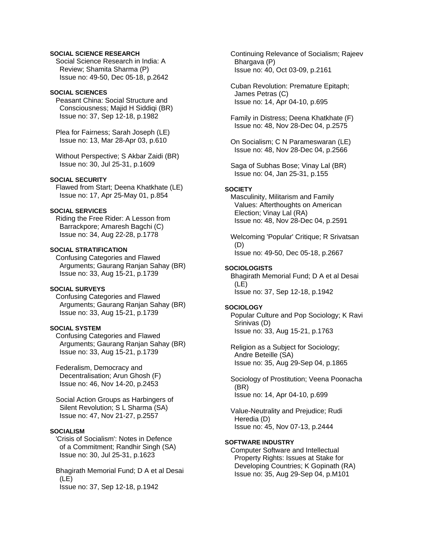## **SOCIAL SCIENCE RESEARCH**

 Social Science Research in India: A Review; Shamita Sharma (P) Issue no: 49-50, Dec 05-18, p.2642

### **SOCIAL SCIENCES**

 Peasant China: Social Structure and Consciousness; Majid H Siddiqi (BR) Issue no: 37, Sep 12-18, p.1982

 Plea for Fairness; Sarah Joseph (LE) Issue no: 13, Mar 28-Apr 03, p.610

 Without Perspective; S Akbar Zaidi (BR) Issue no: 30, Jul 25-31, p.1609

### **SOCIAL SECURITY**

 Flawed from Start; Deena Khatkhate (LE) Issue no: 17, Apr 25-May 01, p.854

## **SOCIAL SERVICES**

 Riding the Free Rider: A Lesson from Barrackpore; Amaresh Bagchi (C) Issue no: 34, Aug 22-28, p.1778

## **SOCIAL STRATIFICATION**

 Confusing Categories and Flawed Arguments; Gaurang Ranjan Sahay (BR) Issue no: 33, Aug 15-21, p.1739

#### **SOCIAL SURVEYS**

 Confusing Categories and Flawed Arguments; Gaurang Ranjan Sahay (BR) Issue no: 33, Aug 15-21, p.1739

## **SOCIAL SYSTEM**

 Confusing Categories and Flawed Arguments; Gaurang Ranjan Sahay (BR) Issue no: 33, Aug 15-21, p.1739

 Federalism, Democracy and Decentralisation; Arun Ghosh (F) Issue no: 46, Nov 14-20, p.2453

 Social Action Groups as Harbingers of Silent Revolution; S L Sharma (SA) Issue no: 47, Nov 21-27, p.2557

## **SOCIALISM**

 'Crisis of Socialism': Notes in Defence of a Commitment; Randhir Singh (SA) Issue no: 30, Jul 25-31, p.1623

 Bhagirath Memorial Fund; D A et al Desai (LE) Issue no: 37, Sep 12-18, p.1942

 Continuing Relevance of Socialism; Rajeev Bhargava (P) Issue no: 40, Oct 03-09, p.2161

 Cuban Revolution: Premature Epitaph; James Petras (C) Issue no: 14, Apr 04-10, p.695

 Family in Distress; Deena Khatkhate (F) Issue no: 48, Nov 28-Dec 04, p.2575

 On Socialism; C N Parameswaran (LE) Issue no: 48, Nov 28-Dec 04, p.2566

 Saga of Subhas Bose; Vinay Lal (BR) Issue no: 04, Jan 25-31, p.155

#### **SOCIETY**

 Masculinity, Militarism and Family Values: Afterthoughts on American Election; Vinay Lal (RA) Issue no: 48, Nov 28-Dec 04, p.2591

 Welcoming 'Popular' Critique; R Srivatsan (D) Issue no: 49-50, Dec 05-18, p.2667

## **SOCIOLOGISTS**

 Bhagirath Memorial Fund; D A et al Desai (LE) Issue no: 37, Sep 12-18, p.1942

#### **SOCIOLOGY**

 Popular Culture and Pop Sociology; K Ravi Srinivas (D) Issue no: 33, Aug 15-21, p.1763

 Religion as a Subject for Sociology; Andre Beteille (SA) Issue no: 35, Aug 29-Sep 04, p.1865

 Sociology of Prostitution; Veena Poonacha (BR) Issue no: 14, Apr 04-10, p.699

 Value-Neutrality and Prejudice; Rudi Heredia (D) Issue no: 45, Nov 07-13, p.2444

#### **SOFTWARE INDUSTRY**

 Computer Software and Intellectual Property Rights: Issues at Stake for Developing Countries; K Gopinath (RA) Issue no: 35, Aug 29-Sep 04, p.M101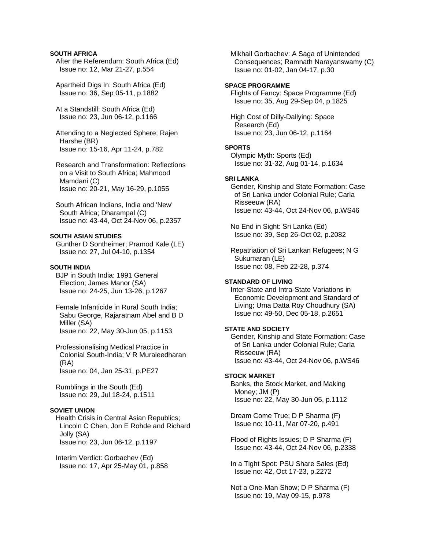#### **SOUTH AFRICA**

 After the Referendum: South Africa (Ed) Issue no: 12, Mar 21-27, p.554

 Apartheid Digs In: South Africa (Ed) Issue no: 36, Sep 05-11, p.1882

 At a Standstill: South Africa (Ed) Issue no: 23, Jun 06-12, p.1166

 Attending to a Neglected Sphere; Rajen Harshe (BR) Issue no: 15-16, Apr 11-24, p.782

 Research and Transformation: Reflections on a Visit to South Africa; Mahmood Mamdani (C) Issue no: 20-21, May 16-29, p.1055

 South African Indians, India and 'New' South Africa; Dharampal (C) Issue no: 43-44, Oct 24-Nov 06, p.2357

#### **SOUTH ASIAN STUDIES**

 Gunther D Sontheimer; Pramod Kale (LE) Issue no: 27, Jul 04-10, p.1354

## **SOUTH INDIA**

 BJP in South India: 1991 General Election; James Manor (SA) Issue no: 24-25, Jun 13-26, p.1267

 Female Infanticide in Rural South India; Sabu George, Rajaratnam Abel and B D Miller (SA) Issue no: 22, May 30-Jun 05, p.1153

 Professionalising Medical Practice in Colonial South-India; V R Muraleedharan (RA) Issue no: 04, Jan 25-31, p.PE27

 Rumblings in the South (Ed) Issue no: 29, Jul 18-24, p.1511

## **SOVIET UNION**

 Health Crisis in Central Asian Republics; Lincoln C Chen, Jon E Rohde and Richard Jolly (SA) Issue no: 23, Jun 06-12, p.1197

 Interim Verdict: Gorbachev (Ed) Issue no: 17, Apr 25-May 01, p.858  Mikhail Gorbachev: A Saga of Unintended Consequences; Ramnath Narayanswamy (C) Issue no: 01-02, Jan 04-17, p.30

#### **SPACE PROGRAMME**

 Flights of Fancy: Space Programme (Ed) Issue no: 35, Aug 29-Sep 04, p.1825

 High Cost of Dilly-Dallying: Space Research (Ed) Issue no: 23, Jun 06-12, p.1164

#### **SPORTS**

 Olympic Myth: Sports (Ed) Issue no: 31-32, Aug 01-14, p.1634

#### **SRI LANKA**

 Gender, Kinship and State Formation: Case of Sri Lanka under Colonial Rule; Carla Risseeuw (RA) Issue no: 43-44, Oct 24-Nov 06, p.WS46

 No End in Sight: Sri Lanka (Ed) Issue no: 39, Sep 26-Oct 02, p.2082

 Repatriation of Sri Lankan Refugees; N G Sukumaran (LE) Issue no: 08, Feb 22-28, p.374

#### **STANDARD OF LIVING**

 Inter-State and Intra-State Variations in Economic Development and Standard of Living; Uma Datta Roy Choudhury (SA) Issue no: 49-50, Dec 05-18, p.2651

#### **STATE AND SOCIETY**

 Gender, Kinship and State Formation: Case of Sri Lanka under Colonial Rule; Carla Risseeuw (RA) Issue no: 43-44, Oct 24-Nov 06, p.WS46

#### **STOCK MARKET**

 Banks, the Stock Market, and Making Money; JM (P) Issue no: 22, May 30-Jun 05, p.1112

 Dream Come True; D P Sharma (F) Issue no: 10-11, Mar 07-20, p.491

 Flood of Rights Issues; D P Sharma (F) Issue no: 43-44, Oct 24-Nov 06, p.2338

 In a Tight Spot: PSU Share Sales (Ed) Issue no: 42, Oct 17-23, p.2272

 Not a One-Man Show; D P Sharma (F) Issue no: 19, May 09-15, p.978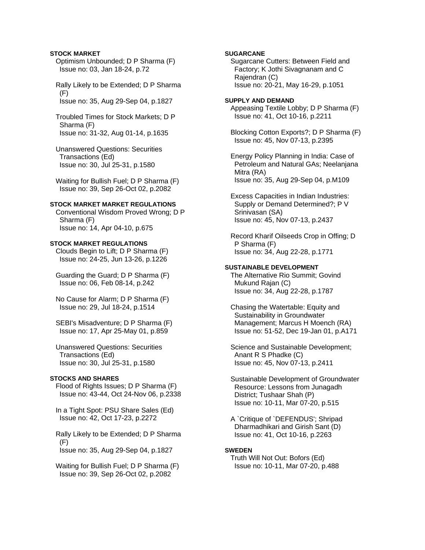#### **STOCK MARKET**

 Optimism Unbounded; D P Sharma (F) Issue no: 03, Jan 18-24, p.72

 Rally Likely to be Extended; D P Sharma  $(F)$ Issue no: 35, Aug 29-Sep 04, p.1827

- Troubled Times for Stock Markets; D P Sharma (F) Issue no: 31-32, Aug 01-14, p.1635
- Unanswered Questions: Securities Transactions (Ed) Issue no: 30, Jul 25-31, p.1580

 Waiting for Bullish Fuel; D P Sharma (F) Issue no: 39, Sep 26-Oct 02, p.2082

#### **STOCK MARKET MARKET REGULATIONS**

 Conventional Wisdom Proved Wrong; D P Sharma (F) Issue no: 14, Apr 04-10, p.675

#### **STOCK MARKET REGULATIONS**

 Clouds Begin to Lift; D P Sharma (F) Issue no: 24-25, Jun 13-26, p.1226

 Guarding the Guard; D P Sharma (F) Issue no: 06, Feb 08-14, p.242

 No Cause for Alarm; D P Sharma (F) Issue no: 29, Jul 18-24, p.1514

 SEBI's Misadventure; D P Sharma (F) Issue no: 17, Apr 25-May 01, p.859

 Unanswered Questions: Securities Transactions (Ed) Issue no: 30, Jul 25-31, p.1580

#### **STOCKS AND SHARES**

 Flood of Rights Issues; D P Sharma (F) Issue no: 43-44, Oct 24-Nov 06, p.2338

 In a Tight Spot: PSU Share Sales (Ed) Issue no: 42, Oct 17-23, p.2272

 Rally Likely to be Extended; D P Sharma  $(F)$ Issue no: 35, Aug 29-Sep 04, p.1827

 Waiting for Bullish Fuel; D P Sharma (F) Issue no: 39, Sep 26-Oct 02, p.2082

## **SUGARCANE**

 Sugarcane Cutters: Between Field and Factory; K Jothi Sivagnanam and C Rajendran (C) Issue no: 20-21, May 16-29, p.1051

#### **SUPPLY AND DEMAND**

 Appeasing Textile Lobby; D P Sharma (F) Issue no: 41, Oct 10-16, p.2211

 Blocking Cotton Exports?; D P Sharma (F) Issue no: 45, Nov 07-13, p.2395

 Energy Policy Planning in India: Case of Petroleum and Natural GAs; Neelanjana Mitra (RA) Issue no: 35, Aug 29-Sep 04, p.M109

 Excess Capacities in Indian Industries: Supply or Demand Determined?; P V Srinivasan (SA) Issue no: 45, Nov 07-13, p.2437

 Record Kharif Oilseeds Crop in Offing; D P Sharma (F) Issue no: 34, Aug 22-28, p.1771

#### **SUSTAINABLE DEVELOPMENT**

 The Alternative Rio Summit; Govind Mukund Rajan (C) Issue no: 34, Aug 22-28, p.1787

 Chasing the Watertable: Equity and Sustainability in Groundwater Management; Marcus H Moench (RA) Issue no: 51-52, Dec 19-Jan 01, p.A171

 Science and Sustainable Development; Anant R S Phadke (C) Issue no: 45, Nov 07-13, p.2411

 Sustainable Development of Groundwater Resource: Lessons from Junagadh District; Tushaar Shah (P) Issue no: 10-11, Mar 07-20, p.515

 A `Critique of `DEFENDUS'; Shripad Dharmadhikari and Girish Sant (D) Issue no: 41, Oct 10-16, p.2263

### **SWEDEN**

 Truth Will Not Out: Bofors (Ed) Issue no: 10-11, Mar 07-20, p.488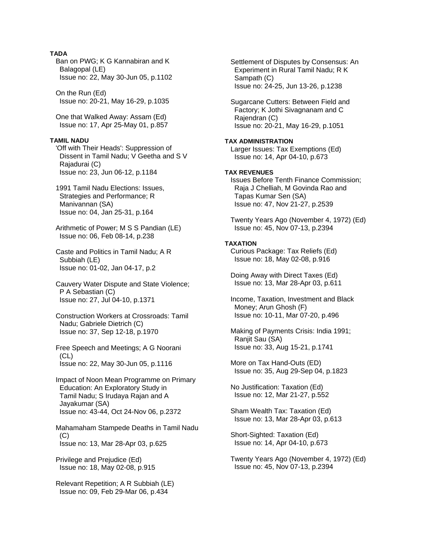## **TADA**

 Ban on PWG; K G Kannabiran and K Balagopal (LE) Issue no: 22, May 30-Jun 05, p.1102

 On the Run (Ed) Issue no: 20-21, May 16-29, p.1035

 One that Walked Away: Assam (Ed) Issue no: 17, Apr 25-May 01, p.857

### **TAMIL NADU**

 'Off with Their Heads': Suppression of Dissent in Tamil Nadu; V Geetha and S V Rajadurai (C) Issue no: 23, Jun 06-12, p.1184

 1991 Tamil Nadu Elections: Issues, Strategies and Performance; R Manivannan (SA) Issue no: 04, Jan 25-31, p.164

 Arithmetic of Power; M S S Pandian (LE) Issue no: 06, Feb 08-14, p.238

 Caste and Politics in Tamil Nadu; A R Subbiah (LE) Issue no: 01-02, Jan 04-17, p.2

 Cauvery Water Dispute and State Violence; P A Sebastian (C) Issue no: 27, Jul 04-10, p.1371

 Construction Workers at Crossroads: Tamil Nadu; Gabriele Dietrich (C) Issue no: 37, Sep 12-18, p.1970

 Free Speech and Meetings; A G Noorani (CL) Issue no: 22, May 30-Jun 05, p.1116

 Impact of Noon Mean Programme on Primary Education: An Exploratory Study in Tamil Nadu; S Irudaya Rajan and A Jayakumar (SA) Issue no: 43-44, Oct 24-Nov 06, p.2372

 Mahamaham Stampede Deaths in Tamil Nadu (C) Issue no: 13, Mar 28-Apr 03, p.625

 Privilege and Prejudice (Ed) Issue no: 18, May 02-08, p.915

 Relevant Repetition; A R Subbiah (LE) Issue no: 09, Feb 29-Mar 06, p.434

 Settlement of Disputes by Consensus: An Experiment in Rural Tamil Nadu; R K Sampath (C) Issue no: 24-25, Jun 13-26, p.1238

 Sugarcane Cutters: Between Field and Factory; K Jothi Sivagnanam and C Rajendran (C) Issue no: 20-21, May 16-29, p.1051

## **TAX ADMINISTRATION**

 Larger Issues: Tax Exemptions (Ed) Issue no: 14, Apr 04-10, p.673

## **TAX REVENUES**

 Issues Before Tenth Finance Commission; Raja J Chelliah, M Govinda Rao and Tapas Kumar Sen (SA) Issue no: 47, Nov 21-27, p.2539

 Twenty Years Ago (November 4, 1972) (Ed) Issue no: 45, Nov 07-13, p.2394

#### **TAXATION**

 Curious Package: Tax Reliefs (Ed) Issue no: 18, May 02-08, p.916

 Doing Away with Direct Taxes (Ed) Issue no: 13, Mar 28-Apr 03, p.611

 Income, Taxation, Investment and Black Money; Arun Ghosh (F) Issue no: 10-11, Mar 07-20, p.496

 Making of Payments Crisis: India 1991; Ranjit Sau (SA) Issue no: 33, Aug 15-21, p.1741

 More on Tax Hand-Outs (ED) Issue no: 35, Aug 29-Sep 04, p.1823

 No Justification: Taxation (Ed) Issue no: 12, Mar 21-27, p.552

 Sham Wealth Tax: Taxation (Ed) Issue no: 13, Mar 28-Apr 03, p.613

 Short-Sighted: Taxation (Ed) Issue no: 14, Apr 04-10, p.673

 Twenty Years Ago (November 4, 1972) (Ed) Issue no: 45, Nov 07-13, p.2394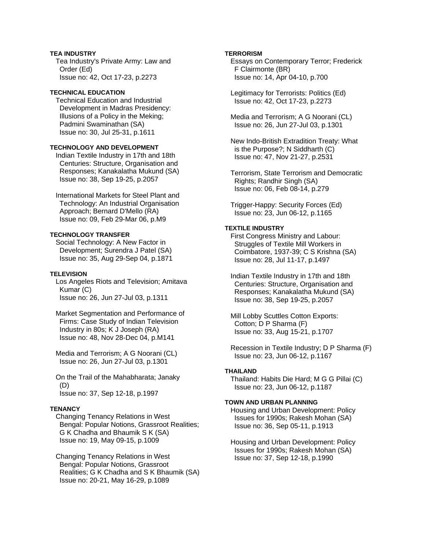## **TEA INDUSTRY**

 Tea Industry's Private Army: Law and Order (Ed) Issue no: 42, Oct 17-23, p.2273

## **TECHNICAL EDUCATION**

 Technical Education and Industrial Development in Madras Presidency: Illusions of a Policy in the Meking; Padmini Swaminathan (SA) Issue no: 30, Jul 25-31, p.1611

## **TECHNOLOGY AND DEVELOPMENT**

 Indian Textile Industry in 17th and 18th Centuries: Structure, Organisation and Responses; Kanakalatha Mukund (SA) Issue no: 38, Sep 19-25, p.2057

 International Markets for Steel Plant and Technology: An Industrial Organisation Approach; Bernard D'Mello (RA) Issue no: 09, Feb 29-Mar 06, p.M9

## **TECHNOLOGY TRANSFER**

 Social Technology: A New Factor in Development; Surendra J Patel (SA) Issue no: 35, Aug 29-Sep 04, p.1871

## **TELEVISION**

 Los Angeles Riots and Television; Amitava Kumar (C) Issue no: 26, Jun 27-Jul 03, p.1311

 Market Segmentation and Performance of Firms: Case Study of Indian Television Industry in 80s; K J Joseph (RA) Issue no: 48, Nov 28-Dec 04, p.M141

 Media and Terrorism; A G Noorani (CL) Issue no: 26, Jun 27-Jul 03, p.1301

 On the Trail of the Mahabharata; Janaky (D) Issue no: 37, Sep 12-18, p.1997

## **TENANCY**

 Changing Tenancy Relations in West Bengal: Popular Notions, Grassroot Realities; G K Chadha and Bhaumik S K (SA) Issue no: 19, May 09-15, p.1009

 Changing Tenancy Relations in West Bengal: Popular Notions, Grassroot Realities; G K Chadha and S K Bhaumik (SA) Issue no: 20-21, May 16-29, p.1089

## **TERRORISM**

 Essays on Contemporary Terror; Frederick F Clairmonte (BR) Issue no: 14, Apr 04-10, p.700

 Legitimacy for Terrorists: Politics (Ed) Issue no: 42, Oct 17-23, p.2273

 Media and Terrorism; A G Noorani (CL) Issue no: 26, Jun 27-Jul 03, p.1301

 New Indo-British Extradition Treaty: What is the Purpose?; N Siddharth (C) Issue no: 47, Nov 21-27, p.2531

 Terrorism, State Terrorism and Democratic Rights; Randhir Singh (SA) Issue no: 06, Feb 08-14, p.279

 Trigger-Happy: Security Forces (Ed) Issue no: 23, Jun 06-12, p.1165

## **TEXTILE INDUSTRY**

 First Congress Ministry and Labour: Struggles of Textile Mill Workers in Coimbatore, 1937-39; C S Krishna (SA) Issue no: 28, Jul 11-17, p.1497

 Indian Textile Industry in 17th and 18th Centuries: Structure, Organisation and Responses; Kanakalatha Mukund (SA) Issue no: 38, Sep 19-25, p.2057

 Mill Lobby Scuttles Cotton Exports: Cotton; D P Sharma (F) Issue no: 33, Aug 15-21, p.1707

 Recession in Textile Industry; D P Sharma (F) Issue no: 23, Jun 06-12, p.1167

## **THAILAND**

 Thailand: Habits Die Hard; M G G Pillai (C) Issue no: 23, Jun 06-12, p.1187

## **TOWN AND URBAN PLANNING**

 Housing and Urban Development: Policy Issues for 1990s; Rakesh Mohan (SA) Issue no: 36, Sep 05-11, p.1913

 Housing and Urban Development: Policy Issues for 1990s; Rakesh Mohan (SA) Issue no: 37, Sep 12-18, p.1990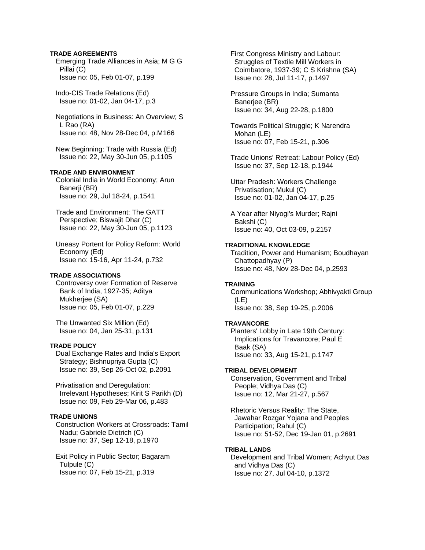#### **TRADE AGREEMENTS**

 Emerging Trade Alliances in Asia; M G G Pillai (C) Issue no: 05, Feb 01-07, p.199

 Indo-CIS Trade Relations (Ed) Issue no: 01-02, Jan 04-17, p.3

 Negotiations in Business: An Overview; S L Rao (RA) Issue no: 48, Nov 28-Dec 04, p.M166

 New Beginning: Trade with Russia (Ed) Issue no: 22, May 30-Jun 05, p.1105

## **TRADE AND ENVIRONMENT**

 Colonial India in World Economy; Arun Banerii (BR) Issue no: 29, Jul 18-24, p.1541

 Trade and Environment: The GATT Perspective; Biswajit Dhar (C) Issue no: 22, May 30-Jun 05, p.1123

 Uneasy Portent for Policy Reform: World Economy (Ed) Issue no: 15-16, Apr 11-24, p.732

#### **TRADE ASSOCIATIONS**

 Controversy over Formation of Reserve Bank of India, 1927-35; Aditya Mukheriee (SA) Issue no: 05, Feb 01-07, p.229

 The Unwanted Six Million (Ed) Issue no: 04, Jan 25-31, p.131

### **TRADE POLICY**

 Dual Exchange Rates and India's Export Strategy; Bishnupriya Gupta (C) Issue no: 39, Sep 26-Oct 02, p.2091

 Privatisation and Deregulation: Irrelevant Hypotheses; Kirit S Parikh (D) Issue no: 09, Feb 29-Mar 06, p.483

### **TRADE UNIONS**

 Construction Workers at Crossroads: Tamil Nadu; Gabriele Dietrich (C) Issue no: 37, Sep 12-18, p.1970

 Exit Policy in Public Sector; Bagaram Tulpule (C) Issue no: 07, Feb 15-21, p.319

 First Congress Ministry and Labour: Struggles of Textile Mill Workers in Coimbatore, 1937-39; C S Krishna (SA) Issue no: 28, Jul 11-17, p.1497

 Pressure Groups in India; Sumanta Banerjee (BR) Issue no: 34, Aug 22-28, p.1800

 Towards Political Struggle; K Narendra Mohan (LE) Issue no: 07, Feb 15-21, p.306

 Trade Unions' Retreat: Labour Policy (Ed) Issue no: 37, Sep 12-18, p.1944

 Uttar Pradesh: Workers Challenge Privatisation; Mukul (C) Issue no: 01-02, Jan 04-17, p.25

 A Year after Niyogi's Murder; Rajni Bakshi (C) Issue no: 40, Oct 03-09, p.2157

#### **TRADITIONAL KNOWLEDGE**

 Tradition, Power and Humanism; Boudhayan Chattopadhyay (P) Issue no: 48, Nov 28-Dec 04, p.2593

#### **TRAINING**

 Communications Workshop; Abhivyakti Group (LE) Issue no: 38, Sep 19-25, p.2006

#### **TRAVANCORE**

 Planters' Lobby in Late 19th Century: Implications for Travancore; Paul E Baak (SA) Issue no: 33, Aug 15-21, p.1747

#### **TRIBAL DEVELOPMENT**

 Conservation, Government and Tribal People; Vidhya Das (C) Issue no: 12, Mar 21-27, p.567

 Rhetoric Versus Reality: The State, Jawahar Rozgar Yojana and Peoples Participation; Rahul (C) Issue no: 51-52, Dec 19-Jan 01, p.2691

#### **TRIBAL LANDS**

 Development and Tribal Women; Achyut Das and Vidhya Das (C) Issue no: 27, Jul 04-10, p.1372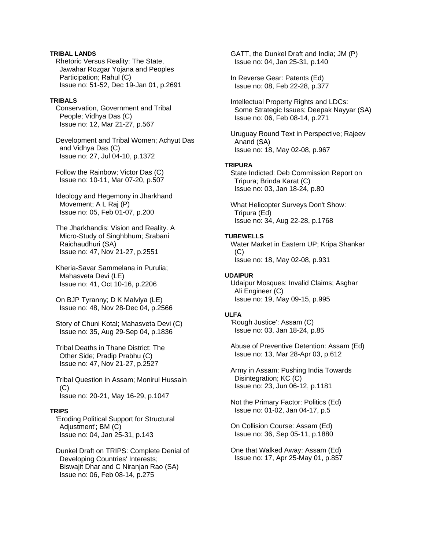## **TRIBAL LANDS**

 Rhetoric Versus Reality: The State, Jawahar Rozgar Yojana and Peoples Participation; Rahul (C) Issue no: 51-52, Dec 19-Jan 01, p.2691

#### **TRIBALS**

 Conservation, Government and Tribal People; Vidhya Das (C) Issue no: 12, Mar 21-27, p.567

 Development and Tribal Women; Achyut Das and Vidhya Das (C) Issue no: 27, Jul 04-10, p.1372

 Follow the Rainbow; Victor Das (C) Issue no: 10-11, Mar 07-20, p.507

 Ideology and Hegemony in Jharkhand Movement; A L Raj (P) Issue no: 05, Feb 01-07, p.200

 The Jharkhandis: Vision and Reality. A Micro-Study of Singhbhum; Srabani Raichaudhuri (SA) Issue no: 47, Nov 21-27, p.2551

 Kheria-Savar Sammelana in Purulia; Mahasveta Devi (LE) Issue no: 41, Oct 10-16, p.2206

 On BJP Tyranny; D K Malviya (LE) Issue no: 48, Nov 28-Dec 04, p.2566

 Story of Chuni Kotal; Mahasveta Devi (C) Issue no: 35, Aug 29-Sep 04, p.1836

 Tribal Deaths in Thane District: The Other Side; Pradip Prabhu (C) Issue no: 47, Nov 21-27, p.2527

 Tribal Question in Assam; Monirul Hussain  $(C)$ Issue no: 20-21, May 16-29, p.1047

#### **TRIPS**

 'Eroding Political Support for Structural Adjustment'; BM (C) Issue no: 04, Jan 25-31, p.143

 Dunkel Draft on TRIPS: Complete Denial of Developing Countries' Interests; Biswajit Dhar and C Niranjan Rao (SA) Issue no: 06, Feb 08-14, p.275

 GATT, the Dunkel Draft and India; JM (P) Issue no: 04, Jan 25-31, p.140

 In Reverse Gear: Patents (Ed) Issue no: 08, Feb 22-28, p.377

 Intellectual Property Rights and LDCs: Some Strategic Issues; Deepak Nayyar (SA) Issue no: 06, Feb 08-14, p.271

 Uruguay Round Text in Perspective; Rajeev Anand (SA) Issue no: 18, May 02-08, p.967

### **TRIPURA**

 State Indicted: Deb Commission Report on Tripura; Brinda Karat (C) Issue no: 03, Jan 18-24, p.80

 What Helicopter Surveys Don't Show: Tripura (Ed) Issue no: 34, Aug 22-28, p.1768

### **TUBEWELLS**

 Water Market in Eastern UP; Kripa Shankar (C) Issue no: 18, May 02-08, p.931

## **UDAIPUR**

 Udaipur Mosques: Invalid Claims; Asghar Ali Engineer (C) Issue no: 19, May 09-15, p.995

#### **ULFA**

 'Rough Justice': Assam (C) Issue no: 03, Jan 18-24, p.85

 Abuse of Preventive Detention: Assam (Ed) Issue no: 13, Mar 28-Apr 03, p.612

 Army in Assam: Pushing India Towards Disintegration; KC (C) Issue no: 23, Jun 06-12, p.1181

 Not the Primary Factor: Politics (Ed) Issue no: 01-02, Jan 04-17, p.5

 On Collision Course: Assam (Ed) Issue no: 36, Sep 05-11, p.1880

 One that Walked Away: Assam (Ed) Issue no: 17, Apr 25-May 01, p.857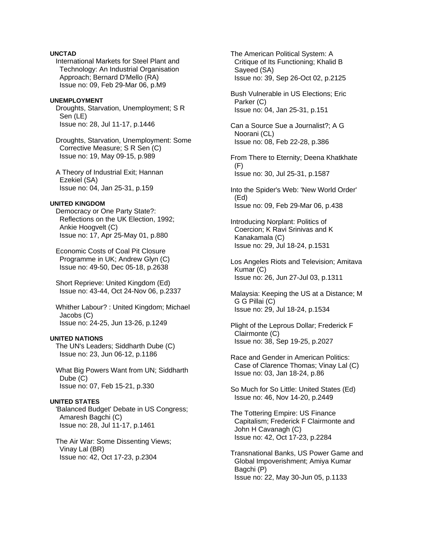## **UNCTAD**

 International Markets for Steel Plant and Technology: An Industrial Organisation Approach; Bernard D'Mello (RA) Issue no: 09, Feb 29-Mar 06, p.M9

#### **UNEMPLOYMENT**

 Droughts, Starvation, Unemployment; S R Sen (LE) Issue no: 28, Jul 11-17, p.1446

 Droughts, Starvation, Unemployment: Some Corrective Measure; S R Sen (C) Issue no: 19, May 09-15, p.989

 A Theory of Industrial Exit; Hannan Ezekiel (SA) Issue no: 04, Jan 25-31, p.159

#### **UNITED KINGDOM**

 Democracy or One Party State?: Reflections on the UK Election, 1992; Ankie Hoogvelt (C) Issue no: 17, Apr 25-May 01, p.880

 Economic Costs of Coal Pit Closure Programme in UK; Andrew Glyn (C) Issue no: 49-50, Dec 05-18, p.2638

 Short Reprieve: United Kingdom (Ed) Issue no: 43-44, Oct 24-Nov 06, p.2337

 Whither Labour? : United Kingdom; Michael Jacobs (C) Issue no: 24-25, Jun 13-26, p.1249

#### **UNITED NATIONS**

 The UN's Leaders; Siddharth Dube (C) Issue no: 23, Jun 06-12, p.1186

 What Big Powers Want from UN; Siddharth Dube (C) Issue no: 07, Feb 15-21, p.330

## **UNITED STATES**

 'Balanced Budget' Debate in US Congress; Amaresh Bagchi (C) Issue no: 28, Jul 11-17, p.1461

 The Air War: Some Dissenting Views; Vinay Lal (BR) Issue no: 42, Oct 17-23, p.2304

 The American Political System: A Critique of Its Functioning; Khalid B Sayeed (SA) Issue no: 39, Sep 26-Oct 02, p.2125 Bush Vulnerable in US Elections; Eric Parker (C) Issue no: 04, Jan 25-31, p.151 Can a Source Sue a Journalist?; A G Noorani (CL) Issue no: 08, Feb 22-28, p.386 From There to Eternity; Deena Khatkhate (F) Issue no: 30, Jul 25-31, p.1587 Into the Spider's Web: 'New World Order' (Ed) Issue no: 09, Feb 29-Mar 06, p.438 Introducing Norplant: Politics of Coercion; K Ravi Srinivas and K Kanakamala (C) Issue no: 29, Jul 18-24, p.1531 Los Angeles Riots and Television; Amitava Kumar (C) Issue no: 26, Jun 27-Jul 03, p.1311 Malaysia: Keeping the US at a Distance; M G G Pillai (C) Issue no: 29, Jul 18-24, p.1534 Plight of the Leprous Dollar; Frederick F Clairmonte (C) Issue no: 38, Sep 19-25, p.2027 Race and Gender in American Politics:

 Case of Clarence Thomas; Vinay Lal (C) Issue no: 03, Jan 18-24, p.86

 So Much for So Little: United States (Ed) Issue no: 46, Nov 14-20, p.2449

 The Tottering Empire: US Finance Capitalism; Frederick F Clairmonte and John H Cavanagh (C) Issue no: 42, Oct 17-23, p.2284

 Transnational Banks, US Power Game and Global Impoverishment; Amiya Kumar Bagchi (P) Issue no: 22, May 30-Jun 05, p.1133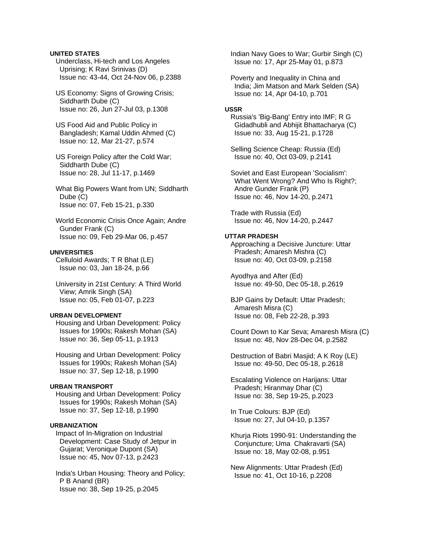#### **UNITED STATES**

 Underclass, Hi-tech and Los Angeles Uprising; K Ravi Srinivas (D) Issue no: 43-44, Oct 24-Nov 06, p.2388

 US Economy: Signs of Growing Crisis; Siddharth Dube (C) Issue no: 26, Jun 27-Jul 03, p.1308

 US Food Aid and Public Policy in Bangladesh; Kamal Uddin Ahmed (C) Issue no: 12, Mar 21-27, p.574

 US Foreign Policy after the Cold War; Siddharth Dube (C) Issue no: 28, Jul 11-17, p.1469

 What Big Powers Want from UN; Siddharth Dube (C) Issue no: 07, Feb 15-21, p.330

 World Economic Crisis Once Again; Andre Gunder Frank (C) Issue no: 09, Feb 29-Mar 06, p.457

## **UNIVERSITIES**

 Celluloid Awards; T R Bhat (LE) Issue no: 03, Jan 18-24, p.66

 University in 21st Century: A Third World View; Amrik Singh (SA) Issue no: 05, Feb 01-07, p.223

#### **URBAN DEVELOPMENT**

 Housing and Urban Development: Policy Issues for 1990s; Rakesh Mohan (SA) Issue no: 36, Sep 05-11, p.1913

 Housing and Urban Development: Policy Issues for 1990s; Rakesh Mohan (SA) Issue no: 37, Sep 12-18, p.1990

## **URBAN TRANSPORT**

 Housing and Urban Development: Policy Issues for 1990s; Rakesh Mohan (SA) Issue no: 37, Sep 12-18, p.1990

#### **URBANIZATION**

 Impact of In-Migration on Industrial Development: Case Study of Jetpur in Gujarat; Veronique Dupont (SA) Issue no: 45, Nov 07-13, p.2423

 India's Urban Housing: Theory and Policy; P B Anand (BR) Issue no: 38, Sep 19-25, p.2045

 Indian Navy Goes to War; Gurbir Singh (C) Issue no: 17, Apr 25-May 01, p.873

 Poverty and Inequality in China and India; Jim Matson and Mark Selden (SA) Issue no: 14, Apr 04-10, p.701

#### **USSR**

 Russia's 'Big-Bang' Entry into IMF; R G Gidadhubli and Abhijit Bhattacharya (C) Issue no: 33, Aug 15-21, p.1728

 Selling Science Cheap: Russia (Ed) Issue no: 40, Oct 03-09, p.2141

 Soviet and East European 'Socialism': What Went Wrong? And Who Is Right?; Andre Gunder Frank (P) Issue no: 46, Nov 14-20, p.2471

 Trade with Russia (Ed) Issue no: 46, Nov 14-20, p.2447

#### **UTTAR PRADESH**

 Approaching a Decisive Juncture: Uttar Pradesh; Amaresh Mishra (C) Issue no: 40, Oct 03-09, p.2158

 Ayodhya and After (Ed) Issue no: 49-50, Dec 05-18, p.2619

 BJP Gains by Default: Uttar Pradesh; Amaresh Misra (C) Issue no: 08, Feb 22-28, p.393

 Count Down to Kar Seva; Amaresh Misra (C) Issue no: 48, Nov 28-Dec 04, p.2582

 Destruction of Babri Masjid; A K Roy (LE) Issue no: 49-50, Dec 05-18, p.2618

 Escalating Violence on Harijans: Uttar Pradesh; Hiranmay Dhar (C) Issue no: 38, Sep 19-25, p.2023

 In True Colours: BJP (Ed) Issue no: 27, Jul 04-10, p.1357

 Khurja Riots 1990-91: Understanding the Conjuncture; Uma Chakravarti (SA) Issue no: 18, May 02-08, p.951

 New Alignments: Uttar Pradesh (Ed) Issue no: 41, Oct 10-16, p.2208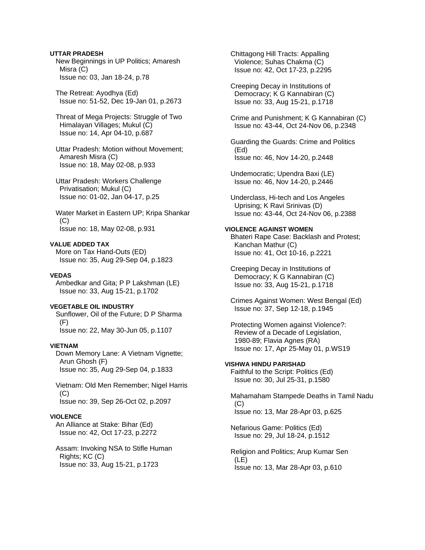## **UTTAR PRADESH**

 New Beginnings in UP Politics; Amaresh Misra (C) Issue no: 03, Jan 18-24, p.78

 The Retreat: Ayodhya (Ed) Issue no: 51-52, Dec 19-Jan 01, p.2673

 Threat of Mega Projects: Struggle of Two Himalayan Villages; Mukul (C) Issue no: 14, Apr 04-10, p.687

 Uttar Pradesh: Motion without Movement; Amaresh Misra (C) Issue no: 18, May 02-08, p.933

 Uttar Pradesh: Workers Challenge Privatisation; Mukul (C) Issue no: 01-02, Jan 04-17, p.25

 Water Market in Eastern UP; Kripa Shankar (C) Issue no: 18, May 02-08, p.931

#### **VALUE ADDED TAX**

 More on Tax Hand-Outs (ED) Issue no: 35, Aug 29-Sep 04, p.1823

#### **VEDAS**

 Ambedkar and Gita; P P Lakshman (LE) Issue no: 33, Aug 15-21, p.1702

## **VEGETABLE OIL INDUSTRY**

 Sunflower, Oil of the Future; D P Sharma (F) Issue no: 22, May 30-Jun 05, p.1107

#### **VIETNAM**

 Down Memory Lane: A Vietnam Vignette; Arun Ghosh (F) Issue no: 35, Aug 29-Sep 04, p.1833

 Vietnam: Old Men Remember; Nigel Harris (C) Issue no: 39, Sep 26-Oct 02, p.2097

#### **VIOLENCE**

 An Alliance at Stake: Bihar (Ed) Issue no: 42, Oct 17-23, p.2272

 Assam: Invoking NSA to Stifle Human Rights; KC (C) Issue no: 33, Aug 15-21, p.1723

 Chittagong Hill Tracts: Appalling Violence; Suhas Chakma (C) Issue no: 42, Oct 17-23, p.2295

 Creeping Decay in Institutions of Democracy; K G Kannabiran (C) Issue no: 33, Aug 15-21, p.1718

 Crime and Punishment; K G Kannabiran (C) Issue no: 43-44, Oct 24-Nov 06, p.2348

 Guarding the Guards: Crime and Politics (Ed) Issue no: 46, Nov 14-20, p.2448

 Undemocratic; Upendra Baxi (LE) Issue no: 46, Nov 14-20, p.2446

 Underclass, Hi-tech and Los Angeles Uprising; K Ravi Srinivas (D) Issue no: 43-44, Oct 24-Nov 06, p.2388

## **VIOLENCE AGAINST WOMEN**

 Bhateri Rape Case: Backlash and Protest; Kanchan Mathur (C) Issue no: 41, Oct 10-16, p.2221

 Creeping Decay in Institutions of Democracy; K G Kannabiran (C) Issue no: 33, Aug 15-21, p.1718

 Crimes Against Women: West Bengal (Ed) Issue no: 37, Sep 12-18, p.1945

 Protecting Women against Violence?: Review of a Decade of Legislation, 1980-89; Flavia Agnes (RA) Issue no: 17, Apr 25-May 01, p.WS19

#### **VISHWA HINDU PARISHAD**

 Faithful to the Script: Politics (Ed) Issue no: 30, Jul 25-31, p.1580

 Mahamaham Stampede Deaths in Tamil Nadu (C) Issue no: 13, Mar 28-Apr 03, p.625

 Nefarious Game: Politics (Ed) Issue no: 29, Jul 18-24, p.1512

 Religion and Politics; Arup Kumar Sen (LE) Issue no: 13, Mar 28-Apr 03, p.610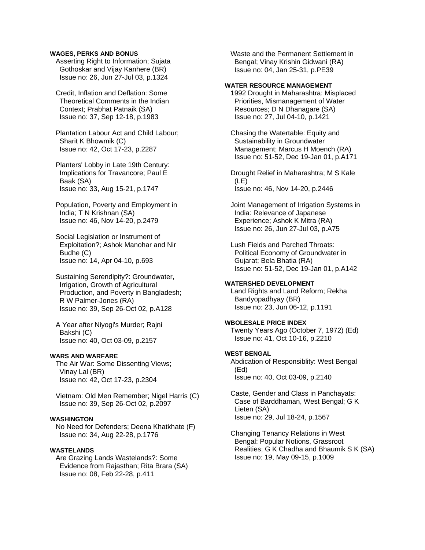#### **WAGES, PERKS AND BONUS**

 Asserting Right to Information; Sujata Gothoskar and Vijay Kanhere (BR) Issue no: 26, Jun 27-Jul 03, p.1324

 Credit, Inflation and Deflation: Some Theoretical Comments in the Indian Context; Prabhat Patnaik (SA) Issue no: 37, Sep 12-18, p.1983

 Plantation Labour Act and Child Labour; Sharit K Bhowmik (C) Issue no: 42, Oct 17-23, p.2287

 Planters' Lobby in Late 19th Century: Implications for Travancore; Paul E Baak (SA) Issue no: 33, Aug 15-21, p.1747

 Population, Poverty and Employment in India; T N Krishnan (SA) Issue no: 46, Nov 14-20, p.2479

 Social Legislation or Instrument of Exploitation?; Ashok Manohar and Nir Budhe (C) Issue no: 14, Apr 04-10, p.693

 Sustaining Serendipity?: Groundwater, Irrigation, Growth of Agricultural Production, and Poverty in Bangladesh; R W Palmer-Jones (RA) Issue no: 39, Sep 26-Oct 02, p.A128

 A Year after Niyogi's Murder; Rajni Bakshi (C) Issue no: 40, Oct 03-09, p.2157

### **WARS AND WARFARE**

 The Air War: Some Dissenting Views; Vinay Lal (BR) Issue no: 42, Oct 17-23, p.2304

 Vietnam: Old Men Remember; Nigel Harris (C) Issue no: 39, Sep 26-Oct 02, p.2097

#### **WASHINGTON**

 No Need for Defenders; Deena Khatkhate (F) Issue no: 34, Aug 22-28, p.1776

### **WASTELANDS**

 Are Grazing Lands Wastelands?: Some Evidence from Rajasthan; Rita Brara (SA) Issue no: 08, Feb 22-28, p.411

 Waste and the Permanent Settlement in Bengal; Vinay Krishin Gidwani (RA) Issue no: 04, Jan 25-31, p.PE39

#### **WATER RESOURCE MANAGEMENT**

 1992 Drought in Maharashtra: Misplaced Priorities, Mismanagement of Water Resources; D N Dhanagare (SA) Issue no: 27, Jul 04-10, p.1421

 Chasing the Watertable: Equity and Sustainability in Groundwater Management; Marcus H Moench (RA) Issue no: 51-52, Dec 19-Jan 01, p.A171

 Drought Relief in Maharashtra; M S Kale (LE) Issue no: 46, Nov 14-20, p.2446

 Joint Management of Irrigation Systems in India: Relevance of Japanese Experience; Ashok K Mitra (RA) Issue no: 26, Jun 27-Jul 03, p.A75

 Lush Fields and Parched Throats: Political Economy of Groundwater in Gujarat; Bela Bhatia (RA) Issue no: 51-52, Dec 19-Jan 01, p.A142

#### **WATERSHED DEVELOPMENT**

 Land Rights and Land Reform; Rekha Bandyopadhyay (BR) Issue no: 23, Jun 06-12, p.1191

## **WBOLESALE PRICE INDEX**

 Twenty Years Ago (October 7, 1972) (Ed) Issue no: 41, Oct 10-16, p.2210

#### **WEST BENGAL**

 Abdication of Responsiblity: West Bengal (Ed) Issue no: 40, Oct 03-09, p.2140

 Caste, Gender and Class in Panchayats: Case of Barddhaman, West Bengal; G K Lieten (SA) Issue no: 29, Jul 18-24, p.1567

 Changing Tenancy Relations in West Bengal: Popular Notions, Grassroot Realities; G K Chadha and Bhaumik S K (SA) Issue no: 19, May 09-15, p.1009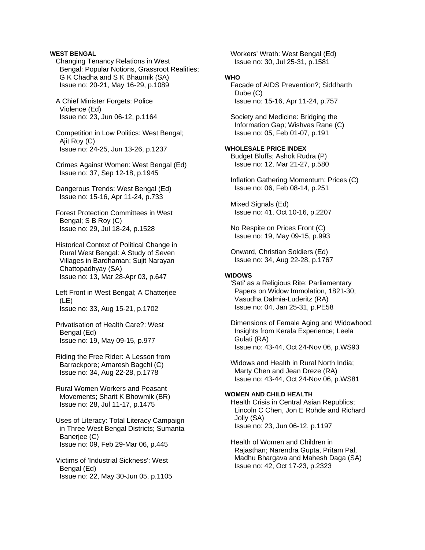## **WEST BENGAL**

 Changing Tenancy Relations in West Bengal: Popular Notions, Grassroot Realities; G K Chadha and S K Bhaumik (SA) Issue no: 20-21, May 16-29, p.1089

 A Chief Minister Forgets: Police Violence (Ed) Issue no: 23, Jun 06-12, p.1164

 Competition in Low Politics: West Bengal; Ajit Roy (C) Issue no: 24-25, Jun 13-26, p.1237

 Crimes Against Women: West Bengal (Ed) Issue no: 37, Sep 12-18, p.1945

 Dangerous Trends: West Bengal (Ed) Issue no: 15-16, Apr 11-24, p.733

 Forest Protection Committees in West Bengal; S B Roy (C) Issue no: 29, Jul 18-24, p.1528

- Historical Context of Political Change in Rural West Bengal: A Study of Seven Villages in Bardhaman; Sujit Narayan Chattopadhyay (SA) Issue no: 13, Mar 28-Apr 03, p.647
- Left Front in West Bengal; A Chatterjee (LE) Issue no: 33, Aug 15-21, p.1702
- Privatisation of Health Care?: West Bengal (Ed) Issue no: 19, May 09-15, p.977
- Riding the Free Rider: A Lesson from Barrackpore; Amaresh Bagchi (C) Issue no: 34, Aug 22-28, p.1778

 Rural Women Workers and Peasant Movements; Sharit K Bhowmik (BR) Issue no: 28, Jul 11-17, p.1475

 Uses of Literacy: Total Literacy Campaign in Three West Bengal Districts; Sumanta Banerjee (C) Issue no: 09, Feb 29-Mar 06, p.445

 Victims of 'Industrial Sickness': West Bengal (Ed) Issue no: 22, May 30-Jun 05, p.1105  Workers' Wrath: West Bengal (Ed) Issue no: 30, Jul 25-31, p.1581

### **WHO**

 Facade of AIDS Prevention?; Siddharth Dube (C) Issue no: 15-16, Apr 11-24, p.757

 Society and Medicine: Bridging the Information Gap; Wishvas Rane (C) Issue no: 05, Feb 01-07, p.191

#### **WHOLESALE PRICE INDEX**

 Budget Bluffs; Ashok Rudra (P) Issue no: 12, Mar 21-27, p.580

 Inflation Gathering Momentum: Prices (C) Issue no: 06, Feb 08-14, p.251

 Mixed Signals (Ed) Issue no: 41, Oct 10-16, p.2207

 No Respite on Prices Front (C) Issue no: 19, May 09-15, p.993

 Onward, Christian Soldiers (Ed) Issue no: 34, Aug 22-28, p.1767

## **WIDOWS**

 'Sati' as a Religious Rite: Parliamentary Papers on Widow Immolation, 1821-30; Vasudha Dalmia-Luderitz (RA) Issue no: 04, Jan 25-31, p.PE58

 Dimensions of Female Aging and Widowhood: Insights from Kerala Experience; Leela Gulati (RA) Issue no: 43-44, Oct 24-Nov 06, p.WS93

 Widows and Health in Rural North India; Marty Chen and Jean Dreze (RA) Issue no: 43-44, Oct 24-Nov 06, p.WS81

## **WOMEN AND CHILD HEALTH**

 Health Crisis in Central Asian Republics; Lincoln C Chen, Jon E Rohde and Richard Jolly (SA) Issue no: 23, Jun 06-12, p.1197

 Health of Women and Children in Rajasthan; Narendra Gupta, Pritam Pal, Madhu Bhargava and Mahesh Daga (SA) Issue no: 42, Oct 17-23, p.2323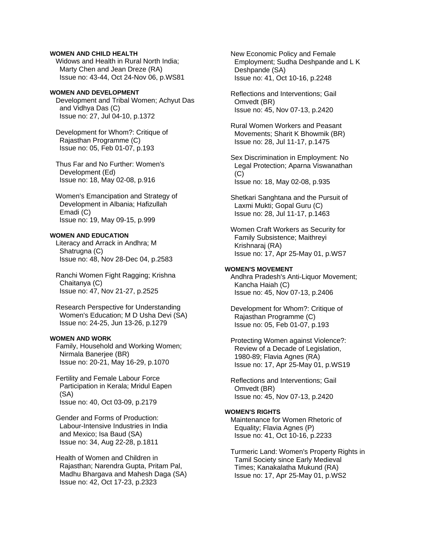### **WOMEN AND CHILD HEALTH**

 Widows and Health in Rural North India; Marty Chen and Jean Dreze (RA) Issue no: 43-44, Oct 24-Nov 06, p.WS81

#### **WOMEN AND DEVELOPMENT**

 Development and Tribal Women; Achyut Das and Vidhya Das (C) Issue no: 27, Jul 04-10, p.1372

 Development for Whom?: Critique of Rajasthan Programme (C) Issue no: 05, Feb 01-07, p.193

 Thus Far and No Further: Women's Development (Ed) Issue no: 18, May 02-08, p.916

 Women's Emancipation and Strategy of Development in Albania; Hafizullah Emadi (C) Issue no: 19, May 09-15, p.999

#### **WOMEN AND EDUCATION**

 Literacy and Arrack in Andhra; M Shatrugna (C) Issue no: 48, Nov 28-Dec 04, p.2583

 Ranchi Women Fight Ragging; Krishna Chaitanya (C) Issue no: 47, Nov 21-27, p.2525

 Research Perspective for Understanding Women's Education; M D Usha Devi (SA) Issue no: 24-25, Jun 13-26, p.1279

### **WOMEN AND WORK**

 Family, Household and Working Women; Nirmala Banerjee (BR) Issue no: 20-21, May 16-29, p.1070

 Fertility and Female Labour Force Participation in Kerala; Mridul Eapen (SA) Issue no: 40, Oct 03-09, p.2179

 Gender and Forms of Production: Labour-Intensive Industries in India and Mexico; Isa Baud (SA) Issue no: 34, Aug 22-28, p.1811

 Health of Women and Children in Rajasthan; Narendra Gupta, Pritam Pal, Madhu Bhargava and Mahesh Daga (SA) Issue no: 42, Oct 17-23, p.2323

 New Economic Policy and Female Employment; Sudha Deshpande and L K Deshpande (SA) Issue no: 41, Oct 10-16, p.2248

 Reflections and Interventions; Gail Omvedt (BR) Issue no: 45, Nov 07-13, p.2420

 Rural Women Workers and Peasant Movements; Sharit K Bhowmik (BR) Issue no: 28, Jul 11-17, p.1475

 Sex Discrimination in Employment: No Legal Protection; Aparna Viswanathan  $(C)$ Issue no: 18, May 02-08, p.935

 Shetkari Sanghtana and the Pursuit of Laxmi Mukti; Gopal Guru (C) Issue no: 28, Jul 11-17, p.1463

 Women Craft Workers as Security for Family Subsistence; Maithreyi Krishnaraj (RA) Issue no: 17, Apr 25-May 01, p.WS7

#### **WOMEN'S MOVEMENT**

 Andhra Pradesh's Anti-Liquor Movement; Kancha Haiah (C) Issue no: 45, Nov 07-13, p.2406

 Development for Whom?: Critique of Rajasthan Programme (C) Issue no: 05, Feb 01-07, p.193

 Protecting Women against Violence?: Review of a Decade of Legislation, 1980-89; Flavia Agnes (RA) Issue no: 17, Apr 25-May 01, p.WS19

 Reflections and Interventions; Gail Omvedt (BR) Issue no: 45, Nov 07-13, p.2420

## **WOMEN'S RIGHTS**

 Maintenance for Women Rhetoric of Equality; Flavia Agnes (P) Issue no: 41, Oct 10-16, p.2233

 Turmeric Land: Women's Property Rights in Tamil Society since Early Medieval Times; Kanakalatha Mukund (RA) Issue no: 17, Apr 25-May 01, p.WS2